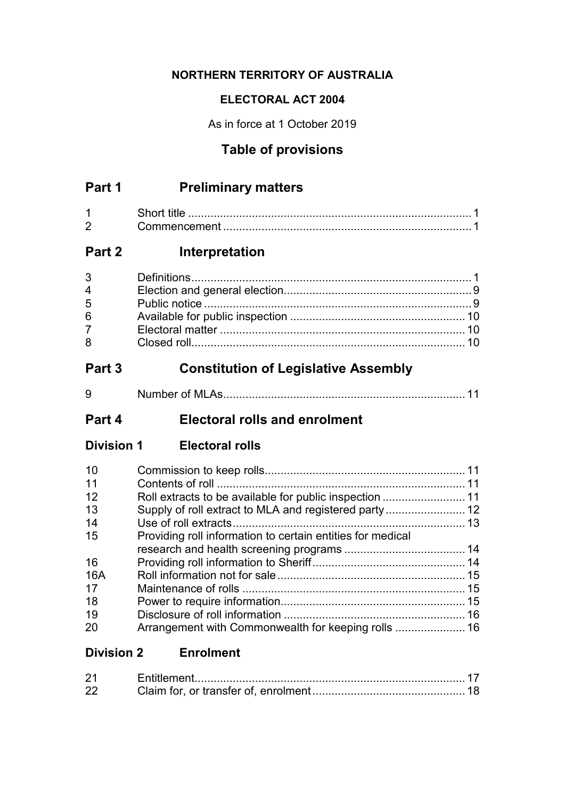### **NORTHERN TERRITORY OF AUSTRALIA**

### **ELECTORAL ACT 2004**

As in force at 1 October 2019

# **Table of provisions**

# **Part 1 Preliminary matters**

| $\sqrt{2}$ | ∴∩mmencement |  |
|------------|--------------|--|

# **Part 2 Interpretation**

| $3^{\circ}$    |  |
|----------------|--|
| $\overline{4}$ |  |
| 5              |  |
| 6 <sup>1</sup> |  |
| $7^{\circ}$    |  |
| 8              |  |

# **Part 3 Constitution of Legislative Assembly**

| u<br>ີ | 1 V I I |  |
|--------|---------|--|
|        |         |  |

# **Part 4 Electoral rolls and enrolment**

**Division 1 Electoral rolls**

| 10  |                                                            |  |
|-----|------------------------------------------------------------|--|
| 11  |                                                            |  |
| 12  |                                                            |  |
| 13  |                                                            |  |
| 14  |                                                            |  |
| 15  | Providing roll information to certain entities for medical |  |
|     |                                                            |  |
| 16  |                                                            |  |
| 16A |                                                            |  |
| 17  |                                                            |  |
| 18  |                                                            |  |
| 19  |                                                            |  |
| 20  |                                                            |  |

# **Division 2 Enrolment**

| 22 |  |
|----|--|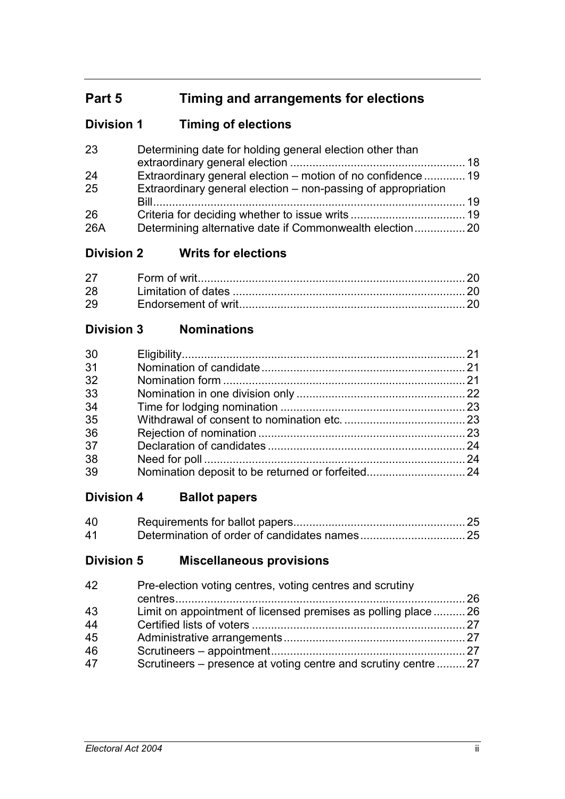# **Part 5 Timing and arrangements for elections**

# **Division 1 Timing of elections**

| 23  | Determining date for holding general election other than      |    |
|-----|---------------------------------------------------------------|----|
| 24  | Extraordinary general election - motion of no confidence  19  |    |
| 25  | Extraordinary general election – non-passing of appropriation |    |
|     |                                                               | 19 |
| 26  |                                                               |    |
| 26A |                                                               |    |

# **Division 2 Writs for elections**

| 27 |  |
|----|--|
| 28 |  |
| 29 |  |

# **Division 3 Nominations**

# **Division 4 Ballot papers**

| 40 |  |
|----|--|
| 41 |  |

# **Division 5 Miscellaneous provisions**

| 42 | Pre-election voting centres, voting centres and scrutiny       |  |
|----|----------------------------------------------------------------|--|
| 43 | Limit on appointment of licensed premises as polling place  26 |  |
| 44 |                                                                |  |
| 45 |                                                                |  |
| 46 |                                                                |  |
| 47 | Scrutineers – presence at voting centre and scrutiny centre 27 |  |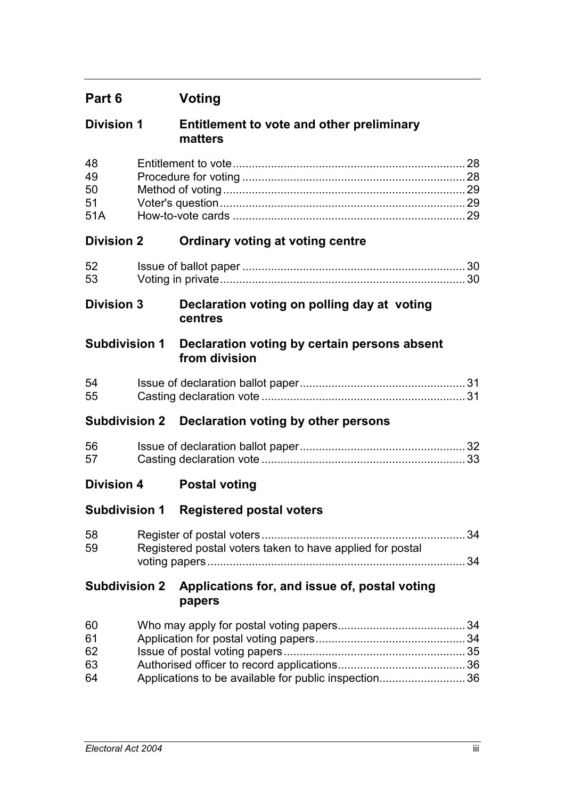| <b>Division 1</b> | Entitlement to vote and other preliminary |
|-------------------|-------------------------------------------|
|                   | matters                                   |

| 48 |  |
|----|--|
| 49 |  |
| 50 |  |
| 51 |  |
|    |  |

## **Division 2 Ordinary voting at voting centre**

| 52 |  |
|----|--|
| 53 |  |

## **Division 3 Declaration voting on polling day at voting centres**

## **Subdivision 1 Declaration voting by certain persons absent from division**

| 54 |  |
|----|--|
| 55 |  |

### **Subdivision 2 Declaration voting by other persons**

| 56 |  |
|----|--|
| 57 |  |

# **Division 4 Postal voting**

# **Subdivision 1 Registered postal voters**

| 58 |                                                           |  |
|----|-----------------------------------------------------------|--|
| 59 | Registered postal voters taken to have applied for postal |  |
|    |                                                           |  |

### **Subdivision 2 Applications for, and issue of, postal voting papers**

| 60 |                                                      |  |
|----|------------------------------------------------------|--|
| 61 |                                                      |  |
| 62 |                                                      |  |
| 63 |                                                      |  |
| 64 | Applications to be available for public inspection36 |  |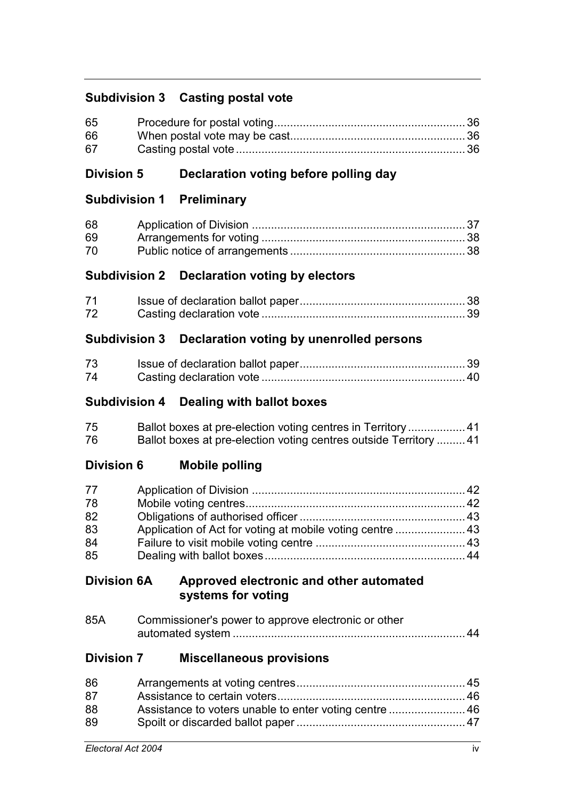## **Subdivision 3 Casting postal vote**

| 65 |  |
|----|--|
| 66 |  |
| 67 |  |

## **Division 5 Declaration voting before polling day**

## **Subdivision 1 Preliminary**

| 68 |  |
|----|--|
| 69 |  |
| 70 |  |

## **Subdivision 2 Declaration voting by electors**

| 71 |  |
|----|--|
| 72 |  |

## **Subdivision 3 Declaration voting by unenrolled persons**

| 73 |  |
|----|--|
| 74 |  |

### **Subdivision 4 Dealing with ballot boxes**

| 75 | Ballot boxes at pre-election voting centres in Territory 41      |  |
|----|------------------------------------------------------------------|--|
| 76 | Ballot boxes at pre-election voting centres outside Territory 41 |  |

### **Division 6 Mobile polling**

| 77 |  |
|----|--|
| 78 |  |
| 82 |  |
| 83 |  |
| 84 |  |
| 85 |  |

### **Division 6A Approved electronic and other automated systems for voting**

| 85A | Commissioner's power to approve electronic or other |  |  |
|-----|-----------------------------------------------------|--|--|
|     |                                                     |  |  |

### **Division 7 Miscellaneous provisions**

| 86 |                                                        |  |
|----|--------------------------------------------------------|--|
| 87 |                                                        |  |
| 88 | Assistance to voters unable to enter voting centre  46 |  |
| 89 |                                                        |  |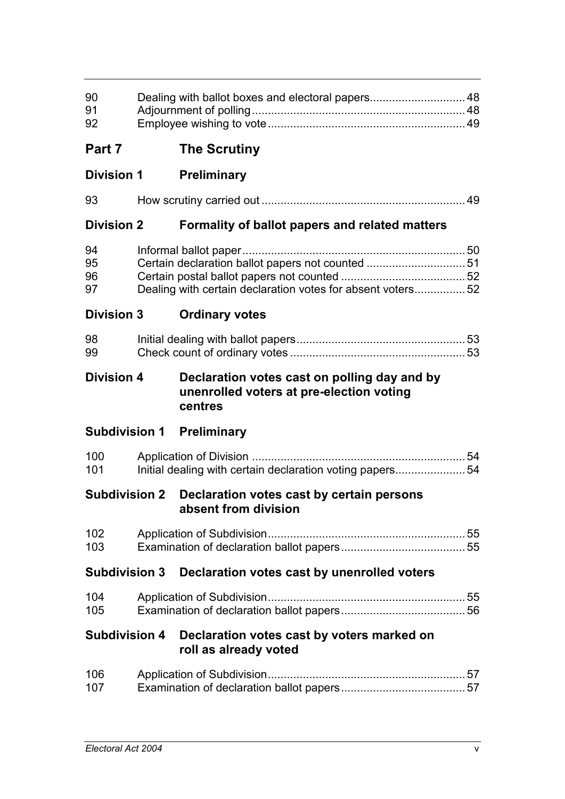| 90<br>91<br>92       | Dealing with ballot boxes and electoral papers 48                                                               |  |
|----------------------|-----------------------------------------------------------------------------------------------------------------|--|
| Part 7               | <b>The Scrutiny</b>                                                                                             |  |
| <b>Division 1</b>    | <b>Preliminary</b>                                                                                              |  |
| 93                   |                                                                                                                 |  |
| <b>Division 2</b>    | Formality of ballot papers and related matters                                                                  |  |
| 94<br>95<br>96<br>97 | Certain declaration ballot papers not counted  51<br>Dealing with certain declaration votes for absent voters52 |  |
| <b>Division 3</b>    | <b>Ordinary votes</b>                                                                                           |  |
| 98<br>99             |                                                                                                                 |  |
| <b>Division 4</b>    | Declaration votes cast on polling day and by<br>unenrolled voters at pre-election voting<br>centres             |  |
|                      | <b>Subdivision 1 Preliminary</b>                                                                                |  |
| 100<br>101           | Initial dealing with certain declaration voting papers54                                                        |  |
| <b>Subdivision 2</b> | Declaration votes cast by certain persons<br>absent from division                                               |  |
| 102<br>103           |                                                                                                                 |  |
|                      | Subdivision 3 Declaration votes cast by unenrolled voters                                                       |  |
| 104<br>105           |                                                                                                                 |  |
| <b>Subdivision 4</b> | Declaration votes cast by voters marked on<br>roll as already voted                                             |  |
| 106<br>107           |                                                                                                                 |  |
|                      |                                                                                                                 |  |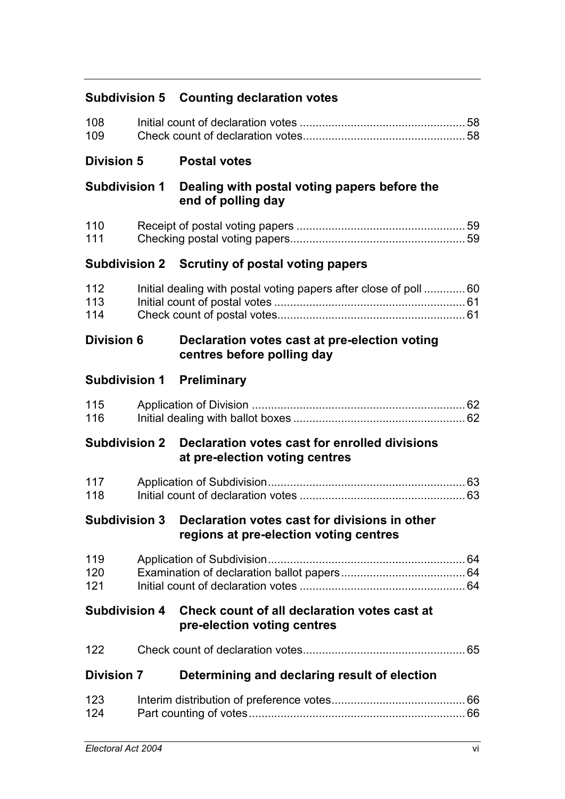| <b>Subdivision 5</b> | <b>Counting declaration votes</b>                                                       |  |
|----------------------|-----------------------------------------------------------------------------------------|--|
| 108<br>109           |                                                                                         |  |
| <b>Division 5</b>    | <b>Postal votes</b>                                                                     |  |
| <b>Subdivision 1</b> | Dealing with postal voting papers before the<br>end of polling day                      |  |
| 110<br>111           |                                                                                         |  |
|                      | Subdivision 2 Scrutiny of postal voting papers                                          |  |
| 112<br>113<br>114    | Initial dealing with postal voting papers after close of poll  60                       |  |
| <b>Division 6</b>    | Declaration votes cast at pre-election voting<br>centres before polling day             |  |
|                      | <b>Subdivision 1 Preliminary</b>                                                        |  |
| 115<br>116           |                                                                                         |  |
| <b>Subdivision 2</b> | Declaration votes cast for enrolled divisions<br>at pre-election voting centres         |  |
| 117<br>118           |                                                                                         |  |
| <b>Subdivision 3</b> | Declaration votes cast for divisions in other<br>regions at pre-election voting centres |  |
| 119<br>120<br>121    |                                                                                         |  |
| <b>Subdivision 4</b> | Check count of all declaration votes cast at<br>pre-election voting centres             |  |
| 122                  |                                                                                         |  |
| <b>Division 7</b>    | Determining and declaring result of election                                            |  |
| 123<br>124           |                                                                                         |  |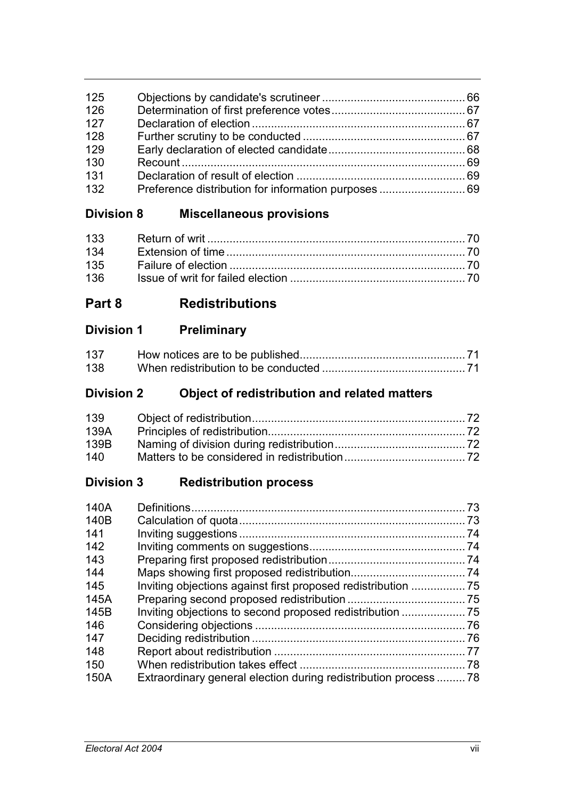| 125 |  |
|-----|--|
| 126 |  |
| 127 |  |
| 128 |  |
| 129 |  |
| 130 |  |
| 131 |  |
| 132 |  |
|     |  |

# **Division 8 Miscellaneous provisions**

# **Part 8 Redistributions**

| 137 |  |
|-----|--|
| 138 |  |

# **Division 2 Object of redistribution and related matters**

| 139  |  |
|------|--|
| 139A |  |
| 139B |  |
| 140  |  |

# **Division 3 Redistribution process**

| 140A |                                                                  | 73 |
|------|------------------------------------------------------------------|----|
| 140B |                                                                  |    |
| 141  |                                                                  |    |
| 142  |                                                                  |    |
| 143  |                                                                  |    |
| 144  |                                                                  |    |
| 145  |                                                                  |    |
| 145A |                                                                  |    |
| 145B |                                                                  |    |
| 146  |                                                                  |    |
| 147  |                                                                  |    |
| 148  |                                                                  |    |
| 150  |                                                                  |    |
| 150A | Extraordinary general election during redistribution process  78 |    |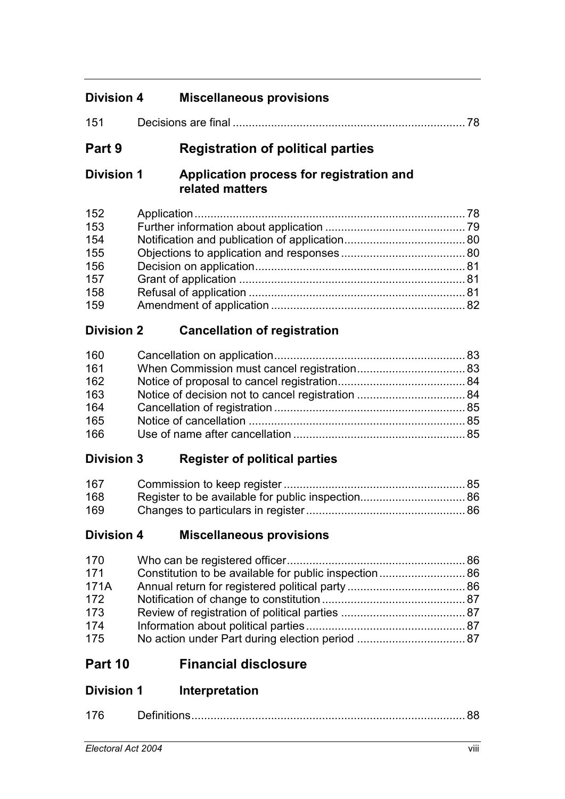| <b>Division 4</b>  | <b>Miscellaneous provisions</b>                             |      |
|--------------------|-------------------------------------------------------------|------|
| 151                |                                                             |      |
| Part 9             | <b>Registration of political parties</b>                    |      |
| <b>Division 1</b>  | Application process for registration and<br>related matters |      |
| 152                |                                                             |      |
| 153                |                                                             |      |
| 154                |                                                             |      |
| 155                |                                                             |      |
| 156                |                                                             |      |
| 157                |                                                             |      |
| 158                |                                                             |      |
| 159                |                                                             |      |
| <b>Division 2</b>  | <b>Cancellation of registration</b>                         |      |
| 160                |                                                             |      |
| 161                |                                                             |      |
| 162                |                                                             |      |
| 163                |                                                             |      |
| 164                |                                                             |      |
| 165                |                                                             |      |
| 166                |                                                             |      |
| <b>Division 3</b>  | <b>Register of political parties</b>                        |      |
| 167                |                                                             |      |
| 168                |                                                             |      |
| 169                |                                                             |      |
| <b>Division 4</b>  | <b>Miscellaneous provisions</b>                             |      |
| 170                |                                                             |      |
| 171                | Constitution to be available for public inspection 86       |      |
| 171A               |                                                             |      |
| 172                |                                                             |      |
| 173                |                                                             |      |
| 174                |                                                             |      |
| 175                |                                                             |      |
| Part 10            | <b>Financial disclosure</b>                                 |      |
| <b>Division 1</b>  | Interpretation                                              |      |
| 176                |                                                             |      |
| Electoral Act 2004 |                                                             | viii |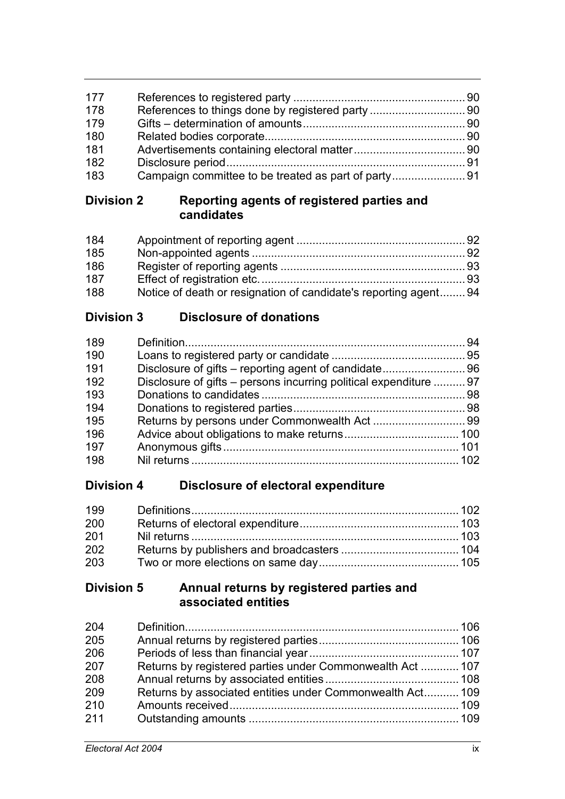| 177 |                                                     |  |
|-----|-----------------------------------------------------|--|
| 178 |                                                     |  |
| 179 |                                                     |  |
| 180 |                                                     |  |
| 181 |                                                     |  |
| 182 |                                                     |  |
| 183 | Campaign committee to be treated as part of party91 |  |

### **Division 2 Reporting agents of registered parties and candidates**

| 184 |                                                                  |  |
|-----|------------------------------------------------------------------|--|
| 185 |                                                                  |  |
| 186 |                                                                  |  |
| 187 |                                                                  |  |
| 188 | Notice of death or resignation of candidate's reporting agent 94 |  |

# **Division 3 Disclosure of donations**

| Disclosure of gifts – persons incurring political expenditure  97 |
|-------------------------------------------------------------------|

# **Division 4 Disclosure of electoral expenditure**

| 199 |  |
|-----|--|
| 200 |  |
| 201 |  |
| 202 |  |
| 203 |  |

## **Division 5 Annual returns by registered parties and associated entities**

| 204 |                                                           |  |
|-----|-----------------------------------------------------------|--|
| 205 |                                                           |  |
| 206 |                                                           |  |
| 207 | Returns by registered parties under Commonwealth Act  107 |  |
| 208 |                                                           |  |
| 209 | Returns by associated entities under Commonwealth Act 109 |  |
| 210 |                                                           |  |
| 211 |                                                           |  |
|     |                                                           |  |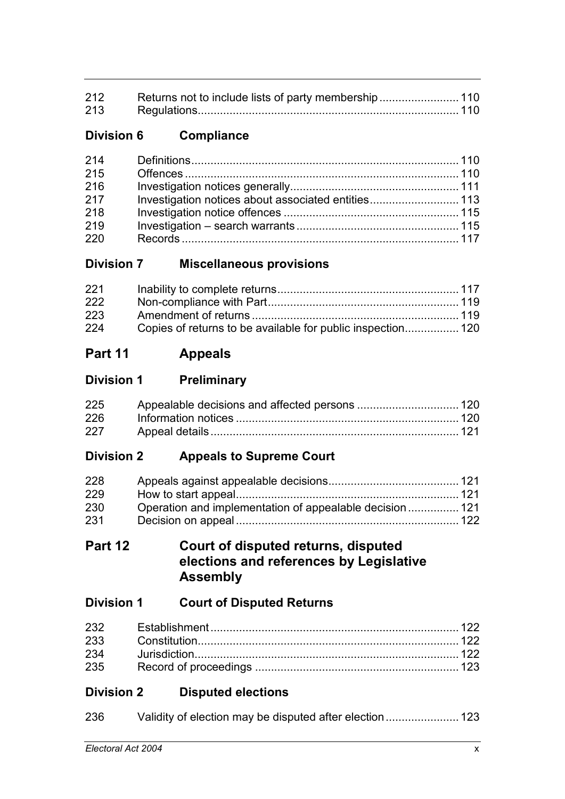| 212 Returns not to include lists of party membership 110 |  |
|----------------------------------------------------------|--|
|                                                          |  |

# **Division 6 Compliance**

| 214 |                                                     |  |
|-----|-----------------------------------------------------|--|
| 215 |                                                     |  |
| 216 |                                                     |  |
| 217 | Investigation notices about associated entities 113 |  |
| 218 |                                                     |  |
| 219 |                                                     |  |
| 220 |                                                     |  |

## **Division 7 Miscellaneous provisions**

| 221 |                                                             |  |
|-----|-------------------------------------------------------------|--|
| 222 |                                                             |  |
| 223 |                                                             |  |
| 224 | Copies of returns to be available for public inspection 120 |  |

# **Part 11 Appeals**

## **Division 1 Preliminary**

| 225 |  |
|-----|--|
| 226 |  |
| 227 |  |

# **Division 2 Appeals to Supreme Court**

| 228 |                                                         |  |
|-----|---------------------------------------------------------|--|
| 229 |                                                         |  |
| 230 | Operation and implementation of appealable decision 121 |  |
| 231 |                                                         |  |

## **Part 12 Court of disputed returns, disputed elections and references by Legislative Assembly**

# **Division 1 Court of Disputed Returns**

| 235 |  |
|-----|--|

# **Division 2 Disputed elections**

| 236 | Validity of election may be disputed after election 123 |  |
|-----|---------------------------------------------------------|--|
|-----|---------------------------------------------------------|--|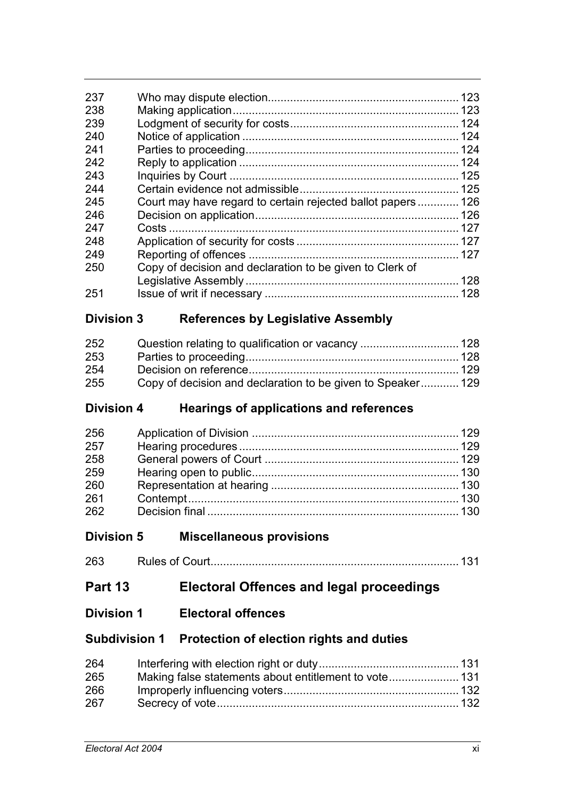| 237 |                                                             | 123 |
|-----|-------------------------------------------------------------|-----|
| 238 |                                                             |     |
| 239 |                                                             |     |
| 240 |                                                             | 124 |
| 241 |                                                             |     |
| 242 |                                                             | 124 |
| 243 |                                                             | 125 |
| 244 |                                                             |     |
| 245 | Court may have regard to certain rejected ballot papers 126 |     |
| 246 |                                                             |     |
| 247 |                                                             |     |
| 248 |                                                             |     |
| 249 |                                                             | 127 |
| 250 | Copy of decision and declaration to be given to Clerk of    |     |
|     |                                                             |     |
| 251 |                                                             |     |
|     |                                                             |     |

## **Division 3 References by Legislative Assembly**

| 252 |                                                             |  |
|-----|-------------------------------------------------------------|--|
| 253 |                                                             |  |
| 254 |                                                             |  |
| 255 | Copy of decision and declaration to be given to Speaker 129 |  |

# **Division 4 Hearings of applications and references**

| 256 |  |
|-----|--|
| 257 |  |
| 258 |  |
| 259 |  |
| 260 |  |
| 261 |  |
| 262 |  |

# **Division 5 Miscellaneous provisions**

Rules of Court.............................................................................. 131

# **Part 13 Electoral Offences and legal proceedings**

### **Division 1 Electoral offences**

### **Subdivision 1 Protection of election rights and duties**

| 264 |  |
|-----|--|
| 265 |  |
| 266 |  |
| 267 |  |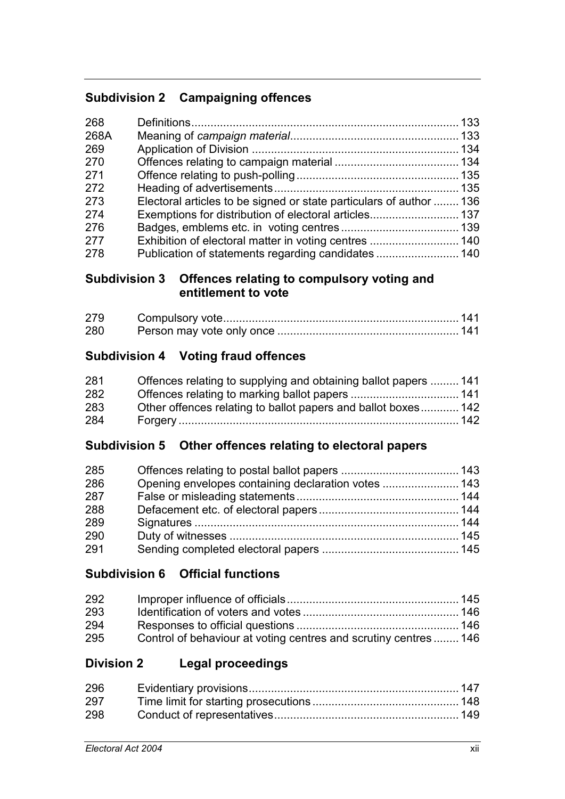# **Subdivision 2 Campaigning offences**

| Electoral articles to be signed or state particulars of author  136 |  |
|---------------------------------------------------------------------|--|
| Exemptions for distribution of electoral articles 137               |  |
|                                                                     |  |
|                                                                     |  |
|                                                                     |  |
|                                                                     |  |

# **Subdivision 3 Offences relating to compulsory voting and entitlement to vote**

| 279 |  |
|-----|--|
| 280 |  |

# **Subdivision 4 Voting fraud offences**

| 281 | Offences relating to supplying and obtaining ballot papers  141 |  |
|-----|-----------------------------------------------------------------|--|
| 282 |                                                                 |  |
| 283 | Other offences relating to ballot papers and ballot boxes 142   |  |
| 284 |                                                                 |  |

# **Subdivision 5 Other offences relating to electoral papers**

| 285 |                                                     |  |
|-----|-----------------------------------------------------|--|
| 286 | Opening envelopes containing declaration votes  143 |  |
| 287 |                                                     |  |
| 288 |                                                     |  |
| 289 |                                                     |  |
| 290 |                                                     |  |
| 291 |                                                     |  |

# **Subdivision 6 Official functions**

| 292 |                                                                  |  |
|-----|------------------------------------------------------------------|--|
| 293 |                                                                  |  |
| 294 |                                                                  |  |
| 295 | Control of behaviour at voting centres and scrutiny centres  146 |  |

# **Division 2 Legal proceedings**

| 296 |  |
|-----|--|
| 297 |  |
| 298 |  |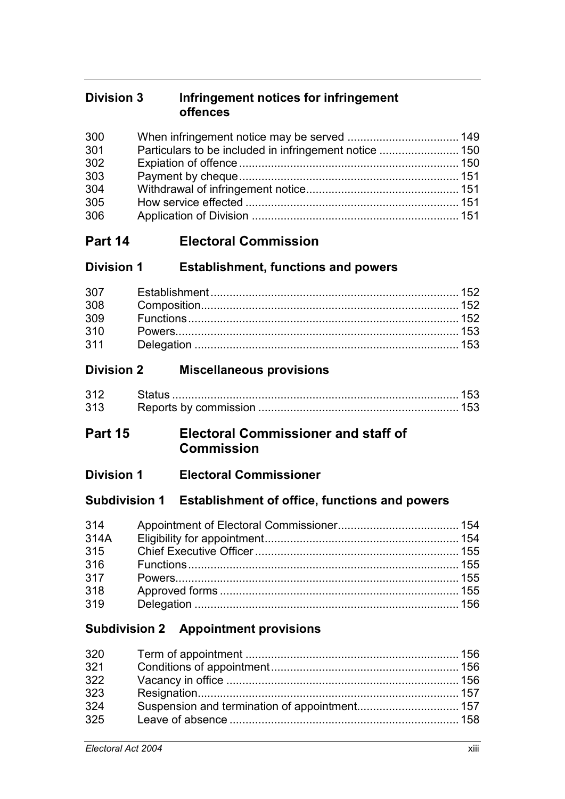### **Division 3 Infringement notices for infringement offences**

# **Part 14 Electoral Commission**

## **Division 1 Establishment, functions and powers**

# **Division 2 Miscellaneous provisions**

| 312 Status |  |
|------------|--|
| 313        |  |

# **Part 15 Electoral Commissioner and staff of Commission**

# **Division 1 Electoral Commissioner**

### **Subdivision 1 Establishment of office, functions and powers**

# **Subdivision 2 Appointment provisions**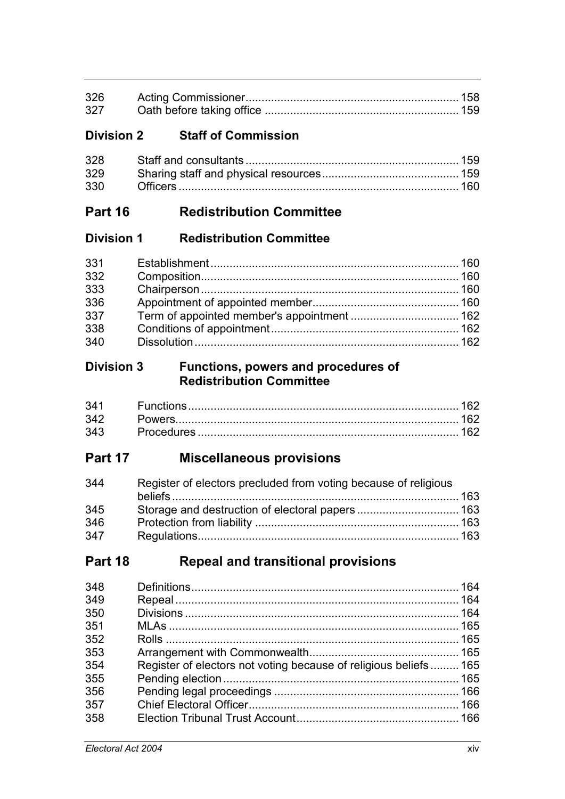| 327 |  |
|-----|--|

## **Division 2 Staff of Commission**

# **Part 16 Redistribution Committee**

### **Division 1 Redistribution Committee**

| 331 |  |
|-----|--|
| 332 |  |
| 333 |  |
| 336 |  |
| 337 |  |
| 338 |  |
| 340 |  |

### **Division 3 Functions, powers and procedures of Redistribution Committee**

| 341 |  |
|-----|--|
| 342 |  |
| 343 |  |

# **Part 17 Miscellaneous provisions**

| 344 | Register of electors precluded from voting because of religious |  |
|-----|-----------------------------------------------------------------|--|
|     |                                                                 |  |
| 345 |                                                                 |  |
| 346 |                                                                 |  |
| 347 |                                                                 |  |

# **Part 18 Repeal and transitional provisions**

| 348 |                                                                  |  |
|-----|------------------------------------------------------------------|--|
| 349 |                                                                  |  |
| 350 |                                                                  |  |
| 351 |                                                                  |  |
| 352 |                                                                  |  |
| 353 |                                                                  |  |
| 354 | Register of electors not voting because of religious beliefs 165 |  |
| 355 |                                                                  |  |
| 356 |                                                                  |  |
| 357 |                                                                  |  |
| 358 |                                                                  |  |
|     |                                                                  |  |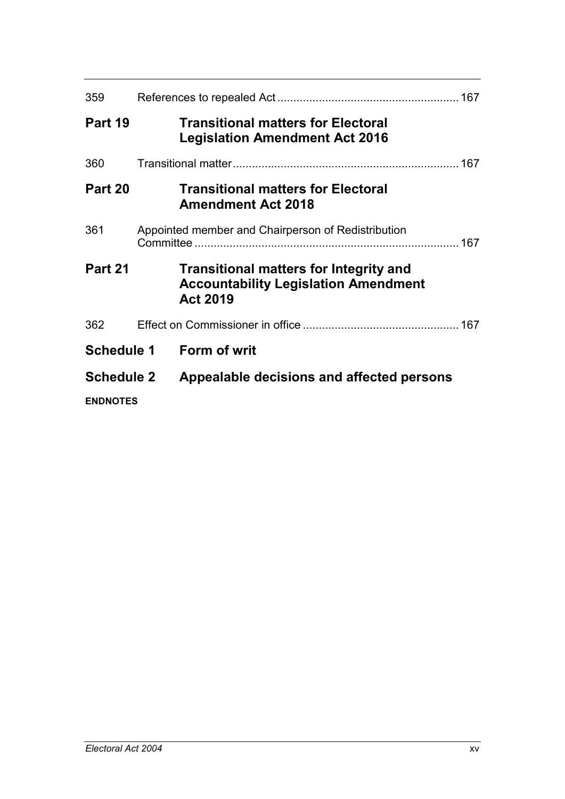| 359               |  |                                                                                                                 |  |
|-------------------|--|-----------------------------------------------------------------------------------------------------------------|--|
| Part 19           |  | <b>Transitional matters for Electoral</b><br><b>Legislation Amendment Act 2016</b>                              |  |
| 360               |  |                                                                                                                 |  |
| Part 20           |  | <b>Transitional matters for Electoral</b><br><b>Amendment Act 2018</b>                                          |  |
| 361               |  | Appointed member and Chairperson of Redistribution                                                              |  |
| Part 21           |  | <b>Transitional matters for Integrity and</b><br><b>Accountability Legislation Amendment</b><br><b>Act 2019</b> |  |
| 362               |  |                                                                                                                 |  |
| <b>Schedule 1</b> |  | <b>Form of writ</b>                                                                                             |  |
| <b>Schedule 2</b> |  | Appealable decisions and affected persons                                                                       |  |
| <b>ENDNOTES</b>   |  |                                                                                                                 |  |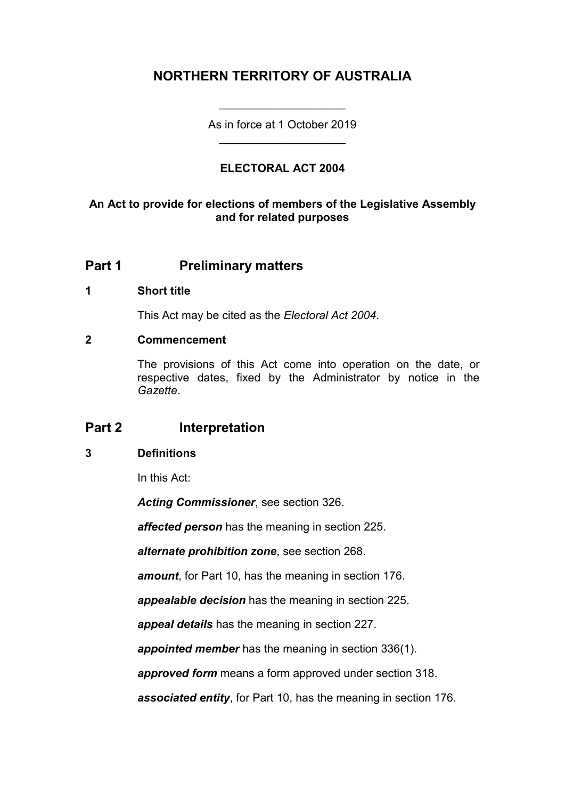# **NORTHERN TERRITORY OF AUSTRALIA**

As in force at 1 October 2019 \_\_\_\_\_\_\_\_\_\_\_\_\_\_\_\_\_\_\_\_

\_\_\_\_\_\_\_\_\_\_\_\_\_\_\_\_\_\_\_\_

### **ELECTORAL ACT 2004**

### **An Act to provide for elections of members of the Legislative Assembly and for related purposes**

# **Part 1 Preliminary matters**

#### **1 Short title**

This Act may be cited as the *Electoral Act 2004*.

#### **2 Commencement**

The provisions of this Act come into operation on the date, or respective dates, fixed by the Administrator by notice in the *Gazette*.

### **Part 2 Interpretation**

### **3 Definitions**

In this Act:

*Acting Commissioner*, see section 326.

*affected person* has the meaning in section 225.

*alternate prohibition zone*, see section 268.

*amount*, for Part 10, has the meaning in section 176.

*appealable decision* has the meaning in section 225.

*appeal details* has the meaning in section 227.

*appointed member* has the meaning in section 336(1).

*approved form* means a form approved under section 318.

*associated entity*, for Part 10, has the meaning in section 176.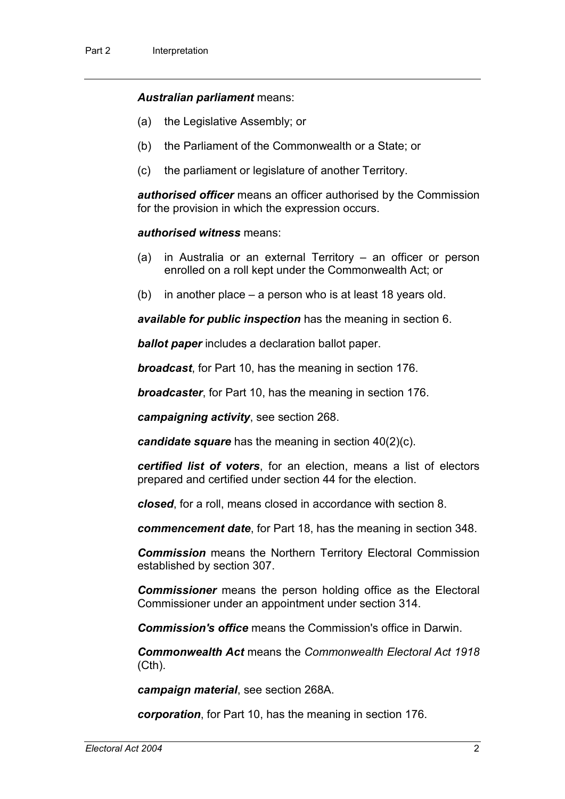#### *Australian parliament* means:

- (a) the Legislative Assembly; or
- (b) the Parliament of the Commonwealth or a State; or
- (c) the parliament or legislature of another Territory.

*authorised officer* means an officer authorised by the Commission for the provision in which the expression occurs.

#### *authorised witness* means:

- (a) in Australia or an external Territory an officer or person enrolled on a roll kept under the Commonwealth Act; or
- (b) in another place a person who is at least 18 years old.

*available for public inspection* has the meaning in section 6.

*ballot paper* includes a declaration ballot paper.

*broadcast*, for Part 10, has the meaning in section 176.

*broadcaster*, for Part 10, has the meaning in section 176.

*campaigning activity*, see section 268.

*candidate square* has the meaning in section 40(2)(c).

*certified list of voters*, for an election, means a list of electors prepared and certified under section 44 for the election.

*closed*, for a roll, means closed in accordance with section 8.

*commencement date*, for Part 18, has the meaning in section 348.

*Commission* means the Northern Territory Electoral Commission established by section 307.

*Commissioner* means the person holding office as the Electoral Commissioner under an appointment under section 314.

*Commission's office* means the Commission's office in Darwin.

*Commonwealth Act* means the *Commonwealth Electoral Act 1918* (Cth).

*campaign material*, see section 268A.

*corporation*, for Part 10, has the meaning in section 176.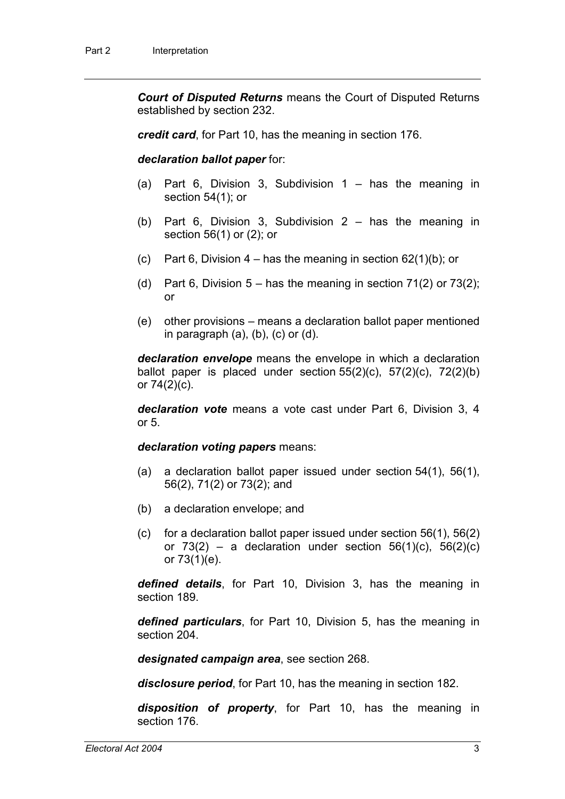*Court of Disputed Returns* means the Court of Disputed Returns established by section 232.

*credit card*, for Part 10, has the meaning in section 176.

#### *declaration ballot paper* for:

- (a) Part 6, Division 3, Subdivision 1 has the meaning in section 54(1); or
- (b) Part 6, Division 3, Subdivision 2 has the meaning in section 56(1) or (2); or
- (c) Part 6, Division  $4 -$  has the meaning in section 62(1)(b); or
- (d) Part 6, Division  $5 -$  has the meaning in section  $71(2)$  or  $73(2)$ ; or
- (e) other provisions means a declaration ballot paper mentioned in paragraph  $(a)$ ,  $(b)$ ,  $(c)$  or  $(d)$ .

*declaration envelope* means the envelope in which a declaration ballot paper is placed under section  $55(2)(c)$ ,  $57(2)(c)$ ,  $72(2)(b)$ or  $74(2)(c)$ .

*declaration vote* means a vote cast under Part 6, Division 3, 4 or 5.

*declaration voting papers* means:

- (a) a declaration ballot paper issued under section 54(1), 56(1), 56(2), 71(2) or 73(2); and
- (b) a declaration envelope; and
- (c) for a declaration ballot paper issued under section 56(1), 56(2) or  $73(2)$  – a declaration under section  $56(1)(c)$ ,  $56(2)(c)$ or 73(1)(e).

*defined details*, for Part 10, Division 3, has the meaning in section 189.

*defined particulars*, for Part 10, Division 5, has the meaning in section 204.

*designated campaign area*, see section 268.

*disclosure period*, for Part 10, has the meaning in section 182.

*disposition of property*, for Part 10, has the meaning in section 176.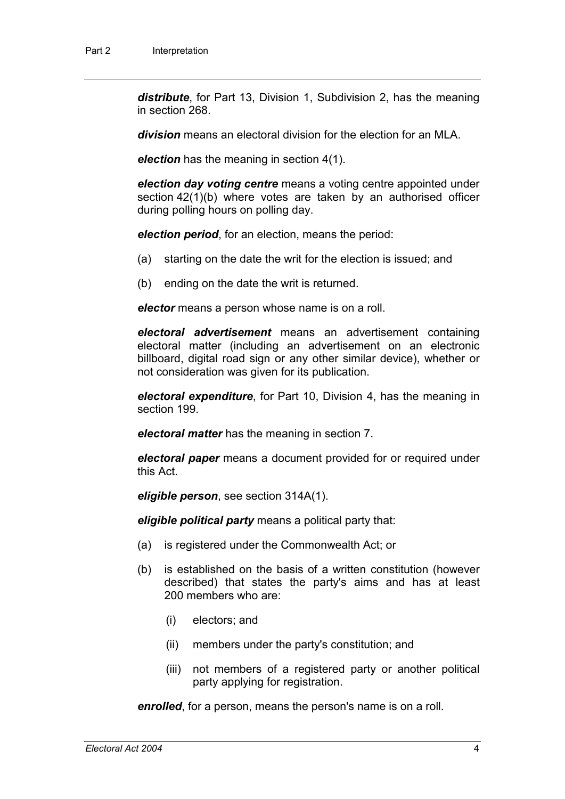*distribute*, for Part 13, Division 1, Subdivision 2, has the meaning in section 268.

*division* means an electoral division for the election for an MLA.

*election* has the meaning in section 4(1).

*election day voting centre* means a voting centre appointed under section 42(1)(b) where votes are taken by an authorised officer during polling hours on polling day.

*election period*, for an election, means the period:

- (a) starting on the date the writ for the election is issued; and
- (b) ending on the date the writ is returned.

*elector* means a person whose name is on a roll.

*electoral advertisement* means an advertisement containing electoral matter (including an advertisement on an electronic billboard, digital road sign or any other similar device), whether or not consideration was given for its publication.

*electoral expenditure*, for Part 10, Division 4, has the meaning in section 199.

*electoral matter* has the meaning in section 7.

*electoral paper* means a document provided for or required under this Act.

*eligible person*, see section 314A(1).

*eligible political party* means a political party that:

- (a) is registered under the Commonwealth Act; or
- (b) is established on the basis of a written constitution (however described) that states the party's aims and has at least 200 members who are:
	- (i) electors; and
	- (ii) members under the party's constitution; and
	- (iii) not members of a registered party or another political party applying for registration.

*enrolled*, for a person, means the person's name is on a roll.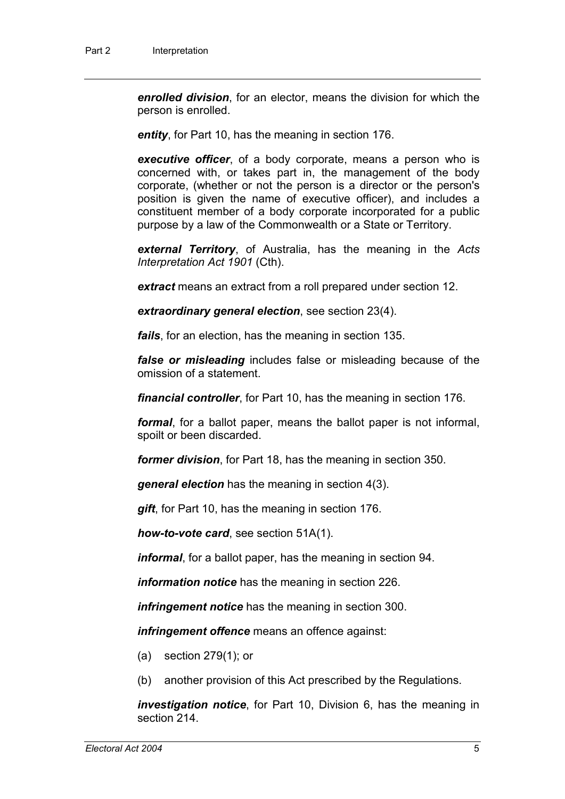*enrolled division*, for an elector, means the division for which the person is enrolled.

*entity*, for Part 10, has the meaning in section 176.

*executive officer*, of a body corporate, means a person who is concerned with, or takes part in, the management of the body corporate, (whether or not the person is a director or the person's position is given the name of executive officer), and includes a constituent member of a body corporate incorporated for a public purpose by a law of the Commonwealth or a State or Territory.

*external Territory*, of Australia, has the meaning in the *Acts Interpretation Act 1901* (Cth).

*extract* means an extract from a roll prepared under section 12.

*extraordinary general election*, see section 23(4).

*fails*, for an election, has the meaning in section 135.

*false or misleading* includes false or misleading because of the omission of a statement.

*financial controller*, for Part 10, has the meaning in section 176.

*formal*, for a ballot paper, means the ballot paper is not informal, spoilt or been discarded.

*former division*, for Part 18, has the meaning in section 350.

*general election* has the meaning in section 4(3).

*gift*, for Part 10, has the meaning in section 176.

*how-to-vote card*, see section 51A(1).

*informal*, for a ballot paper, has the meaning in section 94.

*information notice* has the meaning in section 226.

*infringement notice* has the meaning in section 300.

*infringement offence* means an offence against:

- (a) section 279(1); or
- (b) another provision of this Act prescribed by the Regulations.

*investigation notice*, for Part 10, Division 6, has the meaning in section 214.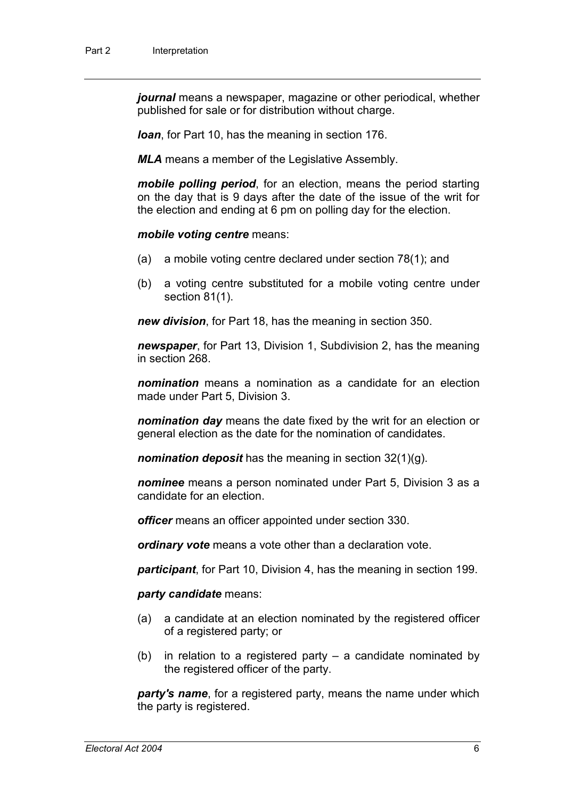*journal* means a newspaper, magazine or other periodical, whether published for sale or for distribution without charge.

*loan*, for Part 10, has the meaning in section 176.

*MLA* means a member of the Legislative Assembly.

*mobile polling period*, for an election, means the period starting on the day that is 9 days after the date of the issue of the writ for the election and ending at 6 pm on polling day for the election.

*mobile voting centre* means:

- (a) a mobile voting centre declared under section 78(1); and
- (b) a voting centre substituted for a mobile voting centre under section 81(1).

*new division*, for Part 18, has the meaning in section 350.

*newspaper*, for Part 13, Division 1, Subdivision 2, has the meaning in section 268.

*nomination* means a nomination as a candidate for an election made under Part 5, Division 3.

*nomination day* means the date fixed by the writ for an election or general election as the date for the nomination of candidates.

*nomination deposit* has the meaning in section 32(1)(g).

*nominee* means a person nominated under Part 5, Division 3 as a candidate for an election.

*officer* means an officer appointed under section 330.

*ordinary vote* means a vote other than a declaration vote.

*participant*, for Part 10, Division 4, has the meaning in section 199.

*party candidate* means:

- (a) a candidate at an election nominated by the registered officer of a registered party; or
- (b) in relation to a registered party  $-$  a candidate nominated by the registered officer of the party.

*party's name*, for a registered party, means the name under which the party is registered.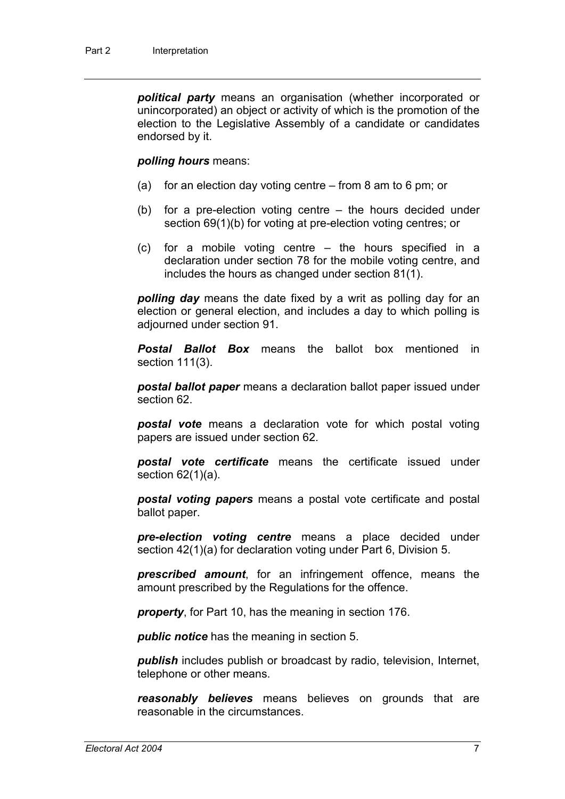*political party* means an organisation (whether incorporated or unincorporated) an object or activity of which is the promotion of the election to the Legislative Assembly of a candidate or candidates endorsed by it.

#### *polling hours* means:

- (a) for an election day voting centre from 8 am to 6 pm; or
- (b) for a pre-election voting centre the hours decided under section 69(1)(b) for voting at pre-election voting centres; or
- (c) for a mobile voting centre the hours specified in a declaration under section 78 for the mobile voting centre, and includes the hours as changed under section 81(1).

*polling day* means the date fixed by a writ as polling day for an election or general election, and includes a day to which polling is adjourned under section 91.

*Postal Ballot Box* means the ballot box mentioned in section 111(3).

*postal ballot paper* means a declaration ballot paper issued under section 62.

*postal vote* means a declaration vote for which postal voting papers are issued under section 62.

*postal vote certificate* means the certificate issued under section 62(1)(a).

*postal voting papers* means a postal vote certificate and postal ballot paper.

*pre-election voting centre* means a place decided under section 42(1)(a) for declaration voting under Part 6, Division 5.

*prescribed amount*, for an infringement offence, means the amount prescribed by the Regulations for the offence.

*property*, for Part 10, has the meaning in section 176.

*public notice* has the meaning in section 5.

*publish* includes publish or broadcast by radio, television, Internet, telephone or other means.

*reasonably believes* means believes on grounds that are reasonable in the circumstances.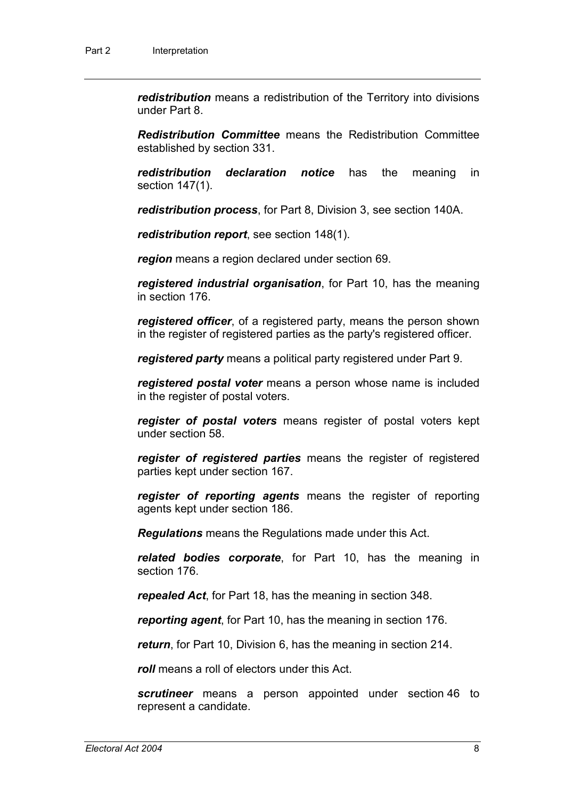*redistribution* means a redistribution of the Territory into divisions under Part 8.

*Redistribution Committee* means the Redistribution Committee established by section 331.

*redistribution declaration notice* has the meaning in section 147(1).

*redistribution process*, for Part 8, Division 3, see section 140A.

*redistribution report*, see section 148(1).

*region* means a region declared under section 69.

*registered industrial organisation*, for Part 10, has the meaning in section 176.

*registered officer*, of a registered party, means the person shown in the register of registered parties as the party's registered officer.

*registered party* means a political party registered under Part 9.

*registered postal voter* means a person whose name is included in the register of postal voters.

*register of postal voters* means register of postal voters kept under section 58.

*register of registered parties* means the register of registered parties kept under section 167.

*register of reporting agents* means the register of reporting agents kept under section 186.

*Regulations* means the Regulations made under this Act.

*related bodies corporate*, for Part 10, has the meaning in section 176.

*repealed Act*, for Part 18, has the meaning in section 348.

*reporting agent*, for Part 10, has the meaning in section 176.

*return*, for Part 10, Division 6, has the meaning in section 214.

*roll* means a roll of electors under this Act.

*scrutineer* means a person appointed under section 46 to represent a candidate.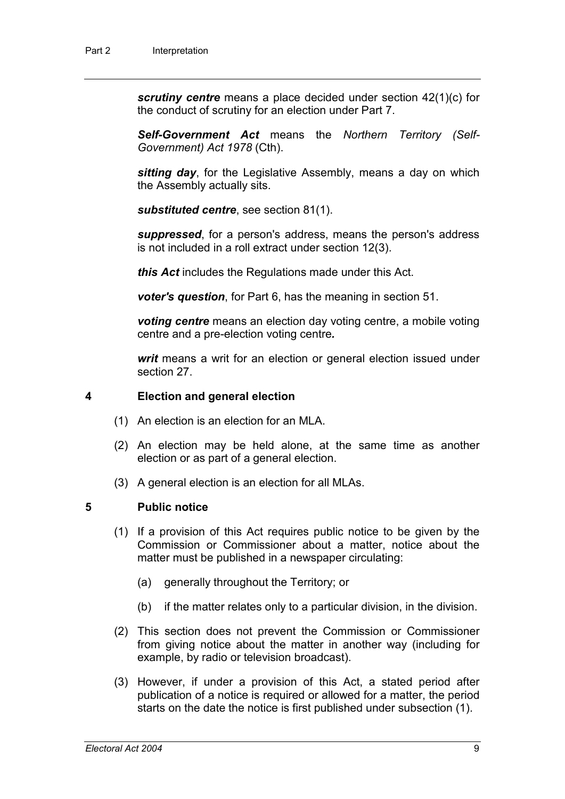*scrutiny centre* means a place decided under section 42(1)(c) for the conduct of scrutiny for an election under Part 7.

*Self-Government Act* means the *Northern Territory (Self-Government) Act 1978* (Cth).

*sitting day*, for the Legislative Assembly, means a day on which the Assembly actually sits.

*substituted centre*, see section 81(1).

*suppressed*, for a person's address, means the person's address is not included in a roll extract under section 12(3).

*this Act* includes the Regulations made under this Act.

*voter's question*, for Part 6, has the meaning in section 51.

*voting centre* means an election day voting centre, a mobile voting centre and a pre-election voting centre*.*

*writ* means a writ for an election or general election issued under section 27.

#### **4 Election and general election**

- (1) An election is an election for an MLA.
- (2) An election may be held alone, at the same time as another election or as part of a general election.
- (3) A general election is an election for all MLAs.

#### **5 Public notice**

- (1) If a provision of this Act requires public notice to be given by the Commission or Commissioner about a matter, notice about the matter must be published in a newspaper circulating:
	- (a) generally throughout the Territory; or
	- (b) if the matter relates only to a particular division, in the division.
- (2) This section does not prevent the Commission or Commissioner from giving notice about the matter in another way (including for example, by radio or television broadcast).
- (3) However, if under a provision of this Act, a stated period after publication of a notice is required or allowed for a matter, the period starts on the date the notice is first published under subsection (1).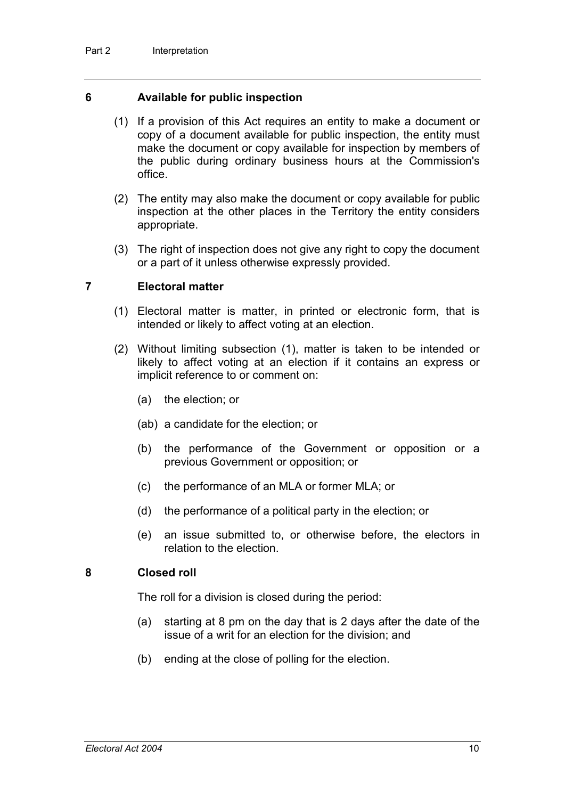#### **6 Available for public inspection**

- (1) If a provision of this Act requires an entity to make a document or copy of a document available for public inspection, the entity must make the document or copy available for inspection by members of the public during ordinary business hours at the Commission's office.
- (2) The entity may also make the document or copy available for public inspection at the other places in the Territory the entity considers appropriate.
- (3) The right of inspection does not give any right to copy the document or a part of it unless otherwise expressly provided.

#### **7 Electoral matter**

- (1) Electoral matter is matter, in printed or electronic form, that is intended or likely to affect voting at an election.
- (2) Without limiting subsection (1), matter is taken to be intended or likely to affect voting at an election if it contains an express or implicit reference to or comment on:
	- (a) the election; or
	- (ab) a candidate for the election; or
	- (b) the performance of the Government or opposition or a previous Government or opposition; or
	- (c) the performance of an MLA or former MLA; or
	- (d) the performance of a political party in the election; or
	- (e) an issue submitted to, or otherwise before, the electors in relation to the election.

#### **8 Closed roll**

The roll for a division is closed during the period:

- (a) starting at 8 pm on the day that is 2 days after the date of the issue of a writ for an election for the division; and
- (b) ending at the close of polling for the election.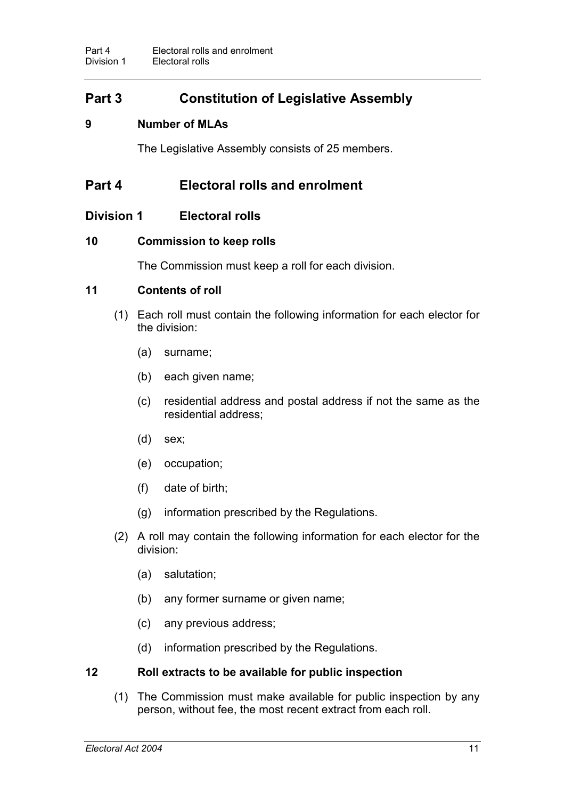# **Part 3 Constitution of Legislative Assembly**

### **9 Number of MLAs**

The Legislative Assembly consists of 25 members.

# **Part 4 Electoral rolls and enrolment**

### **Division 1 Electoral rolls**

### **10 Commission to keep rolls**

The Commission must keep a roll for each division.

#### **11 Contents of roll**

- (1) Each roll must contain the following information for each elector for the division:
	- (a) surname;
	- (b) each given name;
	- (c) residential address and postal address if not the same as the residential address;
	- (d) sex;
	- (e) occupation;
	- (f) date of birth;
	- (g) information prescribed by the Regulations.
- (2) A roll may contain the following information for each elector for the division:
	- (a) salutation;
	- (b) any former surname or given name;
	- (c) any previous address;
	- (d) information prescribed by the Regulations.

#### **12 Roll extracts to be available for public inspection**

(1) The Commission must make available for public inspection by any person, without fee, the most recent extract from each roll.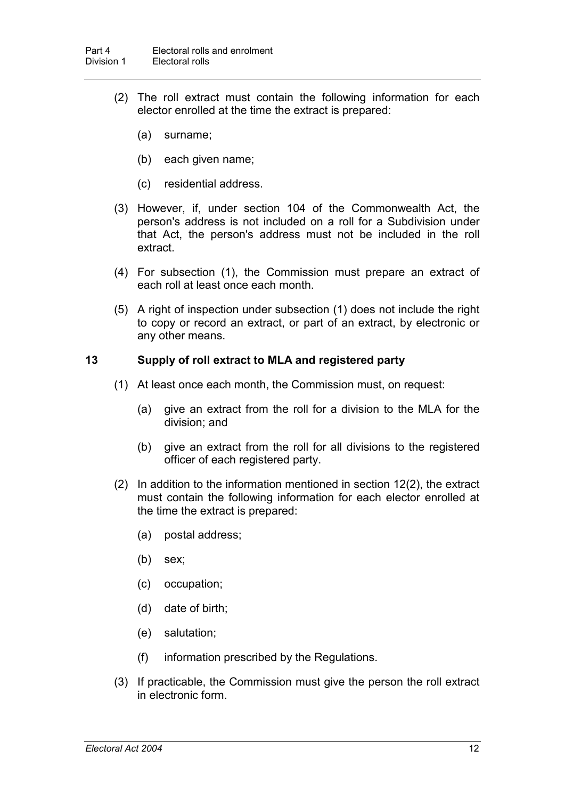- (2) The roll extract must contain the following information for each elector enrolled at the time the extract is prepared:
	- (a) surname;
	- (b) each given name;
	- (c) residential address.
- (3) However, if, under section 104 of the Commonwealth Act, the person's address is not included on a roll for a Subdivision under that Act, the person's address must not be included in the roll extract.
- (4) For subsection (1), the Commission must prepare an extract of each roll at least once each month.
- (5) A right of inspection under subsection (1) does not include the right to copy or record an extract, or part of an extract, by electronic or any other means.

#### **13 Supply of roll extract to MLA and registered party**

- (1) At least once each month, the Commission must, on request:
	- (a) give an extract from the roll for a division to the MLA for the division; and
	- (b) give an extract from the roll for all divisions to the registered officer of each registered party.
- (2) In addition to the information mentioned in section 12(2), the extract must contain the following information for each elector enrolled at the time the extract is prepared:
	- (a) postal address;
	- (b) sex;
	- (c) occupation;
	- (d) date of birth;
	- (e) salutation;
	- (f) information prescribed by the Regulations.
- (3) If practicable, the Commission must give the person the roll extract in electronic form.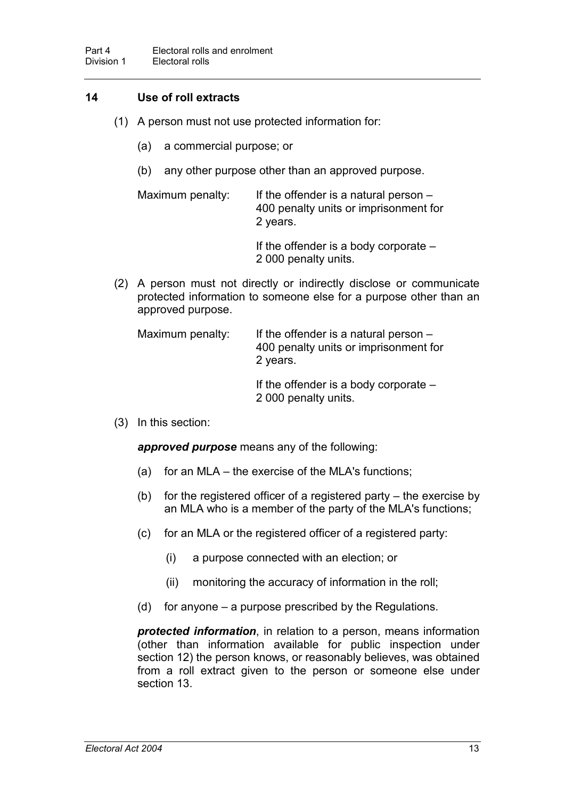#### **14 Use of roll extracts**

- (1) A person must not use protected information for:
	- (a) a commercial purpose; or
	- (b) any other purpose other than an approved purpose.

Maximum penalty: If the offender is a natural person  $-$ 400 penalty units or imprisonment for 2 years.

> If the offender is a body corporate – 2 000 penalty units.

(2) A person must not directly or indirectly disclose or communicate protected information to someone else for a purpose other than an approved purpose.

| Maximum penalty: | If the offender is a natural person $-$<br>400 penalty units or imprisonment for<br>2 years. |
|------------------|----------------------------------------------------------------------------------------------|
|                  | If the offender is a body corporate $-$<br>2 000 penalty units.                              |

(3) In this section:

*approved purpose* means any of the following:

- (a) for an MLA the exercise of the MLA's functions;
- (b) for the registered officer of a registered party the exercise by an MLA who is a member of the party of the MLA's functions;
- (c) for an MLA or the registered officer of a registered party:
	- (i) a purpose connected with an election; or
	- (ii) monitoring the accuracy of information in the roll;
- (d) for anyone a purpose prescribed by the Regulations.

*protected information*, in relation to a person, means information (other than information available for public inspection under section 12) the person knows, or reasonably believes, was obtained from a roll extract given to the person or someone else under section 13.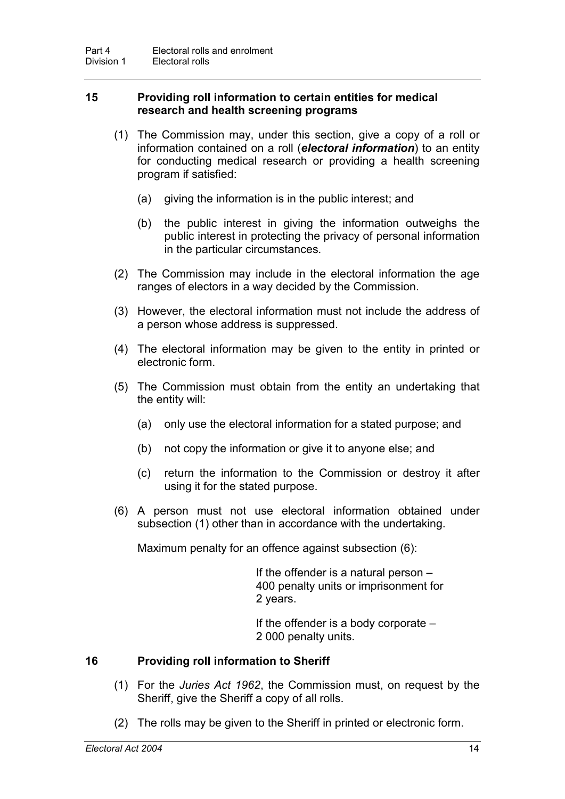#### **15 Providing roll information to certain entities for medical research and health screening programs**

- (1) The Commission may, under this section, give a copy of a roll or information contained on a roll (*electoral information*) to an entity for conducting medical research or providing a health screening program if satisfied:
	- (a) giving the information is in the public interest; and
	- (b) the public interest in giving the information outweighs the public interest in protecting the privacy of personal information in the particular circumstances.
- (2) The Commission may include in the electoral information the age ranges of electors in a way decided by the Commission.
- (3) However, the electoral information must not include the address of a person whose address is suppressed.
- (4) The electoral information may be given to the entity in printed or electronic form.
- (5) The Commission must obtain from the entity an undertaking that the entity will:
	- (a) only use the electoral information for a stated purpose; and
	- (b) not copy the information or give it to anyone else; and
	- (c) return the information to the Commission or destroy it after using it for the stated purpose.
- (6) A person must not use electoral information obtained under subsection (1) other than in accordance with the undertaking.

Maximum penalty for an offence against subsection (6):

If the offender is a natural person – 400 penalty units or imprisonment for 2 years.

If the offender is a body corporate – 2 000 penalty units.

#### **16 Providing roll information to Sheriff**

- (1) For the *Juries Act 1962*, the Commission must, on request by the Sheriff, give the Sheriff a copy of all rolls.
- (2) The rolls may be given to the Sheriff in printed or electronic form.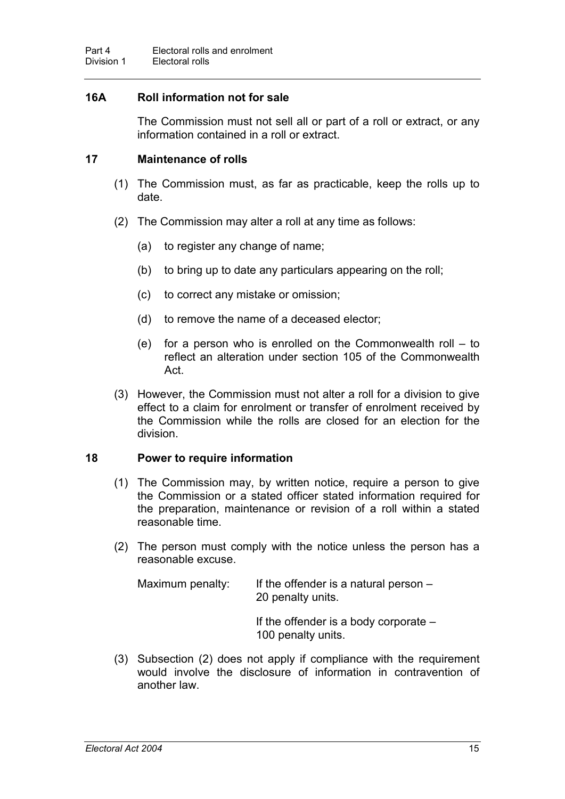#### **16A Roll information not for sale**

The Commission must not sell all or part of a roll or extract, or any information contained in a roll or extract.

#### **17 Maintenance of rolls**

- (1) The Commission must, as far as practicable, keep the rolls up to date.
- (2) The Commission may alter a roll at any time as follows:
	- (a) to register any change of name;
	- (b) to bring up to date any particulars appearing on the roll;
	- (c) to correct any mistake or omission;
	- (d) to remove the name of a deceased elector;
	- (e) for a person who is enrolled on the Commonwealth roll to reflect an alteration under section 105 of the Commonwealth Act.
- (3) However, the Commission must not alter a roll for a division to give effect to a claim for enrolment or transfer of enrolment received by the Commission while the rolls are closed for an election for the division.

#### **18 Power to require information**

- (1) The Commission may, by written notice, require a person to give the Commission or a stated officer stated information required for the preparation, maintenance or revision of a roll within a stated reasonable time.
- (2) The person must comply with the notice unless the person has a reasonable excuse.

| Maximum penalty: | If the offender is a natural person $-$<br>20 penalty units.  |
|------------------|---------------------------------------------------------------|
|                  | If the offender is a body corporate $-$<br>100 penalty units. |

(3) Subsection (2) does not apply if compliance with the requirement would involve the disclosure of information in contravention of another law.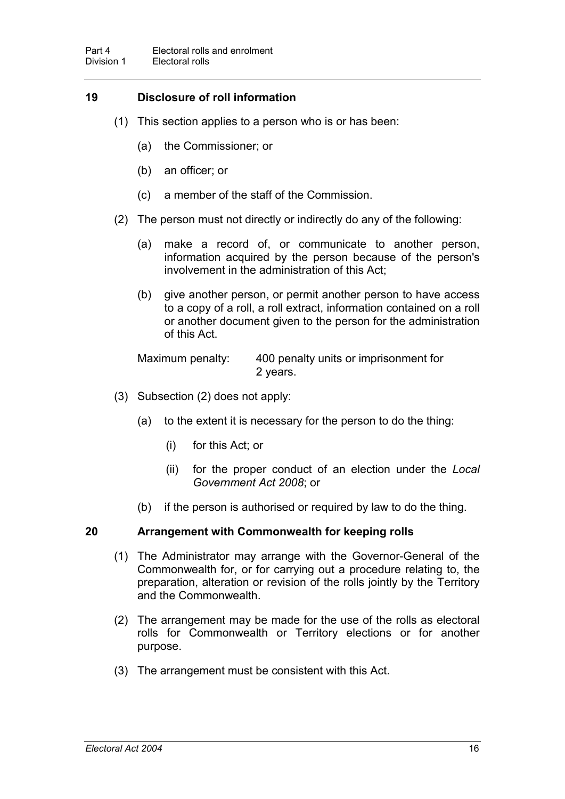### **19 Disclosure of roll information**

- (1) This section applies to a person who is or has been:
	- (a) the Commissioner; or
	- (b) an officer; or
	- (c) a member of the staff of the Commission.
- (2) The person must not directly or indirectly do any of the following:
	- (a) make a record of, or communicate to another person, information acquired by the person because of the person's involvement in the administration of this Act;
	- (b) give another person, or permit another person to have access to a copy of a roll, a roll extract, information contained on a roll or another document given to the person for the administration of this Act.

Maximum penalty: 400 penalty units or imprisonment for 2 years.

- (3) Subsection (2) does not apply:
	- (a) to the extent it is necessary for the person to do the thing:
		- (i) for this Act; or
		- (ii) for the proper conduct of an election under the *Local Government Act 2008*; or
	- (b) if the person is authorised or required by law to do the thing.

#### **20 Arrangement with Commonwealth for keeping rolls**

- (1) The Administrator may arrange with the Governor-General of the Commonwealth for, or for carrying out a procedure relating to, the preparation, alteration or revision of the rolls jointly by the Territory and the Commonwealth.
- (2) The arrangement may be made for the use of the rolls as electoral rolls for Commonwealth or Territory elections or for another purpose.
- (3) The arrangement must be consistent with this Act.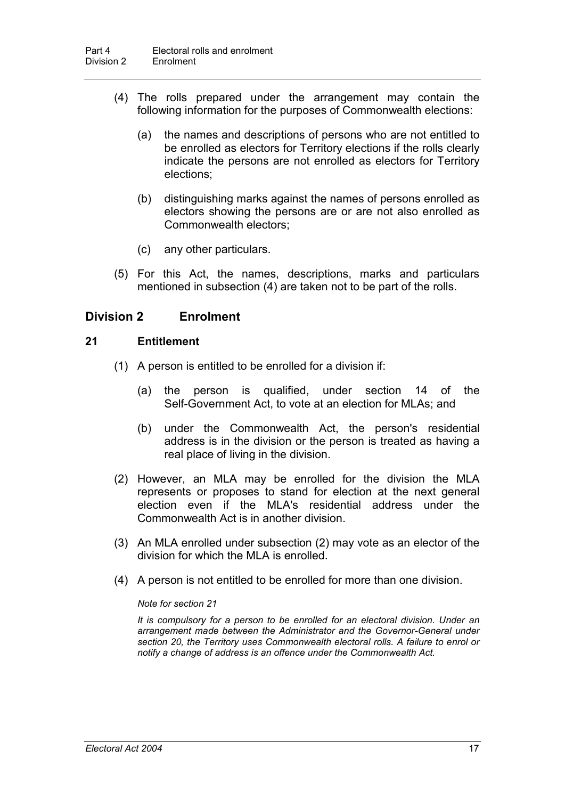- (4) The rolls prepared under the arrangement may contain the following information for the purposes of Commonwealth elections:
	- (a) the names and descriptions of persons who are not entitled to be enrolled as electors for Territory elections if the rolls clearly indicate the persons are not enrolled as electors for Territory elections;
	- (b) distinguishing marks against the names of persons enrolled as electors showing the persons are or are not also enrolled as Commonwealth electors;
	- (c) any other particulars.
- (5) For this Act, the names, descriptions, marks and particulars mentioned in subsection (4) are taken not to be part of the rolls.

### **Division 2 Enrolment**

#### **21 Entitlement**

- (1) A person is entitled to be enrolled for a division if:
	- (a) the person is qualified, under section 14 of the Self-Government Act, to vote at an election for MLAs; and
	- (b) under the Commonwealth Act, the person's residential address is in the division or the person is treated as having a real place of living in the division.
- (2) However, an MLA may be enrolled for the division the MLA represents or proposes to stand for election at the next general election even if the MLA's residential address under the Commonwealth Act is in another division.
- (3) An MLA enrolled under subsection (2) may vote as an elector of the division for which the MLA is enrolled.
- (4) A person is not entitled to be enrolled for more than one division.

#### *Note for section 21*

*It is compulsory for a person to be enrolled for an electoral division. Under an arrangement made between the Administrator and the Governor-General under section 20, the Territory uses Commonwealth electoral rolls. A failure to enrol or notify a change of address is an offence under the Commonwealth Act.*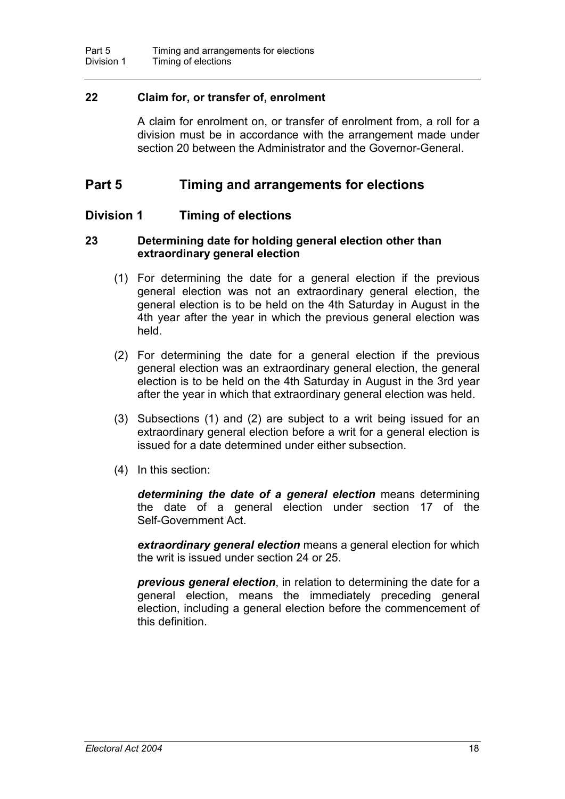#### **22 Claim for, or transfer of, enrolment**

A claim for enrolment on, or transfer of enrolment from, a roll for a division must be in accordance with the arrangement made under section 20 between the Administrator and the Governor-General.

### **Part 5 Timing and arrangements for elections**

#### **Division 1 Timing of elections**

#### **23 Determining date for holding general election other than extraordinary general election**

- (1) For determining the date for a general election if the previous general election was not an extraordinary general election, the general election is to be held on the 4th Saturday in August in the 4th year after the year in which the previous general election was held.
- (2) For determining the date for a general election if the previous general election was an extraordinary general election, the general election is to be held on the 4th Saturday in August in the 3rd year after the year in which that extraordinary general election was held.
- (3) Subsections (1) and (2) are subject to a writ being issued for an extraordinary general election before a writ for a general election is issued for a date determined under either subsection.
- (4) In this section:

*determining the date of a general election* means determining the date of a general election under section 17 of the Self-Government Act.

*extraordinary general election* means a general election for which the writ is issued under section 24 or 25.

*previous general election*, in relation to determining the date for a general election, means the immediately preceding general election, including a general election before the commencement of this definition.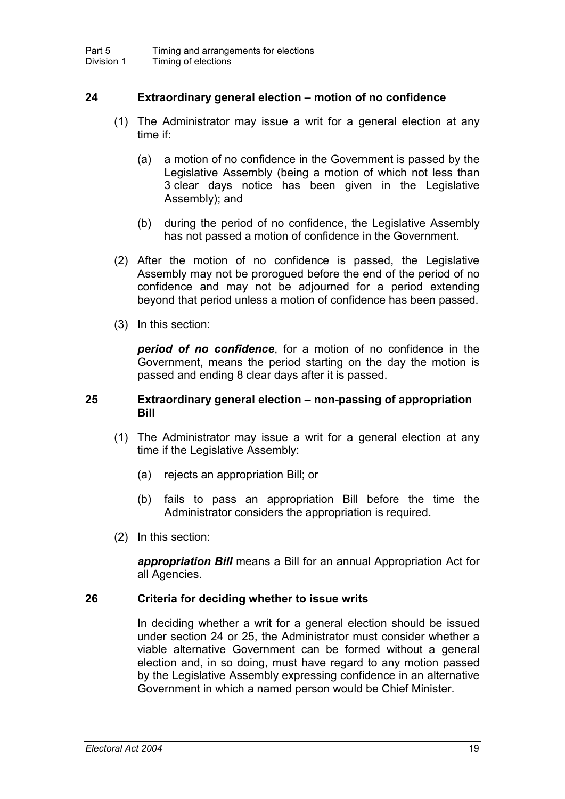#### **24 Extraordinary general election – motion of no confidence**

- (1) The Administrator may issue a writ for a general election at any time if:
	- (a) a motion of no confidence in the Government is passed by the Legislative Assembly (being a motion of which not less than 3 clear days notice has been given in the Legislative Assembly); and
	- (b) during the period of no confidence, the Legislative Assembly has not passed a motion of confidence in the Government.
- (2) After the motion of no confidence is passed, the Legislative Assembly may not be prorogued before the end of the period of no confidence and may not be adjourned for a period extending beyond that period unless a motion of confidence has been passed.
- (3) In this section:

*period of no confidence*, for a motion of no confidence in the Government, means the period starting on the day the motion is passed and ending 8 clear days after it is passed.

#### **25 Extraordinary general election – non-passing of appropriation Bill**

- (1) The Administrator may issue a writ for a general election at any time if the Legislative Assembly:
	- (a) rejects an appropriation Bill; or
	- (b) fails to pass an appropriation Bill before the time the Administrator considers the appropriation is required.
- (2) In this section:

*appropriation Bill* means a Bill for an annual Appropriation Act for all Agencies.

#### **26 Criteria for deciding whether to issue writs**

In deciding whether a writ for a general election should be issued under section 24 or 25, the Administrator must consider whether a viable alternative Government can be formed without a general election and, in so doing, must have regard to any motion passed by the Legislative Assembly expressing confidence in an alternative Government in which a named person would be Chief Minister.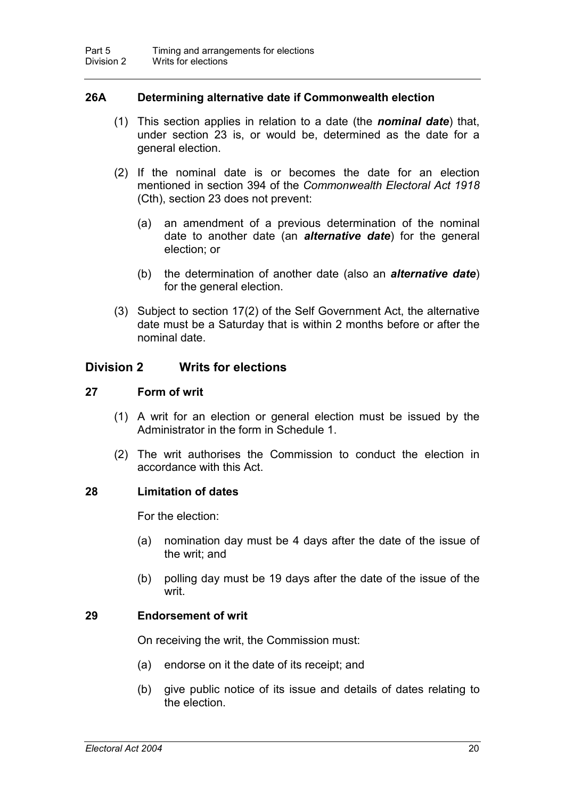#### **26A Determining alternative date if Commonwealth election**

- (1) This section applies in relation to a date (the *nominal date*) that, under section 23 is, or would be, determined as the date for a general election.
- (2) If the nominal date is or becomes the date for an election mentioned in section 394 of the *Commonwealth Electoral Act 1918* (Cth), section 23 does not prevent:
	- (a) an amendment of a previous determination of the nominal date to another date (an *alternative date*) for the general election; or
	- (b) the determination of another date (also an *alternative date*) for the general election.
- (3) Subject to section 17(2) of the Self Government Act, the alternative date must be a Saturday that is within 2 months before or after the nominal date.

#### **Division 2 Writs for elections**

#### **27 Form of writ**

- (1) A writ for an election or general election must be issued by the Administrator in the form in Schedule 1.
- (2) The writ authorises the Commission to conduct the election in accordance with this Act.

#### **28 Limitation of dates**

For the election:

- (a) nomination day must be 4 days after the date of the issue of the writ; and
- (b) polling day must be 19 days after the date of the issue of the writ.

#### **29 Endorsement of writ**

On receiving the writ, the Commission must:

- (a) endorse on it the date of its receipt; and
- (b) give public notice of its issue and details of dates relating to the election.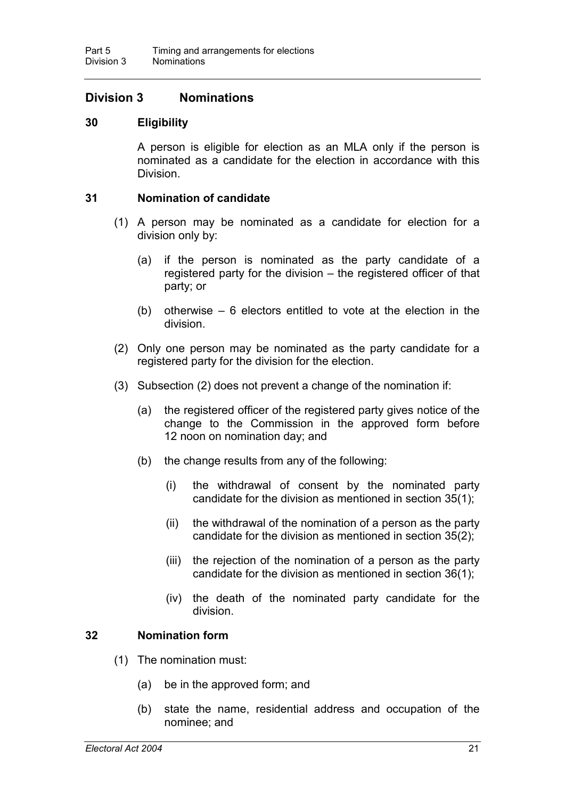# **Division 3 Nominations**

## **30 Eligibility**

A person is eligible for election as an MLA only if the person is nominated as a candidate for the election in accordance with this Division.

#### **31 Nomination of candidate**

- (1) A person may be nominated as a candidate for election for a division only by:
	- (a) if the person is nominated as the party candidate of a registered party for the division – the registered officer of that party; or
	- (b) otherwise 6 electors entitled to vote at the election in the division.
- (2) Only one person may be nominated as the party candidate for a registered party for the division for the election.
- (3) Subsection (2) does not prevent a change of the nomination if:
	- (a) the registered officer of the registered party gives notice of the change to the Commission in the approved form before 12 noon on nomination day; and
	- (b) the change results from any of the following:
		- (i) the withdrawal of consent by the nominated party candidate for the division as mentioned in section 35(1);
		- (ii) the withdrawal of the nomination of a person as the party candidate for the division as mentioned in section 35(2);
		- (iii) the rejection of the nomination of a person as the party candidate for the division as mentioned in section 36(1);
		- (iv) the death of the nominated party candidate for the division.

## **32 Nomination form**

- (1) The nomination must:
	- (a) be in the approved form; and
	- (b) state the name, residential address and occupation of the nominee; and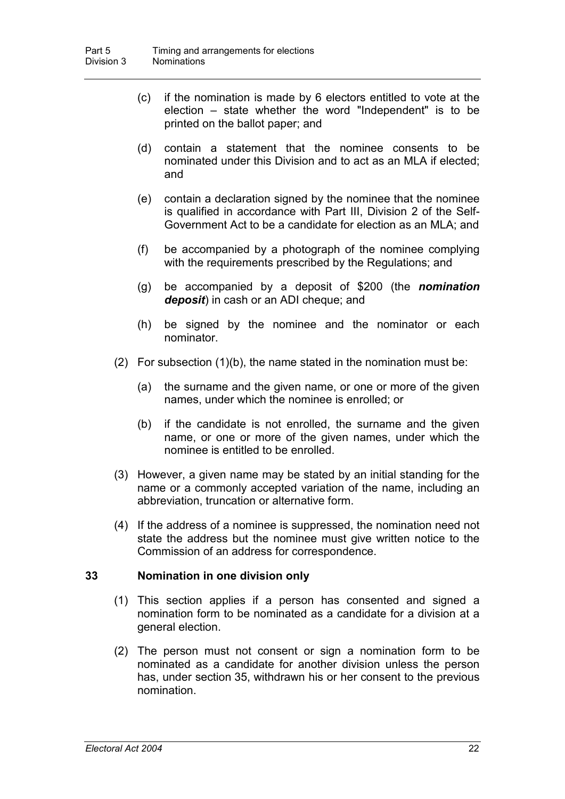- (c) if the nomination is made by 6 electors entitled to vote at the election – state whether the word "Independent" is to be printed on the ballot paper; and
- (d) contain a statement that the nominee consents to be nominated under this Division and to act as an MLA if elected; and
- (e) contain a declaration signed by the nominee that the nominee is qualified in accordance with Part III, Division 2 of the Self-Government Act to be a candidate for election as an MLA; and
- (f) be accompanied by a photograph of the nominee complying with the requirements prescribed by the Regulations; and
- (g) be accompanied by a deposit of \$200 (the *nomination deposit*) in cash or an ADI cheque; and
- (h) be signed by the nominee and the nominator or each nominator.
- (2) For subsection  $(1)(b)$ , the name stated in the nomination must be:
	- (a) the surname and the given name, or one or more of the given names, under which the nominee is enrolled; or
	- (b) if the candidate is not enrolled, the surname and the given name, or one or more of the given names, under which the nominee is entitled to be enrolled.
- (3) However, a given name may be stated by an initial standing for the name or a commonly accepted variation of the name, including an abbreviation, truncation or alternative form.
- (4) If the address of a nominee is suppressed, the nomination need not state the address but the nominee must give written notice to the Commission of an address for correspondence.

#### **33 Nomination in one division only**

- (1) This section applies if a person has consented and signed a nomination form to be nominated as a candidate for a division at a general election.
- (2) The person must not consent or sign a nomination form to be nominated as a candidate for another division unless the person has, under section 35, withdrawn his or her consent to the previous nomination.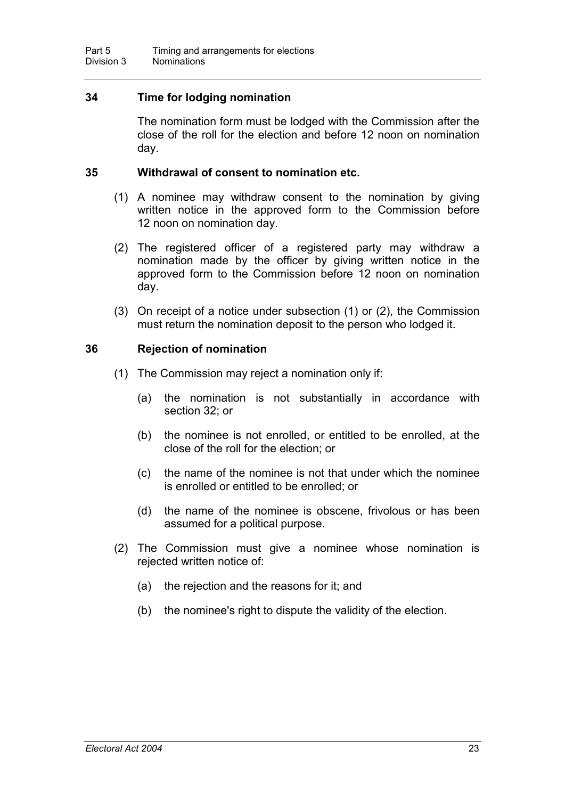# **34 Time for lodging nomination**

The nomination form must be lodged with the Commission after the close of the roll for the election and before 12 noon on nomination day.

#### **35 Withdrawal of consent to nomination etc.**

- (1) A nominee may withdraw consent to the nomination by giving written notice in the approved form to the Commission before 12 noon on nomination day.
- (2) The registered officer of a registered party may withdraw a nomination made by the officer by giving written notice in the approved form to the Commission before 12 noon on nomination day.
- (3) On receipt of a notice under subsection (1) or (2), the Commission must return the nomination deposit to the person who lodged it.

## **36 Rejection of nomination**

- (1) The Commission may reject a nomination only if:
	- (a) the nomination is not substantially in accordance with section 32; or
	- (b) the nominee is not enrolled, or entitled to be enrolled, at the close of the roll for the election; or
	- (c) the name of the nominee is not that under which the nominee is enrolled or entitled to be enrolled; or
	- (d) the name of the nominee is obscene, frivolous or has been assumed for a political purpose.
- (2) The Commission must give a nominee whose nomination is rejected written notice of:
	- (a) the rejection and the reasons for it; and
	- (b) the nominee's right to dispute the validity of the election.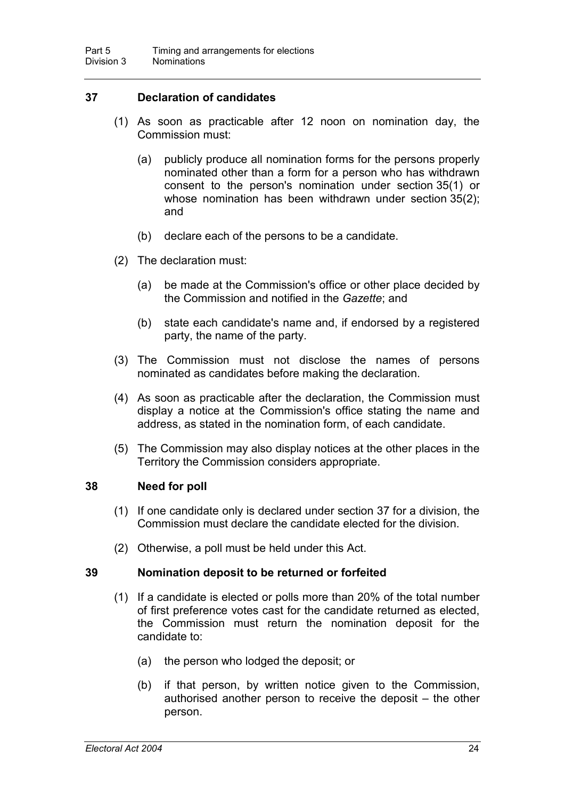# **37 Declaration of candidates**

- (1) As soon as practicable after 12 noon on nomination day, the Commission must:
	- (a) publicly produce all nomination forms for the persons properly nominated other than a form for a person who has withdrawn consent to the person's nomination under section 35(1) or whose nomination has been withdrawn under section 35(2); and
	- (b) declare each of the persons to be a candidate.
- (2) The declaration must:
	- (a) be made at the Commission's office or other place decided by the Commission and notified in the *Gazette*; and
	- (b) state each candidate's name and, if endorsed by a registered party, the name of the party.
- (3) The Commission must not disclose the names of persons nominated as candidates before making the declaration.
- (4) As soon as practicable after the declaration, the Commission must display a notice at the Commission's office stating the name and address, as stated in the nomination form, of each candidate.
- (5) The Commission may also display notices at the other places in the Territory the Commission considers appropriate.

## **38 Need for poll**

- (1) If one candidate only is declared under section 37 for a division, the Commission must declare the candidate elected for the division.
- (2) Otherwise, a poll must be held under this Act.

## **39 Nomination deposit to be returned or forfeited**

- (1) If a candidate is elected or polls more than 20% of the total number of first preference votes cast for the candidate returned as elected, the Commission must return the nomination deposit for the candidate to:
	- (a) the person who lodged the deposit; or
	- (b) if that person, by written notice given to the Commission, authorised another person to receive the deposit – the other person.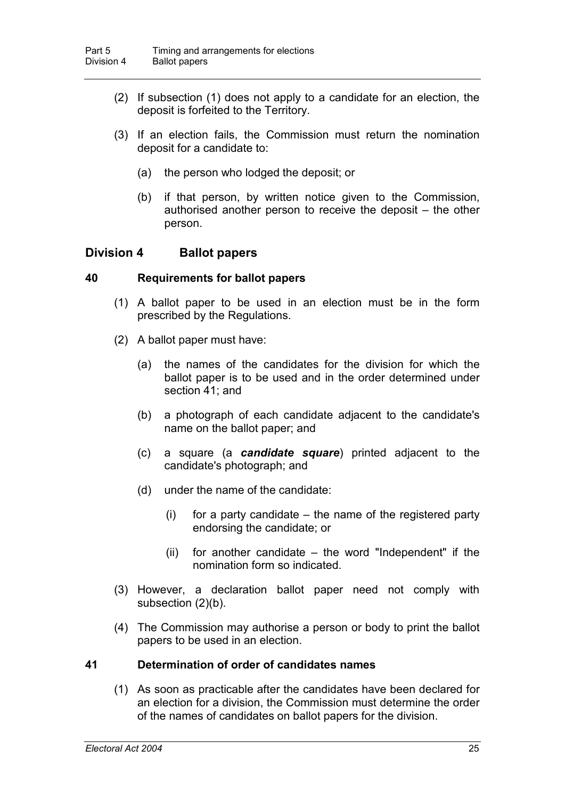- (2) If subsection (1) does not apply to a candidate for an election, the deposit is forfeited to the Territory.
- (3) If an election fails, the Commission must return the nomination deposit for a candidate to:
	- (a) the person who lodged the deposit; or
	- (b) if that person, by written notice given to the Commission, authorised another person to receive the deposit – the other person.

## **Division 4 Ballot papers**

#### **40 Requirements for ballot papers**

- (1) A ballot paper to be used in an election must be in the form prescribed by the Regulations.
- (2) A ballot paper must have:
	- (a) the names of the candidates for the division for which the ballot paper is to be used and in the order determined under section 41; and
	- (b) a photograph of each candidate adjacent to the candidate's name on the ballot paper; and
	- (c) a square (a *candidate square*) printed adjacent to the candidate's photograph; and
	- (d) under the name of the candidate:
		- $(i)$  for a party candidate  $-$  the name of the registered party endorsing the candidate; or
		- $(ii)$  for another candidate the word "Independent" if the nomination form so indicated.
- (3) However, a declaration ballot paper need not comply with subsection (2)(b).
- (4) The Commission may authorise a person or body to print the ballot papers to be used in an election.

## **41 Determination of order of candidates names**

(1) As soon as practicable after the candidates have been declared for an election for a division, the Commission must determine the order of the names of candidates on ballot papers for the division.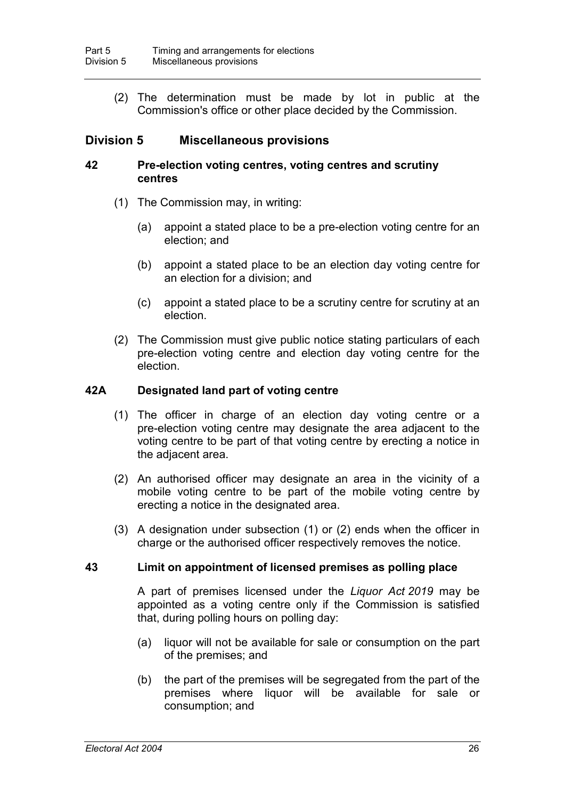(2) The determination must be made by lot in public at the Commission's office or other place decided by the Commission.

# **Division 5 Miscellaneous provisions**

#### **42 Pre-election voting centres, voting centres and scrutiny centres**

- (1) The Commission may, in writing:
	- (a) appoint a stated place to be a pre-election voting centre for an election; and
	- (b) appoint a stated place to be an election day voting centre for an election for a division; and
	- (c) appoint a stated place to be a scrutiny centre for scrutiny at an election.
- (2) The Commission must give public notice stating particulars of each pre-election voting centre and election day voting centre for the election.

## **42A Designated land part of voting centre**

- (1) The officer in charge of an election day voting centre or a pre-election voting centre may designate the area adjacent to the voting centre to be part of that voting centre by erecting a notice in the adjacent area.
- (2) An authorised officer may designate an area in the vicinity of a mobile voting centre to be part of the mobile voting centre by erecting a notice in the designated area.
- (3) A designation under subsection (1) or (2) ends when the officer in charge or the authorised officer respectively removes the notice.

#### **43 Limit on appointment of licensed premises as polling place**

A part of premises licensed under the *Liquor Act 2019* may be appointed as a voting centre only if the Commission is satisfied that, during polling hours on polling day:

- (a) liquor will not be available for sale or consumption on the part of the premises; and
- (b) the part of the premises will be segregated from the part of the premises where liquor will be available for sale or consumption; and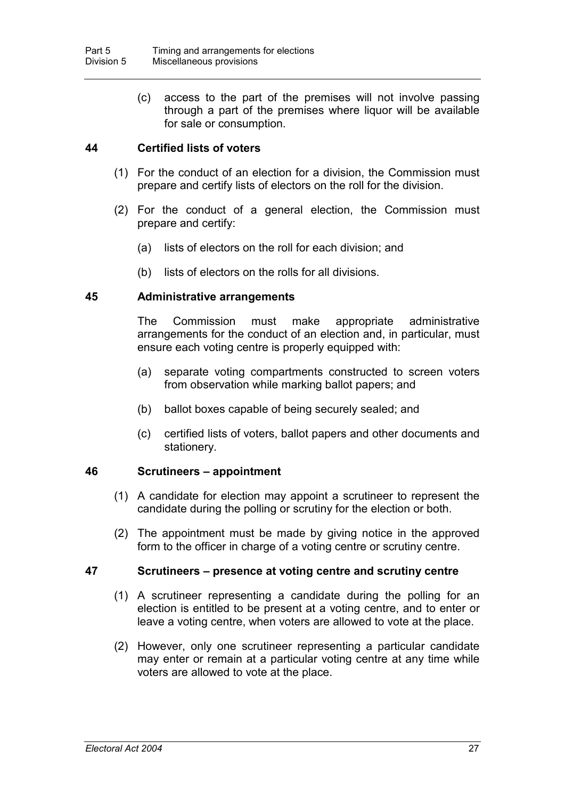(c) access to the part of the premises will not involve passing through a part of the premises where liquor will be available for sale or consumption.

## **44 Certified lists of voters**

- (1) For the conduct of an election for a division, the Commission must prepare and certify lists of electors on the roll for the division.
- (2) For the conduct of a general election, the Commission must prepare and certify:
	- (a) lists of electors on the roll for each division; and
	- (b) lists of electors on the rolls for all divisions.

#### **45 Administrative arrangements**

The Commission must make appropriate administrative arrangements for the conduct of an election and, in particular, must ensure each voting centre is properly equipped with:

- (a) separate voting compartments constructed to screen voters from observation while marking ballot papers; and
- (b) ballot boxes capable of being securely sealed; and
- (c) certified lists of voters, ballot papers and other documents and stationery.

#### **46 Scrutineers – appointment**

- (1) A candidate for election may appoint a scrutineer to represent the candidate during the polling or scrutiny for the election or both.
- (2) The appointment must be made by giving notice in the approved form to the officer in charge of a voting centre or scrutiny centre.

#### **47 Scrutineers – presence at voting centre and scrutiny centre**

- (1) A scrutineer representing a candidate during the polling for an election is entitled to be present at a voting centre, and to enter or leave a voting centre, when voters are allowed to vote at the place.
- (2) However, only one scrutineer representing a particular candidate may enter or remain at a particular voting centre at any time while voters are allowed to vote at the place.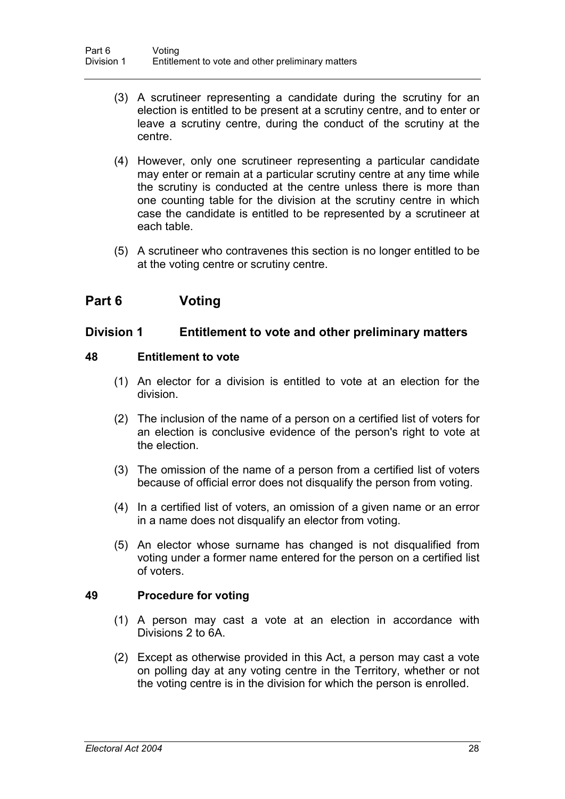- (3) A scrutineer representing a candidate during the scrutiny for an election is entitled to be present at a scrutiny centre, and to enter or leave a scrutiny centre, during the conduct of the scrutiny at the centre.
- (4) However, only one scrutineer representing a particular candidate may enter or remain at a particular scrutiny centre at any time while the scrutiny is conducted at the centre unless there is more than one counting table for the division at the scrutiny centre in which case the candidate is entitled to be represented by a scrutineer at each table.
- (5) A scrutineer who contravenes this section is no longer entitled to be at the voting centre or scrutiny centre.

# **Part 6 Voting**

# **Division 1 Entitlement to vote and other preliminary matters**

## **48 Entitlement to vote**

- (1) An elector for a division is entitled to vote at an election for the division.
- (2) The inclusion of the name of a person on a certified list of voters for an election is conclusive evidence of the person's right to vote at the election.
- (3) The omission of the name of a person from a certified list of voters because of official error does not disqualify the person from voting.
- (4) In a certified list of voters, an omission of a given name or an error in a name does not disqualify an elector from voting.
- (5) An elector whose surname has changed is not disqualified from voting under a former name entered for the person on a certified list of voters.

## **49 Procedure for voting**

- (1) A person may cast a vote at an election in accordance with Divisions 2 to 6A.
- (2) Except as otherwise provided in this Act, a person may cast a vote on polling day at any voting centre in the Territory, whether or not the voting centre is in the division for which the person is enrolled.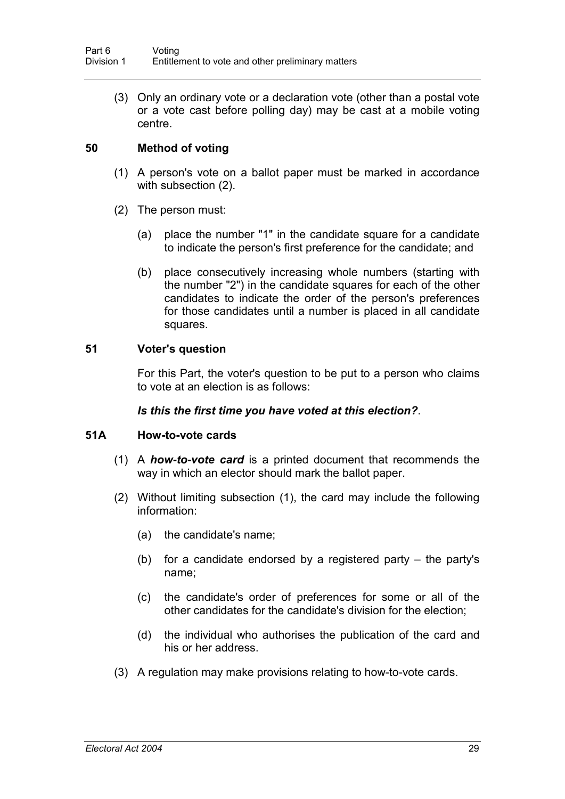(3) Only an ordinary vote or a declaration vote (other than a postal vote or a vote cast before polling day) may be cast at a mobile voting centre.

# **50 Method of voting**

- (1) A person's vote on a ballot paper must be marked in accordance with subsection (2).
- (2) The person must:
	- (a) place the number "1" in the candidate square for a candidate to indicate the person's first preference for the candidate; and
	- (b) place consecutively increasing whole numbers (starting with the number "2") in the candidate squares for each of the other candidates to indicate the order of the person's preferences for those candidates until a number is placed in all candidate squares.

# **51 Voter's question**

For this Part, the voter's question to be put to a person who claims to vote at an election is as follows:

# *Is this the first time you have voted at this election?*.

# **51A How-to-vote cards**

- (1) A *how-to-vote card* is a printed document that recommends the way in which an elector should mark the ballot paper.
- (2) Without limiting subsection (1), the card may include the following information:
	- (a) the candidate's name;
	- (b) for a candidate endorsed by a registered party the party's name;
	- (c) the candidate's order of preferences for some or all of the other candidates for the candidate's division for the election;
	- (d) the individual who authorises the publication of the card and his or her address.
- (3) A regulation may make provisions relating to how-to-vote cards.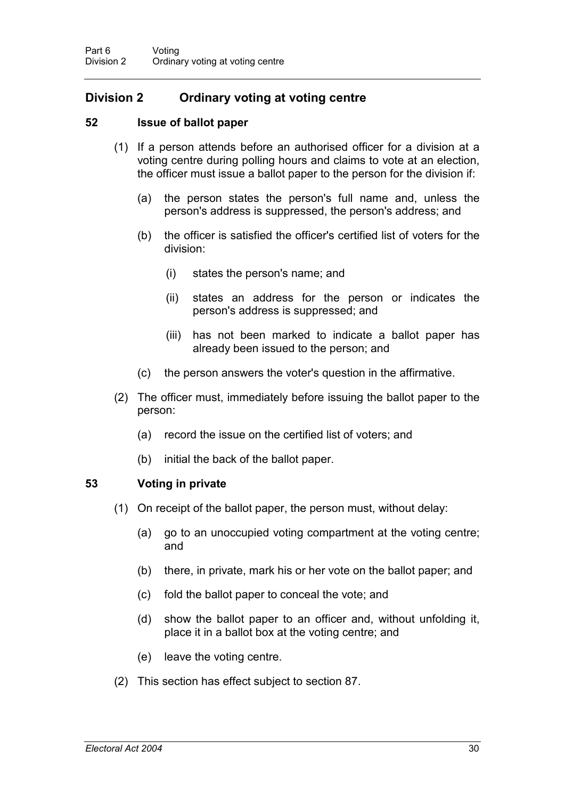# **Division 2 Ordinary voting at voting centre**

# **52 Issue of ballot paper**

- (1) If a person attends before an authorised officer for a division at a voting centre during polling hours and claims to vote at an election, the officer must issue a ballot paper to the person for the division if:
	- (a) the person states the person's full name and, unless the person's address is suppressed, the person's address; and
	- (b) the officer is satisfied the officer's certified list of voters for the division:
		- (i) states the person's name; and
		- (ii) states an address for the person or indicates the person's address is suppressed; and
		- (iii) has not been marked to indicate a ballot paper has already been issued to the person; and
	- (c) the person answers the voter's question in the affirmative.
- (2) The officer must, immediately before issuing the ballot paper to the person:
	- (a) record the issue on the certified list of voters; and
	- (b) initial the back of the ballot paper.

## **53 Voting in private**

- (1) On receipt of the ballot paper, the person must, without delay:
	- (a) go to an unoccupied voting compartment at the voting centre; and
	- (b) there, in private, mark his or her vote on the ballot paper; and
	- (c) fold the ballot paper to conceal the vote; and
	- (d) show the ballot paper to an officer and, without unfolding it, place it in a ballot box at the voting centre; and
	- (e) leave the voting centre.
- (2) This section has effect subject to section 87.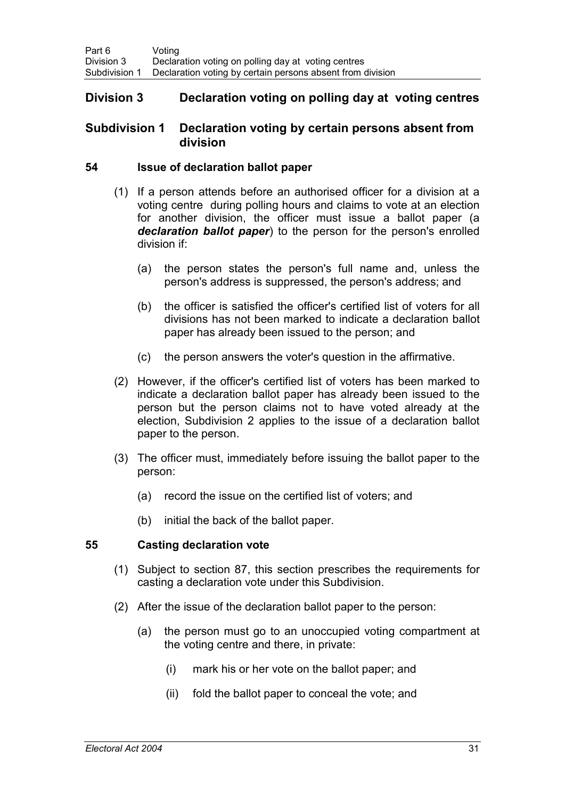# **Division 3 Declaration voting on polling day at voting centres**

## **Subdivision 1 Declaration voting by certain persons absent from division**

#### **54 Issue of declaration ballot paper**

- (1) If a person attends before an authorised officer for a division at a voting centre during polling hours and claims to vote at an election for another division, the officer must issue a ballot paper (a *declaration ballot paper*) to the person for the person's enrolled division if:
	- (a) the person states the person's full name and, unless the person's address is suppressed, the person's address; and
	- (b) the officer is satisfied the officer's certified list of voters for all divisions has not been marked to indicate a declaration ballot paper has already been issued to the person; and
	- (c) the person answers the voter's question in the affirmative.
- (2) However, if the officer's certified list of voters has been marked to indicate a declaration ballot paper has already been issued to the person but the person claims not to have voted already at the election, Subdivision 2 applies to the issue of a declaration ballot paper to the person.
- (3) The officer must, immediately before issuing the ballot paper to the person:
	- (a) record the issue on the certified list of voters; and
	- (b) initial the back of the ballot paper.

## **55 Casting declaration vote**

- (1) Subject to section 87, this section prescribes the requirements for casting a declaration vote under this Subdivision.
- (2) After the issue of the declaration ballot paper to the person:
	- (a) the person must go to an unoccupied voting compartment at the voting centre and there, in private:
		- (i) mark his or her vote on the ballot paper; and
		- (ii) fold the ballot paper to conceal the vote; and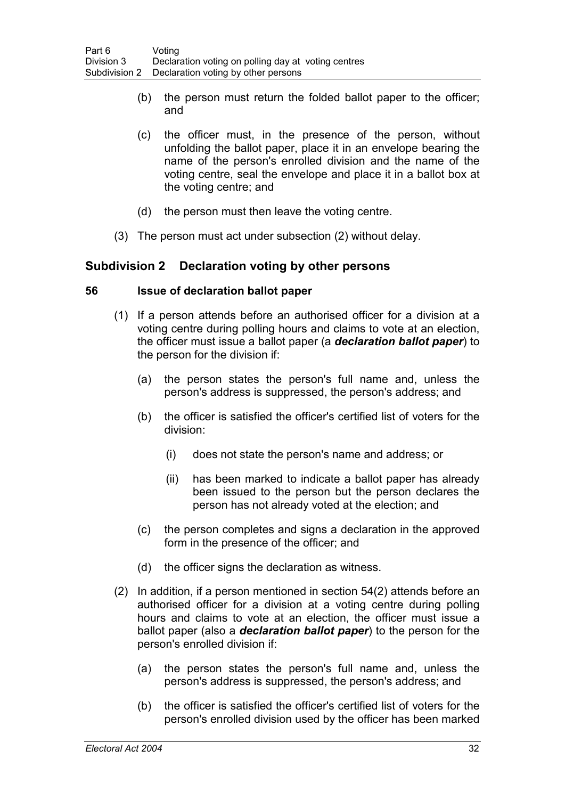- (b) the person must return the folded ballot paper to the officer; and
- (c) the officer must, in the presence of the person, without unfolding the ballot paper, place it in an envelope bearing the name of the person's enrolled division and the name of the voting centre, seal the envelope and place it in a ballot box at the voting centre; and
- (d) the person must then leave the voting centre.
- (3) The person must act under subsection (2) without delay.

# **Subdivision 2 Declaration voting by other persons**

#### **56 Issue of declaration ballot paper**

- (1) If a person attends before an authorised officer for a division at a voting centre during polling hours and claims to vote at an election, the officer must issue a ballot paper (a *declaration ballot paper*) to the person for the division if:
	- (a) the person states the person's full name and, unless the person's address is suppressed, the person's address; and
	- (b) the officer is satisfied the officer's certified list of voters for the division:
		- (i) does not state the person's name and address; or
		- (ii) has been marked to indicate a ballot paper has already been issued to the person but the person declares the person has not already voted at the election; and
	- (c) the person completes and signs a declaration in the approved form in the presence of the officer; and
	- (d) the officer signs the declaration as witness.
- (2) In addition, if a person mentioned in section 54(2) attends before an authorised officer for a division at a voting centre during polling hours and claims to vote at an election, the officer must issue a ballot paper (also a *declaration ballot paper*) to the person for the person's enrolled division if:
	- (a) the person states the person's full name and, unless the person's address is suppressed, the person's address; and
	- (b) the officer is satisfied the officer's certified list of voters for the person's enrolled division used by the officer has been marked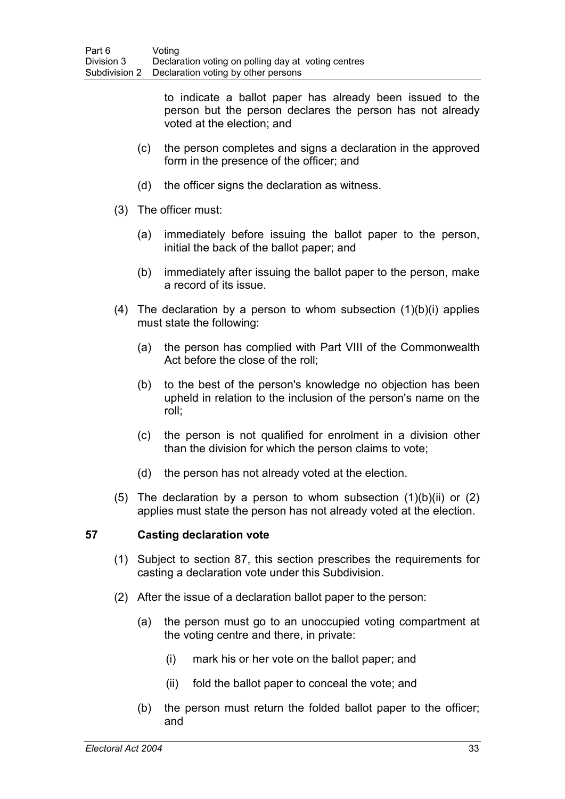to indicate a ballot paper has already been issued to the person but the person declares the person has not already voted at the election; and

- (c) the person completes and signs a declaration in the approved form in the presence of the officer; and
- (d) the officer signs the declaration as witness.
- (3) The officer must:
	- (a) immediately before issuing the ballot paper to the person, initial the back of the ballot paper; and
	- (b) immediately after issuing the ballot paper to the person, make a record of its issue.
- (4) The declaration by a person to whom subsection (1)(b)(i) applies must state the following:
	- (a) the person has complied with Part VIII of the Commonwealth Act before the close of the roll;
	- (b) to the best of the person's knowledge no objection has been upheld in relation to the inclusion of the person's name on the roll;
	- (c) the person is not qualified for enrolment in a division other than the division for which the person claims to vote;
	- (d) the person has not already voted at the election.
- (5) The declaration by a person to whom subsection  $(1)(b)(ii)$  or  $(2)$ applies must state the person has not already voted at the election.

## **57 Casting declaration vote**

- (1) Subject to section 87, this section prescribes the requirements for casting a declaration vote under this Subdivision.
- (2) After the issue of a declaration ballot paper to the person:
	- (a) the person must go to an unoccupied voting compartment at the voting centre and there, in private:
		- (i) mark his or her vote on the ballot paper; and
		- (ii) fold the ballot paper to conceal the vote; and
	- (b) the person must return the folded ballot paper to the officer; and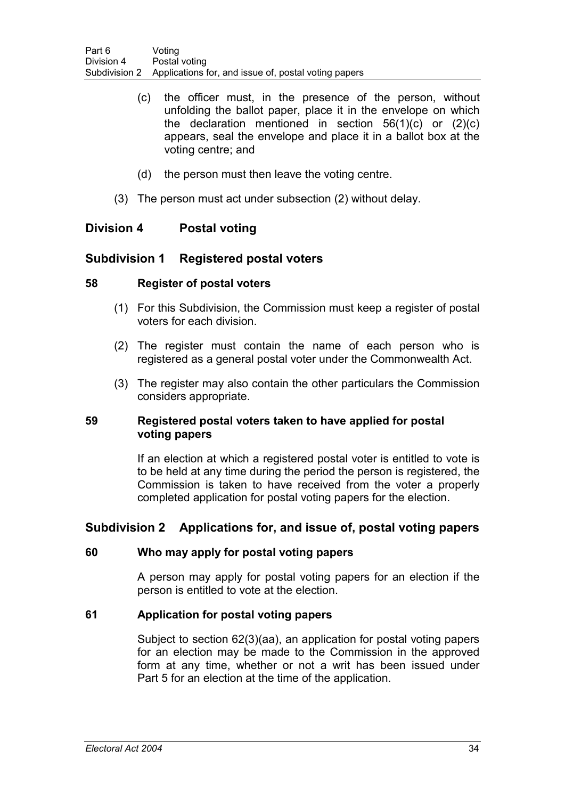- (c) the officer must, in the presence of the person, without unfolding the ballot paper, place it in the envelope on which the declaration mentioned in section 56(1)(c) or (2)(c) appears, seal the envelope and place it in a ballot box at the voting centre; and
- (d) the person must then leave the voting centre.
- (3) The person must act under subsection (2) without delay.

# **Division 4 Postal voting**

# **Subdivision 1 Registered postal voters**

## **58 Register of postal voters**

- (1) For this Subdivision, the Commission must keep a register of postal voters for each division.
- (2) The register must contain the name of each person who is registered as a general postal voter under the Commonwealth Act.
- (3) The register may also contain the other particulars the Commission considers appropriate.

## **59 Registered postal voters taken to have applied for postal voting papers**

If an election at which a registered postal voter is entitled to vote is to be held at any time during the period the person is registered, the Commission is taken to have received from the voter a properly completed application for postal voting papers for the election.

# **Subdivision 2 Applications for, and issue of, postal voting papers**

## **60 Who may apply for postal voting papers**

A person may apply for postal voting papers for an election if the person is entitled to vote at the election.

# **61 Application for postal voting papers**

Subject to section 62(3)(aa), an application for postal voting papers for an election may be made to the Commission in the approved form at any time, whether or not a writ has been issued under Part 5 for an election at the time of the application.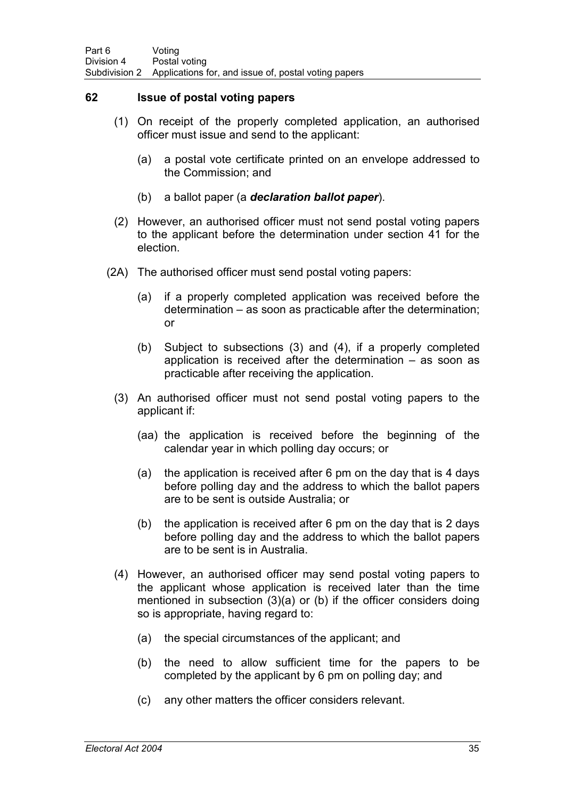## **62 Issue of postal voting papers**

- (1) On receipt of the properly completed application, an authorised officer must issue and send to the applicant:
	- (a) a postal vote certificate printed on an envelope addressed to the Commission; and
	- (b) a ballot paper (a *declaration ballot paper*).
- (2) However, an authorised officer must not send postal voting papers to the applicant before the determination under section 41 for the election.
- (2A) The authorised officer must send postal voting papers:
	- (a) if a properly completed application was received before the determination – as soon as practicable after the determination; or
	- (b) Subject to subsections (3) and (4), if a properly completed application is received after the determination – as soon as practicable after receiving the application.
	- (3) An authorised officer must not send postal voting papers to the applicant if:
		- (aa) the application is received before the beginning of the calendar year in which polling day occurs; or
		- (a) the application is received after 6 pm on the day that is 4 days before polling day and the address to which the ballot papers are to be sent is outside Australia; or
		- (b) the application is received after 6 pm on the day that is 2 days before polling day and the address to which the ballot papers are to be sent is in Australia.
	- (4) However, an authorised officer may send postal voting papers to the applicant whose application is received later than the time mentioned in subsection (3)(a) or (b) if the officer considers doing so is appropriate, having regard to:
		- (a) the special circumstances of the applicant; and
		- (b) the need to allow sufficient time for the papers to be completed by the applicant by 6 pm on polling day; and
		- (c) any other matters the officer considers relevant.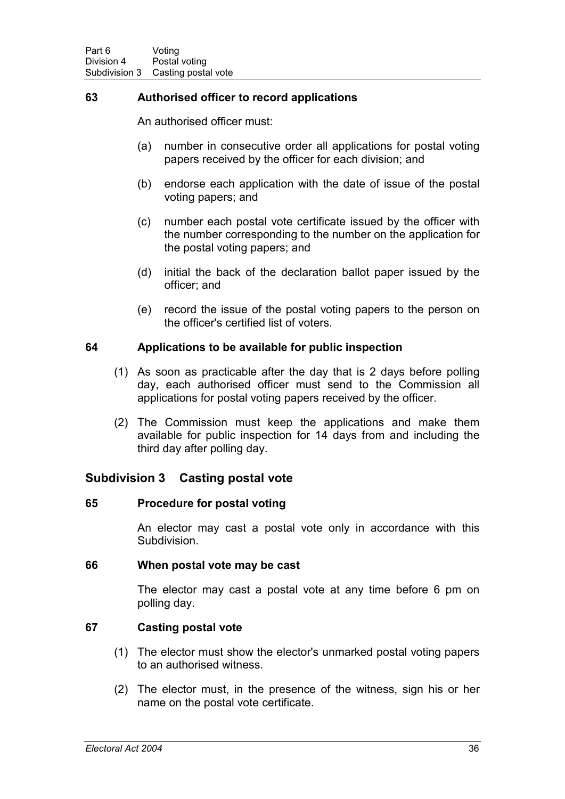# **63 Authorised officer to record applications**

An authorised officer must:

- (a) number in consecutive order all applications for postal voting papers received by the officer for each division; and
- (b) endorse each application with the date of issue of the postal voting papers; and
- (c) number each postal vote certificate issued by the officer with the number corresponding to the number on the application for the postal voting papers; and
- (d) initial the back of the declaration ballot paper issued by the officer; and
- (e) record the issue of the postal voting papers to the person on the officer's certified list of voters.

## **64 Applications to be available for public inspection**

- (1) As soon as practicable after the day that is 2 days before polling day, each authorised officer must send to the Commission all applications for postal voting papers received by the officer.
- (2) The Commission must keep the applications and make them available for public inspection for 14 days from and including the third day after polling day.

## **Subdivision 3 Casting postal vote**

#### **65 Procedure for postal voting**

An elector may cast a postal vote only in accordance with this Subdivision.

#### **66 When postal vote may be cast**

The elector may cast a postal vote at any time before 6 pm on polling day.

## **67 Casting postal vote**

- (1) The elector must show the elector's unmarked postal voting papers to an authorised witness.
- (2) The elector must, in the presence of the witness, sign his or her name on the postal vote certificate.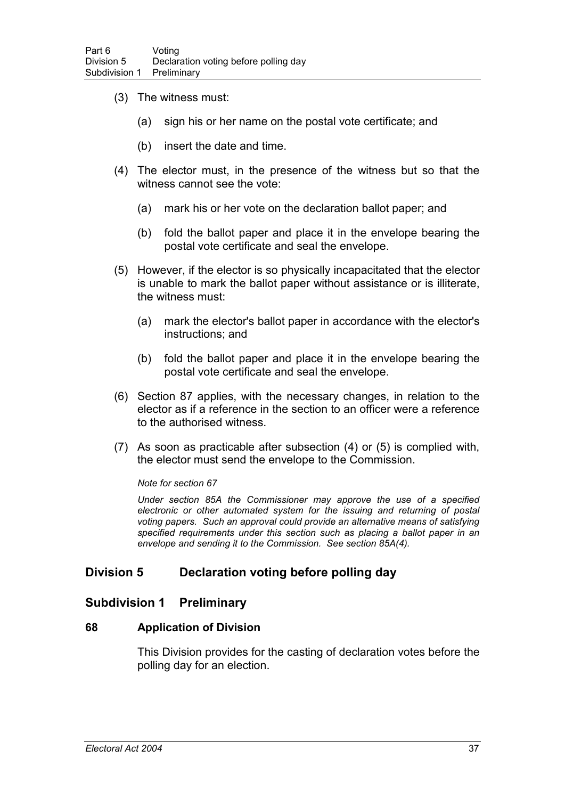- (3) The witness must:
	- (a) sign his or her name on the postal vote certificate; and
	- (b) insert the date and time.
- (4) The elector must, in the presence of the witness but so that the witness cannot see the vote:
	- (a) mark his or her vote on the declaration ballot paper; and
	- (b) fold the ballot paper and place it in the envelope bearing the postal vote certificate and seal the envelope.
- (5) However, if the elector is so physically incapacitated that the elector is unable to mark the ballot paper without assistance or is illiterate, the witness must:
	- (a) mark the elector's ballot paper in accordance with the elector's instructions; and
	- (b) fold the ballot paper and place it in the envelope bearing the postal vote certificate and seal the envelope.
- (6) Section 87 applies, with the necessary changes, in relation to the elector as if a reference in the section to an officer were a reference to the authorised witness.
- (7) As soon as practicable after subsection (4) or (5) is complied with, the elector must send the envelope to the Commission.

#### *Note for section 67*

*Under section 85A the Commissioner may approve the use of a specified electronic or other automated system for the issuing and returning of postal voting papers. Such an approval could provide an alternative means of satisfying specified requirements under this section such as placing a ballot paper in an envelope and sending it to the Commission. See section 85A(4).*

# **Division 5 Declaration voting before polling day**

## **Subdivision 1 Preliminary**

#### **68 Application of Division**

This Division provides for the casting of declaration votes before the polling day for an election.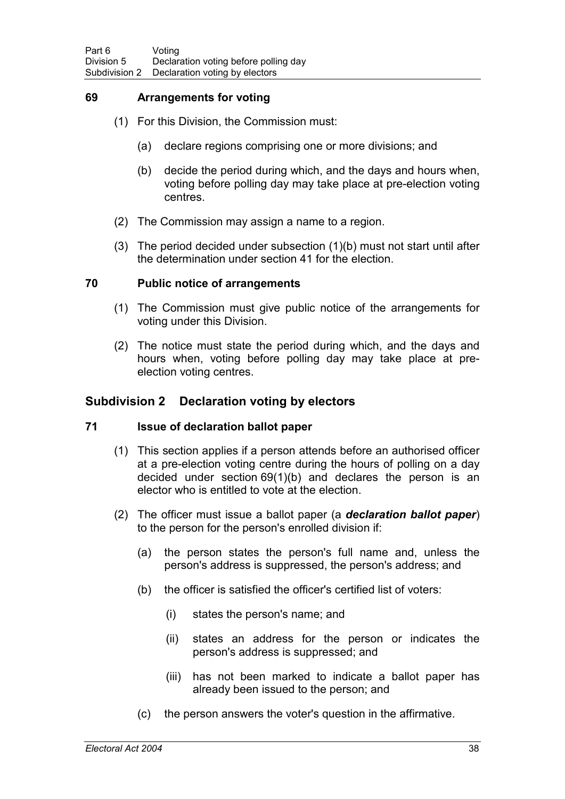## **69 Arrangements for voting**

- (1) For this Division, the Commission must:
	- (a) declare regions comprising one or more divisions; and
	- (b) decide the period during which, and the days and hours when, voting before polling day may take place at pre-election voting centres.
- (2) The Commission may assign a name to a region.
- (3) The period decided under subsection (1)(b) must not start until after the determination under section 41 for the election.

## **70 Public notice of arrangements**

- (1) The Commission must give public notice of the arrangements for voting under this Division.
- (2) The notice must state the period during which, and the days and hours when, voting before polling day may take place at preelection voting centres.

## **Subdivision 2 Declaration voting by electors**

## **71 Issue of declaration ballot paper**

- (1) This section applies if a person attends before an authorised officer at a pre-election voting centre during the hours of polling on a day decided under section 69(1)(b) and declares the person is an elector who is entitled to vote at the election.
- (2) The officer must issue a ballot paper (a *declaration ballot paper*) to the person for the person's enrolled division if:
	- (a) the person states the person's full name and, unless the person's address is suppressed, the person's address; and
	- (b) the officer is satisfied the officer's certified list of voters:
		- (i) states the person's name; and
		- (ii) states an address for the person or indicates the person's address is suppressed; and
		- (iii) has not been marked to indicate a ballot paper has already been issued to the person; and
	- (c) the person answers the voter's question in the affirmative.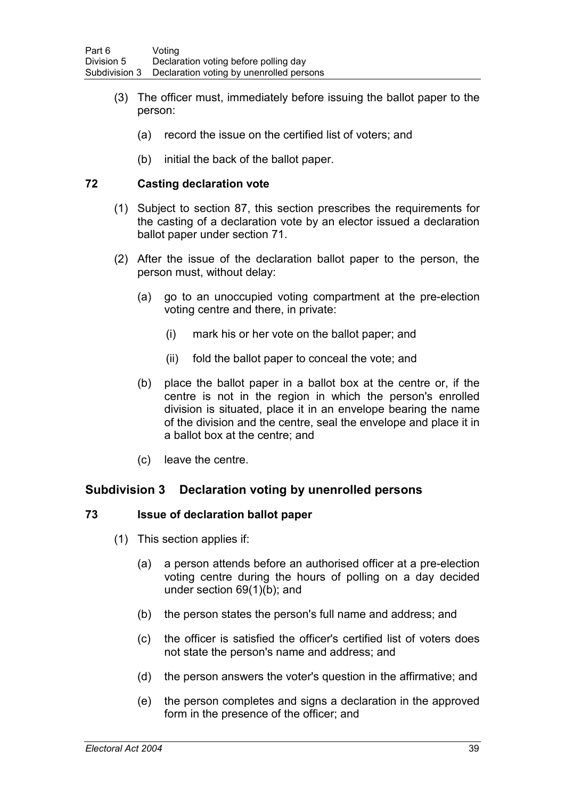- (3) The officer must, immediately before issuing the ballot paper to the person:
	- (a) record the issue on the certified list of voters; and
	- (b) initial the back of the ballot paper.

## **72 Casting declaration vote**

- (1) Subject to section 87, this section prescribes the requirements for the casting of a declaration vote by an elector issued a declaration ballot paper under section 71.
- (2) After the issue of the declaration ballot paper to the person, the person must, without delay:
	- (a) go to an unoccupied voting compartment at the pre-election voting centre and there, in private:
		- (i) mark his or her vote on the ballot paper; and
		- (ii) fold the ballot paper to conceal the vote; and
	- (b) place the ballot paper in a ballot box at the centre or, if the centre is not in the region in which the person's enrolled division is situated, place it in an envelope bearing the name of the division and the centre, seal the envelope and place it in a ballot box at the centre; and
	- (c) leave the centre.

# **Subdivision 3 Declaration voting by unenrolled persons**

## **73 Issue of declaration ballot paper**

- (1) This section applies if:
	- (a) a person attends before an authorised officer at a pre-election voting centre during the hours of polling on a day decided under section 69(1)(b); and
	- (b) the person states the person's full name and address; and
	- (c) the officer is satisfied the officer's certified list of voters does not state the person's name and address; and
	- (d) the person answers the voter's question in the affirmative; and
	- (e) the person completes and signs a declaration in the approved form in the presence of the officer; and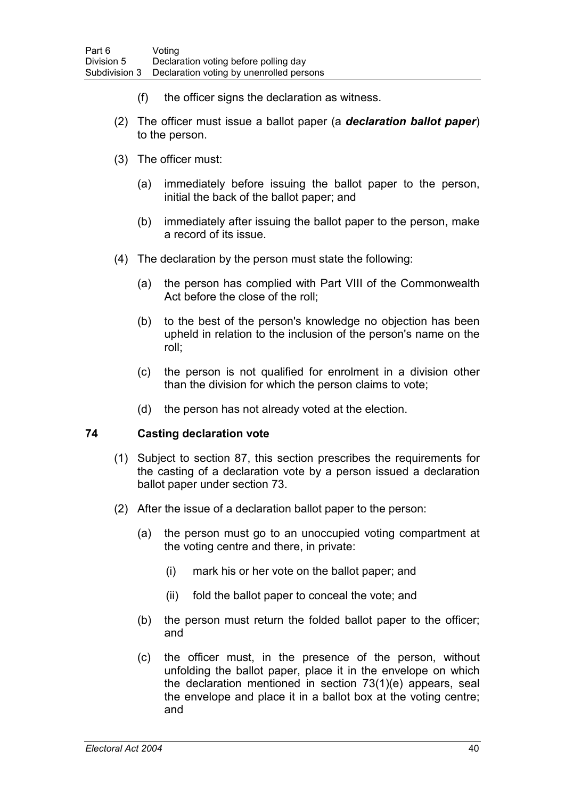- (f) the officer signs the declaration as witness.
- (2) The officer must issue a ballot paper (a *declaration ballot paper*) to the person.
- (3) The officer must:
	- (a) immediately before issuing the ballot paper to the person, initial the back of the ballot paper; and
	- (b) immediately after issuing the ballot paper to the person, make a record of its issue.
- (4) The declaration by the person must state the following:
	- (a) the person has complied with Part VIII of the Commonwealth Act before the close of the roll;
	- (b) to the best of the person's knowledge no objection has been upheld in relation to the inclusion of the person's name on the roll;
	- (c) the person is not qualified for enrolment in a division other than the division for which the person claims to vote;
	- (d) the person has not already voted at the election.

## **74 Casting declaration vote**

- (1) Subject to section 87, this section prescribes the requirements for the casting of a declaration vote by a person issued a declaration ballot paper under section 73.
- (2) After the issue of a declaration ballot paper to the person:
	- (a) the person must go to an unoccupied voting compartment at the voting centre and there, in private:
		- (i) mark his or her vote on the ballot paper; and
		- (ii) fold the ballot paper to conceal the vote; and
	- (b) the person must return the folded ballot paper to the officer; and
	- (c) the officer must, in the presence of the person, without unfolding the ballot paper, place it in the envelope on which the declaration mentioned in section 73(1)(e) appears, seal the envelope and place it in a ballot box at the voting centre; and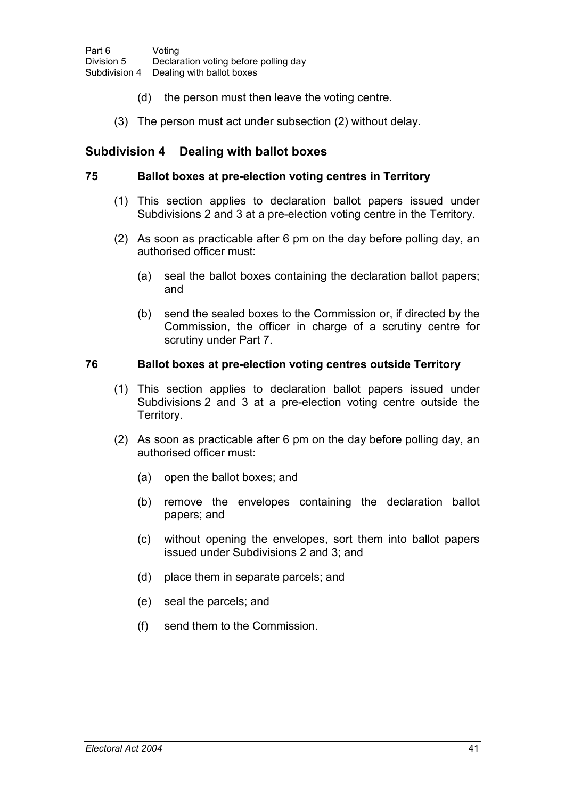- (d) the person must then leave the voting centre.
- (3) The person must act under subsection (2) without delay.

# **Subdivision 4 Dealing with ballot boxes**

## **75 Ballot boxes at pre-election voting centres in Territory**

- (1) This section applies to declaration ballot papers issued under Subdivisions 2 and 3 at a pre-election voting centre in the Territory.
- (2) As soon as practicable after 6 pm on the day before polling day, an authorised officer must:
	- (a) seal the ballot boxes containing the declaration ballot papers; and
	- (b) send the sealed boxes to the Commission or, if directed by the Commission, the officer in charge of a scrutiny centre for scrutiny under Part 7.

## **76 Ballot boxes at pre-election voting centres outside Territory**

- (1) This section applies to declaration ballot papers issued under Subdivisions 2 and 3 at a pre-election voting centre outside the Territory.
- (2) As soon as practicable after 6 pm on the day before polling day, an authorised officer must:
	- (a) open the ballot boxes; and
	- (b) remove the envelopes containing the declaration ballot papers; and
	- (c) without opening the envelopes, sort them into ballot papers issued under Subdivisions 2 and 3; and
	- (d) place them in separate parcels; and
	- (e) seal the parcels; and
	- (f) send them to the Commission.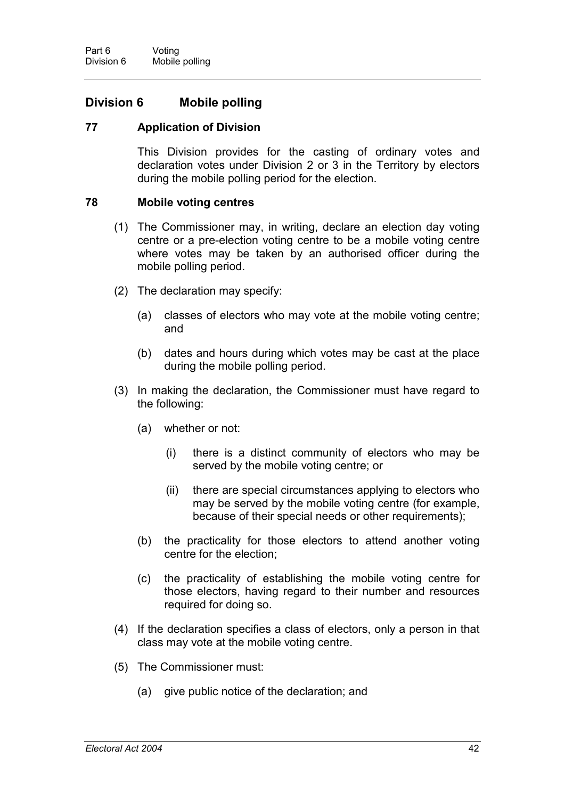# **Division 6 Mobile polling**

## **77 Application of Division**

This Division provides for the casting of ordinary votes and declaration votes under Division 2 or 3 in the Territory by electors during the mobile polling period for the election.

#### **78 Mobile voting centres**

- (1) The Commissioner may, in writing, declare an election day voting centre or a pre-election voting centre to be a mobile voting centre where votes may be taken by an authorised officer during the mobile polling period.
- (2) The declaration may specify:
	- (a) classes of electors who may vote at the mobile voting centre; and
	- (b) dates and hours during which votes may be cast at the place during the mobile polling period.
- (3) In making the declaration, the Commissioner must have regard to the following:
	- (a) whether or not:
		- (i) there is a distinct community of electors who may be served by the mobile voting centre; or
		- (ii) there are special circumstances applying to electors who may be served by the mobile voting centre (for example, because of their special needs or other requirements);
	- (b) the practicality for those electors to attend another voting centre for the election;
	- (c) the practicality of establishing the mobile voting centre for those electors, having regard to their number and resources required for doing so.
- (4) If the declaration specifies a class of electors, only a person in that class may vote at the mobile voting centre.
- (5) The Commissioner must:
	- (a) give public notice of the declaration; and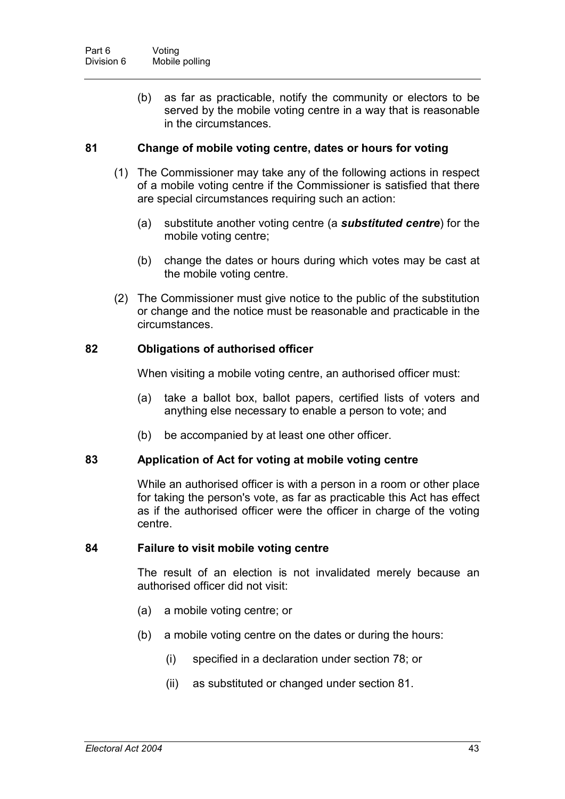(b) as far as practicable, notify the community or electors to be served by the mobile voting centre in a way that is reasonable in the circumstances.

## **81 Change of mobile voting centre, dates or hours for voting**

- (1) The Commissioner may take any of the following actions in respect of a mobile voting centre if the Commissioner is satisfied that there are special circumstances requiring such an action:
	- (a) substitute another voting centre (a *substituted centre*) for the mobile voting centre;
	- (b) change the dates or hours during which votes may be cast at the mobile voting centre.
- (2) The Commissioner must give notice to the public of the substitution or change and the notice must be reasonable and practicable in the circumstances.

#### **82 Obligations of authorised officer**

When visiting a mobile voting centre, an authorised officer must:

- (a) take a ballot box, ballot papers, certified lists of voters and anything else necessary to enable a person to vote; and
- (b) be accompanied by at least one other officer.

#### **83 Application of Act for voting at mobile voting centre**

While an authorised officer is with a person in a room or other place for taking the person's vote, as far as practicable this Act has effect as if the authorised officer were the officer in charge of the voting centre.

#### **84 Failure to visit mobile voting centre**

The result of an election is not invalidated merely because an authorised officer did not visit:

- (a) a mobile voting centre; or
- (b) a mobile voting centre on the dates or during the hours:
	- (i) specified in a declaration under section 78; or
	- (ii) as substituted or changed under section 81.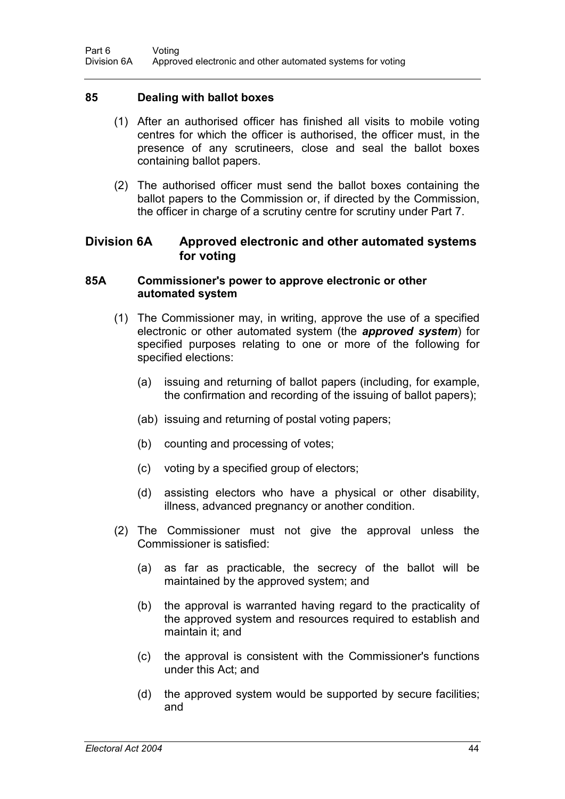#### **85 Dealing with ballot boxes**

- (1) After an authorised officer has finished all visits to mobile voting centres for which the officer is authorised, the officer must, in the presence of any scrutineers, close and seal the ballot boxes containing ballot papers.
- (2) The authorised officer must send the ballot boxes containing the ballot papers to the Commission or, if directed by the Commission, the officer in charge of a scrutiny centre for scrutiny under Part 7.

# **Division 6A Approved electronic and other automated systems for voting**

#### **85A Commissioner's power to approve electronic or other automated system**

- (1) The Commissioner may, in writing, approve the use of a specified electronic or other automated system (the *approved system*) for specified purposes relating to one or more of the following for specified elections:
	- (a) issuing and returning of ballot papers (including, for example, the confirmation and recording of the issuing of ballot papers);
	- (ab) issuing and returning of postal voting papers;
	- (b) counting and processing of votes;
	- (c) voting by a specified group of electors;
	- (d) assisting electors who have a physical or other disability, illness, advanced pregnancy or another condition.
- (2) The Commissioner must not give the approval unless the Commissioner is satisfied:
	- (a) as far as practicable, the secrecy of the ballot will be maintained by the approved system; and
	- (b) the approval is warranted having regard to the practicality of the approved system and resources required to establish and maintain it; and
	- (c) the approval is consistent with the Commissioner's functions under this Act; and
	- (d) the approved system would be supported by secure facilities; and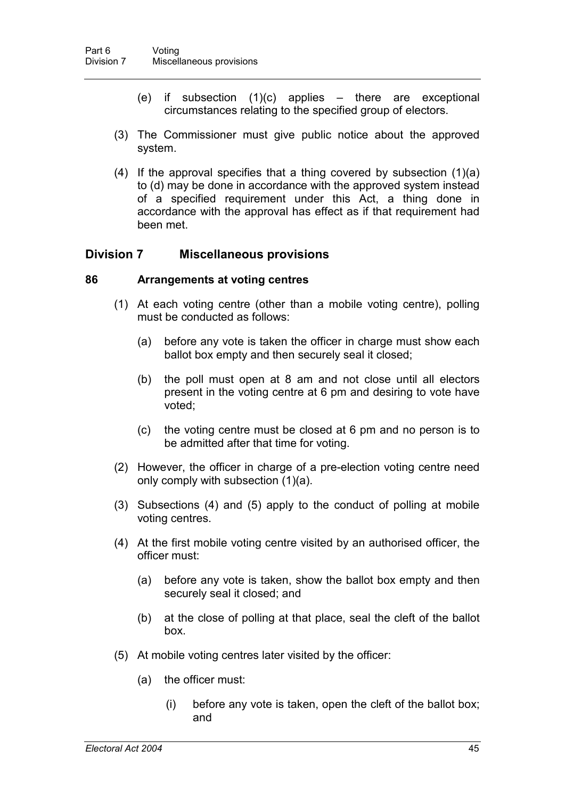- (e) if subsection  $(1)(c)$  applies there are exceptional circumstances relating to the specified group of electors.
- (3) The Commissioner must give public notice about the approved system.
- (4) If the approval specifies that a thing covered by subsection (1)(a) to (d) may be done in accordance with the approved system instead of a specified requirement under this Act, a thing done in accordance with the approval has effect as if that requirement had been met.

# **Division 7 Miscellaneous provisions**

#### **86 Arrangements at voting centres**

- (1) At each voting centre (other than a mobile voting centre), polling must be conducted as follows:
	- (a) before any vote is taken the officer in charge must show each ballot box empty and then securely seal it closed;
	- (b) the poll must open at 8 am and not close until all electors present in the voting centre at 6 pm and desiring to vote have voted;
	- (c) the voting centre must be closed at 6 pm and no person is to be admitted after that time for voting.
- (2) However, the officer in charge of a pre-election voting centre need only comply with subsection (1)(a).
- (3) Subsections (4) and (5) apply to the conduct of polling at mobile voting centres.
- (4) At the first mobile voting centre visited by an authorised officer, the officer must:
	- (a) before any vote is taken, show the ballot box empty and then securely seal it closed; and
	- (b) at the close of polling at that place, seal the cleft of the ballot box.
- (5) At mobile voting centres later visited by the officer:
	- (a) the officer must:
		- (i) before any vote is taken, open the cleft of the ballot box; and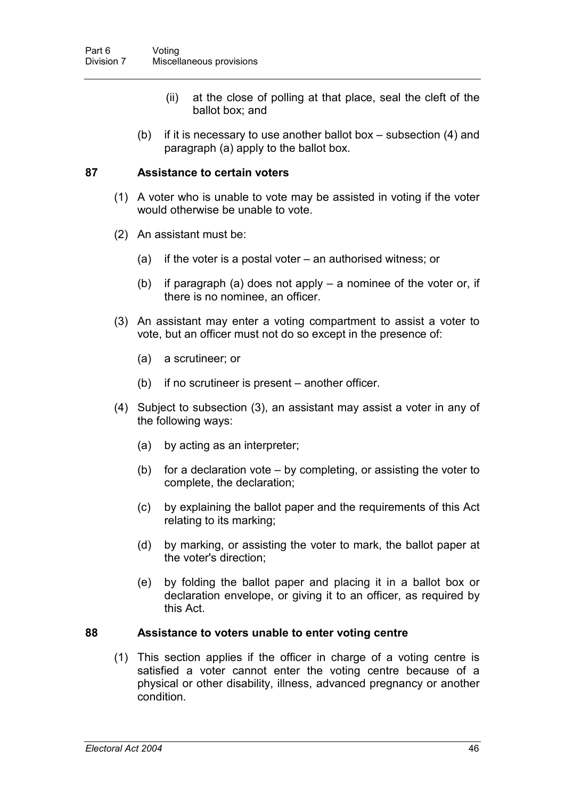- (ii) at the close of polling at that place, seal the cleft of the ballot box; and
- (b) if it is necessary to use another ballot box subsection  $(4)$  and paragraph (a) apply to the ballot box.

## **87 Assistance to certain voters**

- (1) A voter who is unable to vote may be assisted in voting if the voter would otherwise be unable to vote.
- (2) An assistant must be:
	- (a) if the voter is a postal voter an authorised witness; or
	- (b) if paragraph (a) does not apply a nominee of the voter or, if there is no nominee, an officer.
- (3) An assistant may enter a voting compartment to assist a voter to vote, but an officer must not do so except in the presence of:
	- (a) a scrutineer; or
	- (b) if no scrutineer is present another officer.
- (4) Subject to subsection (3), an assistant may assist a voter in any of the following ways:
	- (a) by acting as an interpreter;
	- (b) for a declaration vote by completing, or assisting the voter to complete, the declaration;
	- (c) by explaining the ballot paper and the requirements of this Act relating to its marking;
	- (d) by marking, or assisting the voter to mark, the ballot paper at the voter's direction;
	- (e) by folding the ballot paper and placing it in a ballot box or declaration envelope, or giving it to an officer, as required by this Act.

#### **88 Assistance to voters unable to enter voting centre**

(1) This section applies if the officer in charge of a voting centre is satisfied a voter cannot enter the voting centre because of a physical or other disability, illness, advanced pregnancy or another condition.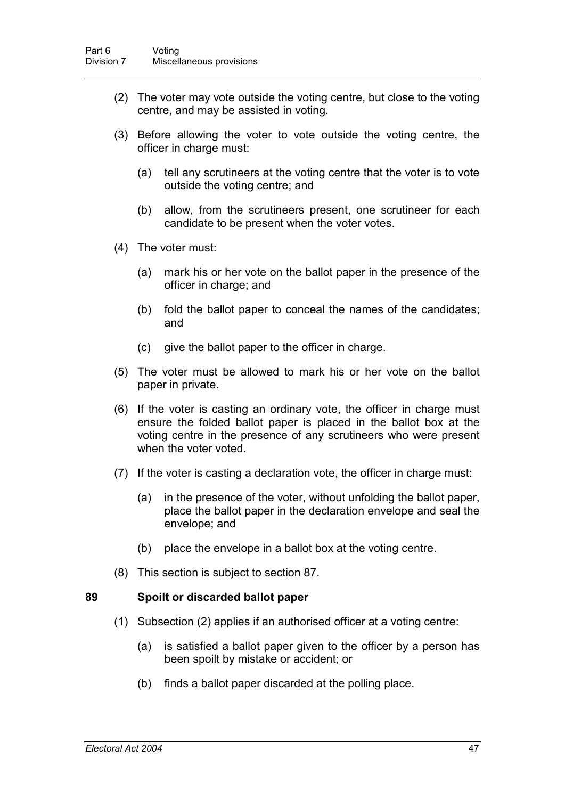- (2) The voter may vote outside the voting centre, but close to the voting centre, and may be assisted in voting.
- (3) Before allowing the voter to vote outside the voting centre, the officer in charge must:
	- (a) tell any scrutineers at the voting centre that the voter is to vote outside the voting centre; and
	- (b) allow, from the scrutineers present, one scrutineer for each candidate to be present when the voter votes.
- (4) The voter must:
	- (a) mark his or her vote on the ballot paper in the presence of the officer in charge; and
	- (b) fold the ballot paper to conceal the names of the candidates; and
	- (c) give the ballot paper to the officer in charge.
- (5) The voter must be allowed to mark his or her vote on the ballot paper in private.
- (6) If the voter is casting an ordinary vote, the officer in charge must ensure the folded ballot paper is placed in the ballot box at the voting centre in the presence of any scrutineers who were present when the voter voted.
- (7) If the voter is casting a declaration vote, the officer in charge must:
	- (a) in the presence of the voter, without unfolding the ballot paper, place the ballot paper in the declaration envelope and seal the envelope; and
	- (b) place the envelope in a ballot box at the voting centre.
- (8) This section is subject to section 87.

#### **89 Spoilt or discarded ballot paper**

- (1) Subsection (2) applies if an authorised officer at a voting centre:
	- (a) is satisfied a ballot paper given to the officer by a person has been spoilt by mistake or accident; or
	- (b) finds a ballot paper discarded at the polling place.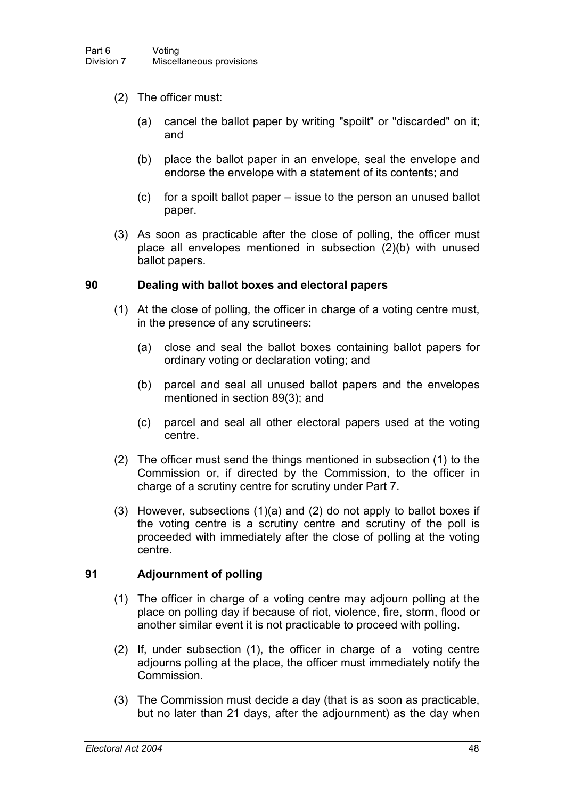- (2) The officer must:
	- (a) cancel the ballot paper by writing "spoilt" or "discarded" on it; and
	- (b) place the ballot paper in an envelope, seal the envelope and endorse the envelope with a statement of its contents; and
	- (c) for a spoilt ballot paper issue to the person an unused ballot paper.
- (3) As soon as practicable after the close of polling, the officer must place all envelopes mentioned in subsection (2)(b) with unused ballot papers.

#### **90 Dealing with ballot boxes and electoral papers**

- (1) At the close of polling, the officer in charge of a voting centre must, in the presence of any scrutineers:
	- (a) close and seal the ballot boxes containing ballot papers for ordinary voting or declaration voting; and
	- (b) parcel and seal all unused ballot papers and the envelopes mentioned in section 89(3); and
	- (c) parcel and seal all other electoral papers used at the voting centre.
- (2) The officer must send the things mentioned in subsection (1) to the Commission or, if directed by the Commission, to the officer in charge of a scrutiny centre for scrutiny under Part 7.
- (3) However, subsections (1)(a) and (2) do not apply to ballot boxes if the voting centre is a scrutiny centre and scrutiny of the poll is proceeded with immediately after the close of polling at the voting centre.

## **91 Adjournment of polling**

- (1) The officer in charge of a voting centre may adjourn polling at the place on polling day if because of riot, violence, fire, storm, flood or another similar event it is not practicable to proceed with polling.
- (2) If, under subsection (1), the officer in charge of a voting centre adjourns polling at the place, the officer must immediately notify the Commission.
- (3) The Commission must decide a day (that is as soon as practicable, but no later than 21 days, after the adjournment) as the day when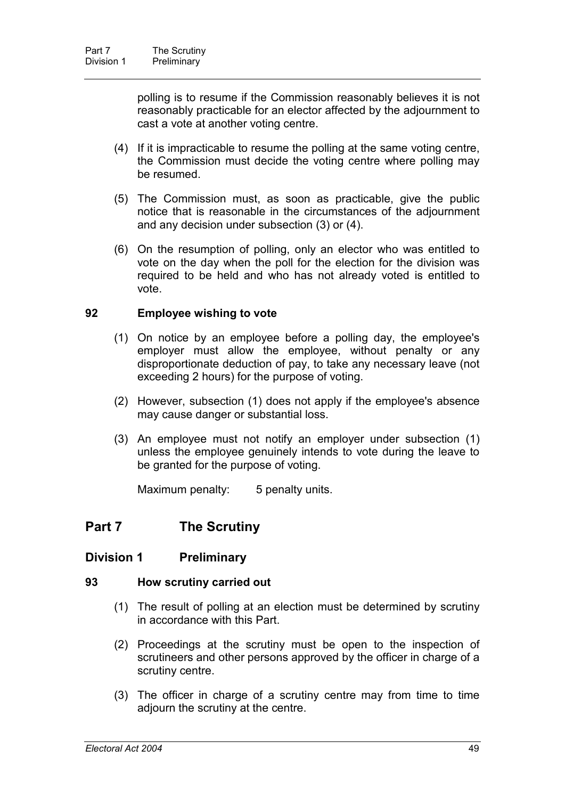polling is to resume if the Commission reasonably believes it is not reasonably practicable for an elector affected by the adjournment to cast a vote at another voting centre.

- (4) If it is impracticable to resume the polling at the same voting centre, the Commission must decide the voting centre where polling may be resumed.
- (5) The Commission must, as soon as practicable, give the public notice that is reasonable in the circumstances of the adjournment and any decision under subsection (3) or (4).
- (6) On the resumption of polling, only an elector who was entitled to vote on the day when the poll for the election for the division was required to be held and who has not already voted is entitled to vote.

#### **92 Employee wishing to vote**

- (1) On notice by an employee before a polling day, the employee's employer must allow the employee, without penalty or any disproportionate deduction of pay, to take any necessary leave (not exceeding 2 hours) for the purpose of voting.
- (2) However, subsection (1) does not apply if the employee's absence may cause danger or substantial loss.
- (3) An employee must not notify an employer under subsection (1) unless the employee genuinely intends to vote during the leave to be granted for the purpose of voting.

Maximum penalty: 5 penalty units.

# **Part 7 The Scrutiny**

## **Division 1 Preliminary**

#### **93 How scrutiny carried out**

- (1) The result of polling at an election must be determined by scrutiny in accordance with this Part.
- (2) Proceedings at the scrutiny must be open to the inspection of scrutineers and other persons approved by the officer in charge of a scrutiny centre.
- (3) The officer in charge of a scrutiny centre may from time to time adjourn the scrutiny at the centre.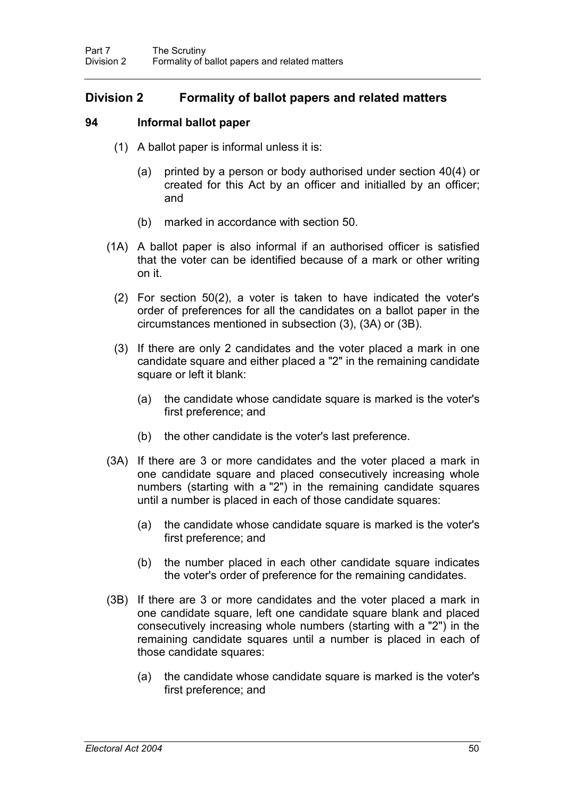# **Division 2 Formality of ballot papers and related matters**

## **94 Informal ballot paper**

- (1) A ballot paper is informal unless it is:
	- (a) printed by a person or body authorised under section 40(4) or created for this Act by an officer and initialled by an officer; and
	- (b) marked in accordance with section 50.
- (1A) A ballot paper is also informal if an authorised officer is satisfied that the voter can be identified because of a mark or other writing on it.
	- (2) For section 50(2), a voter is taken to have indicated the voter's order of preferences for all the candidates on a ballot paper in the circumstances mentioned in subsection (3), (3A) or (3B).
	- (3) If there are only 2 candidates and the voter placed a mark in one candidate square and either placed a "2" in the remaining candidate square or left it blank:
		- (a) the candidate whose candidate square is marked is the voter's first preference; and
		- (b) the other candidate is the voter's last preference.
- (3A) If there are 3 or more candidates and the voter placed a mark in one candidate square and placed consecutively increasing whole numbers (starting with a "2") in the remaining candidate squares until a number is placed in each of those candidate squares:
	- (a) the candidate whose candidate square is marked is the voter's first preference; and
	- (b) the number placed in each other candidate square indicates the voter's order of preference for the remaining candidates.
- (3B) If there are 3 or more candidates and the voter placed a mark in one candidate square, left one candidate square blank and placed consecutively increasing whole numbers (starting with a "2") in the remaining candidate squares until a number is placed in each of those candidate squares:
	- (a) the candidate whose candidate square is marked is the voter's first preference; and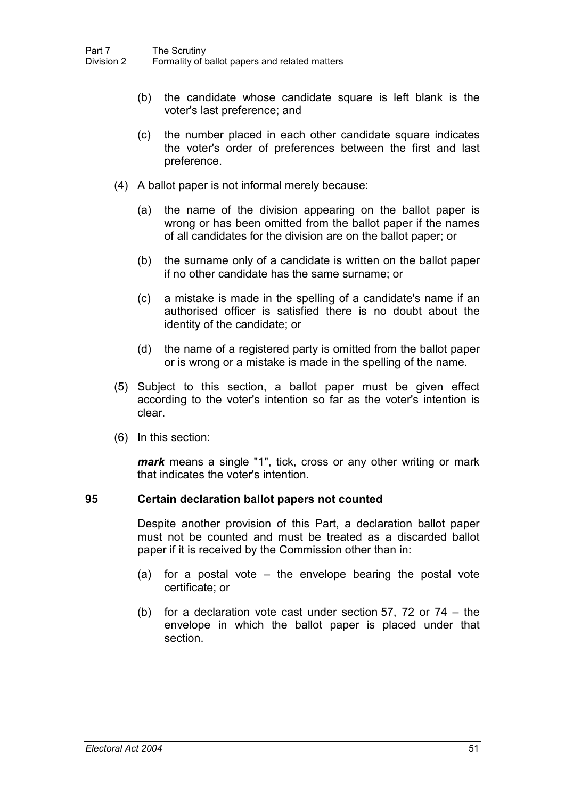- (b) the candidate whose candidate square is left blank is the voter's last preference; and
- (c) the number placed in each other candidate square indicates the voter's order of preferences between the first and last preference.
- (4) A ballot paper is not informal merely because:
	- (a) the name of the division appearing on the ballot paper is wrong or has been omitted from the ballot paper if the names of all candidates for the division are on the ballot paper; or
	- (b) the surname only of a candidate is written on the ballot paper if no other candidate has the same surname; or
	- (c) a mistake is made in the spelling of a candidate's name if an authorised officer is satisfied there is no doubt about the identity of the candidate; or
	- (d) the name of a registered party is omitted from the ballot paper or is wrong or a mistake is made in the spelling of the name.
- (5) Subject to this section, a ballot paper must be given effect according to the voter's intention so far as the voter's intention is clear.
- (6) In this section:

*mark* means a single "1", tick, cross or any other writing or mark that indicates the voter's intention.

#### **95 Certain declaration ballot papers not counted**

Despite another provision of this Part, a declaration ballot paper must not be counted and must be treated as a discarded ballot paper if it is received by the Commission other than in:

- (a) for a postal vote the envelope bearing the postal vote certificate; or
- (b) for a declaration vote cast under section 57, 72 or 74 the envelope in which the ballot paper is placed under that section.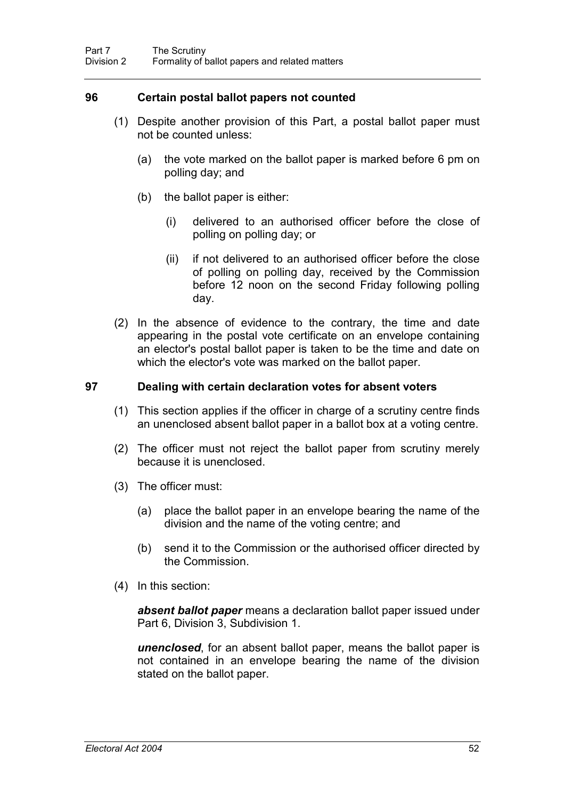# **96 Certain postal ballot papers not counted**

- (1) Despite another provision of this Part, a postal ballot paper must not be counted unless:
	- (a) the vote marked on the ballot paper is marked before 6 pm on polling day; and
	- (b) the ballot paper is either:
		- (i) delivered to an authorised officer before the close of polling on polling day; or
		- (ii) if not delivered to an authorised officer before the close of polling on polling day, received by the Commission before 12 noon on the second Friday following polling day.
- (2) In the absence of evidence to the contrary, the time and date appearing in the postal vote certificate on an envelope containing an elector's postal ballot paper is taken to be the time and date on which the elector's vote was marked on the ballot paper.

## **97 Dealing with certain declaration votes for absent voters**

- (1) This section applies if the officer in charge of a scrutiny centre finds an unenclosed absent ballot paper in a ballot box at a voting centre.
- (2) The officer must not reject the ballot paper from scrutiny merely because it is unenclosed.
- (3) The officer must:
	- (a) place the ballot paper in an envelope bearing the name of the division and the name of the voting centre; and
	- (b) send it to the Commission or the authorised officer directed by the Commission.
- (4) In this section:

*absent ballot paper* means a declaration ballot paper issued under Part 6, Division 3, Subdivision 1.

*unenclosed*, for an absent ballot paper, means the ballot paper is not contained in an envelope bearing the name of the division stated on the ballot paper.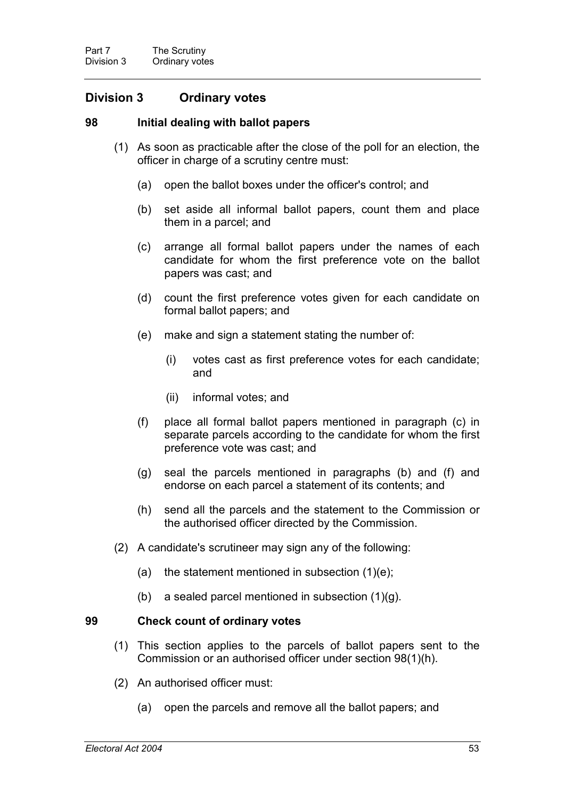# **Division 3 Ordinary votes**

#### **98 Initial dealing with ballot papers**

- (1) As soon as practicable after the close of the poll for an election, the officer in charge of a scrutiny centre must:
	- (a) open the ballot boxes under the officer's control; and
	- (b) set aside all informal ballot papers, count them and place them in a parcel; and
	- (c) arrange all formal ballot papers under the names of each candidate for whom the first preference vote on the ballot papers was cast; and
	- (d) count the first preference votes given for each candidate on formal ballot papers; and
	- (e) make and sign a statement stating the number of:
		- (i) votes cast as first preference votes for each candidate; and
		- (ii) informal votes; and
	- (f) place all formal ballot papers mentioned in paragraph (c) in separate parcels according to the candidate for whom the first preference vote was cast; and
	- (g) seal the parcels mentioned in paragraphs (b) and (f) and endorse on each parcel a statement of its contents; and
	- (h) send all the parcels and the statement to the Commission or the authorised officer directed by the Commission.
- (2) A candidate's scrutineer may sign any of the following:
	- (a) the statement mentioned in subsection  $(1)(e)$ ;
	- (b) a sealed parcel mentioned in subsection  $(1)(q)$ .

## **99 Check count of ordinary votes**

- (1) This section applies to the parcels of ballot papers sent to the Commission or an authorised officer under section 98(1)(h).
- (2) An authorised officer must:
	- (a) open the parcels and remove all the ballot papers; and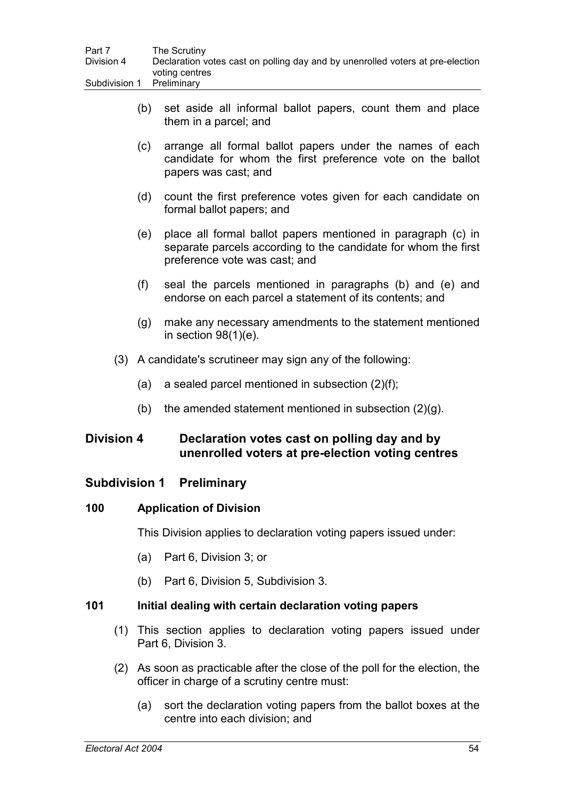| Part 7                    | The Scrutiny                                                                   |
|---------------------------|--------------------------------------------------------------------------------|
| Division 4                | Declaration votes cast on polling day and by unenrolled voters at pre-election |
|                           | voting centres                                                                 |
| Subdivision 1 Preliminary |                                                                                |

- (b) set aside all informal ballot papers, count them and place them in a parcel; and
- (c) arrange all formal ballot papers under the names of each candidate for whom the first preference vote on the ballot papers was cast; and
- (d) count the first preference votes given for each candidate on formal ballot papers; and
- (e) place all formal ballot papers mentioned in paragraph (c) in separate parcels according to the candidate for whom the first preference vote was cast; and
- (f) seal the parcels mentioned in paragraphs (b) and (e) and endorse on each parcel a statement of its contents; and
- (g) make any necessary amendments to the statement mentioned in section 98(1)(e).
- (3) A candidate's scrutineer may sign any of the following:
	- (a) a sealed parcel mentioned in subsection (2)(f);
	- (b) the amended statement mentioned in subsection  $(2)(g)$ .

# **Division 4 Declaration votes cast on polling day and by unenrolled voters at pre-election voting centres**

# **Subdivision 1 Preliminary**

# **100 Application of Division**

This Division applies to declaration voting papers issued under:

- (a) Part 6, Division 3; or
- (b) Part 6, Division 5, Subdivision 3.

## **101 Initial dealing with certain declaration voting papers**

- (1) This section applies to declaration voting papers issued under Part 6, Division 3.
- (2) As soon as practicable after the close of the poll for the election, the officer in charge of a scrutiny centre must:
	- (a) sort the declaration voting papers from the ballot boxes at the centre into each division; and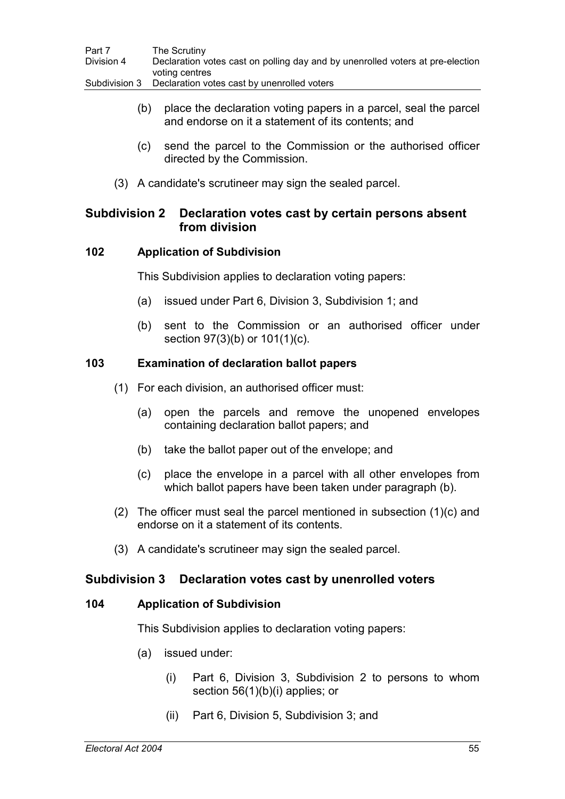| Part 7        | The Scrutiny                                                                   |
|---------------|--------------------------------------------------------------------------------|
| Division 4    | Declaration votes cast on polling day and by unenrolled voters at pre-election |
|               | voting centres                                                                 |
| Subdivision 3 | Declaration votes cast by unenrolled voters                                    |

- (b) place the declaration voting papers in a parcel, seal the parcel and endorse on it a statement of its contents; and
- (c) send the parcel to the Commission or the authorised officer directed by the Commission.
- (3) A candidate's scrutineer may sign the sealed parcel.

# **Subdivision 2 Declaration votes cast by certain persons absent from division**

## **102 Application of Subdivision**

This Subdivision applies to declaration voting papers:

- (a) issued under Part 6, Division 3, Subdivision 1; and
- (b) sent to the Commission or an authorised officer under section 97(3)(b) or 101(1)(c).

## **103 Examination of declaration ballot papers**

- (1) For each division, an authorised officer must:
	- (a) open the parcels and remove the unopened envelopes containing declaration ballot papers; and
	- (b) take the ballot paper out of the envelope; and
	- (c) place the envelope in a parcel with all other envelopes from which ballot papers have been taken under paragraph (b).
- (2) The officer must seal the parcel mentioned in subsection (1)(c) and endorse on it a statement of its contents.
- (3) A candidate's scrutineer may sign the sealed parcel.

# **Subdivision 3 Declaration votes cast by unenrolled voters**

## **104 Application of Subdivision**

This Subdivision applies to declaration voting papers:

- (a) issued under:
	- (i) Part 6, Division 3, Subdivision 2 to persons to whom section 56(1)(b)(i) applies; or
	- (ii) Part 6, Division 5, Subdivision 3; and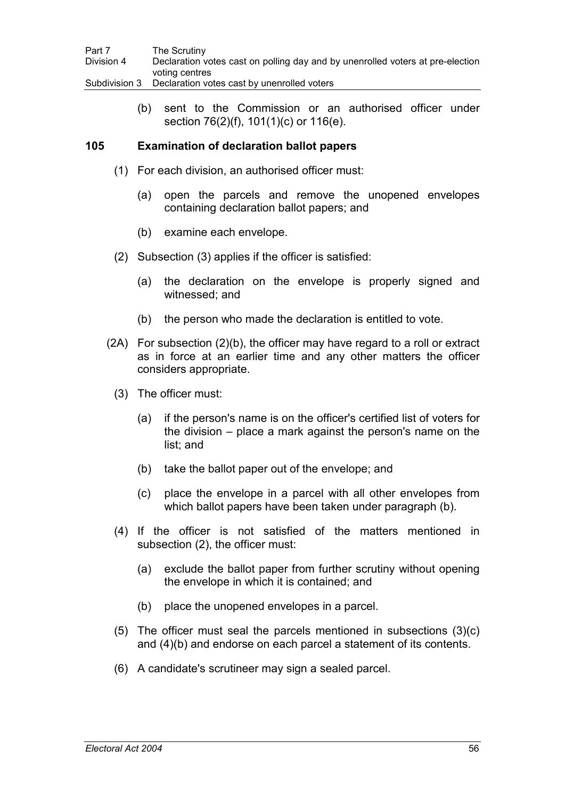| Part 7        | The Scrutiny                                                                   |
|---------------|--------------------------------------------------------------------------------|
| Division 4    | Declaration votes cast on polling day and by unenrolled voters at pre-election |
|               | voting centres                                                                 |
| Subdivision 3 | Declaration votes cast by unenrolled voters                                    |

(b) sent to the Commission or an authorised officer under section 76(2)(f), 101(1)(c) or 116(e).

## **105 Examination of declaration ballot papers**

- (1) For each division, an authorised officer must:
	- (a) open the parcels and remove the unopened envelopes containing declaration ballot papers; and
	- (b) examine each envelope.
- (2) Subsection (3) applies if the officer is satisfied:
	- (a) the declaration on the envelope is properly signed and witnessed; and
	- (b) the person who made the declaration is entitled to vote.
- (2A) For subsection (2)(b), the officer may have regard to a roll or extract as in force at an earlier time and any other matters the officer considers appropriate.
	- (3) The officer must:
		- (a) if the person's name is on the officer's certified list of voters for the division – place a mark against the person's name on the list; and
		- (b) take the ballot paper out of the envelope; and
		- (c) place the envelope in a parcel with all other envelopes from which ballot papers have been taken under paragraph (b).
	- (4) If the officer is not satisfied of the matters mentioned in subsection (2), the officer must:
		- (a) exclude the ballot paper from further scrutiny without opening the envelope in which it is contained; and
		- (b) place the unopened envelopes in a parcel.
	- (5) The officer must seal the parcels mentioned in subsections (3)(c) and (4)(b) and endorse on each parcel a statement of its contents.
	- (6) A candidate's scrutineer may sign a sealed parcel.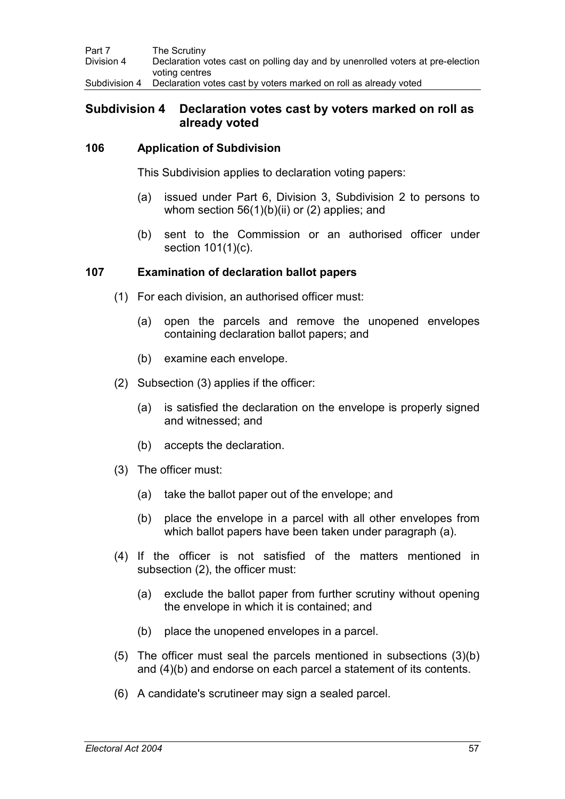| Part 7        | The Scrutiny                                                                   |
|---------------|--------------------------------------------------------------------------------|
| Division 4    | Declaration votes cast on polling day and by unenrolled voters at pre-election |
|               | voting centres                                                                 |
| Subdivision 4 | Declaration votes cast by voters marked on roll as already voted               |

# **Subdivision 4 Declaration votes cast by voters marked on roll as already voted**

## **106 Application of Subdivision**

This Subdivision applies to declaration voting papers:

- (a) issued under Part 6, Division 3, Subdivision 2 to persons to whom section  $56(1)(b)(ii)$  or (2) applies; and
- (b) sent to the Commission or an authorised officer under section 101(1)(c).

### **107 Examination of declaration ballot papers**

- (1) For each division, an authorised officer must:
	- (a) open the parcels and remove the unopened envelopes containing declaration ballot papers; and
	- (b) examine each envelope.
- (2) Subsection (3) applies if the officer:
	- (a) is satisfied the declaration on the envelope is properly signed and witnessed; and
	- (b) accepts the declaration.
- (3) The officer must:
	- (a) take the ballot paper out of the envelope; and
	- (b) place the envelope in a parcel with all other envelopes from which ballot papers have been taken under paragraph (a).
- (4) If the officer is not satisfied of the matters mentioned in subsection (2), the officer must:
	- (a) exclude the ballot paper from further scrutiny without opening the envelope in which it is contained; and
	- (b) place the unopened envelopes in a parcel.
- (5) The officer must seal the parcels mentioned in subsections (3)(b) and (4)(b) and endorse on each parcel a statement of its contents.
- (6) A candidate's scrutineer may sign a sealed parcel.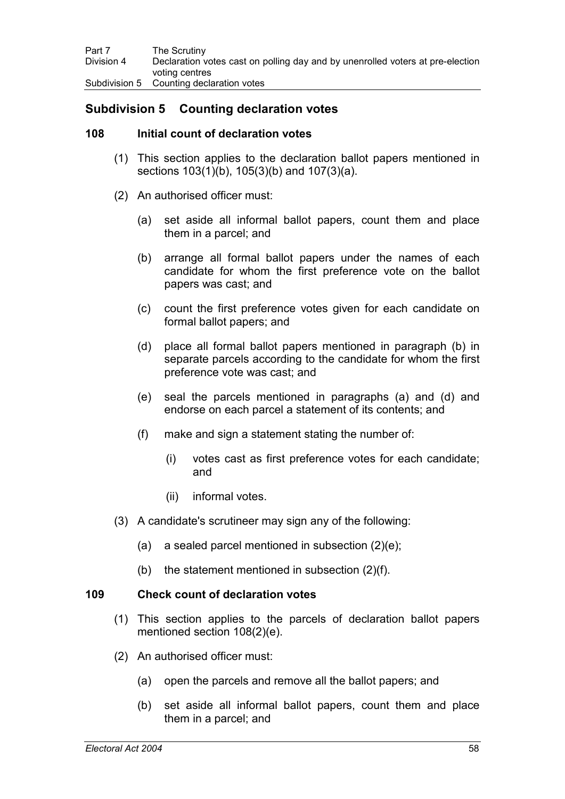# **Subdivision 5 Counting declaration votes**

### **108 Initial count of declaration votes**

- (1) This section applies to the declaration ballot papers mentioned in sections 103(1)(b), 105(3)(b) and 107(3)(a).
- (2) An authorised officer must:
	- (a) set aside all informal ballot papers, count them and place them in a parcel; and
	- (b) arrange all formal ballot papers under the names of each candidate for whom the first preference vote on the ballot papers was cast; and
	- (c) count the first preference votes given for each candidate on formal ballot papers; and
	- (d) place all formal ballot papers mentioned in paragraph (b) in separate parcels according to the candidate for whom the first preference vote was cast; and
	- (e) seal the parcels mentioned in paragraphs (a) and (d) and endorse on each parcel a statement of its contents; and
	- (f) make and sign a statement stating the number of:
		- (i) votes cast as first preference votes for each candidate; and
		- (ii) informal votes.
- (3) A candidate's scrutineer may sign any of the following:
	- (a) a sealed parcel mentioned in subsection (2)(e);
	- (b) the statement mentioned in subsection  $(2)(f)$ .

### **109 Check count of declaration votes**

- (1) This section applies to the parcels of declaration ballot papers mentioned section 108(2)(e).
- (2) An authorised officer must:
	- (a) open the parcels and remove all the ballot papers; and
	- (b) set aside all informal ballot papers, count them and place them in a parcel; and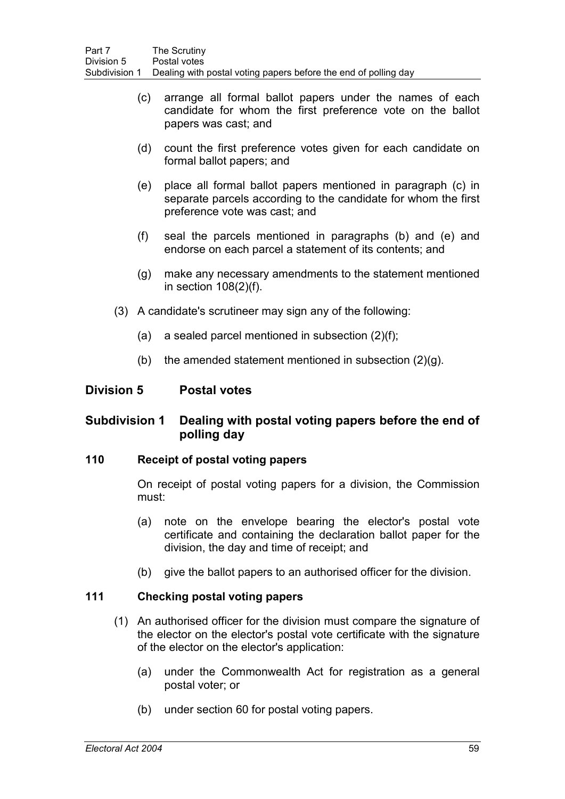- (c) arrange all formal ballot papers under the names of each candidate for whom the first preference vote on the ballot papers was cast; and
- (d) count the first preference votes given for each candidate on formal ballot papers; and
- (e) place all formal ballot papers mentioned in paragraph (c) in separate parcels according to the candidate for whom the first preference vote was cast; and
- (f) seal the parcels mentioned in paragraphs (b) and (e) and endorse on each parcel a statement of its contents; and
- (g) make any necessary amendments to the statement mentioned in section 108(2)(f).
- (3) A candidate's scrutineer may sign any of the following:
	- (a) a sealed parcel mentioned in subsection (2)(f);
	- (b) the amended statement mentioned in subsection  $(2)(q)$ .

# **Division 5 Postal votes**

# **Subdivision 1 Dealing with postal voting papers before the end of polling day**

### **110 Receipt of postal voting papers**

On receipt of postal voting papers for a division, the Commission must:

- (a) note on the envelope bearing the elector's postal vote certificate and containing the declaration ballot paper for the division, the day and time of receipt; and
- (b) give the ballot papers to an authorised officer for the division.

## **111 Checking postal voting papers**

- (1) An authorised officer for the division must compare the signature of the elector on the elector's postal vote certificate with the signature of the elector on the elector's application:
	- (a) under the Commonwealth Act for registration as a general postal voter; or
	- (b) under section 60 for postal voting papers.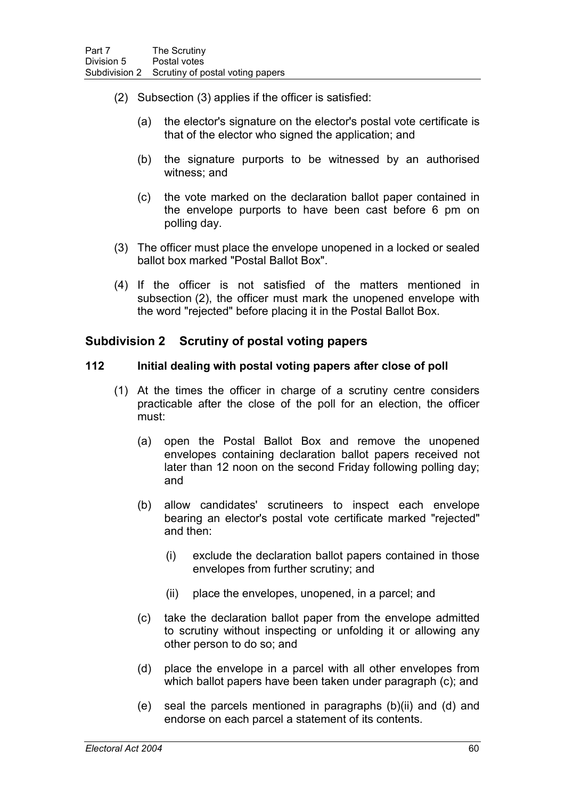- (2) Subsection (3) applies if the officer is satisfied:
	- (a) the elector's signature on the elector's postal vote certificate is that of the elector who signed the application; and
	- (b) the signature purports to be witnessed by an authorised witness; and
	- (c) the vote marked on the declaration ballot paper contained in the envelope purports to have been cast before 6 pm on polling day.
- (3) The officer must place the envelope unopened in a locked or sealed ballot box marked "Postal Ballot Box".
- (4) If the officer is not satisfied of the matters mentioned in subsection (2), the officer must mark the unopened envelope with the word "rejected" before placing it in the Postal Ballot Box.

# **Subdivision 2 Scrutiny of postal voting papers**

### **112 Initial dealing with postal voting papers after close of poll**

- (1) At the times the officer in charge of a scrutiny centre considers practicable after the close of the poll for an election, the officer must:
	- (a) open the Postal Ballot Box and remove the unopened envelopes containing declaration ballot papers received not later than 12 noon on the second Friday following polling day; and
	- (b) allow candidates' scrutineers to inspect each envelope bearing an elector's postal vote certificate marked "rejected" and then:
		- (i) exclude the declaration ballot papers contained in those envelopes from further scrutiny; and
		- (ii) place the envelopes, unopened, in a parcel; and
	- (c) take the declaration ballot paper from the envelope admitted to scrutiny without inspecting or unfolding it or allowing any other person to do so; and
	- (d) place the envelope in a parcel with all other envelopes from which ballot papers have been taken under paragraph (c); and
	- (e) seal the parcels mentioned in paragraphs (b)(ii) and (d) and endorse on each parcel a statement of its contents.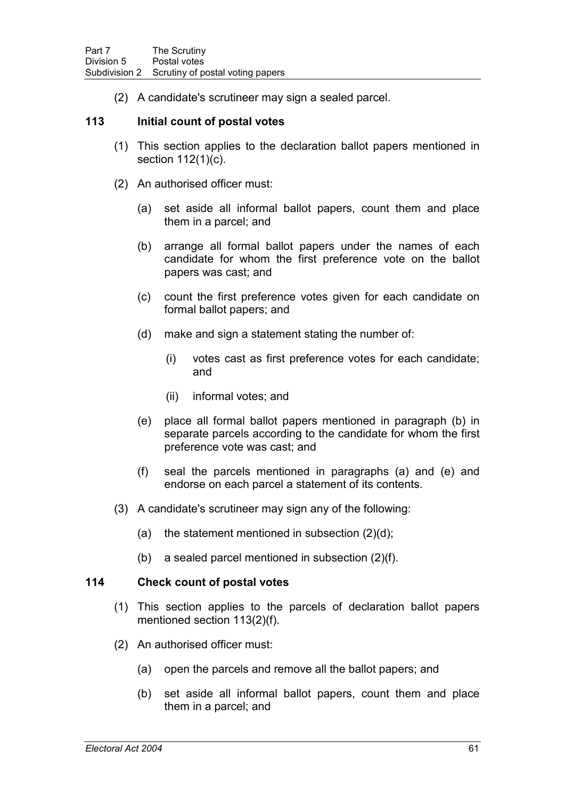(2) A candidate's scrutineer may sign a sealed parcel.

## **113 Initial count of postal votes**

- (1) This section applies to the declaration ballot papers mentioned in section 112(1)(c).
- (2) An authorised officer must:
	- (a) set aside all informal ballot papers, count them and place them in a parcel; and
	- (b) arrange all formal ballot papers under the names of each candidate for whom the first preference vote on the ballot papers was cast; and
	- (c) count the first preference votes given for each candidate on formal ballot papers; and
	- (d) make and sign a statement stating the number of:
		- (i) votes cast as first preference votes for each candidate; and
		- (ii) informal votes; and
	- (e) place all formal ballot papers mentioned in paragraph (b) in separate parcels according to the candidate for whom the first preference vote was cast; and
	- (f) seal the parcels mentioned in paragraphs (a) and (e) and endorse on each parcel a statement of its contents.
- (3) A candidate's scrutineer may sign any of the following:
	- (a) the statement mentioned in subsection  $(2)(d)$ ;
	- (b) a sealed parcel mentioned in subsection (2)(f).

#### **114 Check count of postal votes**

- (1) This section applies to the parcels of declaration ballot papers mentioned section 113(2)(f).
- (2) An authorised officer must:
	- (a) open the parcels and remove all the ballot papers; and
	- (b) set aside all informal ballot papers, count them and place them in a parcel; and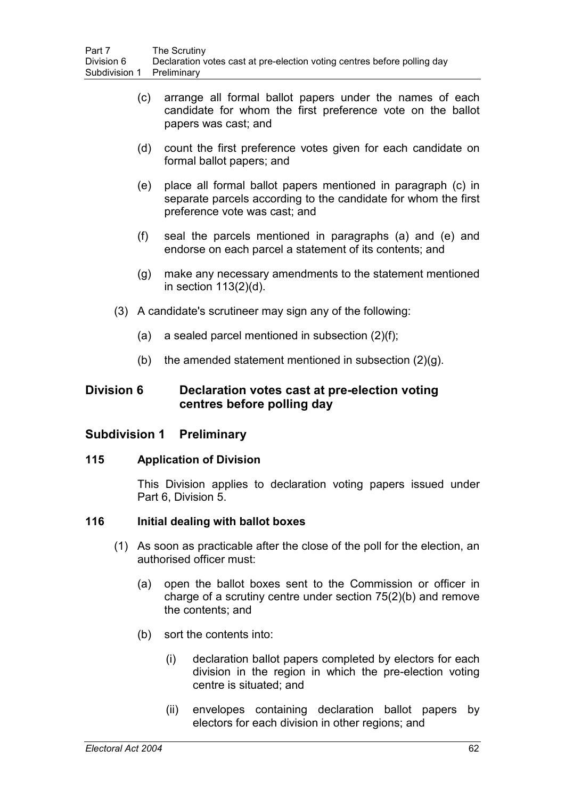- (c) arrange all formal ballot papers under the names of each candidate for whom the first preference vote on the ballot papers was cast; and
- (d) count the first preference votes given for each candidate on formal ballot papers; and
- (e) place all formal ballot papers mentioned in paragraph (c) in separate parcels according to the candidate for whom the first preference vote was cast; and
- (f) seal the parcels mentioned in paragraphs (a) and (e) and endorse on each parcel a statement of its contents; and
- (g) make any necessary amendments to the statement mentioned in section 113(2)(d).
- (3) A candidate's scrutineer may sign any of the following:
	- (a) a sealed parcel mentioned in subsection (2)(f);
	- (b) the amended statement mentioned in subsection  $(2)(q)$ .

# **Division 6 Declaration votes cast at pre-election voting centres before polling day**

# **Subdivision 1 Preliminary**

### **115 Application of Division**

This Division applies to declaration voting papers issued under Part 6, Division 5.

# **116 Initial dealing with ballot boxes**

- (1) As soon as practicable after the close of the poll for the election, an authorised officer must:
	- (a) open the ballot boxes sent to the Commission or officer in charge of a scrutiny centre under section 75(2)(b) and remove the contents; and
	- (b) sort the contents into:
		- (i) declaration ballot papers completed by electors for each division in the region in which the pre-election voting centre is situated; and
		- (ii) envelopes containing declaration ballot papers by electors for each division in other regions; and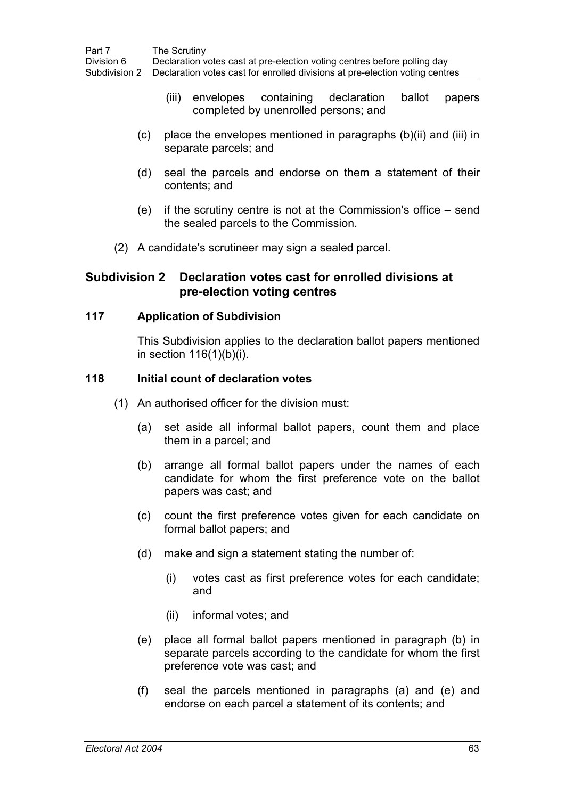- (iii) envelopes containing declaration ballot papers completed by unenrolled persons; and
- (c) place the envelopes mentioned in paragraphs (b)(ii) and (iii) in separate parcels; and
- (d) seal the parcels and endorse on them a statement of their contents; and
- (e) if the scrutiny centre is not at the Commission's office send the sealed parcels to the Commission.
- (2) A candidate's scrutineer may sign a sealed parcel.

# **Subdivision 2 Declaration votes cast for enrolled divisions at pre-election voting centres**

#### **117 Application of Subdivision**

This Subdivision applies to the declaration ballot papers mentioned in section 116(1)(b)(i).

#### **118 Initial count of declaration votes**

- (1) An authorised officer for the division must:
	- (a) set aside all informal ballot papers, count them and place them in a parcel; and
	- (b) arrange all formal ballot papers under the names of each candidate for whom the first preference vote on the ballot papers was cast; and
	- (c) count the first preference votes given for each candidate on formal ballot papers; and
	- (d) make and sign a statement stating the number of:
		- (i) votes cast as first preference votes for each candidate; and
		- (ii) informal votes; and
	- (e) place all formal ballot papers mentioned in paragraph (b) in separate parcels according to the candidate for whom the first preference vote was cast; and
	- (f) seal the parcels mentioned in paragraphs (a) and (e) and endorse on each parcel a statement of its contents; and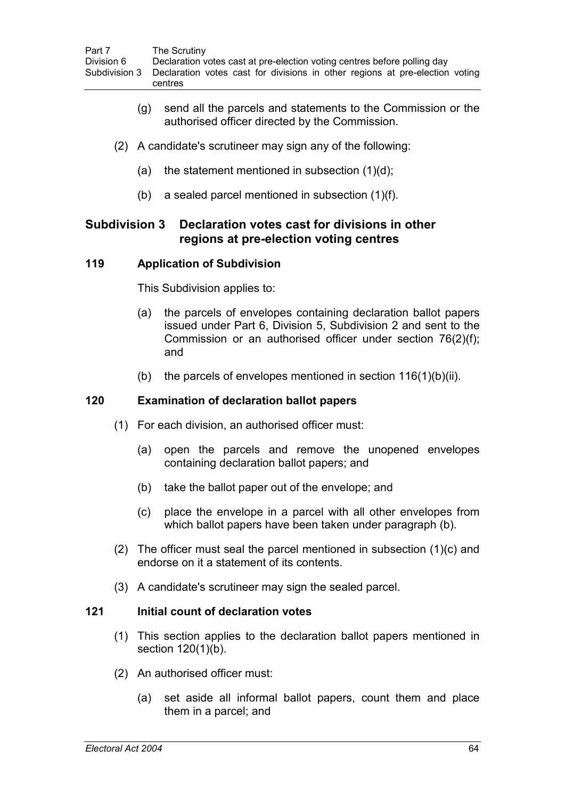- (g) send all the parcels and statements to the Commission or the authorised officer directed by the Commission.
- (2) A candidate's scrutineer may sign any of the following:
	- (a) the statement mentioned in subsection  $(1)(d)$ ;
	- (b) a sealed parcel mentioned in subsection (1)(f).

# **Subdivision 3 Declaration votes cast for divisions in other regions at pre-election voting centres**

### **119 Application of Subdivision**

This Subdivision applies to:

- (a) the parcels of envelopes containing declaration ballot papers issued under Part 6, Division 5, Subdivision 2 and sent to the Commission or an authorised officer under section 76(2)(f); and
- (b) the parcels of envelopes mentioned in section  $116(1)(b)(ii)$ .

### **120 Examination of declaration ballot papers**

- (1) For each division, an authorised officer must:
	- (a) open the parcels and remove the unopened envelopes containing declaration ballot papers; and
	- (b) take the ballot paper out of the envelope; and
	- (c) place the envelope in a parcel with all other envelopes from which ballot papers have been taken under paragraph (b).
- (2) The officer must seal the parcel mentioned in subsection (1)(c) and endorse on it a statement of its contents.
- (3) A candidate's scrutineer may sign the sealed parcel.

# **121 Initial count of declaration votes**

- (1) This section applies to the declaration ballot papers mentioned in section 120(1)(b).
- (2) An authorised officer must:
	- (a) set aside all informal ballot papers, count them and place them in a parcel; and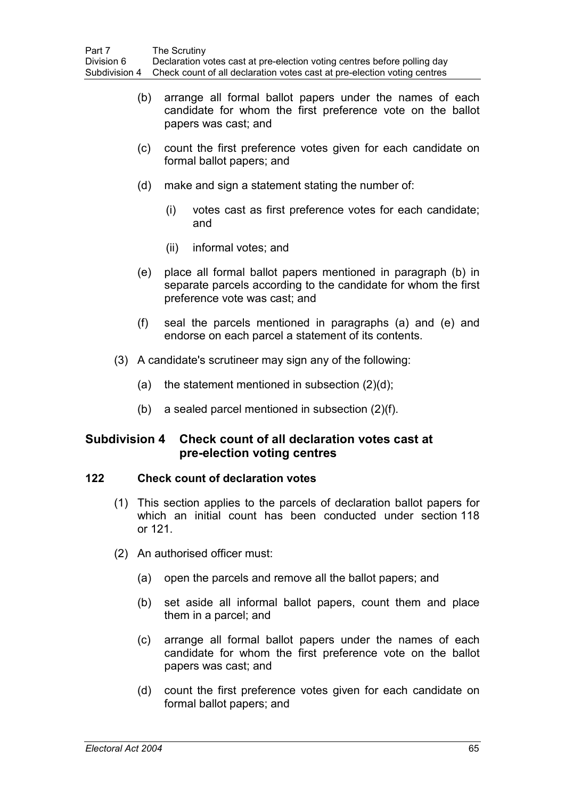- (b) arrange all formal ballot papers under the names of each candidate for whom the first preference vote on the ballot papers was cast; and
- (c) count the first preference votes given for each candidate on formal ballot papers; and
- (d) make and sign a statement stating the number of:
	- (i) votes cast as first preference votes for each candidate; and
	- (ii) informal votes; and
- (e) place all formal ballot papers mentioned in paragraph (b) in separate parcels according to the candidate for whom the first preference vote was cast; and
- (f) seal the parcels mentioned in paragraphs (a) and (e) and endorse on each parcel a statement of its contents.
- (3) A candidate's scrutineer may sign any of the following:
	- (a) the statement mentioned in subsection  $(2)(d)$ ;
	- (b) a sealed parcel mentioned in subsection (2)(f).

# **Subdivision 4 Check count of all declaration votes cast at pre-election voting centres**

### **122 Check count of declaration votes**

- (1) This section applies to the parcels of declaration ballot papers for which an initial count has been conducted under section 118 or 121.
- (2) An authorised officer must:
	- (a) open the parcels and remove all the ballot papers; and
	- (b) set aside all informal ballot papers, count them and place them in a parcel; and
	- (c) arrange all formal ballot papers under the names of each candidate for whom the first preference vote on the ballot papers was cast; and
	- (d) count the first preference votes given for each candidate on formal ballot papers; and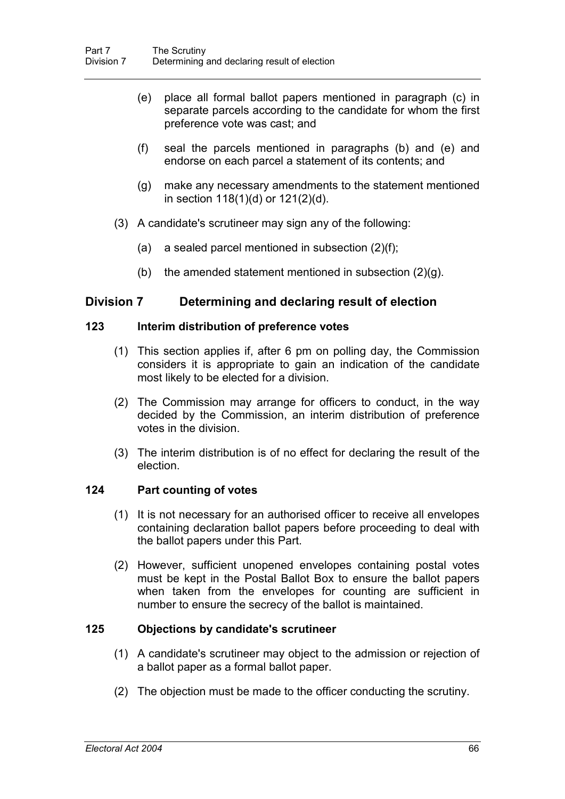- (e) place all formal ballot papers mentioned in paragraph (c) in separate parcels according to the candidate for whom the first preference vote was cast; and
- (f) seal the parcels mentioned in paragraphs (b) and (e) and endorse on each parcel a statement of its contents; and
- (g) make any necessary amendments to the statement mentioned in section 118(1)(d) or 121(2)(d).
- (3) A candidate's scrutineer may sign any of the following:
	- (a) a sealed parcel mentioned in subsection  $(2)(f)$ ;
	- (b) the amended statement mentioned in subsection  $(2)(g)$ .

# **Division 7 Determining and declaring result of election**

#### **123 Interim distribution of preference votes**

- (1) This section applies if, after 6 pm on polling day, the Commission considers it is appropriate to gain an indication of the candidate most likely to be elected for a division.
- (2) The Commission may arrange for officers to conduct, in the way decided by the Commission, an interim distribution of preference votes in the division.
- (3) The interim distribution is of no effect for declaring the result of the election.

### **124 Part counting of votes**

- (1) It is not necessary for an authorised officer to receive all envelopes containing declaration ballot papers before proceeding to deal with the ballot papers under this Part.
- (2) However, sufficient unopened envelopes containing postal votes must be kept in the Postal Ballot Box to ensure the ballot papers when taken from the envelopes for counting are sufficient in number to ensure the secrecy of the ballot is maintained.

### **125 Objections by candidate's scrutineer**

- (1) A candidate's scrutineer may object to the admission or rejection of a ballot paper as a formal ballot paper.
- (2) The objection must be made to the officer conducting the scrutiny.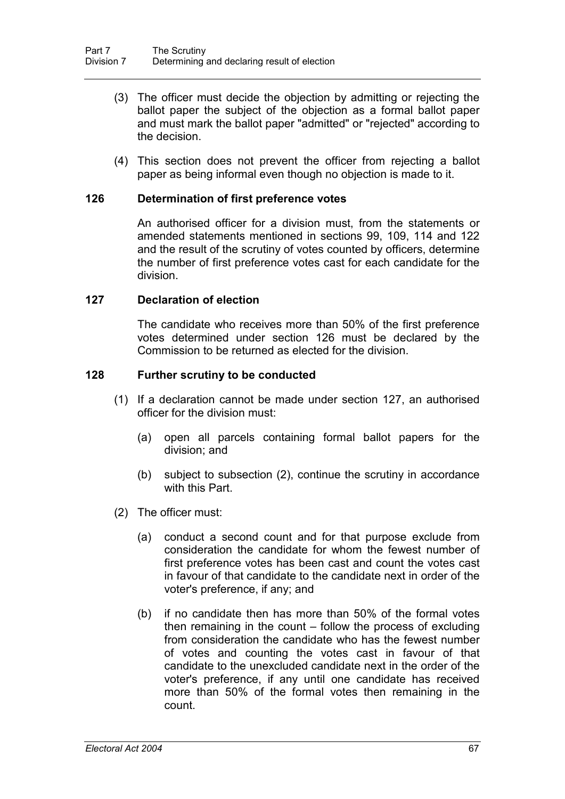- (3) The officer must decide the objection by admitting or rejecting the ballot paper the subject of the objection as a formal ballot paper and must mark the ballot paper "admitted" or "rejected" according to the decision.
- (4) This section does not prevent the officer from rejecting a ballot paper as being informal even though no objection is made to it.

#### **126 Determination of first preference votes**

An authorised officer for a division must, from the statements or amended statements mentioned in sections 99, 109, 114 and 122 and the result of the scrutiny of votes counted by officers, determine the number of first preference votes cast for each candidate for the division.

#### **127 Declaration of election**

The candidate who receives more than 50% of the first preference votes determined under section 126 must be declared by the Commission to be returned as elected for the division.

#### **128 Further scrutiny to be conducted**

- (1) If a declaration cannot be made under section 127, an authorised officer for the division must:
	- (a) open all parcels containing formal ballot papers for the division; and
	- (b) subject to subsection (2), continue the scrutiny in accordance with this Part.
- (2) The officer must:
	- (a) conduct a second count and for that purpose exclude from consideration the candidate for whom the fewest number of first preference votes has been cast and count the votes cast in favour of that candidate to the candidate next in order of the voter's preference, if any; and
	- (b) if no candidate then has more than 50% of the formal votes then remaining in the count – follow the process of excluding from consideration the candidate who has the fewest number of votes and counting the votes cast in favour of that candidate to the unexcluded candidate next in the order of the voter's preference, if any until one candidate has received more than 50% of the formal votes then remaining in the count.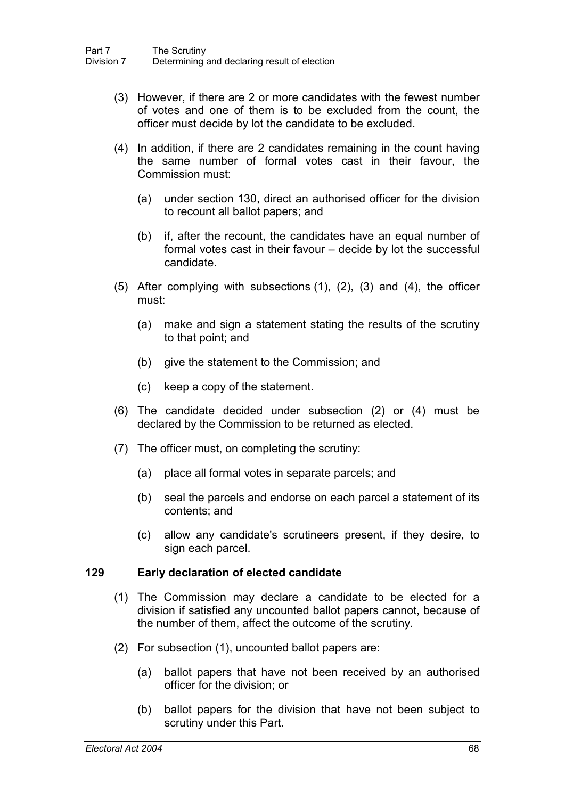- (3) However, if there are 2 or more candidates with the fewest number of votes and one of them is to be excluded from the count, the officer must decide by lot the candidate to be excluded.
- (4) In addition, if there are 2 candidates remaining in the count having the same number of formal votes cast in their favour, the Commission must:
	- (a) under section 130, direct an authorised officer for the division to recount all ballot papers; and
	- (b) if, after the recount, the candidates have an equal number of formal votes cast in their favour – decide by lot the successful candidate.
- (5) After complying with subsections (1), (2), (3) and (4), the officer must:
	- (a) make and sign a statement stating the results of the scrutiny to that point; and
	- (b) give the statement to the Commission; and
	- (c) keep a copy of the statement.
- (6) The candidate decided under subsection (2) or (4) must be declared by the Commission to be returned as elected.
- (7) The officer must, on completing the scrutiny:
	- (a) place all formal votes in separate parcels; and
	- (b) seal the parcels and endorse on each parcel a statement of its contents; and
	- (c) allow any candidate's scrutineers present, if they desire, to sign each parcel.

#### **129 Early declaration of elected candidate**

- (1) The Commission may declare a candidate to be elected for a division if satisfied any uncounted ballot papers cannot, because of the number of them, affect the outcome of the scrutiny.
- (2) For subsection (1), uncounted ballot papers are:
	- (a) ballot papers that have not been received by an authorised officer for the division; or
	- (b) ballot papers for the division that have not been subject to scrutiny under this Part.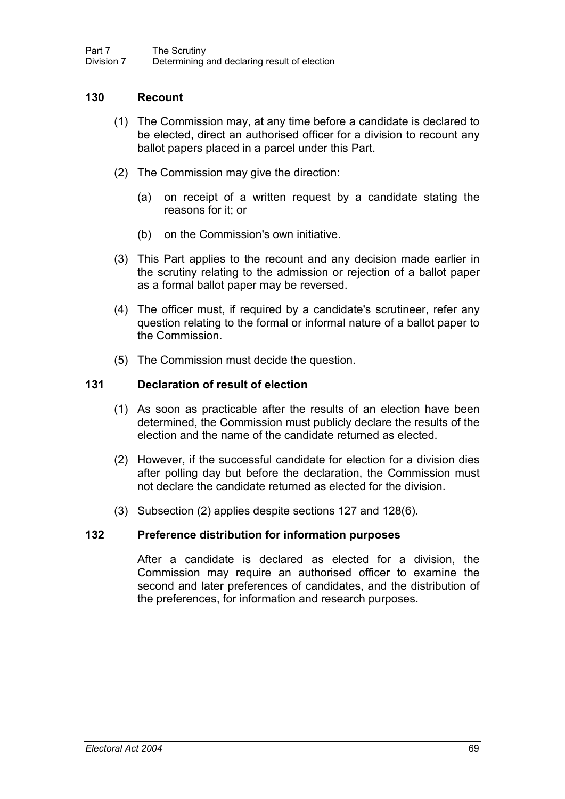# **130 Recount**

- (1) The Commission may, at any time before a candidate is declared to be elected, direct an authorised officer for a division to recount any ballot papers placed in a parcel under this Part.
- (2) The Commission may give the direction:
	- (a) on receipt of a written request by a candidate stating the reasons for it; or
	- (b) on the Commission's own initiative.
- (3) This Part applies to the recount and any decision made earlier in the scrutiny relating to the admission or rejection of a ballot paper as a formal ballot paper may be reversed.
- (4) The officer must, if required by a candidate's scrutineer, refer any question relating to the formal or informal nature of a ballot paper to the Commission.
- (5) The Commission must decide the question.

### **131 Declaration of result of election**

- (1) As soon as practicable after the results of an election have been determined, the Commission must publicly declare the results of the election and the name of the candidate returned as elected.
- (2) However, if the successful candidate for election for a division dies after polling day but before the declaration, the Commission must not declare the candidate returned as elected for the division.
- (3) Subsection (2) applies despite sections 127 and 128(6).

### **132 Preference distribution for information purposes**

After a candidate is declared as elected for a division, the Commission may require an authorised officer to examine the second and later preferences of candidates, and the distribution of the preferences, for information and research purposes.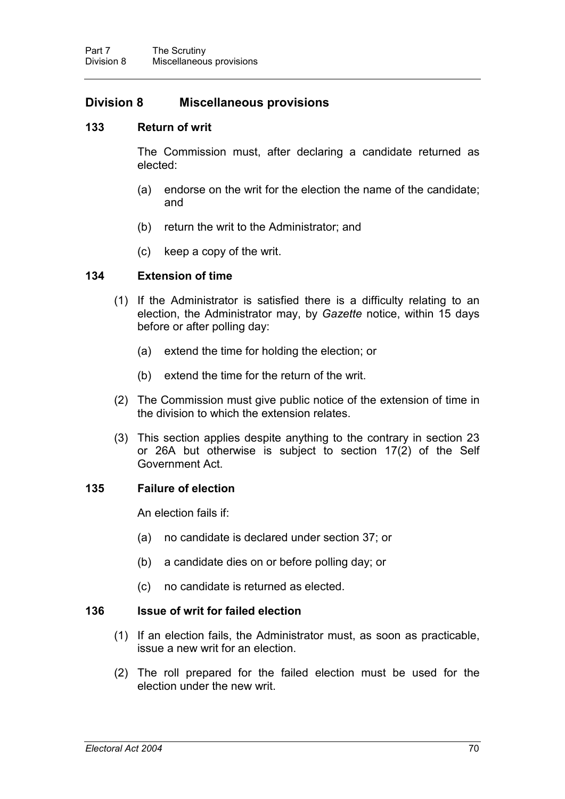# **Division 8 Miscellaneous provisions**

#### **133 Return of writ**

The Commission must, after declaring a candidate returned as elected:

- (a) endorse on the writ for the election the name of the candidate; and
- (b) return the writ to the Administrator; and
- (c) keep a copy of the writ.

#### **134 Extension of time**

- (1) If the Administrator is satisfied there is a difficulty relating to an election, the Administrator may, by *Gazette* notice, within 15 days before or after polling day:
	- (a) extend the time for holding the election; or
	- (b) extend the time for the return of the writ.
- (2) The Commission must give public notice of the extension of time in the division to which the extension relates.
- (3) This section applies despite anything to the contrary in section 23 or 26A but otherwise is subject to section 17(2) of the Self Government Act.

### **135 Failure of election**

An election fails if:

- (a) no candidate is declared under section 37; or
- (b) a candidate dies on or before polling day; or
- (c) no candidate is returned as elected.

#### **136 Issue of writ for failed election**

- (1) If an election fails, the Administrator must, as soon as practicable, issue a new writ for an election.
- (2) The roll prepared for the failed election must be used for the election under the new writ.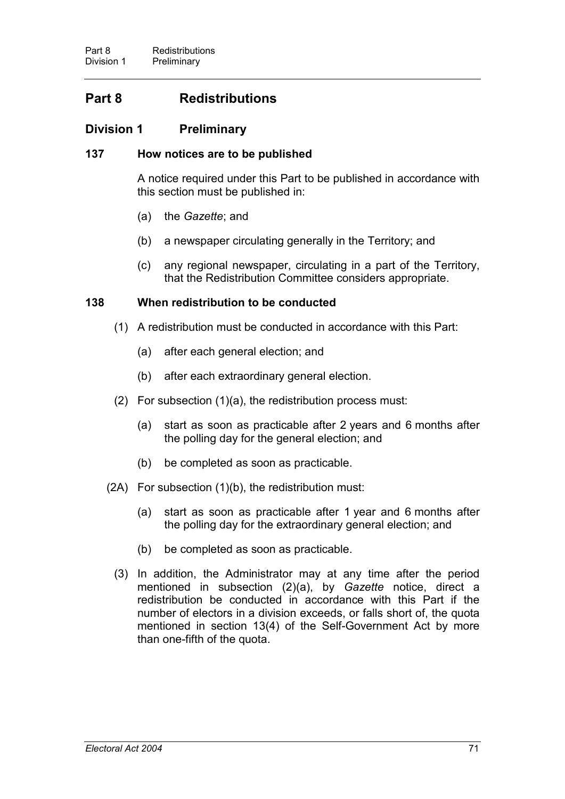# **Part 8 Redistributions**

# **Division 1 Preliminary**

# **137 How notices are to be published**

A notice required under this Part to be published in accordance with this section must be published in:

- (a) the *Gazette*; and
- (b) a newspaper circulating generally in the Territory; and
- (c) any regional newspaper, circulating in a part of the Territory, that the Redistribution Committee considers appropriate.

### **138 When redistribution to be conducted**

- (1) A redistribution must be conducted in accordance with this Part:
	- (a) after each general election; and
	- (b) after each extraordinary general election.
- (2) For subsection (1)(a), the redistribution process must:
	- (a) start as soon as practicable after 2 years and 6 months after the polling day for the general election; and
	- (b) be completed as soon as practicable.
- (2A) For subsection (1)(b), the redistribution must:
	- (a) start as soon as practicable after 1 year and 6 months after the polling day for the extraordinary general election; and
	- (b) be completed as soon as practicable.
	- (3) In addition, the Administrator may at any time after the period mentioned in subsection (2)(a), by *Gazette* notice, direct a redistribution be conducted in accordance with this Part if the number of electors in a division exceeds, or falls short of, the quota mentioned in section 13(4) of the Self-Government Act by more than one-fifth of the quota.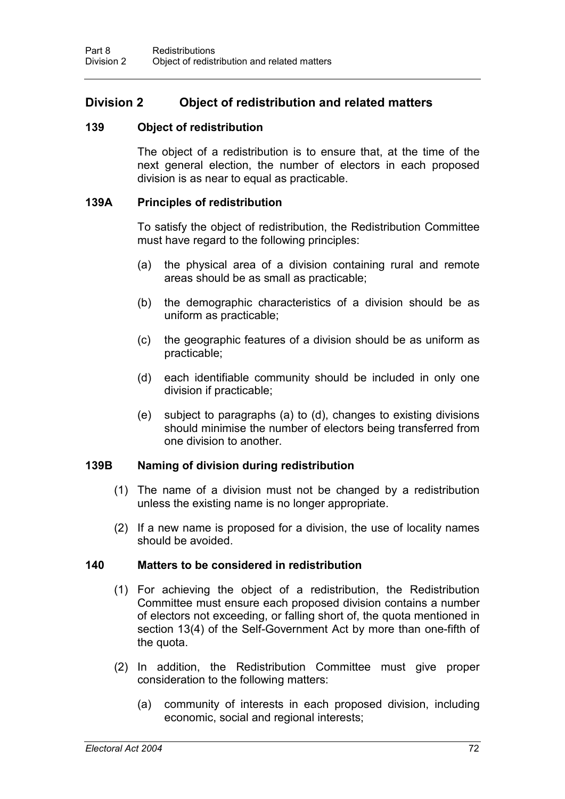# **Division 2 Object of redistribution and related matters**

#### **139 Object of redistribution**

The object of a redistribution is to ensure that, at the time of the next general election, the number of electors in each proposed division is as near to equal as practicable.

#### **139A Principles of redistribution**

To satisfy the object of redistribution, the Redistribution Committee must have regard to the following principles:

- (a) the physical area of a division containing rural and remote areas should be as small as practicable;
- (b) the demographic characteristics of a division should be as uniform as practicable;
- (c) the geographic features of a division should be as uniform as practicable;
- (d) each identifiable community should be included in only one division if practicable;
- (e) subject to paragraphs (a) to (d), changes to existing divisions should minimise the number of electors being transferred from one division to another.

### **139B Naming of division during redistribution**

- (1) The name of a division must not be changed by a redistribution unless the existing name is no longer appropriate.
- (2) If a new name is proposed for a division, the use of locality names should be avoided.

#### **140 Matters to be considered in redistribution**

- (1) For achieving the object of a redistribution, the Redistribution Committee must ensure each proposed division contains a number of electors not exceeding, or falling short of, the quota mentioned in section 13(4) of the Self-Government Act by more than one-fifth of the quota.
- (2) In addition, the Redistribution Committee must give proper consideration to the following matters:
	- (a) community of interests in each proposed division, including economic, social and regional interests;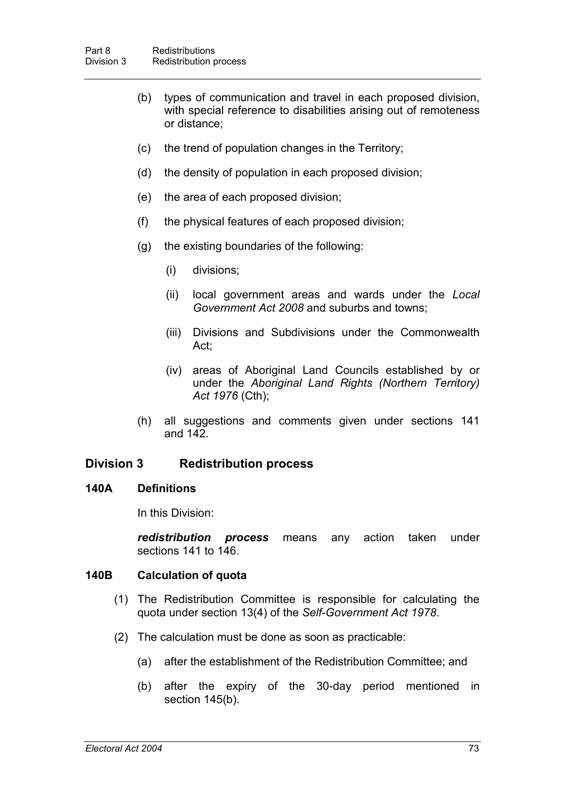- (b) types of communication and travel in each proposed division, with special reference to disabilities arising out of remoteness or distance;
- (c) the trend of population changes in the Territory;
- (d) the density of population in each proposed division;
- (e) the area of each proposed division;
- (f) the physical features of each proposed division;
- (g) the existing boundaries of the following:
	- (i) divisions;
	- (ii) local government areas and wards under the *Local Government Act 2008* and suburbs and towns;
	- (iii) Divisions and Subdivisions under the Commonwealth Act;
	- (iv) areas of Aboriginal Land Councils established by or under the *Aboriginal Land Rights (Northern Territory) Act 1976* (Cth);
- (h) all suggestions and comments given under sections 141 and 142.

# **Division 3 Redistribution process**

### **140A Definitions**

In this Division:

*redistribution process* means any action taken under sections 141 to 146.

### **140B Calculation of quota**

- (1) The Redistribution Committee is responsible for calculating the quota under section 13(4) of the *Self-Government Act 1978*.
- (2) The calculation must be done as soon as practicable:
	- (a) after the establishment of the Redistribution Committee; and
	- (b) after the expiry of the 30-day period mentioned in section 145(b).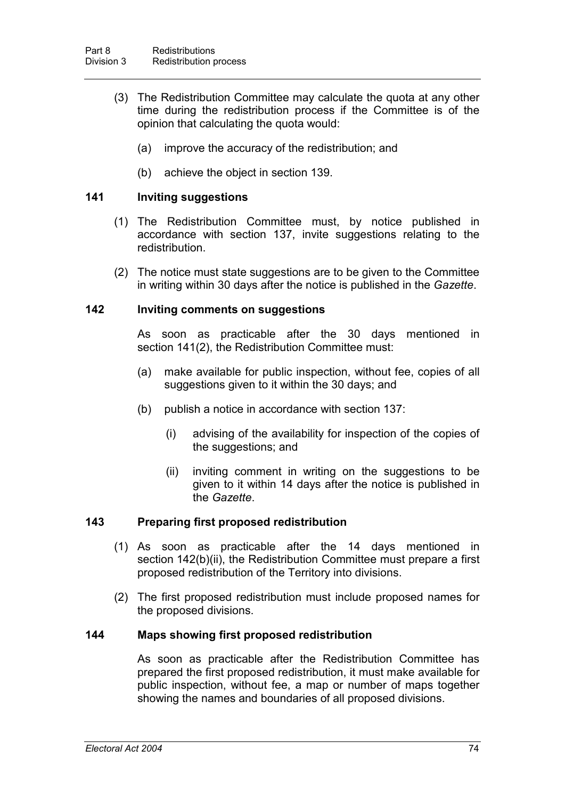- (3) The Redistribution Committee may calculate the quota at any other time during the redistribution process if the Committee is of the opinion that calculating the quota would:
	- (a) improve the accuracy of the redistribution; and
	- (b) achieve the object in section 139.

## **141 Inviting suggestions**

- (1) The Redistribution Committee must, by notice published in accordance with section 137, invite suggestions relating to the redistribution.
- (2) The notice must state suggestions are to be given to the Committee in writing within 30 days after the notice is published in the *Gazette*.

#### **142 Inviting comments on suggestions**

As soon as practicable after the 30 days mentioned in section 141(2), the Redistribution Committee must:

- (a) make available for public inspection, without fee, copies of all suggestions given to it within the 30 days; and
- (b) publish a notice in accordance with section 137:
	- (i) advising of the availability for inspection of the copies of the suggestions; and
	- (ii) inviting comment in writing on the suggestions to be given to it within 14 days after the notice is published in the *Gazette*.

### **143 Preparing first proposed redistribution**

- (1) As soon as practicable after the 14 days mentioned in section 142(b)(ii), the Redistribution Committee must prepare a first proposed redistribution of the Territory into divisions.
- (2) The first proposed redistribution must include proposed names for the proposed divisions.

#### **144 Maps showing first proposed redistribution**

As soon as practicable after the Redistribution Committee has prepared the first proposed redistribution, it must make available for public inspection, without fee, a map or number of maps together showing the names and boundaries of all proposed divisions.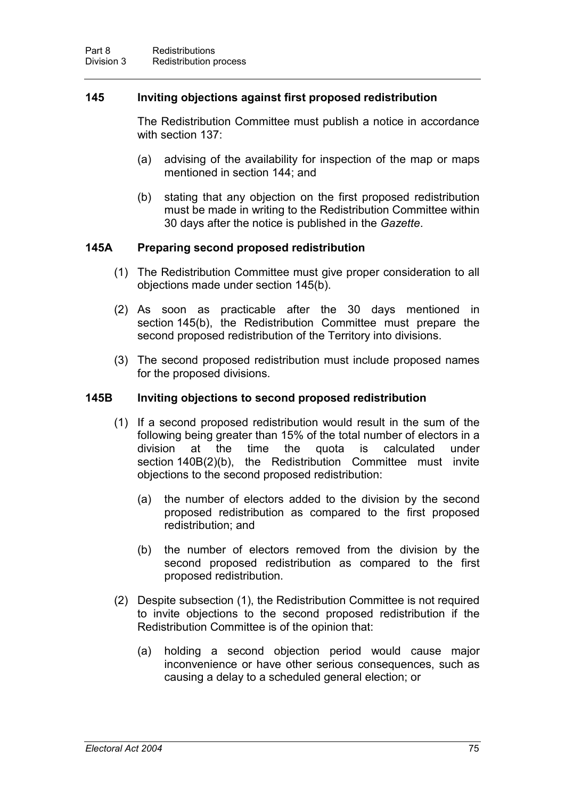## **145 Inviting objections against first proposed redistribution**

The Redistribution Committee must publish a notice in accordance with section 137:

- (a) advising of the availability for inspection of the map or maps mentioned in section 144; and
- (b) stating that any objection on the first proposed redistribution must be made in writing to the Redistribution Committee within 30 days after the notice is published in the *Gazette*.

# **145A Preparing second proposed redistribution**

- (1) The Redistribution Committee must give proper consideration to all objections made under section 145(b).
- (2) As soon as practicable after the 30 days mentioned in section 145(b), the Redistribution Committee must prepare the second proposed redistribution of the Territory into divisions.
- (3) The second proposed redistribution must include proposed names for the proposed divisions.

### **145B Inviting objections to second proposed redistribution**

- (1) If a second proposed redistribution would result in the sum of the following being greater than 15% of the total number of electors in a division at the time the quota is calculated under section 140B(2)(b), the Redistribution Committee must invite objections to the second proposed redistribution:
	- (a) the number of electors added to the division by the second proposed redistribution as compared to the first proposed redistribution; and
	- (b) the number of electors removed from the division by the second proposed redistribution as compared to the first proposed redistribution.
- (2) Despite subsection (1), the Redistribution Committee is not required to invite objections to the second proposed redistribution if the Redistribution Committee is of the opinion that:
	- (a) holding a second objection period would cause major inconvenience or have other serious consequences, such as causing a delay to a scheduled general election; or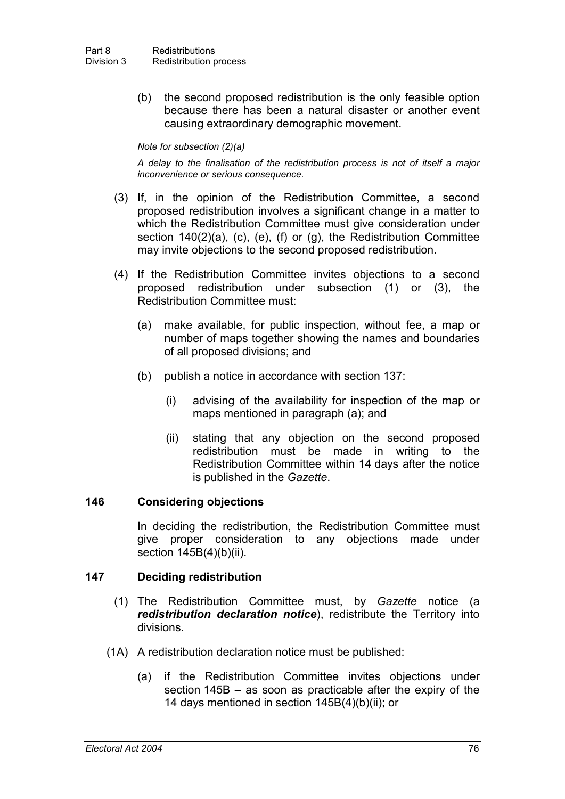(b) the second proposed redistribution is the only feasible option because there has been a natural disaster or another event causing extraordinary demographic movement.

#### *Note for subsection (2)(a)*

*A delay to the finalisation of the redistribution process is not of itself a major inconvenience or serious consequence.*

- (3) If, in the opinion of the Redistribution Committee, a second proposed redistribution involves a significant change in a matter to which the Redistribution Committee must give consideration under section 140(2)(a), (c), (e), (f) or (g), the Redistribution Committee may invite objections to the second proposed redistribution.
- (4) If the Redistribution Committee invites objections to a second proposed redistribution under subsection (1) or (3), the Redistribution Committee must:
	- (a) make available, for public inspection, without fee, a map or number of maps together showing the names and boundaries of all proposed divisions; and
	- (b) publish a notice in accordance with section 137:
		- (i) advising of the availability for inspection of the map or maps mentioned in paragraph (a); and
		- (ii) stating that any objection on the second proposed redistribution must be made in writing to the Redistribution Committee within 14 days after the notice is published in the *Gazette*.

### **146 Considering objections**

In deciding the redistribution, the Redistribution Committee must give proper consideration to any objections made under section 145B(4)(b)(ii).

#### **147 Deciding redistribution**

- (1) The Redistribution Committee must, by *Gazette* notice (a *redistribution declaration notice*), redistribute the Territory into divisions.
- (1A) A redistribution declaration notice must be published:
	- (a) if the Redistribution Committee invites objections under section 145B – as soon as practicable after the expiry of the 14 days mentioned in section 145B(4)(b)(ii); or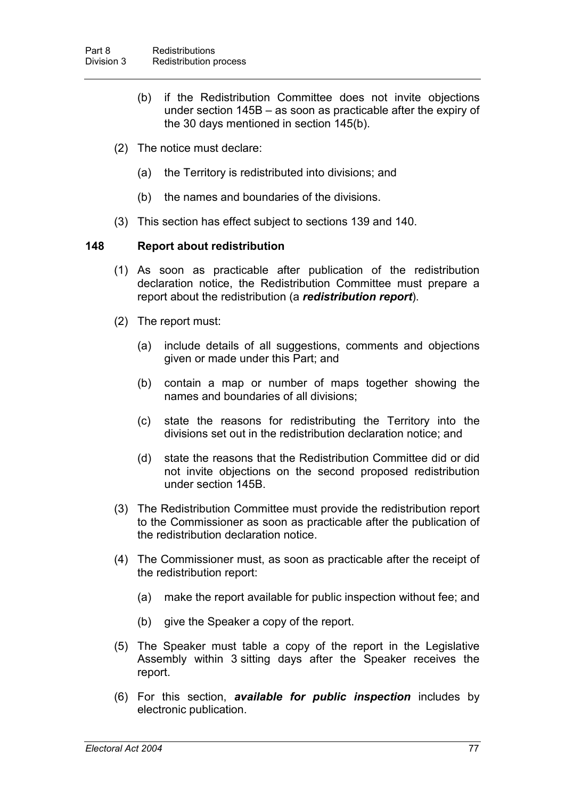- (b) if the Redistribution Committee does not invite objections under section 145B – as soon as practicable after the expiry of the 30 days mentioned in section 145(b).
- (2) The notice must declare:
	- (a) the Territory is redistributed into divisions; and
	- (b) the names and boundaries of the divisions.
- (3) This section has effect subject to sections 139 and 140.

# **148 Report about redistribution**

- (1) As soon as practicable after publication of the redistribution declaration notice, the Redistribution Committee must prepare a report about the redistribution (a *redistribution report*).
- (2) The report must:
	- (a) include details of all suggestions, comments and objections given or made under this Part; and
	- (b) contain a map or number of maps together showing the names and boundaries of all divisions;
	- (c) state the reasons for redistributing the Territory into the divisions set out in the redistribution declaration notice; and
	- (d) state the reasons that the Redistribution Committee did or did not invite objections on the second proposed redistribution under section 145B.
- (3) The Redistribution Committee must provide the redistribution report to the Commissioner as soon as practicable after the publication of the redistribution declaration notice.
- (4) The Commissioner must, as soon as practicable after the receipt of the redistribution report:
	- (a) make the report available for public inspection without fee; and
	- (b) give the Speaker a copy of the report.
- (5) The Speaker must table a copy of the report in the Legislative Assembly within 3 sitting days after the Speaker receives the report.
- (6) For this section, *available for public inspection* includes by electronic publication.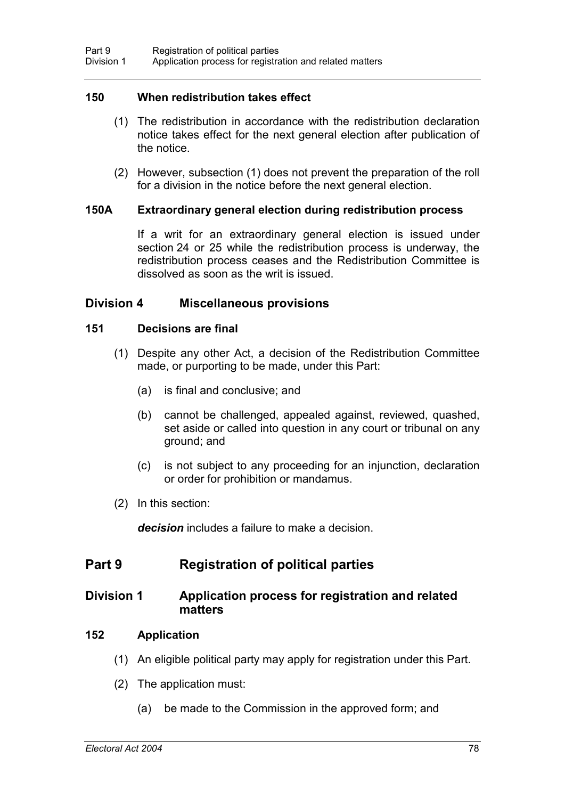### **150 When redistribution takes effect**

- (1) The redistribution in accordance with the redistribution declaration notice takes effect for the next general election after publication of the notice.
- (2) However, subsection (1) does not prevent the preparation of the roll for a division in the notice before the next general election.

#### **150A Extraordinary general election during redistribution process**

If a writ for an extraordinary general election is issued under section 24 or 25 while the redistribution process is underway, the redistribution process ceases and the Redistribution Committee is dissolved as soon as the writ is issued.

### **Division 4 Miscellaneous provisions**

#### **151 Decisions are final**

- (1) Despite any other Act, a decision of the Redistribution Committee made, or purporting to be made, under this Part:
	- (a) is final and conclusive; and
	- (b) cannot be challenged, appealed against, reviewed, quashed, set aside or called into question in any court or tribunal on any ground; and
	- (c) is not subject to any proceeding for an injunction, declaration or order for prohibition or mandamus.
- (2) In this section:

*decision* includes a failure to make a decision.

# **Part 9 Registration of political parties**

# **Division 1 Application process for registration and related matters**

### **152 Application**

- (1) An eligible political party may apply for registration under this Part.
- (2) The application must:
	- (a) be made to the Commission in the approved form; and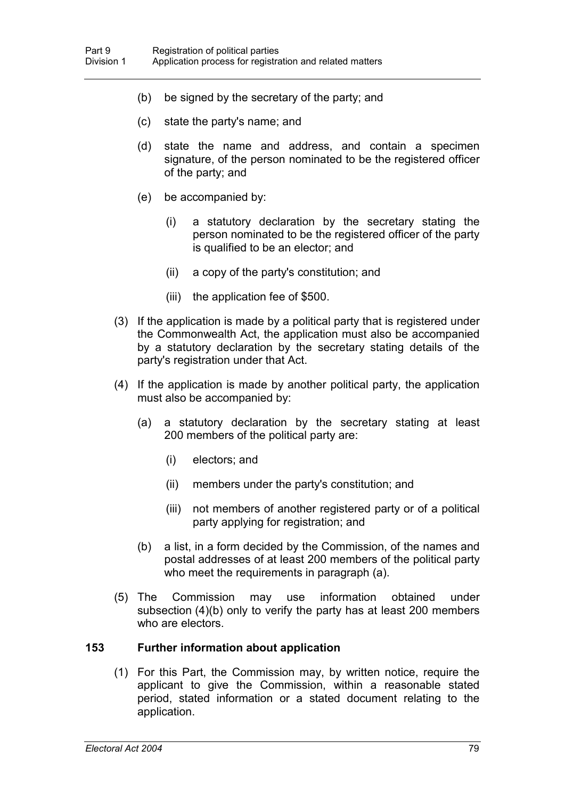- (b) be signed by the secretary of the party; and
- (c) state the party's name; and
- (d) state the name and address, and contain a specimen signature, of the person nominated to be the registered officer of the party; and
- (e) be accompanied by:
	- (i) a statutory declaration by the secretary stating the person nominated to be the registered officer of the party is qualified to be an elector; and
	- (ii) a copy of the party's constitution; and
	- (iii) the application fee of \$500.
- (3) If the application is made by a political party that is registered under the Commonwealth Act, the application must also be accompanied by a statutory declaration by the secretary stating details of the party's registration under that Act.
- (4) If the application is made by another political party, the application must also be accompanied by:
	- (a) a statutory declaration by the secretary stating at least 200 members of the political party are:
		- (i) electors; and
		- (ii) members under the party's constitution; and
		- (iii) not members of another registered party or of a political party applying for registration; and
	- (b) a list, in a form decided by the Commission, of the names and postal addresses of at least 200 members of the political party who meet the requirements in paragraph (a).
- (5) The Commission may use information obtained under subsection (4)(b) only to verify the party has at least 200 members who are electors.

### **153 Further information about application**

(1) For this Part, the Commission may, by written notice, require the applicant to give the Commission, within a reasonable stated period, stated information or a stated document relating to the application.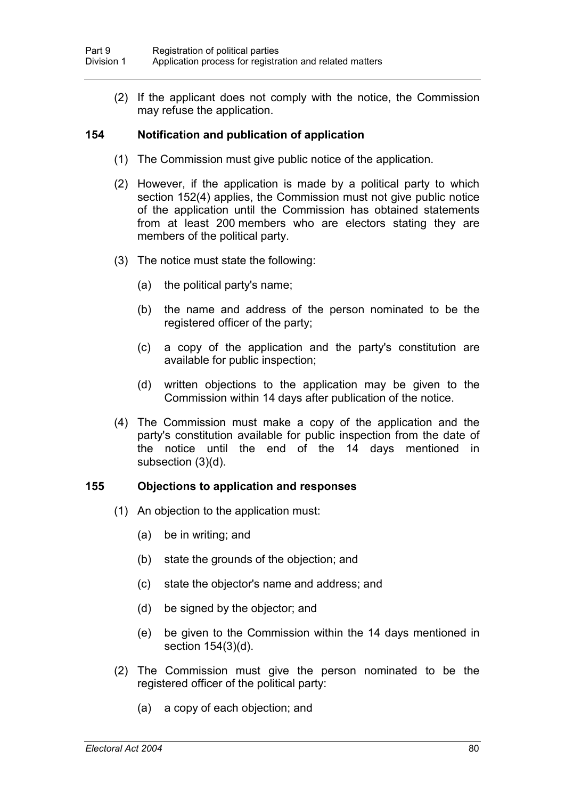(2) If the applicant does not comply with the notice, the Commission may refuse the application.

## **154 Notification and publication of application**

- (1) The Commission must give public notice of the application.
- (2) However, if the application is made by a political party to which section 152(4) applies, the Commission must not give public notice of the application until the Commission has obtained statements from at least 200 members who are electors stating they are members of the political party.
- (3) The notice must state the following:
	- (a) the political party's name;
	- (b) the name and address of the person nominated to be the registered officer of the party;
	- (c) a copy of the application and the party's constitution are available for public inspection;
	- (d) written objections to the application may be given to the Commission within 14 days after publication of the notice.
- (4) The Commission must make a copy of the application and the party's constitution available for public inspection from the date of the notice until the end of the 14 days mentioned in subsection (3)(d).

### **155 Objections to application and responses**

- (1) An objection to the application must:
	- (a) be in writing; and
	- (b) state the grounds of the objection; and
	- (c) state the objector's name and address; and
	- (d) be signed by the objector; and
	- (e) be given to the Commission within the 14 days mentioned in section 154(3)(d).
- (2) The Commission must give the person nominated to be the registered officer of the political party:
	- (a) a copy of each objection; and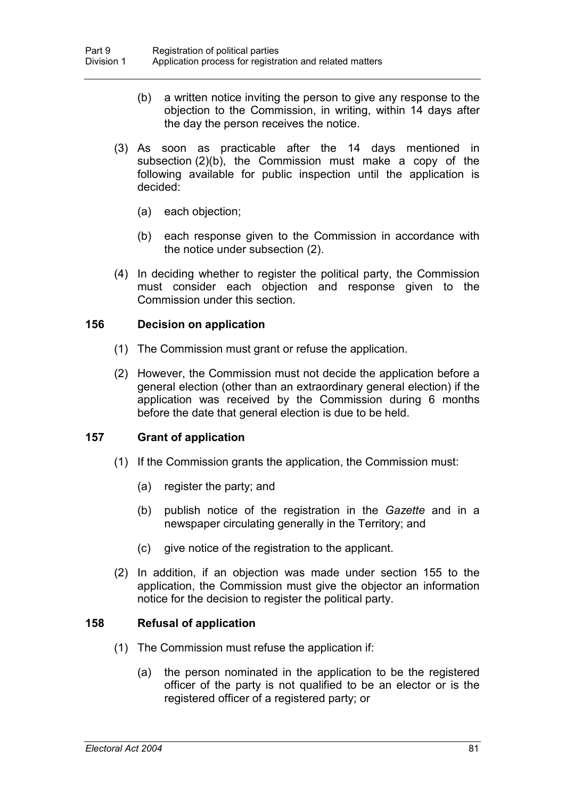- (b) a written notice inviting the person to give any response to the objection to the Commission, in writing, within 14 days after the day the person receives the notice.
- (3) As soon as practicable after the 14 days mentioned in subsection (2)(b), the Commission must make a copy of the following available for public inspection until the application is decided:
	- (a) each objection;
	- (b) each response given to the Commission in accordance with the notice under subsection (2).
- (4) In deciding whether to register the political party, the Commission must consider each objection and response given to the Commission under this section.

### **156 Decision on application**

- (1) The Commission must grant or refuse the application.
- (2) However, the Commission must not decide the application before a general election (other than an extraordinary general election) if the application was received by the Commission during 6 months before the date that general election is due to be held.

### **157 Grant of application**

- (1) If the Commission grants the application, the Commission must:
	- (a) register the party; and
	- (b) publish notice of the registration in the *Gazette* and in a newspaper circulating generally in the Territory; and
	- (c) give notice of the registration to the applicant.
- (2) In addition, if an objection was made under section 155 to the application, the Commission must give the objector an information notice for the decision to register the political party.

### **158 Refusal of application**

- (1) The Commission must refuse the application if:
	- (a) the person nominated in the application to be the registered officer of the party is not qualified to be an elector or is the registered officer of a registered party; or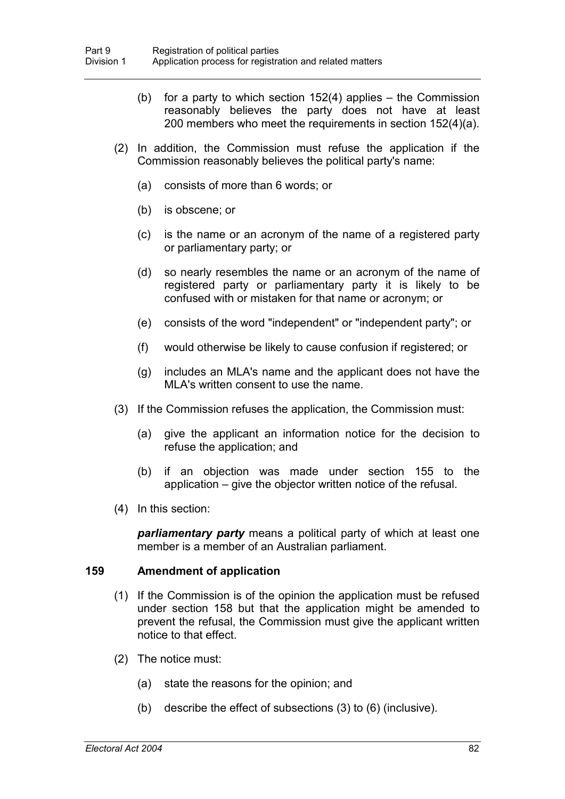- (b) for a party to which section  $152(4)$  applies the Commission reasonably believes the party does not have at least 200 members who meet the requirements in section 152(4)(a).
- (2) In addition, the Commission must refuse the application if the Commission reasonably believes the political party's name:
	- (a) consists of more than 6 words; or
	- (b) is obscene; or
	- (c) is the name or an acronym of the name of a registered party or parliamentary party; or
	- (d) so nearly resembles the name or an acronym of the name of registered party or parliamentary party it is likely to be confused with or mistaken for that name or acronym; or
	- (e) consists of the word "independent" or "independent party"; or
	- (f) would otherwise be likely to cause confusion if registered; or
	- (g) includes an MLA's name and the applicant does not have the MLA's written consent to use the name.
- (3) If the Commission refuses the application, the Commission must:
	- (a) give the applicant an information notice for the decision to refuse the application; and
	- (b) if an objection was made under section 155 to the application – give the objector written notice of the refusal.
- (4) In this section:

*parliamentary party* means a political party of which at least one member is a member of an Australian parliament.

#### **159 Amendment of application**

- (1) If the Commission is of the opinion the application must be refused under section 158 but that the application might be amended to prevent the refusal, the Commission must give the applicant written notice to that effect.
- (2) The notice must:
	- (a) state the reasons for the opinion; and
	- (b) describe the effect of subsections (3) to (6) (inclusive).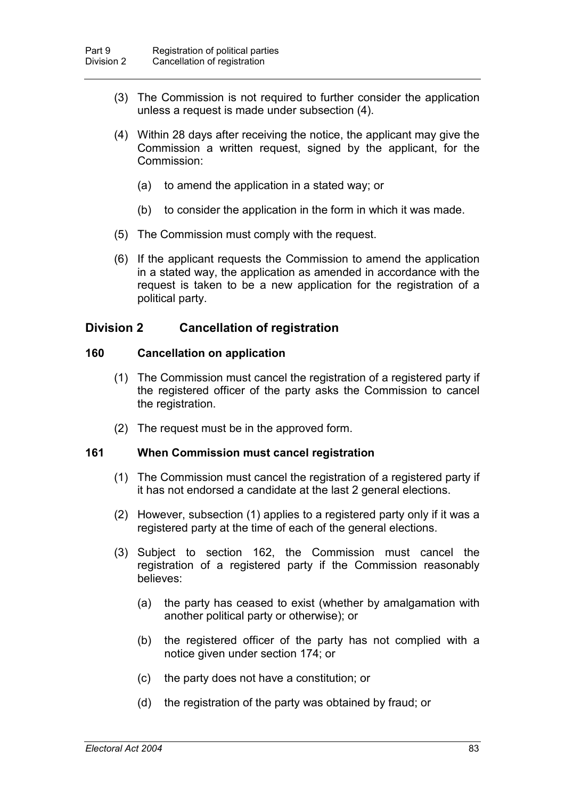- (3) The Commission is not required to further consider the application unless a request is made under subsection (4).
- (4) Within 28 days after receiving the notice, the applicant may give the Commission a written request, signed by the applicant, for the Commission:
	- (a) to amend the application in a stated way; or
	- (b) to consider the application in the form in which it was made.
- (5) The Commission must comply with the request.
- (6) If the applicant requests the Commission to amend the application in a stated way, the application as amended in accordance with the request is taken to be a new application for the registration of a political party.

# **Division 2 Cancellation of registration**

#### **160 Cancellation on application**

- (1) The Commission must cancel the registration of a registered party if the registered officer of the party asks the Commission to cancel the registration.
- (2) The request must be in the approved form.

#### **161 When Commission must cancel registration**

- (1) The Commission must cancel the registration of a registered party if it has not endorsed a candidate at the last 2 general elections.
- (2) However, subsection (1) applies to a registered party only if it was a registered party at the time of each of the general elections.
- (3) Subject to section 162, the Commission must cancel the registration of a registered party if the Commission reasonably believes:
	- (a) the party has ceased to exist (whether by amalgamation with another political party or otherwise); or
	- (b) the registered officer of the party has not complied with a notice given under section 174; or
	- (c) the party does not have a constitution; or
	- (d) the registration of the party was obtained by fraud; or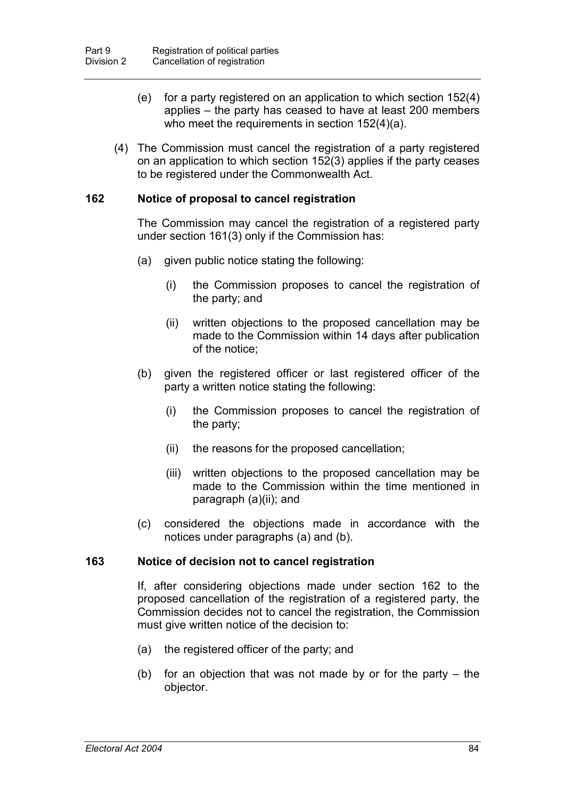- (e) for a party registered on an application to which section 152(4) applies – the party has ceased to have at least 200 members who meet the requirements in section 152(4)(a).
- (4) The Commission must cancel the registration of a party registered on an application to which section 152(3) applies if the party ceases to be registered under the Commonwealth Act.

### **162 Notice of proposal to cancel registration**

The Commission may cancel the registration of a registered party under section 161(3) only if the Commission has:

- (a) given public notice stating the following:
	- (i) the Commission proposes to cancel the registration of the party; and
	- (ii) written objections to the proposed cancellation may be made to the Commission within 14 days after publication of the notice;
- (b) given the registered officer or last registered officer of the party a written notice stating the following:
	- (i) the Commission proposes to cancel the registration of the party;
	- (ii) the reasons for the proposed cancellation;
	- (iii) written objections to the proposed cancellation may be made to the Commission within the time mentioned in paragraph (a)(ii); and
- (c) considered the objections made in accordance with the notices under paragraphs (a) and (b).

#### **163 Notice of decision not to cancel registration**

If, after considering objections made under section 162 to the proposed cancellation of the registration of a registered party, the Commission decides not to cancel the registration, the Commission must give written notice of the decision to:

- (a) the registered officer of the party; and
- (b) for an objection that was not made by or for the party the objector.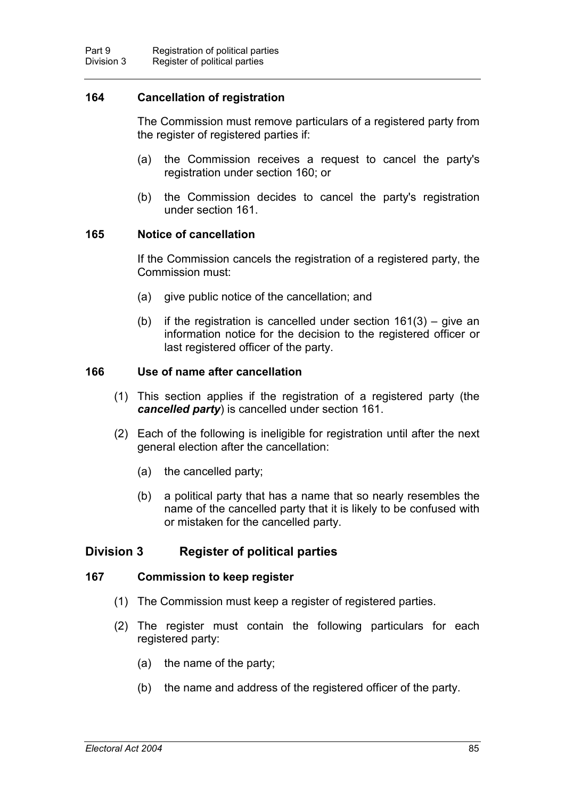# **164 Cancellation of registration**

The Commission must remove particulars of a registered party from the register of registered parties if:

- (a) the Commission receives a request to cancel the party's registration under section 160; or
- (b) the Commission decides to cancel the party's registration under section 161.

#### **165 Notice of cancellation**

If the Commission cancels the registration of a registered party, the Commission must:

- (a) give public notice of the cancellation; and
- (b) if the registration is cancelled under section  $161(3)$  give an information notice for the decision to the registered officer or last registered officer of the party.

### **166 Use of name after cancellation**

- (1) This section applies if the registration of a registered party (the *cancelled party*) is cancelled under section 161.
- (2) Each of the following is ineligible for registration until after the next general election after the cancellation:
	- (a) the cancelled party;
	- (b) a political party that has a name that so nearly resembles the name of the cancelled party that it is likely to be confused with or mistaken for the cancelled party.

# **Division 3 Register of political parties**

#### **167 Commission to keep register**

- (1) The Commission must keep a register of registered parties.
- (2) The register must contain the following particulars for each registered party:
	- (a) the name of the party;
	- (b) the name and address of the registered officer of the party.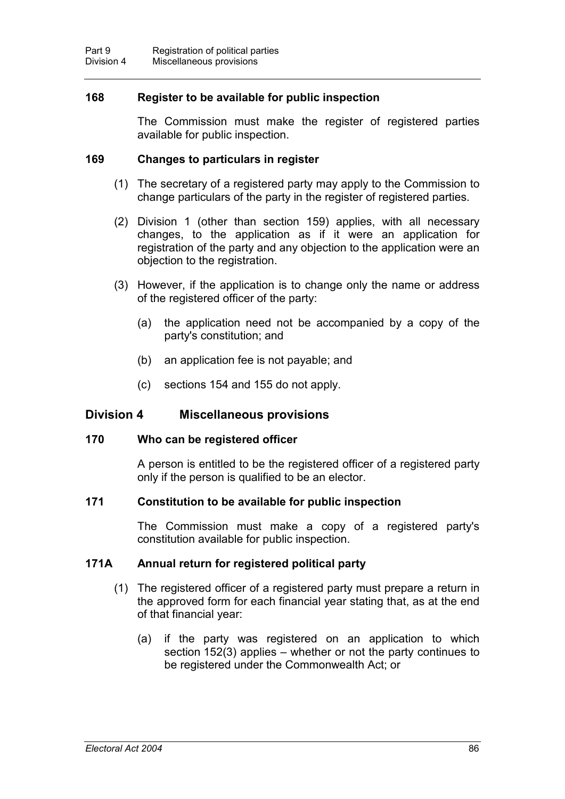# **168 Register to be available for public inspection**

The Commission must make the register of registered parties available for public inspection.

### **169 Changes to particulars in register**

- (1) The secretary of a registered party may apply to the Commission to change particulars of the party in the register of registered parties.
- (2) Division 1 (other than section 159) applies, with all necessary changes, to the application as if it were an application for registration of the party and any objection to the application were an objection to the registration.
- (3) However, if the application is to change only the name or address of the registered officer of the party:
	- (a) the application need not be accompanied by a copy of the party's constitution; and
	- (b) an application fee is not payable; and
	- (c) sections 154 and 155 do not apply.

### **Division 4 Miscellaneous provisions**

#### **170 Who can be registered officer**

A person is entitled to be the registered officer of a registered party only if the person is qualified to be an elector.

### **171 Constitution to be available for public inspection**

The Commission must make a copy of a registered party's constitution available for public inspection.

### **171A Annual return for registered political party**

- (1) The registered officer of a registered party must prepare a return in the approved form for each financial year stating that, as at the end of that financial year:
	- (a) if the party was registered on an application to which section 152(3) applies – whether or not the party continues to be registered under the Commonwealth Act; or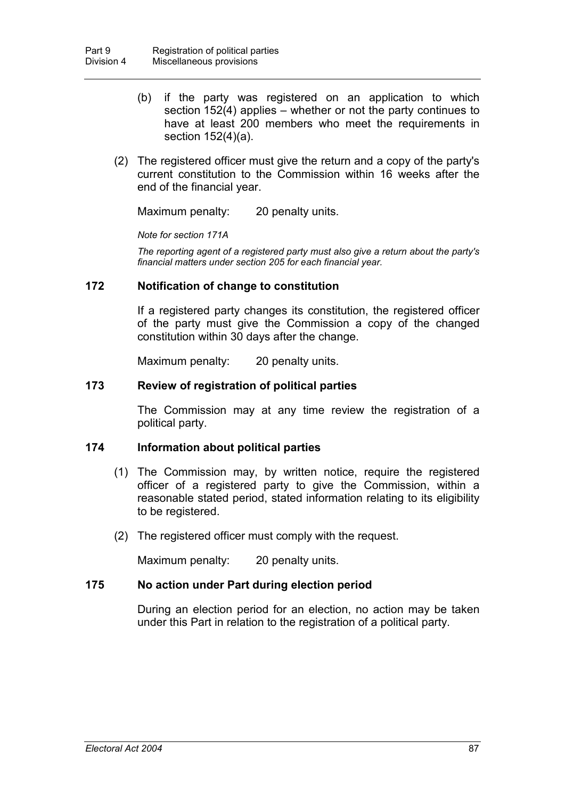- (b) if the party was registered on an application to which section 152(4) applies – whether or not the party continues to have at least 200 members who meet the requirements in section 152(4)(a).
- (2) The registered officer must give the return and a copy of the party's current constitution to the Commission within 16 weeks after the end of the financial year.

Maximum penalty: 20 penalty units.

*Note for section 171A*

*The reporting agent of a registered party must also give a return about the party's financial matters under section 205 for each financial year.*

### **172 Notification of change to constitution**

If a registered party changes its constitution, the registered officer of the party must give the Commission a copy of the changed constitution within 30 days after the change.

Maximum penalty: 20 penalty units.

## **173 Review of registration of political parties**

The Commission may at any time review the registration of a political party.

#### **174 Information about political parties**

- (1) The Commission may, by written notice, require the registered officer of a registered party to give the Commission, within a reasonable stated period, stated information relating to its eligibility to be registered.
- (2) The registered officer must comply with the request.

Maximum penalty: 20 penalty units.

### **175 No action under Part during election period**

During an election period for an election, no action may be taken under this Part in relation to the registration of a political party.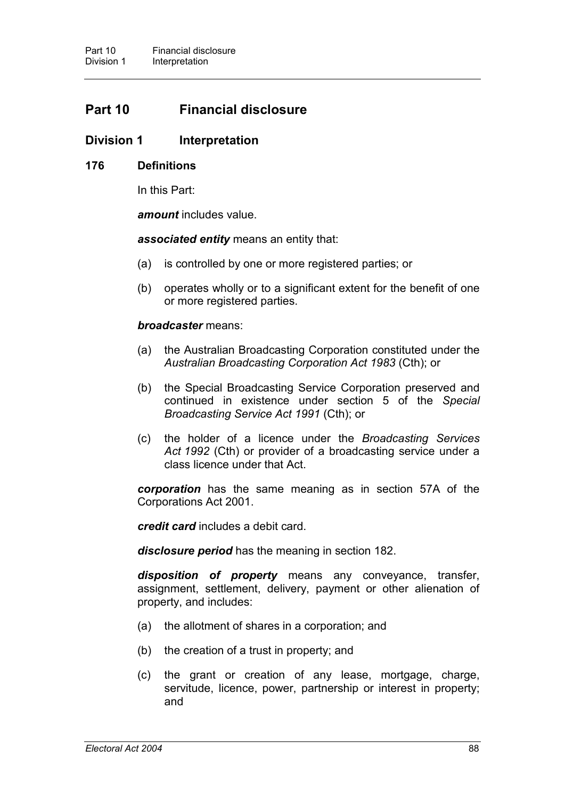# **Part 10 Financial disclosure**

# **Division 1 Interpretation**

#### **176 Definitions**

In this Part:

*amount* includes value.

*associated entity* means an entity that:

- (a) is controlled by one or more registered parties; or
- (b) operates wholly or to a significant extent for the benefit of one or more registered parties.

#### *broadcaster* means:

- (a) the Australian Broadcasting Corporation constituted under the *Australian Broadcasting Corporation Act 1983* (Cth); or
- (b) the Special Broadcasting Service Corporation preserved and continued in existence under section 5 of the *Special Broadcasting Service Act 1991* (Cth); or
- (c) the holder of a licence under the *Broadcasting Services Act 1992* (Cth) or provider of a broadcasting service under a class licence under that Act.

*corporation* has the same meaning as in section 57A of the Corporations Act 2001.

*credit card* includes a debit card.

*disclosure period* has the meaning in section 182.

*disposition of property* means any conveyance, transfer, assignment, settlement, delivery, payment or other alienation of property, and includes:

- (a) the allotment of shares in a corporation; and
- (b) the creation of a trust in property; and
- (c) the grant or creation of any lease, mortgage, charge, servitude, licence, power, partnership or interest in property; and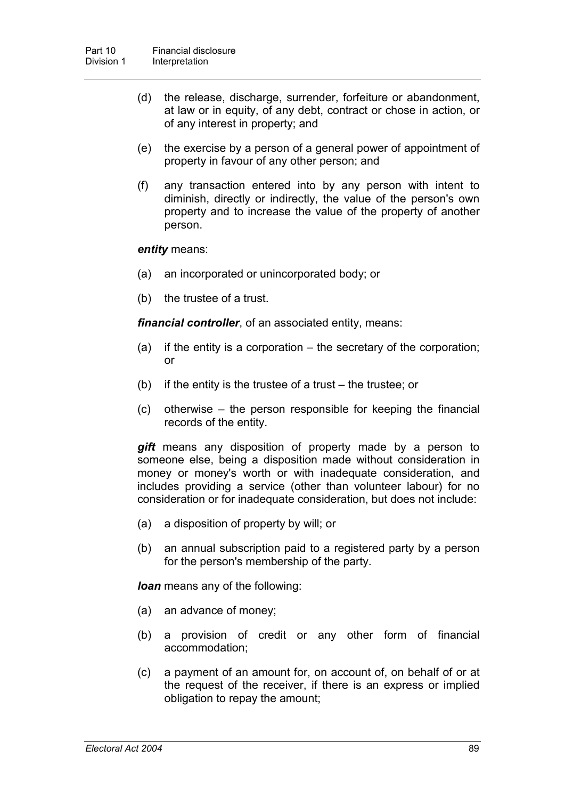- (d) the release, discharge, surrender, forfeiture or abandonment, at law or in equity, of any debt, contract or chose in action, or of any interest in property; and
- (e) the exercise by a person of a general power of appointment of property in favour of any other person; and
- (f) any transaction entered into by any person with intent to diminish, directly or indirectly, the value of the person's own property and to increase the value of the property of another person.

#### *entity* means:

- (a) an incorporated or unincorporated body; or
- (b) the trustee of a trust.

*financial controller*, of an associated entity, means:

- (a) if the entity is a corporation the secretary of the corporation; or
- (b) if the entity is the trustee of a trust the trustee; or
- (c) otherwise the person responsible for keeping the financial records of the entity.

*gift* means any disposition of property made by a person to someone else, being a disposition made without consideration in money or money's worth or with inadequate consideration, and includes providing a service (other than volunteer labour) for no consideration or for inadequate consideration, but does not include:

- (a) a disposition of property by will; or
- (b) an annual subscription paid to a registered party by a person for the person's membership of the party.

*loan* means any of the following:

- (a) an advance of money;
- (b) a provision of credit or any other form of financial accommodation;
- (c) a payment of an amount for, on account of, on behalf of or at the request of the receiver, if there is an express or implied obligation to repay the amount;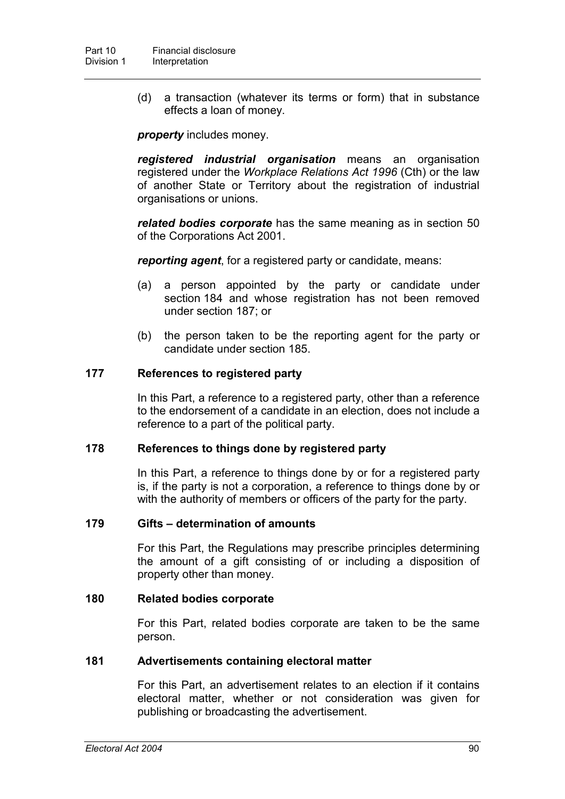(d) a transaction (whatever its terms or form) that in substance effects a loan of money.

*property* includes money.

*registered industrial organisation* means an organisation registered under the *Workplace Relations Act 1996* (Cth) or the law of another State or Territory about the registration of industrial organisations or unions.

*related bodies corporate* has the same meaning as in section 50 of the Corporations Act 2001.

*reporting agent*, for a registered party or candidate, means:

- (a) a person appointed by the party or candidate under section 184 and whose registration has not been removed under section 187; or
- (b) the person taken to be the reporting agent for the party or candidate under section 185.

# **177 References to registered party**

In this Part, a reference to a registered party, other than a reference to the endorsement of a candidate in an election, does not include a reference to a part of the political party.

### **178 References to things done by registered party**

In this Part, a reference to things done by or for a registered party is, if the party is not a corporation, a reference to things done by or with the authority of members or officers of the party for the party.

### **179 Gifts – determination of amounts**

For this Part, the Regulations may prescribe principles determining the amount of a gift consisting of or including a disposition of property other than money.

### **180 Related bodies corporate**

For this Part, related bodies corporate are taken to be the same person.

### **181 Advertisements containing electoral matter**

For this Part, an advertisement relates to an election if it contains electoral matter, whether or not consideration was given for publishing or broadcasting the advertisement.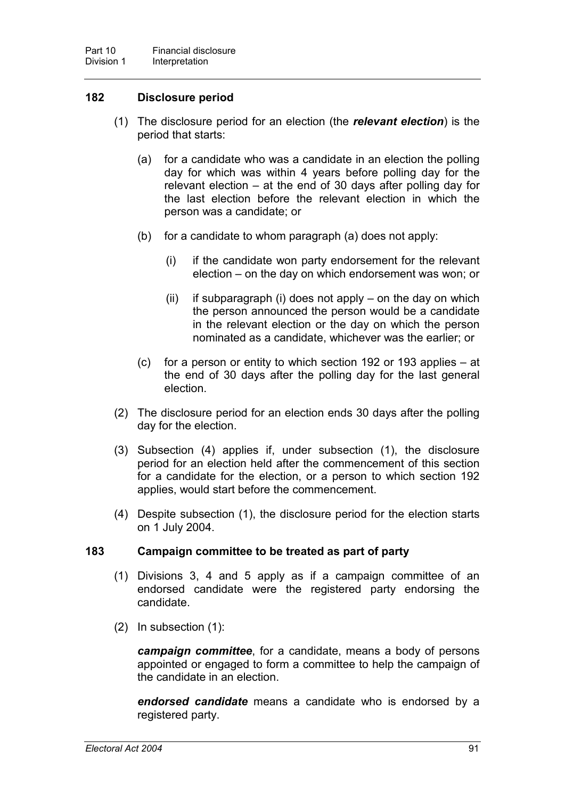# **182 Disclosure period**

- (1) The disclosure period for an election (the *relevant election*) is the period that starts:
	- (a) for a candidate who was a candidate in an election the polling day for which was within 4 years before polling day for the relevant election – at the end of 30 days after polling day for the last election before the relevant election in which the person was a candidate; or
	- (b) for a candidate to whom paragraph (a) does not apply:
		- (i) if the candidate won party endorsement for the relevant election – on the day on which endorsement was won; or
		- (ii) if subparagraph (i) does not apply on the day on which the person announced the person would be a candidate in the relevant election or the day on which the person nominated as a candidate, whichever was the earlier; or
	- (c) for a person or entity to which section 192 or 193 applies at the end of 30 days after the polling day for the last general election.
- (2) The disclosure period for an election ends 30 days after the polling day for the election.
- (3) Subsection (4) applies if, under subsection (1), the disclosure period for an election held after the commencement of this section for a candidate for the election, or a person to which section 192 applies, would start before the commencement.
- (4) Despite subsection (1), the disclosure period for the election starts on 1 July 2004.

### **183 Campaign committee to be treated as part of party**

- (1) Divisions 3, 4 and 5 apply as if a campaign committee of an endorsed candidate were the registered party endorsing the candidate.
- (2) In subsection (1):

*campaign committee*, for a candidate, means a body of persons appointed or engaged to form a committee to help the campaign of the candidate in an election.

*endorsed candidate* means a candidate who is endorsed by a registered party.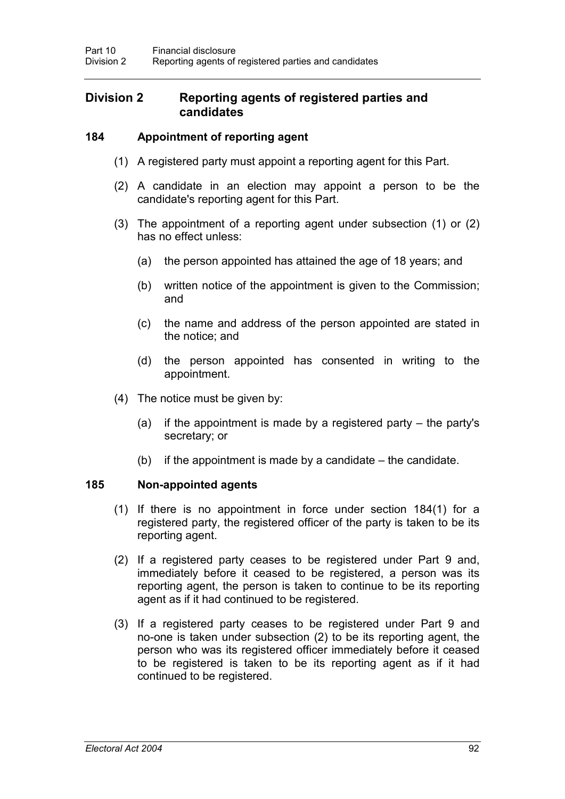# **Division 2 Reporting agents of registered parties and candidates**

## **184 Appointment of reporting agent**

- (1) A registered party must appoint a reporting agent for this Part.
- (2) A candidate in an election may appoint a person to be the candidate's reporting agent for this Part.
- (3) The appointment of a reporting agent under subsection (1) or (2) has no effect unless:
	- (a) the person appointed has attained the age of 18 years; and
	- (b) written notice of the appointment is given to the Commission; and
	- (c) the name and address of the person appointed are stated in the notice; and
	- (d) the person appointed has consented in writing to the appointment.
- (4) The notice must be given by:
	- (a) if the appointment is made by a registered party the party's secretary; or
	- (b) if the appointment is made by a candidate the candidate.

## **185 Non-appointed agents**

- (1) If there is no appointment in force under section 184(1) for a registered party, the registered officer of the party is taken to be its reporting agent.
- (2) If a registered party ceases to be registered under Part 9 and, immediately before it ceased to be registered, a person was its reporting agent, the person is taken to continue to be its reporting agent as if it had continued to be registered.
- (3) If a registered party ceases to be registered under Part 9 and no-one is taken under subsection (2) to be its reporting agent, the person who was its registered officer immediately before it ceased to be registered is taken to be its reporting agent as if it had continued to be registered.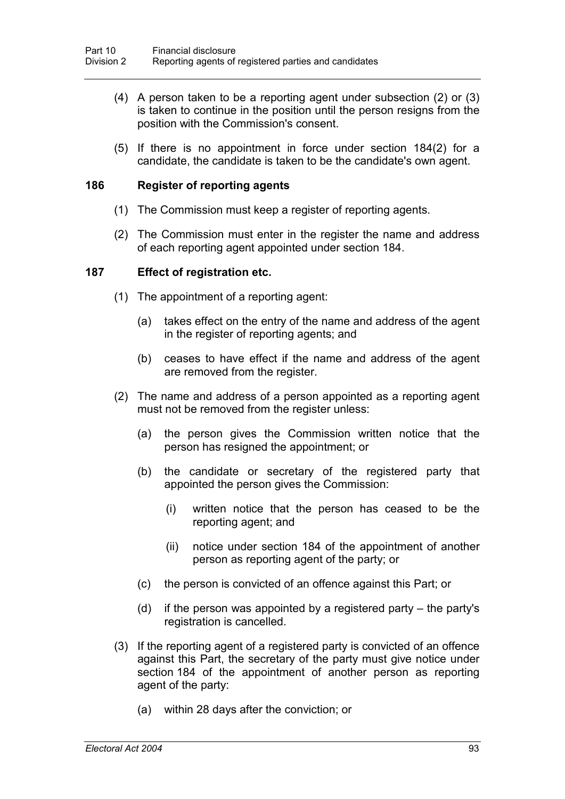- (4) A person taken to be a reporting agent under subsection (2) or (3) is taken to continue in the position until the person resigns from the position with the Commission's consent.
- (5) If there is no appointment in force under section 184(2) for a candidate, the candidate is taken to be the candidate's own agent.

#### **186 Register of reporting agents**

- (1) The Commission must keep a register of reporting agents.
- (2) The Commission must enter in the register the name and address of each reporting agent appointed under section 184.

#### **187 Effect of registration etc.**

- (1) The appointment of a reporting agent:
	- (a) takes effect on the entry of the name and address of the agent in the register of reporting agents; and
	- (b) ceases to have effect if the name and address of the agent are removed from the register.
- (2) The name and address of a person appointed as a reporting agent must not be removed from the register unless:
	- (a) the person gives the Commission written notice that the person has resigned the appointment; or
	- (b) the candidate or secretary of the registered party that appointed the person gives the Commission:
		- (i) written notice that the person has ceased to be the reporting agent; and
		- (ii) notice under section 184 of the appointment of another person as reporting agent of the party; or
	- (c) the person is convicted of an offence against this Part; or
	- (d) if the person was appointed by a registered party the party's registration is cancelled.
- (3) If the reporting agent of a registered party is convicted of an offence against this Part, the secretary of the party must give notice under section 184 of the appointment of another person as reporting agent of the party:
	- (a) within 28 days after the conviction; or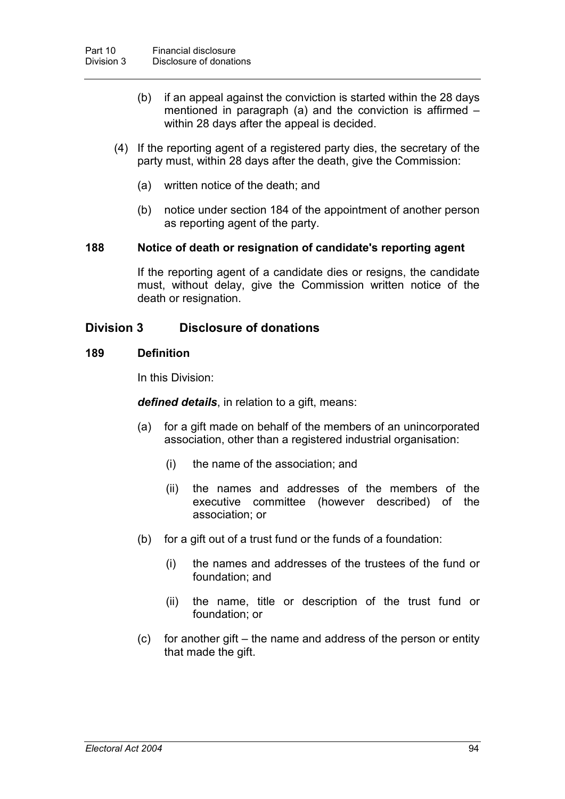- (b) if an appeal against the conviction is started within the 28 days mentioned in paragraph (a) and the conviction is affirmed – within 28 days after the appeal is decided.
- (4) If the reporting agent of a registered party dies, the secretary of the party must, within 28 days after the death, give the Commission:
	- (a) written notice of the death; and
	- (b) notice under section 184 of the appointment of another person as reporting agent of the party.

### **188 Notice of death or resignation of candidate's reporting agent**

If the reporting agent of a candidate dies or resigns, the candidate must, without delay, give the Commission written notice of the death or resignation.

# **Division 3 Disclosure of donations**

#### **189 Definition**

In this Division:

*defined details*, in relation to a gift, means:

- (a) for a gift made on behalf of the members of an unincorporated association, other than a registered industrial organisation:
	- (i) the name of the association; and
	- (ii) the names and addresses of the members of the executive committee (however described) of the association; or
- (b) for a gift out of a trust fund or the funds of a foundation:
	- (i) the names and addresses of the trustees of the fund or foundation; and
	- (ii) the name, title or description of the trust fund or foundation; or
- (c) for another gift the name and address of the person or entity that made the gift.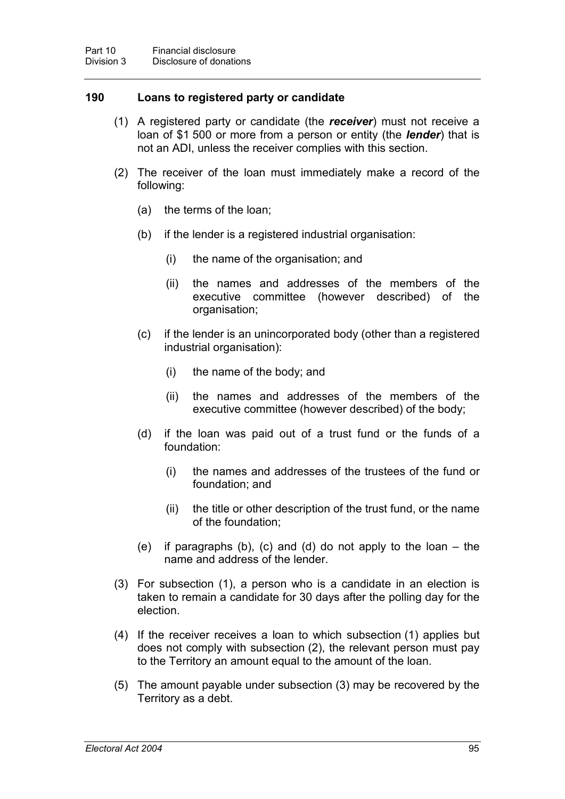#### **190 Loans to registered party or candidate**

- (1) A registered party or candidate (the *receiver*) must not receive a loan of \$1 500 or more from a person or entity (the *lender*) that is not an ADI, unless the receiver complies with this section.
- (2) The receiver of the loan must immediately make a record of the following:
	- (a) the terms of the loan;
	- (b) if the lender is a registered industrial organisation:
		- (i) the name of the organisation; and
		- (ii) the names and addresses of the members of the executive committee (however described) of the organisation;
	- (c) if the lender is an unincorporated body (other than a registered industrial organisation):
		- (i) the name of the body; and
		- (ii) the names and addresses of the members of the executive committee (however described) of the body;
	- (d) if the loan was paid out of a trust fund or the funds of a foundation:
		- (i) the names and addresses of the trustees of the fund or foundation; and
		- (ii) the title or other description of the trust fund, or the name of the foundation;
	- (e) if paragraphs (b), (c) and (d) do not apply to the loan the name and address of the lender.
- (3) For subsection (1), a person who is a candidate in an election is taken to remain a candidate for 30 days after the polling day for the election.
- (4) If the receiver receives a loan to which subsection (1) applies but does not comply with subsection (2), the relevant person must pay to the Territory an amount equal to the amount of the loan.
- (5) The amount payable under subsection (3) may be recovered by the Territory as a debt.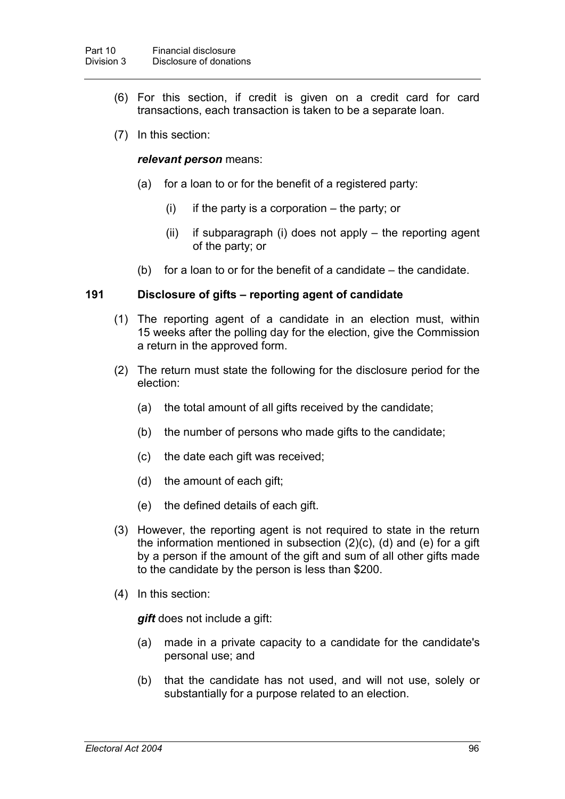- (6) For this section, if credit is given on a credit card for card transactions, each transaction is taken to be a separate loan.
- (7) In this section:

### *relevant person* means:

- (a) for a loan to or for the benefit of a registered party:
	- $(i)$  if the party is a corporation the party; or
	- (ii) if subparagraph (i) does not apply the reporting agent of the party; or
- (b) for a loan to or for the benefit of a candidate the candidate.

### **191 Disclosure of gifts – reporting agent of candidate**

- (1) The reporting agent of a candidate in an election must, within 15 weeks after the polling day for the election, give the Commission a return in the approved form.
- (2) The return must state the following for the disclosure period for the election:
	- (a) the total amount of all gifts received by the candidate;
	- (b) the number of persons who made gifts to the candidate;
	- (c) the date each gift was received;
	- (d) the amount of each gift;
	- (e) the defined details of each gift.
- (3) However, the reporting agent is not required to state in the return the information mentioned in subsection (2)(c), (d) and (e) for a gift by a person if the amount of the gift and sum of all other gifts made to the candidate by the person is less than \$200.
- (4) In this section:

*gift* does not include a gift:

- (a) made in a private capacity to a candidate for the candidate's personal use; and
- (b) that the candidate has not used, and will not use, solely or substantially for a purpose related to an election.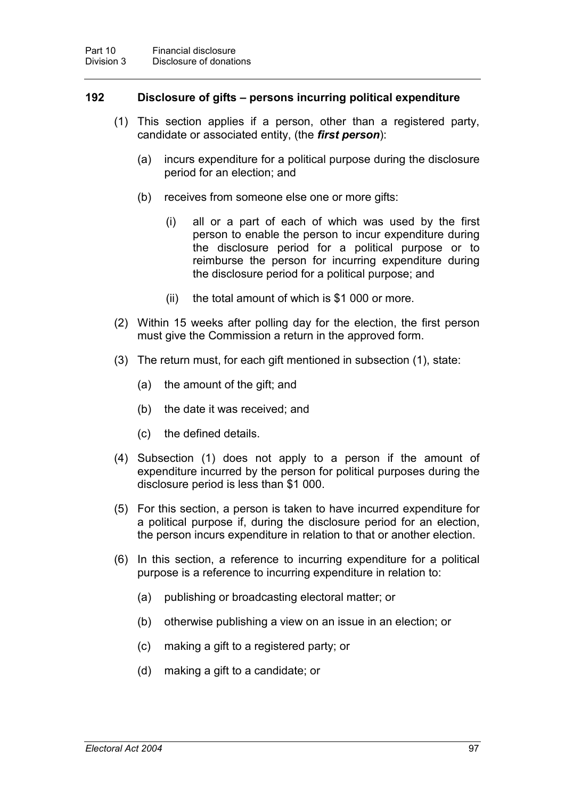#### **192 Disclosure of gifts – persons incurring political expenditure**

- (1) This section applies if a person, other than a registered party, candidate or associated entity, (the *first person*):
	- (a) incurs expenditure for a political purpose during the disclosure period for an election; and
	- (b) receives from someone else one or more gifts:
		- (i) all or a part of each of which was used by the first person to enable the person to incur expenditure during the disclosure period for a political purpose or to reimburse the person for incurring expenditure during the disclosure period for a political purpose; and
		- (ii) the total amount of which is \$1 000 or more.
- (2) Within 15 weeks after polling day for the election, the first person must give the Commission a return in the approved form.
- (3) The return must, for each gift mentioned in subsection (1), state:
	- (a) the amount of the gift; and
	- (b) the date it was received; and
	- (c) the defined details.
- (4) Subsection (1) does not apply to a person if the amount of expenditure incurred by the person for political purposes during the disclosure period is less than \$1 000.
- (5) For this section, a person is taken to have incurred expenditure for a political purpose if, during the disclosure period for an election, the person incurs expenditure in relation to that or another election.
- (6) In this section, a reference to incurring expenditure for a political purpose is a reference to incurring expenditure in relation to:
	- (a) publishing or broadcasting electoral matter; or
	- (b) otherwise publishing a view on an issue in an election; or
	- (c) making a gift to a registered party; or
	- (d) making a gift to a candidate; or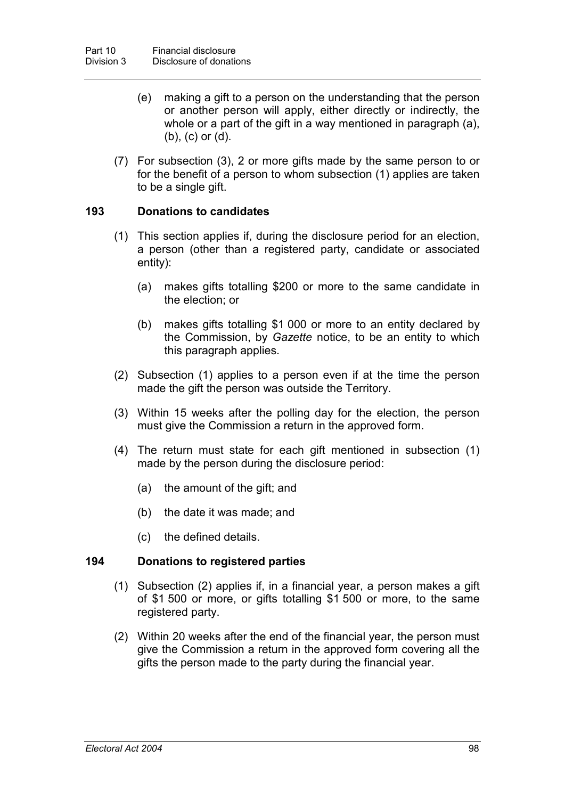- (e) making a gift to a person on the understanding that the person or another person will apply, either directly or indirectly, the whole or a part of the gift in a way mentioned in paragraph (a), (b), (c) or (d).
- (7) For subsection (3), 2 or more gifts made by the same person to or for the benefit of a person to whom subsection (1) applies are taken to be a single gift.

### **193 Donations to candidates**

- (1) This section applies if, during the disclosure period for an election, a person (other than a registered party, candidate or associated entity):
	- (a) makes gifts totalling \$200 or more to the same candidate in the election; or
	- (b) makes gifts totalling \$1 000 or more to an entity declared by the Commission, by *Gazette* notice, to be an entity to which this paragraph applies.
- (2) Subsection (1) applies to a person even if at the time the person made the gift the person was outside the Territory.
- (3) Within 15 weeks after the polling day for the election, the person must give the Commission a return in the approved form.
- (4) The return must state for each gift mentioned in subsection (1) made by the person during the disclosure period:
	- (a) the amount of the gift; and
	- (b) the date it was made; and
	- (c) the defined details.

### **194 Donations to registered parties**

- (1) Subsection (2) applies if, in a financial year, a person makes a gift of \$1 500 or more, or gifts totalling \$1 500 or more, to the same registered party.
- (2) Within 20 weeks after the end of the financial year, the person must give the Commission a return in the approved form covering all the gifts the person made to the party during the financial year.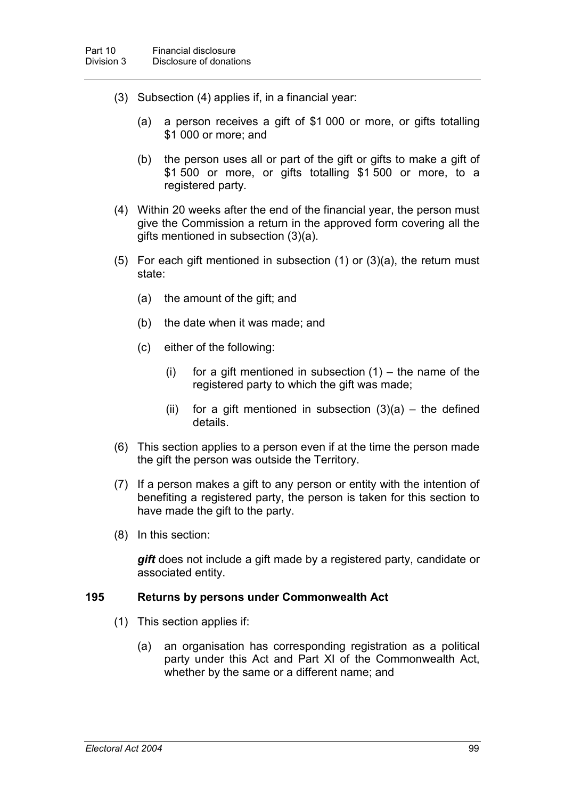- (3) Subsection (4) applies if, in a financial year:
	- (a) a person receives a gift of \$1 000 or more, or gifts totalling \$1 000 or more; and
	- (b) the person uses all or part of the gift or gifts to make a gift of \$1 500 or more, or gifts totalling \$1 500 or more, to a registered party.
- (4) Within 20 weeks after the end of the financial year, the person must give the Commission a return in the approved form covering all the gifts mentioned in subsection (3)(a).
- (5) For each gift mentioned in subsection (1) or (3)(a), the return must state:
	- (a) the amount of the gift; and
	- (b) the date when it was made; and
	- (c) either of the following:
		- (i) for a gift mentioned in subsection  $(1)$  the name of the registered party to which the gift was made;
		- (ii) for a gift mentioned in subsection  $(3)(a)$  the defined details.
- (6) This section applies to a person even if at the time the person made the gift the person was outside the Territory.
- (7) If a person makes a gift to any person or entity with the intention of benefiting a registered party, the person is taken for this section to have made the gift to the party.
- (8) In this section:

*gift* does not include a gift made by a registered party, candidate or associated entity.

#### **195 Returns by persons under Commonwealth Act**

- (1) This section applies if:
	- (a) an organisation has corresponding registration as a political party under this Act and Part XI of the Commonwealth Act, whether by the same or a different name; and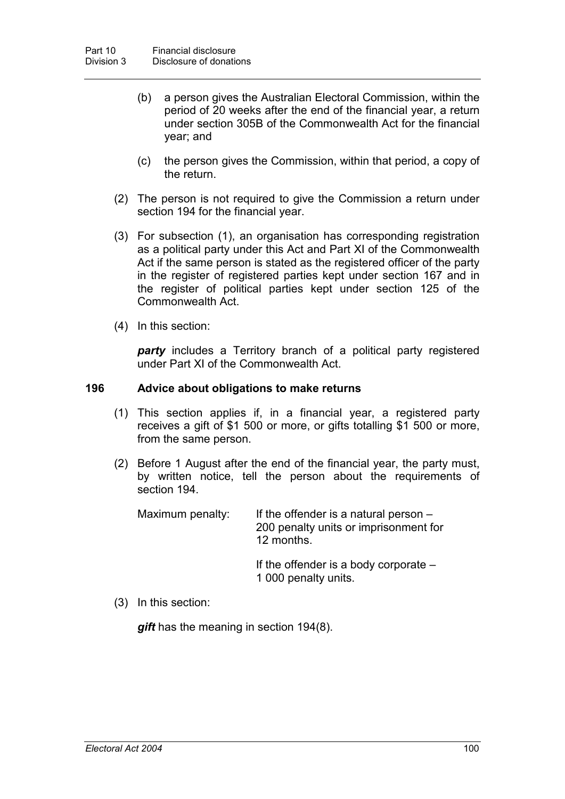- (b) a person gives the Australian Electoral Commission, within the period of 20 weeks after the end of the financial year, a return under section 305B of the Commonwealth Act for the financial year; and
- (c) the person gives the Commission, within that period, a copy of the return.
- (2) The person is not required to give the Commission a return under section 194 for the financial year.
- (3) For subsection (1), an organisation has corresponding registration as a political party under this Act and Part XI of the Commonwealth Act if the same person is stated as the registered officer of the party in the register of registered parties kept under section 167 and in the register of political parties kept under section 125 of the Commonwealth Act.
- (4) In this section:

*party* includes a Territory branch of a political party registered under Part XI of the Commonwealth Act.

#### **196 Advice about obligations to make returns**

- (1) This section applies if, in a financial year, a registered party receives a gift of \$1 500 or more, or gifts totalling \$1 500 or more, from the same person.
- (2) Before 1 August after the end of the financial year, the party must, by written notice, tell the person about the requirements of section 194.

Maximum penalty: If the offender is a natural person  $-$ 200 penalty units or imprisonment for 12 months.

> If the offender is a body corporate – 1 000 penalty units.

(3) In this section:

*gift* has the meaning in section 194(8).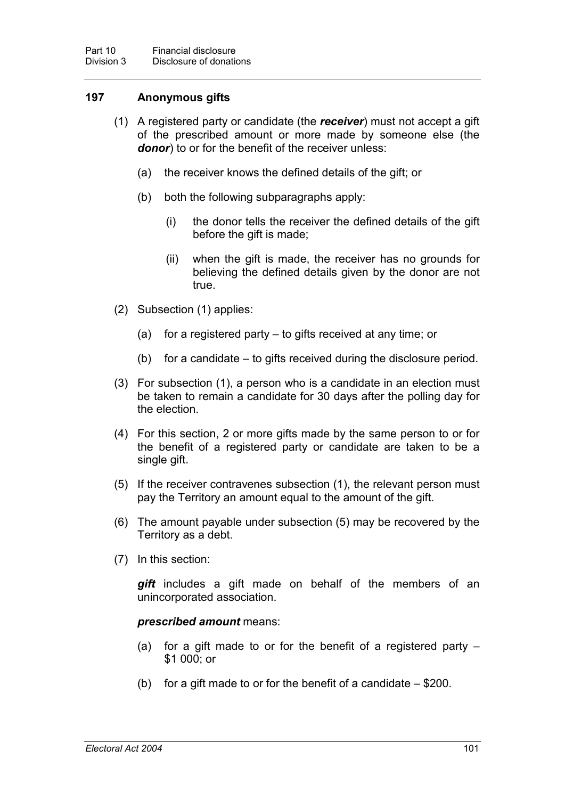# **197 Anonymous gifts**

- (1) A registered party or candidate (the *receiver*) must not accept a gift of the prescribed amount or more made by someone else (the *donor*) to or for the benefit of the receiver unless:
	- (a) the receiver knows the defined details of the gift; or
	- (b) both the following subparagraphs apply:
		- (i) the donor tells the receiver the defined details of the gift before the gift is made;
		- (ii) when the gift is made, the receiver has no grounds for believing the defined details given by the donor are not true.
- (2) Subsection (1) applies:
	- (a) for a registered party to gifts received at any time; or
	- (b) for a candidate to gifts received during the disclosure period.
- (3) For subsection (1), a person who is a candidate in an election must be taken to remain a candidate for 30 days after the polling day for the election.
- (4) For this section, 2 or more gifts made by the same person to or for the benefit of a registered party or candidate are taken to be a single gift.
- (5) If the receiver contravenes subsection (1), the relevant person must pay the Territory an amount equal to the amount of the gift.
- (6) The amount payable under subsection (5) may be recovered by the Territory as a debt.
- (7) In this section:

*gift* includes a gift made on behalf of the members of an unincorporated association.

#### *prescribed amount* means:

- (a) for a gift made to or for the benefit of a registered party \$1 000; or
- (b) for a gift made to or for the benefit of a candidate  $-$  \$200.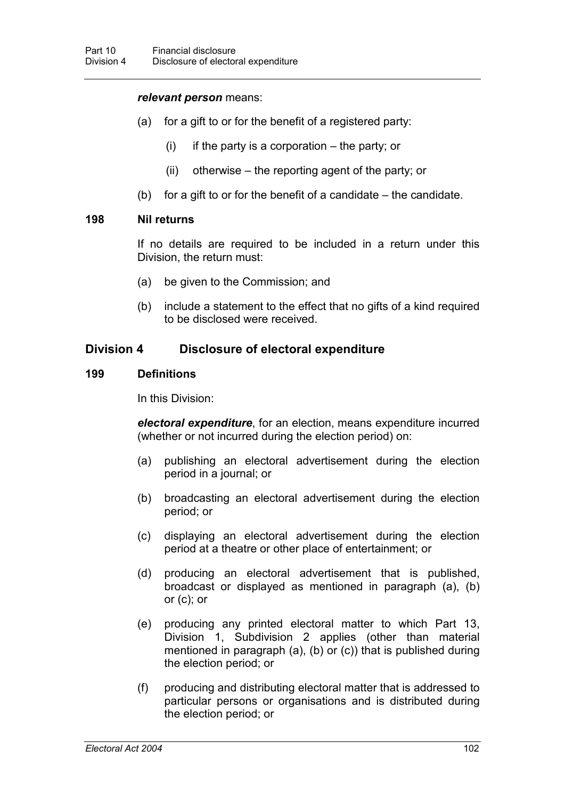#### *relevant person* means:

- (a) for a gift to or for the benefit of a registered party:
	- $(i)$  if the party is a corporation the party; or
	- (ii) otherwise the reporting agent of the party; or
- (b) for a gift to or for the benefit of a candidate the candidate.

### **198 Nil returns**

If no details are required to be included in a return under this Division, the return must:

- (a) be given to the Commission; and
- (b) include a statement to the effect that no gifts of a kind required to be disclosed were received.

# **Division 4 Disclosure of electoral expenditure**

# **199 Definitions**

In this Division:

*electoral expenditure*, for an election, means expenditure incurred (whether or not incurred during the election period) on:

- (a) publishing an electoral advertisement during the election period in a journal; or
- (b) broadcasting an electoral advertisement during the election period; or
- (c) displaying an electoral advertisement during the election period at a theatre or other place of entertainment; or
- (d) producing an electoral advertisement that is published, broadcast or displayed as mentioned in paragraph (a), (b) or (c); or
- (e) producing any printed electoral matter to which Part 13, Division 1, Subdivision 2 applies (other than material mentioned in paragraph (a), (b) or (c)) that is published during the election period; or
- (f) producing and distributing electoral matter that is addressed to particular persons or organisations and is distributed during the election period; or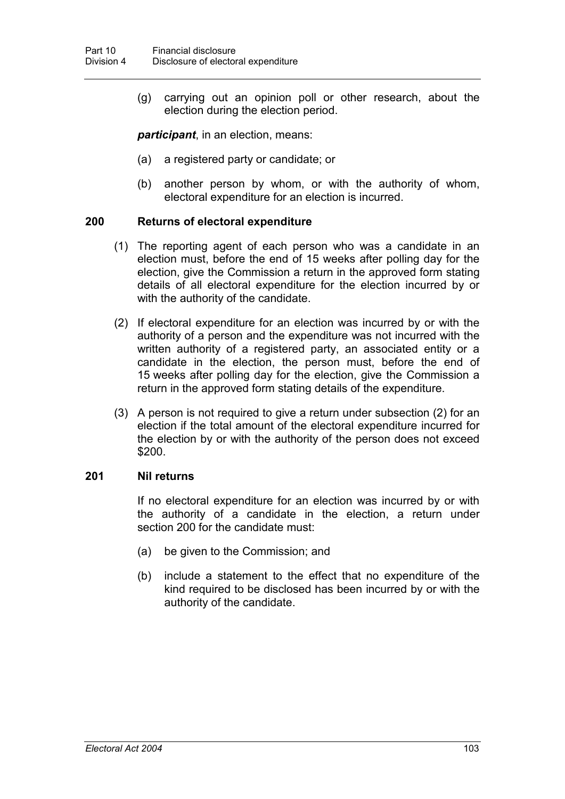(g) carrying out an opinion poll or other research, about the election during the election period.

*participant*, in an election, means:

- (a) a registered party or candidate; or
- (b) another person by whom, or with the authority of whom, electoral expenditure for an election is incurred.

### **200 Returns of electoral expenditure**

- (1) The reporting agent of each person who was a candidate in an election must, before the end of 15 weeks after polling day for the election, give the Commission a return in the approved form stating details of all electoral expenditure for the election incurred by or with the authority of the candidate.
- (2) If electoral expenditure for an election was incurred by or with the authority of a person and the expenditure was not incurred with the written authority of a registered party, an associated entity or a candidate in the election, the person must, before the end of 15 weeks after polling day for the election, give the Commission a return in the approved form stating details of the expenditure.
- (3) A person is not required to give a return under subsection (2) for an election if the total amount of the electoral expenditure incurred for the election by or with the authority of the person does not exceed \$200.

## **201 Nil returns**

If no electoral expenditure for an election was incurred by or with the authority of a candidate in the election, a return under section 200 for the candidate must:

- (a) be given to the Commission; and
- (b) include a statement to the effect that no expenditure of the kind required to be disclosed has been incurred by or with the authority of the candidate.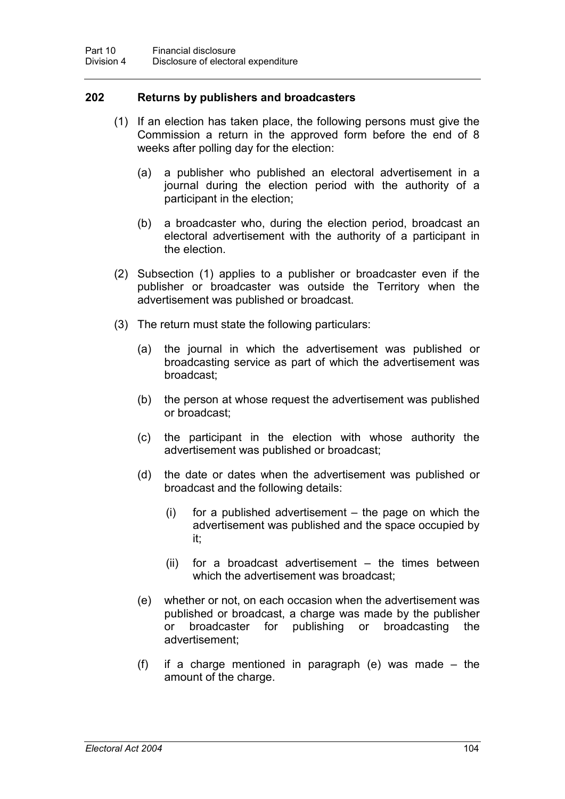## **202 Returns by publishers and broadcasters**

- (1) If an election has taken place, the following persons must give the Commission a return in the approved form before the end of 8 weeks after polling day for the election:
	- (a) a publisher who published an electoral advertisement in a journal during the election period with the authority of a participant in the election;
	- (b) a broadcaster who, during the election period, broadcast an electoral advertisement with the authority of a participant in the election.
- (2) Subsection (1) applies to a publisher or broadcaster even if the publisher or broadcaster was outside the Territory when the advertisement was published or broadcast.
- (3) The return must state the following particulars:
	- (a) the journal in which the advertisement was published or broadcasting service as part of which the advertisement was broadcast;
	- (b) the person at whose request the advertisement was published or broadcast;
	- (c) the participant in the election with whose authority the advertisement was published or broadcast;
	- (d) the date or dates when the advertisement was published or broadcast and the following details:
		- (i) for a published advertisement the page on which the advertisement was published and the space occupied by it;
		- (ii) for a broadcast advertisement the times between which the advertisement was broadcast;
	- (e) whether or not, on each occasion when the advertisement was published or broadcast, a charge was made by the publisher or broadcaster for publishing or broadcasting the advertisement;
	- (f) if a charge mentioned in paragraph (e) was made the amount of the charge.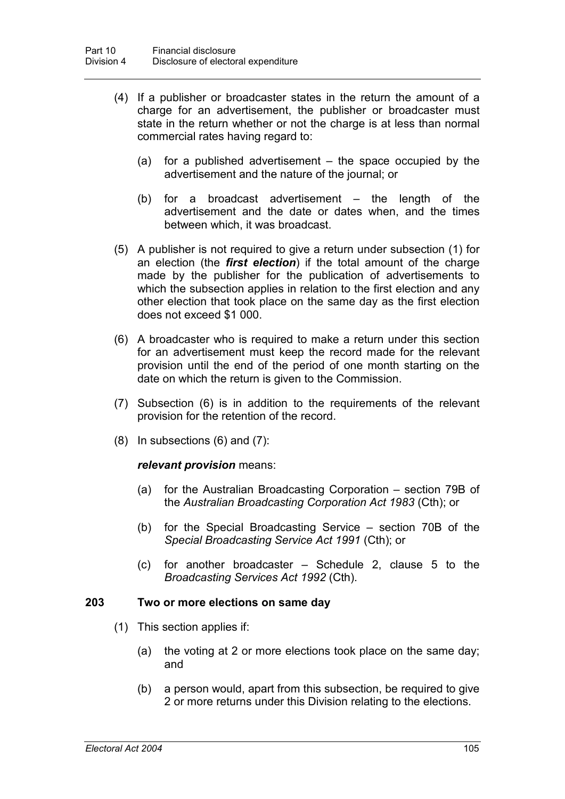- (4) If a publisher or broadcaster states in the return the amount of a charge for an advertisement, the publisher or broadcaster must state in the return whether or not the charge is at less than normal commercial rates having regard to:
	- (a) for a published advertisement the space occupied by the advertisement and the nature of the journal; or
	- (b) for a broadcast advertisement the length of the advertisement and the date or dates when, and the times between which, it was broadcast.
- (5) A publisher is not required to give a return under subsection (1) for an election (the *first election*) if the total amount of the charge made by the publisher for the publication of advertisements to which the subsection applies in relation to the first election and any other election that took place on the same day as the first election does not exceed \$1 000.
- (6) A broadcaster who is required to make a return under this section for an advertisement must keep the record made for the relevant provision until the end of the period of one month starting on the date on which the return is given to the Commission.
- (7) Subsection (6) is in addition to the requirements of the relevant provision for the retention of the record.
- (8) In subsections (6) and (7):

### *relevant provision* means:

- (a) for the Australian Broadcasting Corporation section 79B of the *Australian Broadcasting Corporation Act 1983* (Cth); or
- (b) for the Special Broadcasting Service section 70B of the *Special Broadcasting Service Act 1991* (Cth); or
- (c) for another broadcaster Schedule 2, clause 5 to the *Broadcasting Services Act 1992* (Cth).

#### **203 Two or more elections on same day**

- (1) This section applies if:
	- (a) the voting at 2 or more elections took place on the same day; and
	- (b) a person would, apart from this subsection, be required to give 2 or more returns under this Division relating to the elections.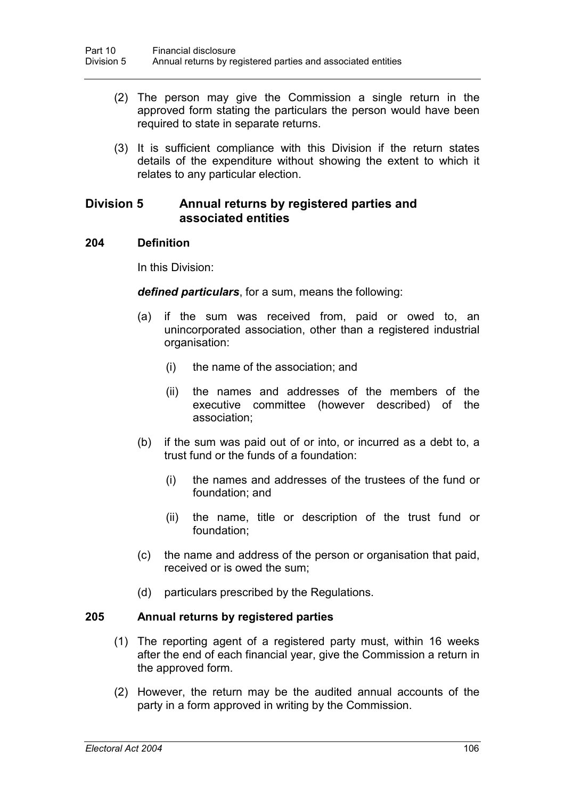- (2) The person may give the Commission a single return in the approved form stating the particulars the person would have been required to state in separate returns.
- (3) It is sufficient compliance with this Division if the return states details of the expenditure without showing the extent to which it relates to any particular election.

# **Division 5 Annual returns by registered parties and associated entities**

### **204 Definition**

In this Division:

*defined particulars*, for a sum, means the following:

- (a) if the sum was received from, paid or owed to, an unincorporated association, other than a registered industrial organisation:
	- (i) the name of the association; and
	- (ii) the names and addresses of the members of the executive committee (however described) of the association;
- (b) if the sum was paid out of or into, or incurred as a debt to, a trust fund or the funds of a foundation:
	- (i) the names and addresses of the trustees of the fund or foundation; and
	- (ii) the name, title or description of the trust fund or foundation;
- (c) the name and address of the person or organisation that paid, received or is owed the sum;
- (d) particulars prescribed by the Regulations.

### **205 Annual returns by registered parties**

- (1) The reporting agent of a registered party must, within 16 weeks after the end of each financial year, give the Commission a return in the approved form.
- (2) However, the return may be the audited annual accounts of the party in a form approved in writing by the Commission.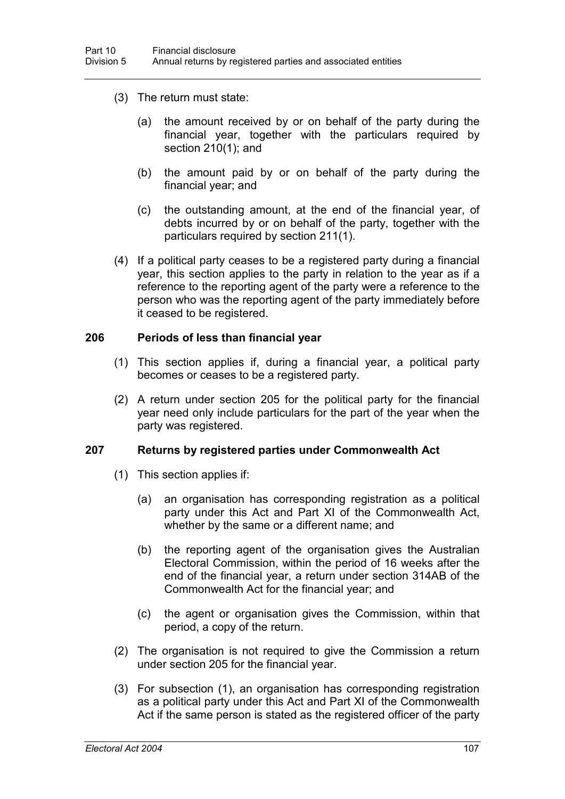- (3) The return must state:
	- (a) the amount received by or on behalf of the party during the financial year, together with the particulars required by section 210(1); and
	- (b) the amount paid by or on behalf of the party during the financial year; and
	- (c) the outstanding amount, at the end of the financial year, of debts incurred by or on behalf of the party, together with the particulars required by section 211(1).
- (4) If a political party ceases to be a registered party during a financial year, this section applies to the party in relation to the year as if a reference to the reporting agent of the party were a reference to the person who was the reporting agent of the party immediately before it ceased to be registered.

#### **206 Periods of less than financial year**

- (1) This section applies if, during a financial year, a political party becomes or ceases to be a registered party.
- (2) A return under section 205 for the political party for the financial year need only include particulars for the part of the year when the party was registered.

### **207 Returns by registered parties under Commonwealth Act**

- (1) This section applies if:
	- (a) an organisation has corresponding registration as a political party under this Act and Part XI of the Commonwealth Act, whether by the same or a different name; and
	- (b) the reporting agent of the organisation gives the Australian Electoral Commission, within the period of 16 weeks after the end of the financial year, a return under section 314AB of the Commonwealth Act for the financial year; and
	- (c) the agent or organisation gives the Commission, within that period, a copy of the return.
- (2) The organisation is not required to give the Commission a return under section 205 for the financial year.
- (3) For subsection (1), an organisation has corresponding registration as a political party under this Act and Part XI of the Commonwealth Act if the same person is stated as the registered officer of the party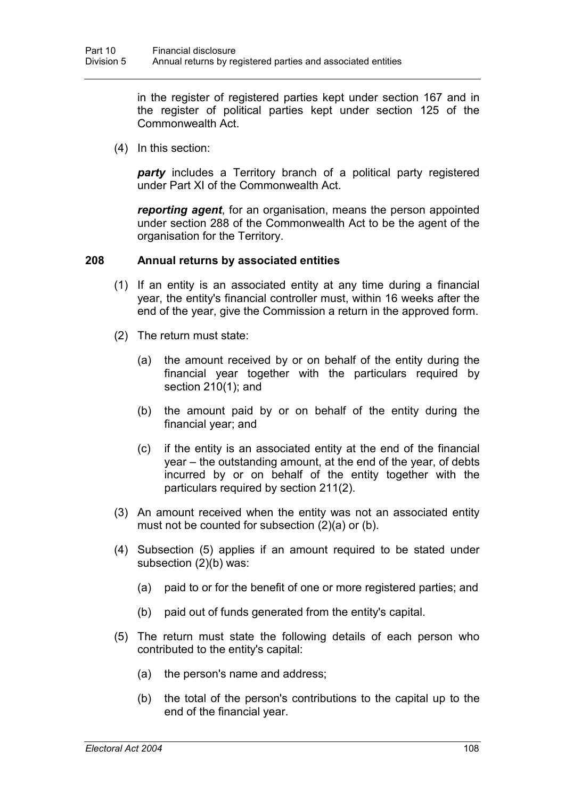in the register of registered parties kept under section 167 and in the register of political parties kept under section 125 of the Commonwealth Act.

(4) In this section:

*party* includes a Territory branch of a political party registered under Part XI of the Commonwealth Act.

*reporting agent*, for an organisation, means the person appointed under section 288 of the Commonwealth Act to be the agent of the organisation for the Territory.

### **208 Annual returns by associated entities**

- (1) If an entity is an associated entity at any time during a financial year, the entity's financial controller must, within 16 weeks after the end of the year, give the Commission a return in the approved form.
- (2) The return must state:
	- (a) the amount received by or on behalf of the entity during the financial year together with the particulars required by section 210(1); and
	- (b) the amount paid by or on behalf of the entity during the financial year; and
	- (c) if the entity is an associated entity at the end of the financial year – the outstanding amount, at the end of the year, of debts incurred by or on behalf of the entity together with the particulars required by section 211(2).
- (3) An amount received when the entity was not an associated entity must not be counted for subsection (2)(a) or (b).
- (4) Subsection (5) applies if an amount required to be stated under subsection (2)(b) was:
	- (a) paid to or for the benefit of one or more registered parties; and
	- (b) paid out of funds generated from the entity's capital.
- (5) The return must state the following details of each person who contributed to the entity's capital:
	- (a) the person's name and address;
	- (b) the total of the person's contributions to the capital up to the end of the financial year.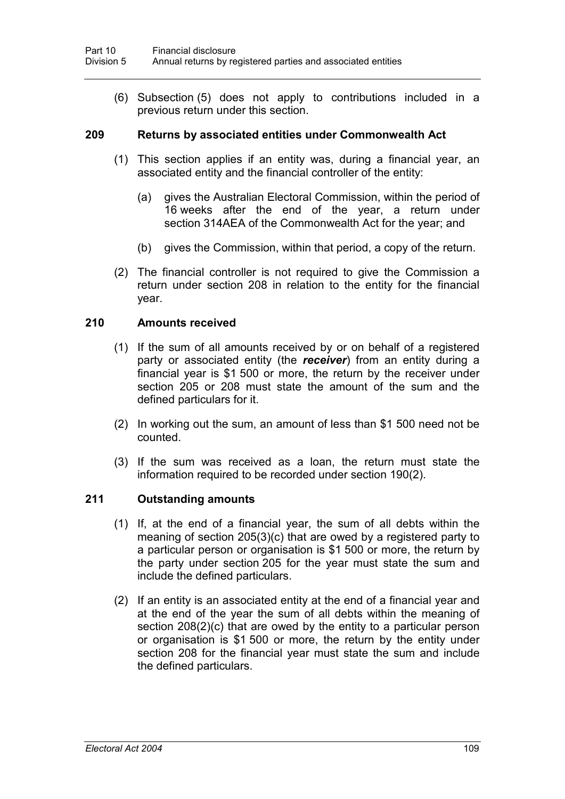(6) Subsection (5) does not apply to contributions included in a previous return under this section.

#### **209 Returns by associated entities under Commonwealth Act**

- (1) This section applies if an entity was, during a financial year, an associated entity and the financial controller of the entity:
	- (a) gives the Australian Electoral Commission, within the period of 16 weeks after the end of the year, a return under section 314AEA of the Commonwealth Act for the year; and
	- (b) gives the Commission, within that period, a copy of the return.
- (2) The financial controller is not required to give the Commission a return under section 208 in relation to the entity for the financial year.

### **210 Amounts received**

- (1) If the sum of all amounts received by or on behalf of a registered party or associated entity (the *receiver*) from an entity during a financial year is \$1 500 or more, the return by the receiver under section 205 or 208 must state the amount of the sum and the defined particulars for it.
- (2) In working out the sum, an amount of less than \$1 500 need not be counted.
- (3) If the sum was received as a loan, the return must state the information required to be recorded under section 190(2).

### **211 Outstanding amounts**

- (1) If, at the end of a financial year, the sum of all debts within the meaning of section 205(3)(c) that are owed by a registered party to a particular person or organisation is \$1 500 or more, the return by the party under section 205 for the year must state the sum and include the defined particulars.
- (2) If an entity is an associated entity at the end of a financial year and at the end of the year the sum of all debts within the meaning of section 208(2)(c) that are owed by the entity to a particular person or organisation is \$1 500 or more, the return by the entity under section 208 for the financial year must state the sum and include the defined particulars.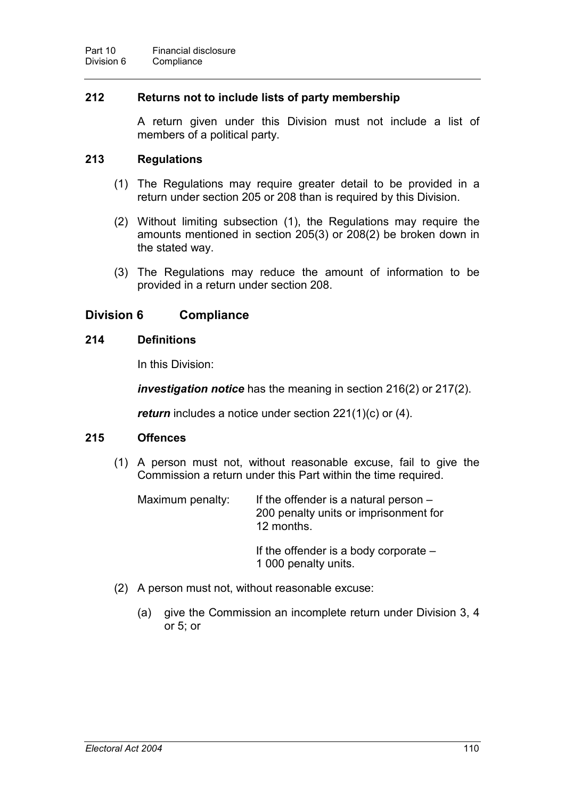## **212 Returns not to include lists of party membership**

A return given under this Division must not include a list of members of a political party.

## **213 Regulations**

- (1) The Regulations may require greater detail to be provided in a return under section 205 or 208 than is required by this Division.
- (2) Without limiting subsection (1), the Regulations may require the amounts mentioned in section 205(3) or 208(2) be broken down in the stated way.
- (3) The Regulations may reduce the amount of information to be provided in a return under section 208.

# **Division 6 Compliance**

### **214 Definitions**

In this Division:

*investigation notice* has the meaning in section 216(2) or 217(2).

*return* includes a notice under section 221(1)(c) or (4).

### **215 Offences**

(1) A person must not, without reasonable excuse, fail to give the Commission a return under this Part within the time required.

| Maximum penalty: | If the offender is a natural person $-$<br>200 penalty units or imprisonment for<br>12 months. |
|------------------|------------------------------------------------------------------------------------------------|
|                  | If the offender is a body corporate $-$                                                        |

1 000 penalty units.

- (2) A person must not, without reasonable excuse:
	- (a) give the Commission an incomplete return under Division 3, 4 or 5; or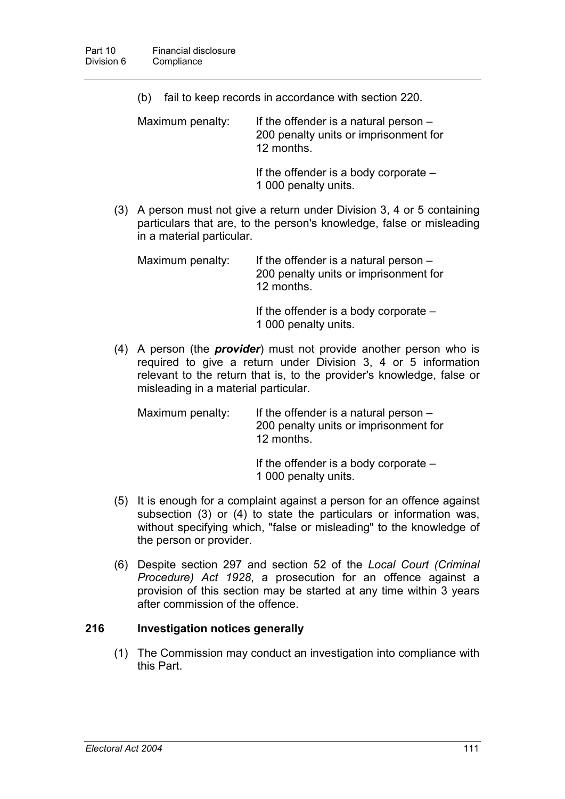- (b) fail to keep records in accordance with section 220. Maximum penalty: If the offender is a natural person – 200 penalty units or imprisonment for 12 months.
	- If the offender is a body corporate 1 000 penalty units.
- (3) A person must not give a return under Division 3, 4 or 5 containing particulars that are, to the person's knowledge, false or misleading in a material particular.

Maximum penalty: If the offender is a natural person  $-$ 200 penalty units or imprisonment for 12 months.

> If the offender is a body corporate – 1 000 penalty units.

(4) A person (the *provider*) must not provide another person who is required to give a return under Division 3, 4 or 5 information relevant to the return that is, to the provider's knowledge, false or misleading in a material particular.

| Maximum penalty: | If the offender is a natural person $-$<br>200 penalty units or imprisonment for<br>12 months. |
|------------------|------------------------------------------------------------------------------------------------|
|                  |                                                                                                |

If the offender is a body corporate –

1 000 penalty units.

- (5) It is enough for a complaint against a person for an offence against subsection (3) or (4) to state the particulars or information was, without specifying which, "false or misleading" to the knowledge of the person or provider.
- (6) Despite section 297 and section 52 of the *Local Court (Criminal Procedure) Act 1928*, a prosecution for an offence against a provision of this section may be started at any time within 3 years after commission of the offence.

# **216 Investigation notices generally**

(1) The Commission may conduct an investigation into compliance with this Part.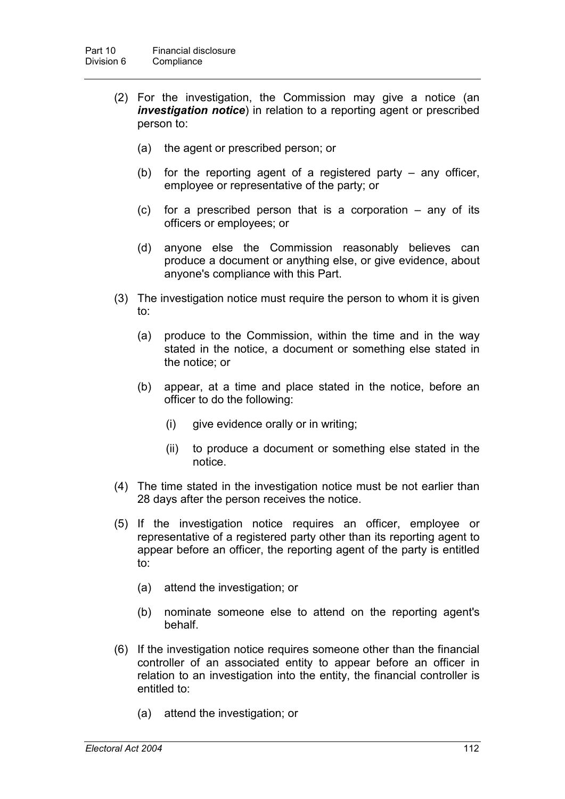- (2) For the investigation, the Commission may give a notice (an *investigation notice*) in relation to a reporting agent or prescribed person to:
	- (a) the agent or prescribed person; or
	- (b) for the reporting agent of a registered party any officer, employee or representative of the party; or
	- (c) for a prescribed person that is a corporation any of its officers or employees; or
	- (d) anyone else the Commission reasonably believes can produce a document or anything else, or give evidence, about anyone's compliance with this Part.
- (3) The investigation notice must require the person to whom it is given to:
	- (a) produce to the Commission, within the time and in the way stated in the notice, a document or something else stated in the notice; or
	- (b) appear, at a time and place stated in the notice, before an officer to do the following:
		- (i) give evidence orally or in writing;
		- (ii) to produce a document or something else stated in the notice.
- (4) The time stated in the investigation notice must be not earlier than 28 days after the person receives the notice.
- (5) If the investigation notice requires an officer, employee or representative of a registered party other than its reporting agent to appear before an officer, the reporting agent of the party is entitled to:
	- (a) attend the investigation; or
	- (b) nominate someone else to attend on the reporting agent's behalf.
- (6) If the investigation notice requires someone other than the financial controller of an associated entity to appear before an officer in relation to an investigation into the entity, the financial controller is entitled to:
	- (a) attend the investigation; or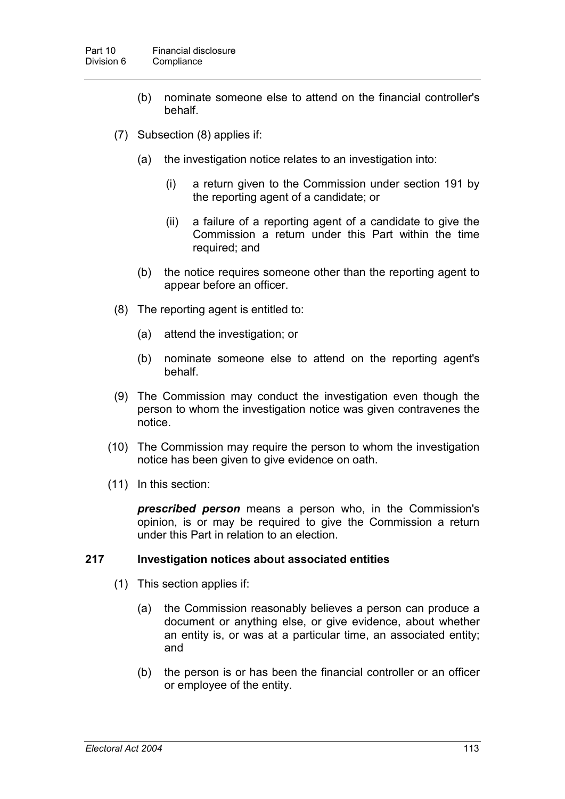- (b) nominate someone else to attend on the financial controller's behalf.
- (7) Subsection (8) applies if:
	- (a) the investigation notice relates to an investigation into:
		- (i) a return given to the Commission under section 191 by the reporting agent of a candidate; or
		- (ii) a failure of a reporting agent of a candidate to give the Commission a return under this Part within the time required; and
	- (b) the notice requires someone other than the reporting agent to appear before an officer.
- (8) The reporting agent is entitled to:
	- (a) attend the investigation; or
	- (b) nominate someone else to attend on the reporting agent's behalf.
- (9) The Commission may conduct the investigation even though the person to whom the investigation notice was given contravenes the notice.
- (10) The Commission may require the person to whom the investigation notice has been given to give evidence on oath.
- (11) In this section:

*prescribed person* means a person who, in the Commission's opinion, is or may be required to give the Commission a return under this Part in relation to an election.

### **217 Investigation notices about associated entities**

- (1) This section applies if:
	- (a) the Commission reasonably believes a person can produce a document or anything else, or give evidence, about whether an entity is, or was at a particular time, an associated entity; and
	- (b) the person is or has been the financial controller or an officer or employee of the entity.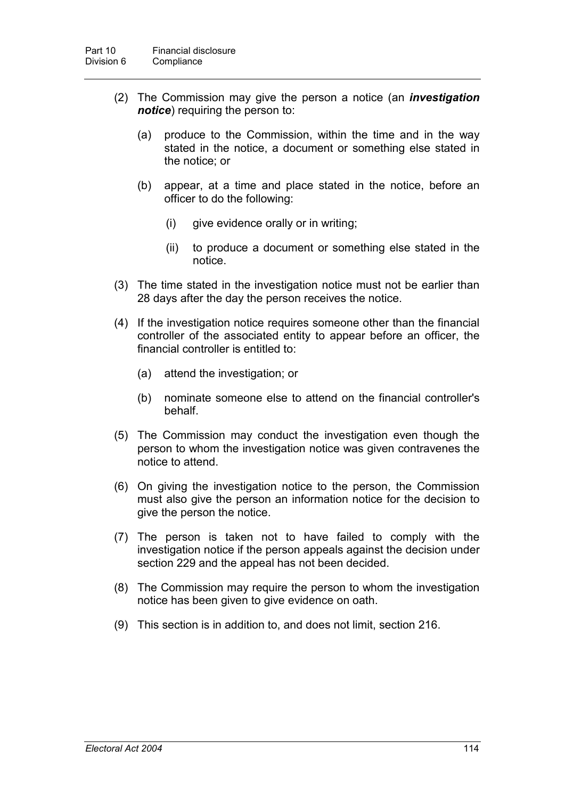- (2) The Commission may give the person a notice (an *investigation notice*) requiring the person to:
	- (a) produce to the Commission, within the time and in the way stated in the notice, a document or something else stated in the notice; or
	- (b) appear, at a time and place stated in the notice, before an officer to do the following:
		- (i) give evidence orally or in writing;
		- (ii) to produce a document or something else stated in the notice.
- (3) The time stated in the investigation notice must not be earlier than 28 days after the day the person receives the notice.
- (4) If the investigation notice requires someone other than the financial controller of the associated entity to appear before an officer, the financial controller is entitled to:
	- (a) attend the investigation; or
	- (b) nominate someone else to attend on the financial controller's behalf.
- (5) The Commission may conduct the investigation even though the person to whom the investigation notice was given contravenes the notice to attend.
- (6) On giving the investigation notice to the person, the Commission must also give the person an information notice for the decision to give the person the notice.
- (7) The person is taken not to have failed to comply with the investigation notice if the person appeals against the decision under section 229 and the appeal has not been decided.
- (8) The Commission may require the person to whom the investigation notice has been given to give evidence on oath.
- (9) This section is in addition to, and does not limit, section 216.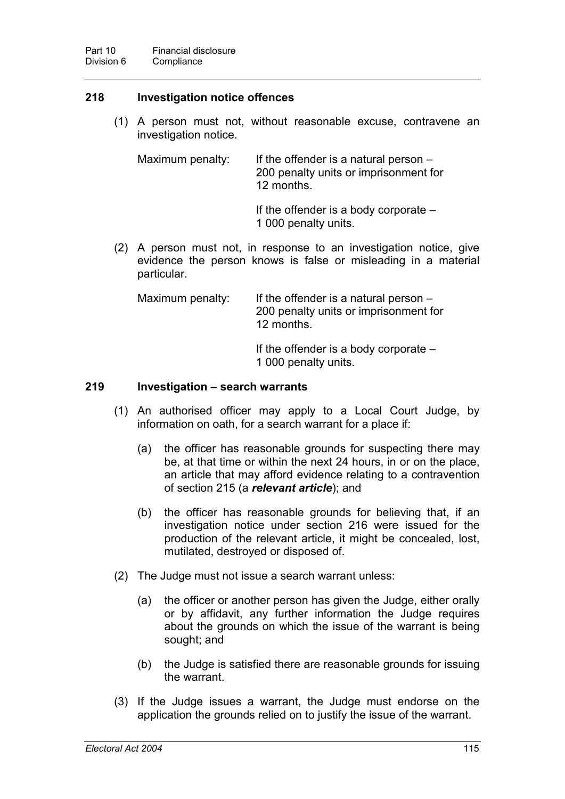## **218 Investigation notice offences**

(1) A person must not, without reasonable excuse, contravene an investigation notice.

Maximum penalty: If the offender is a natural person  $-$ 200 penalty units or imprisonment for 12 months.

> If the offender is a body corporate  $-$ 1 000 penalty units.

(2) A person must not, in response to an investigation notice, give evidence the person knows is false or misleading in a material particular.

Maximum penalty: If the offender is a natural person – 200 penalty units or imprisonment for 12 months.

> If the offender is a body corporate  $-$ 1 000 penalty units.

### **219 Investigation – search warrants**

- (1) An authorised officer may apply to a Local Court Judge, by information on oath, for a search warrant for a place if:
	- (a) the officer has reasonable grounds for suspecting there may be, at that time or within the next 24 hours, in or on the place, an article that may afford evidence relating to a contravention of section 215 (a *relevant article*); and
	- (b) the officer has reasonable grounds for believing that, if an investigation notice under section 216 were issued for the production of the relevant article, it might be concealed, lost, mutilated, destroyed or disposed of.
- (2) The Judge must not issue a search warrant unless:
	- (a) the officer or another person has given the Judge, either orally or by affidavit, any further information the Judge requires about the grounds on which the issue of the warrant is being sought; and
	- (b) the Judge is satisfied there are reasonable grounds for issuing the warrant.
- (3) If the Judge issues a warrant, the Judge must endorse on the application the grounds relied on to justify the issue of the warrant.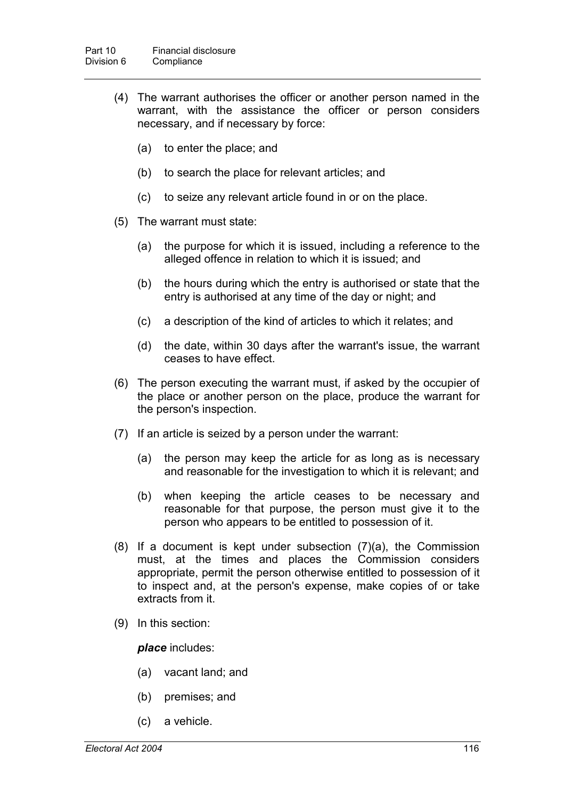- (4) The warrant authorises the officer or another person named in the warrant, with the assistance the officer or person considers necessary, and if necessary by force:
	- (a) to enter the place; and
	- (b) to search the place for relevant articles; and
	- (c) to seize any relevant article found in or on the place.
- (5) The warrant must state:
	- (a) the purpose for which it is issued, including a reference to the alleged offence in relation to which it is issued; and
	- (b) the hours during which the entry is authorised or state that the entry is authorised at any time of the day or night; and
	- (c) a description of the kind of articles to which it relates; and
	- (d) the date, within 30 days after the warrant's issue, the warrant ceases to have effect.
- (6) The person executing the warrant must, if asked by the occupier of the place or another person on the place, produce the warrant for the person's inspection.
- (7) If an article is seized by a person under the warrant:
	- (a) the person may keep the article for as long as is necessary and reasonable for the investigation to which it is relevant; and
	- (b) when keeping the article ceases to be necessary and reasonable for that purpose, the person must give it to the person who appears to be entitled to possession of it.
- (8) If a document is kept under subsection (7)(a), the Commission must, at the times and places the Commission considers appropriate, permit the person otherwise entitled to possession of it to inspect and, at the person's expense, make copies of or take extracts from it.
- (9) In this section:

#### *place* includes:

- (a) vacant land; and
- (b) premises; and
- (c) a vehicle.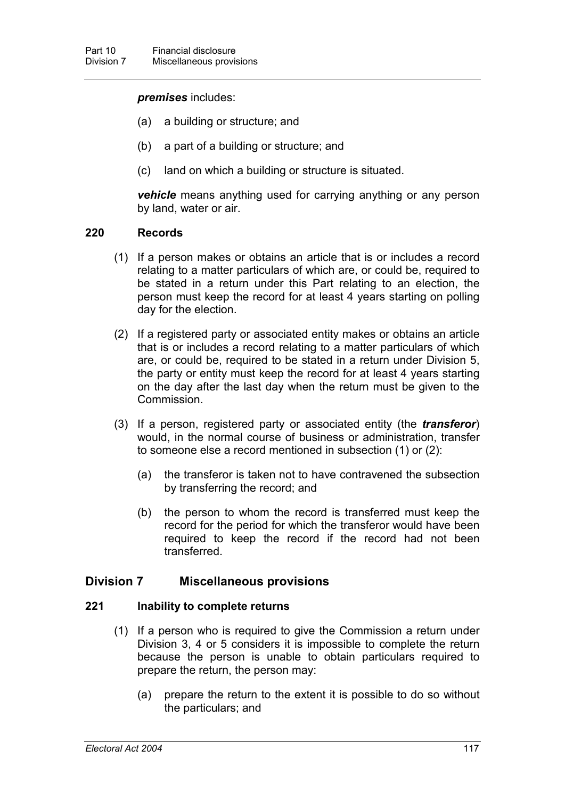#### *premises* includes:

- (a) a building or structure; and
- (b) a part of a building or structure; and
- (c) land on which a building or structure is situated.

*vehicle* means anything used for carrying anything or any person by land, water or air.

#### **220 Records**

- (1) If a person makes or obtains an article that is or includes a record relating to a matter particulars of which are, or could be, required to be stated in a return under this Part relating to an election, the person must keep the record for at least 4 years starting on polling day for the election.
- (2) If a registered party or associated entity makes or obtains an article that is or includes a record relating to a matter particulars of which are, or could be, required to be stated in a return under Division 5, the party or entity must keep the record for at least 4 years starting on the day after the last day when the return must be given to the Commission.
- (3) If a person, registered party or associated entity (the *transferor*) would, in the normal course of business or administration, transfer to someone else a record mentioned in subsection (1) or (2):
	- (a) the transferor is taken not to have contravened the subsection by transferring the record; and
	- (b) the person to whom the record is transferred must keep the record for the period for which the transferor would have been required to keep the record if the record had not been transferred.

### **Division 7 Miscellaneous provisions**

#### **221 Inability to complete returns**

- (1) If a person who is required to give the Commission a return under Division 3, 4 or 5 considers it is impossible to complete the return because the person is unable to obtain particulars required to prepare the return, the person may:
	- (a) prepare the return to the extent it is possible to do so without the particulars; and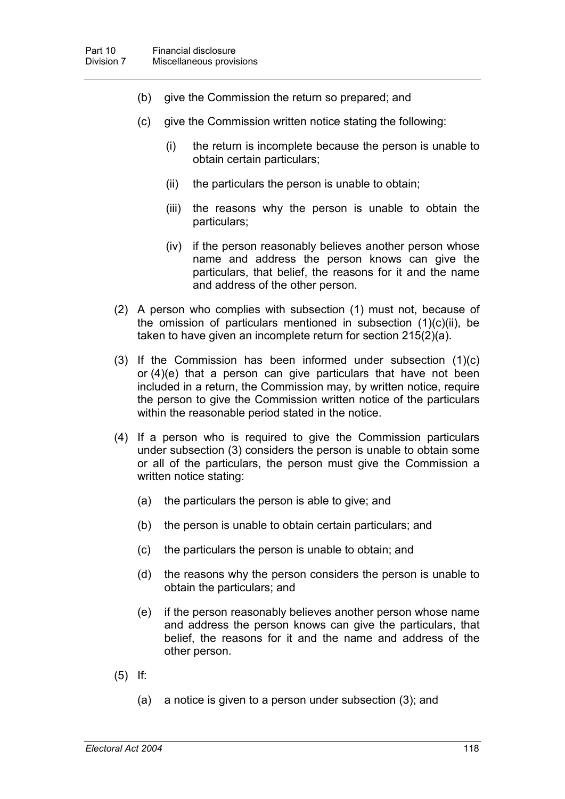- (b) give the Commission the return so prepared; and
- (c) give the Commission written notice stating the following:
	- (i) the return is incomplete because the person is unable to obtain certain particulars;
	- (ii) the particulars the person is unable to obtain;
	- (iii) the reasons why the person is unable to obtain the particulars;
	- (iv) if the person reasonably believes another person whose name and address the person knows can give the particulars, that belief, the reasons for it and the name and address of the other person.
- (2) A person who complies with subsection (1) must not, because of the omission of particulars mentioned in subsection  $(1)(c)(ii)$ , be taken to have given an incomplete return for section 215(2)(a).
- (3) If the Commission has been informed under subsection (1)(c) or (4)(e) that a person can give particulars that have not been included in a return, the Commission may, by written notice, require the person to give the Commission written notice of the particulars within the reasonable period stated in the notice.
- (4) If a person who is required to give the Commission particulars under subsection (3) considers the person is unable to obtain some or all of the particulars, the person must give the Commission a written notice stating:
	- (a) the particulars the person is able to give; and
	- (b) the person is unable to obtain certain particulars; and
	- (c) the particulars the person is unable to obtain; and
	- (d) the reasons why the person considers the person is unable to obtain the particulars; and
	- (e) if the person reasonably believes another person whose name and address the person knows can give the particulars, that belief, the reasons for it and the name and address of the other person.
- (5) If:
	- (a) a notice is given to a person under subsection (3); and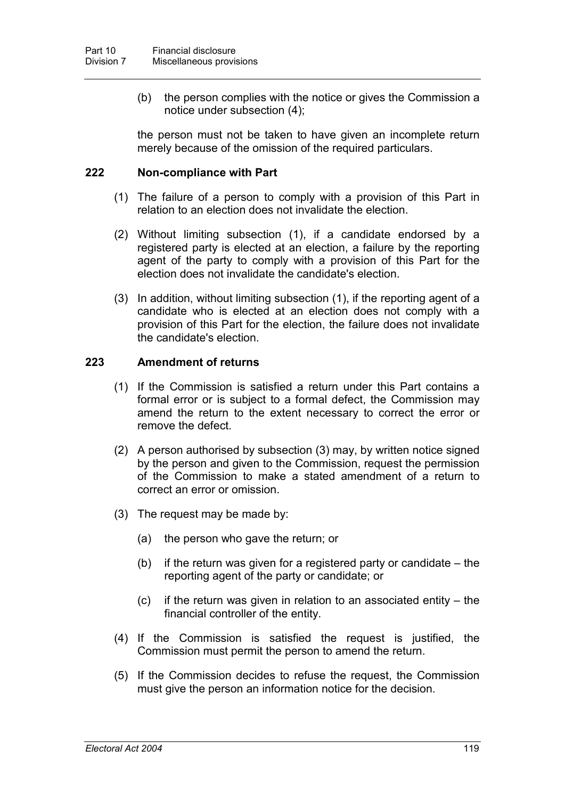(b) the person complies with the notice or gives the Commission a notice under subsection (4);

the person must not be taken to have given an incomplete return merely because of the omission of the required particulars.

#### **222 Non-compliance with Part**

- (1) The failure of a person to comply with a provision of this Part in relation to an election does not invalidate the election.
- (2) Without limiting subsection (1), if a candidate endorsed by a registered party is elected at an election, a failure by the reporting agent of the party to comply with a provision of this Part for the election does not invalidate the candidate's election.
- (3) In addition, without limiting subsection (1), if the reporting agent of a candidate who is elected at an election does not comply with a provision of this Part for the election, the failure does not invalidate the candidate's election.

#### **223 Amendment of returns**

- (1) If the Commission is satisfied a return under this Part contains a formal error or is subject to a formal defect, the Commission may amend the return to the extent necessary to correct the error or remove the defect.
- (2) A person authorised by subsection (3) may, by written notice signed by the person and given to the Commission, request the permission of the Commission to make a stated amendment of a return to correct an error or omission.
- (3) The request may be made by:
	- (a) the person who gave the return; or
	- (b) if the return was given for a registered party or candidate the reporting agent of the party or candidate; or
	- (c) if the return was given in relation to an associated entity the financial controller of the entity.
- (4) If the Commission is satisfied the request is justified, the Commission must permit the person to amend the return.
- (5) If the Commission decides to refuse the request, the Commission must give the person an information notice for the decision.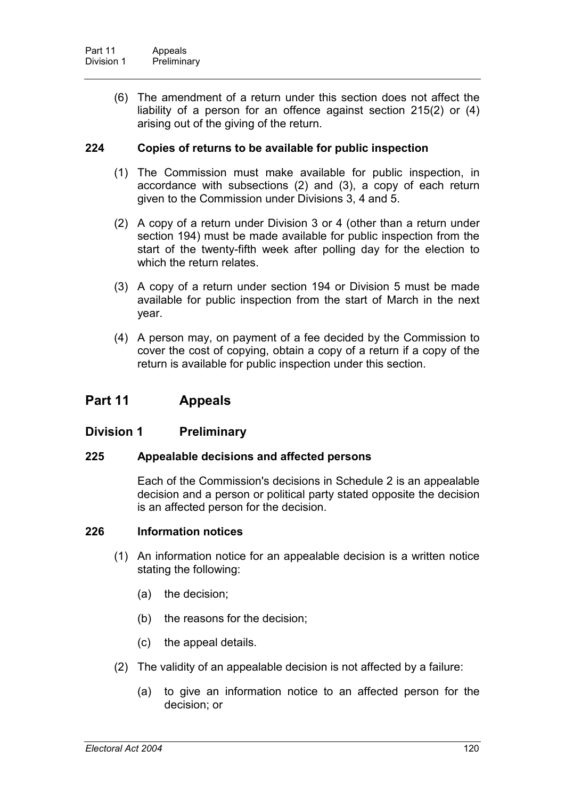(6) The amendment of a return under this section does not affect the liability of a person for an offence against section 215(2) or (4) arising out of the giving of the return.

## **224 Copies of returns to be available for public inspection**

- (1) The Commission must make available for public inspection, in accordance with subsections (2) and (3), a copy of each return given to the Commission under Divisions 3, 4 and 5.
- (2) A copy of a return under Division 3 or 4 (other than a return under section 194) must be made available for public inspection from the start of the twenty-fifth week after polling day for the election to which the return relates.
- (3) A copy of a return under section 194 or Division 5 must be made available for public inspection from the start of March in the next year.
- (4) A person may, on payment of a fee decided by the Commission to cover the cost of copying, obtain a copy of a return if a copy of the return is available for public inspection under this section.

# **Part 11 Appeals**

### **Division 1 Preliminary**

### **225 Appealable decisions and affected persons**

Each of the Commission's decisions in Schedule 2 is an appealable decision and a person or political party stated opposite the decision is an affected person for the decision.

### **226 Information notices**

- (1) An information notice for an appealable decision is a written notice stating the following:
	- (a) the decision;
	- (b) the reasons for the decision;
	- (c) the appeal details.
- (2) The validity of an appealable decision is not affected by a failure:
	- (a) to give an information notice to an affected person for the decision; or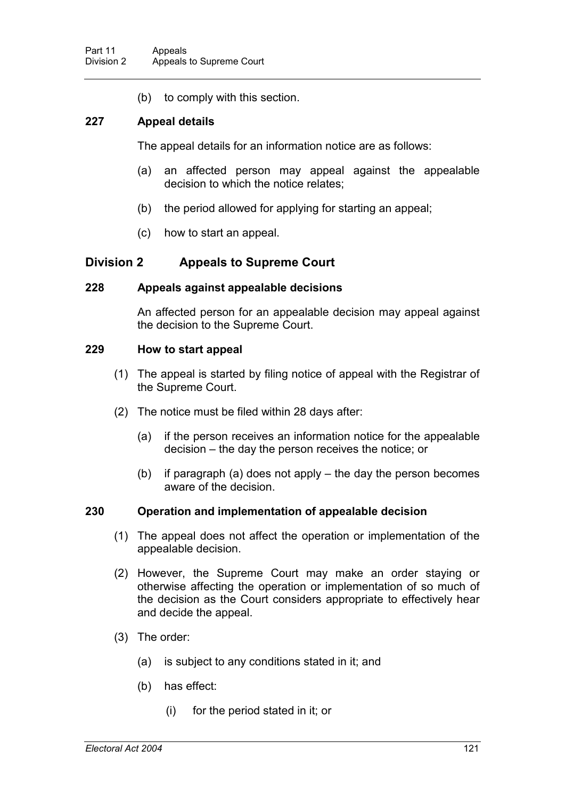(b) to comply with this section.

## **227 Appeal details**

The appeal details for an information notice are as follows:

- (a) an affected person may appeal against the appealable decision to which the notice relates;
- (b) the period allowed for applying for starting an appeal;
- (c) how to start an appeal.

# **Division 2 Appeals to Supreme Court**

### **228 Appeals against appealable decisions**

An affected person for an appealable decision may appeal against the decision to the Supreme Court.

### **229 How to start appeal**

- (1) The appeal is started by filing notice of appeal with the Registrar of the Supreme Court.
- (2) The notice must be filed within 28 days after:
	- (a) if the person receives an information notice for the appealable decision – the day the person receives the notice; or
	- (b) if paragraph (a) does not apply the day the person becomes aware of the decision.

### **230 Operation and implementation of appealable decision**

- (1) The appeal does not affect the operation or implementation of the appealable decision.
- (2) However, the Supreme Court may make an order staying or otherwise affecting the operation or implementation of so much of the decision as the Court considers appropriate to effectively hear and decide the appeal.
- (3) The order:
	- (a) is subject to any conditions stated in it; and
	- (b) has effect:
		- (i) for the period stated in it; or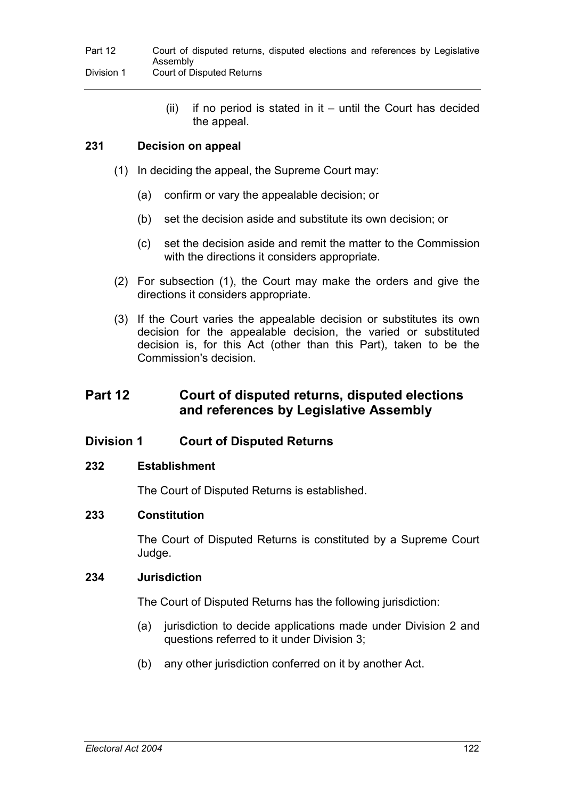$(ii)$  if no period is stated in it – until the Court has decided the appeal.

# **231 Decision on appeal**

- (1) In deciding the appeal, the Supreme Court may:
	- (a) confirm or vary the appealable decision; or
	- (b) set the decision aside and substitute its own decision; or
	- (c) set the decision aside and remit the matter to the Commission with the directions it considers appropriate.
- (2) For subsection (1), the Court may make the orders and give the directions it considers appropriate.
- (3) If the Court varies the appealable decision or substitutes its own decision for the appealable decision, the varied or substituted decision is, for this Act (other than this Part), taken to be the Commission's decision.

# **Part 12 Court of disputed returns, disputed elections and references by Legislative Assembly**

# **Division 1 Court of Disputed Returns**

### **232 Establishment**

The Court of Disputed Returns is established.

### **233 Constitution**

The Court of Disputed Returns is constituted by a Supreme Court Judge.

### **234 Jurisdiction**

The Court of Disputed Returns has the following jurisdiction:

- (a) jurisdiction to decide applications made under Division 2 and questions referred to it under Division 3;
- (b) any other jurisdiction conferred on it by another Act.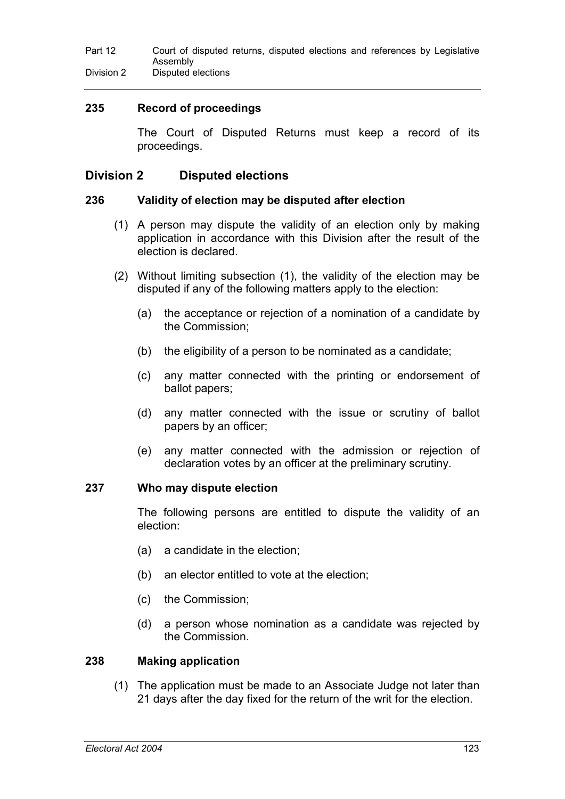# **235 Record of proceedings**

The Court of Disputed Returns must keep a record of its proceedings.

# **Division 2 Disputed elections**

#### **236 Validity of election may be disputed after election**

- (1) A person may dispute the validity of an election only by making application in accordance with this Division after the result of the election is declared.
- (2) Without limiting subsection (1), the validity of the election may be disputed if any of the following matters apply to the election:
	- (a) the acceptance or rejection of a nomination of a candidate by the Commission;
	- (b) the eligibility of a person to be nominated as a candidate;
	- (c) any matter connected with the printing or endorsement of ballot papers;
	- (d) any matter connected with the issue or scrutiny of ballot papers by an officer;
	- (e) any matter connected with the admission or rejection of declaration votes by an officer at the preliminary scrutiny.

#### **237 Who may dispute election**

The following persons are entitled to dispute the validity of an election:

- (a) a candidate in the election;
- (b) an elector entitled to vote at the election;
- (c) the Commission;
- (d) a person whose nomination as a candidate was rejected by the Commission.

#### **238 Making application**

(1) The application must be made to an Associate Judge not later than 21 days after the day fixed for the return of the writ for the election.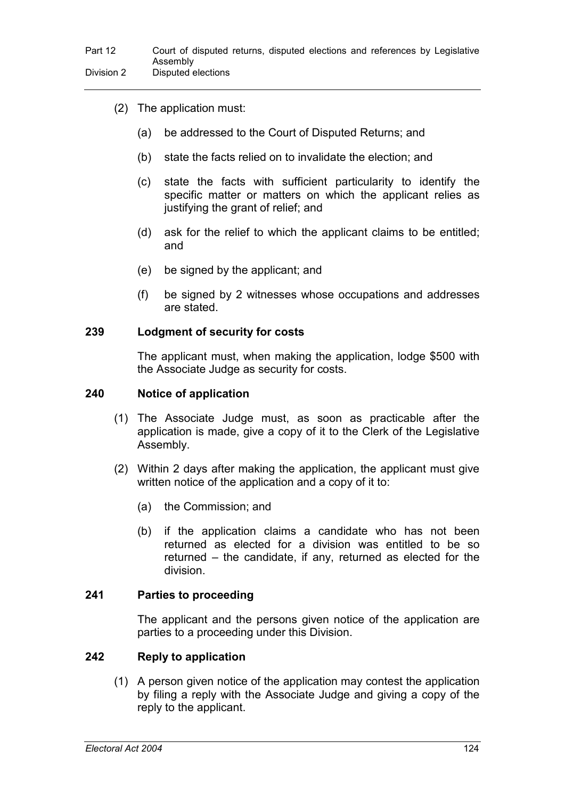- (2) The application must:
	- (a) be addressed to the Court of Disputed Returns; and
	- (b) state the facts relied on to invalidate the election; and
	- (c) state the facts with sufficient particularity to identify the specific matter or matters on which the applicant relies as justifying the grant of relief; and
	- (d) ask for the relief to which the applicant claims to be entitled; and
	- (e) be signed by the applicant; and
	- (f) be signed by 2 witnesses whose occupations and addresses are stated.

#### **239 Lodgment of security for costs**

The applicant must, when making the application, lodge \$500 with the Associate Judge as security for costs.

#### **240 Notice of application**

- (1) The Associate Judge must, as soon as practicable after the application is made, give a copy of it to the Clerk of the Legislative Assembly.
- (2) Within 2 days after making the application, the applicant must give written notice of the application and a copy of it to:
	- (a) the Commission; and
	- (b) if the application claims a candidate who has not been returned as elected for a division was entitled to be so returned – the candidate, if any, returned as elected for the division.

#### **241 Parties to proceeding**

The applicant and the persons given notice of the application are parties to a proceeding under this Division.

#### **242 Reply to application**

(1) A person given notice of the application may contest the application by filing a reply with the Associate Judge and giving a copy of the reply to the applicant.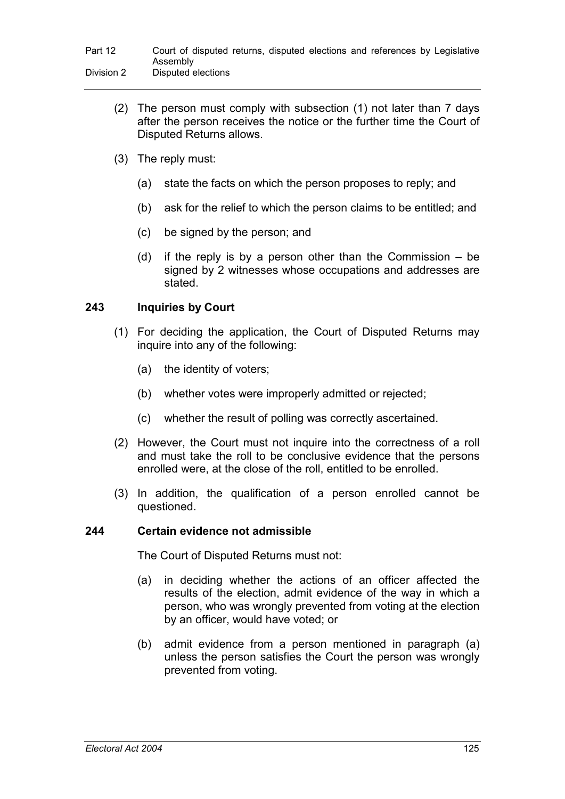- (2) The person must comply with subsection (1) not later than 7 days after the person receives the notice or the further time the Court of Disputed Returns allows.
- (3) The reply must:
	- (a) state the facts on which the person proposes to reply; and
	- (b) ask for the relief to which the person claims to be entitled; and
	- (c) be signed by the person; and
	- (d) if the reply is by a person other than the Commission be signed by 2 witnesses whose occupations and addresses are stated.

# **243 Inquiries by Court**

- (1) For deciding the application, the Court of Disputed Returns may inquire into any of the following:
	- (a) the identity of voters;
	- (b) whether votes were improperly admitted or rejected;
	- (c) whether the result of polling was correctly ascertained.
- (2) However, the Court must not inquire into the correctness of a roll and must take the roll to be conclusive evidence that the persons enrolled were, at the close of the roll, entitled to be enrolled.
- (3) In addition, the qualification of a person enrolled cannot be questioned.

### **244 Certain evidence not admissible**

The Court of Disputed Returns must not:

- (a) in deciding whether the actions of an officer affected the results of the election, admit evidence of the way in which a person, who was wrongly prevented from voting at the election by an officer, would have voted; or
- (b) admit evidence from a person mentioned in paragraph (a) unless the person satisfies the Court the person was wrongly prevented from voting.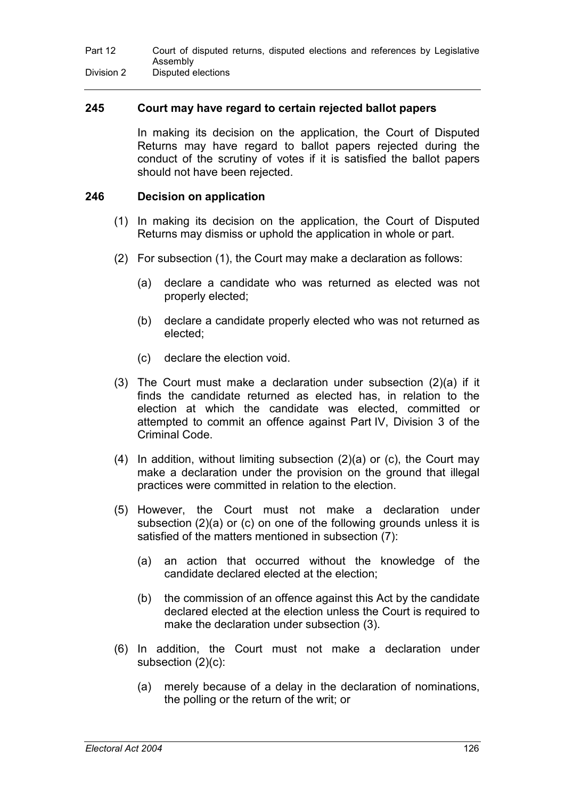### **245 Court may have regard to certain rejected ballot papers**

In making its decision on the application, the Court of Disputed Returns may have regard to ballot papers rejected during the conduct of the scrutiny of votes if it is satisfied the ballot papers should not have been rejected.

### **246 Decision on application**

- (1) In making its decision on the application, the Court of Disputed Returns may dismiss or uphold the application in whole or part.
- (2) For subsection (1), the Court may make a declaration as follows:
	- (a) declare a candidate who was returned as elected was not properly elected;
	- (b) declare a candidate properly elected who was not returned as elected;
	- (c) declare the election void.
- (3) The Court must make a declaration under subsection  $(2)(a)$  if it finds the candidate returned as elected has, in relation to the election at which the candidate was elected, committed or attempted to commit an offence against Part IV, Division 3 of the Criminal Code.
- (4) In addition, without limiting subsection (2)(a) or (c), the Court may make a declaration under the provision on the ground that illegal practices were committed in relation to the election.
- (5) However, the Court must not make a declaration under subsection (2)(a) or (c) on one of the following grounds unless it is satisfied of the matters mentioned in subsection (7):
	- (a) an action that occurred without the knowledge of the candidate declared elected at the election;
	- (b) the commission of an offence against this Act by the candidate declared elected at the election unless the Court is required to make the declaration under subsection (3).
- (6) In addition, the Court must not make a declaration under subsection (2)(c):
	- (a) merely because of a delay in the declaration of nominations, the polling or the return of the writ; or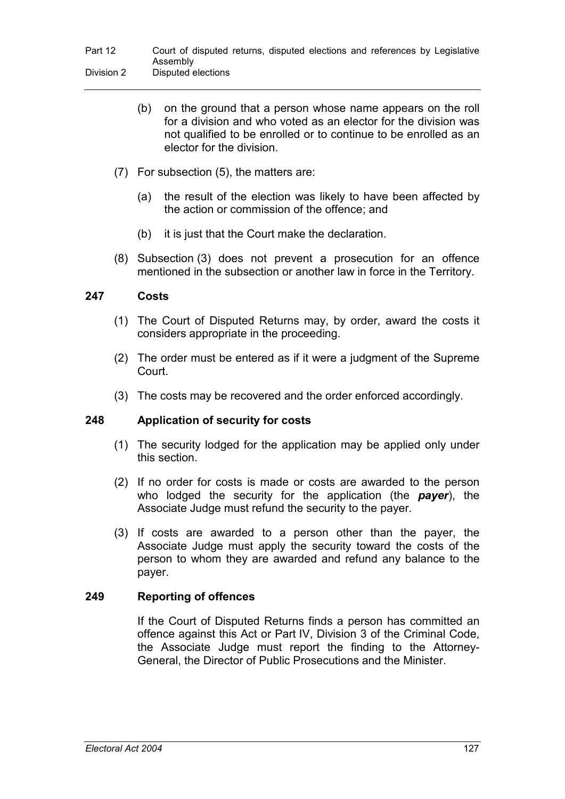- (b) on the ground that a person whose name appears on the roll for a division and who voted as an elector for the division was not qualified to be enrolled or to continue to be enrolled as an elector for the division.
- (7) For subsection (5), the matters are:
	- (a) the result of the election was likely to have been affected by the action or commission of the offence; and
	- (b) it is just that the Court make the declaration.
- (8) Subsection (3) does not prevent a prosecution for an offence mentioned in the subsection or another law in force in the Territory.

# **247 Costs**

- (1) The Court of Disputed Returns may, by order, award the costs it considers appropriate in the proceeding.
- (2) The order must be entered as if it were a judgment of the Supreme Court.
- (3) The costs may be recovered and the order enforced accordingly.

# **248 Application of security for costs**

- (1) The security lodged for the application may be applied only under this section.
- (2) If no order for costs is made or costs are awarded to the person who lodged the security for the application (the *payer*), the Associate Judge must refund the security to the payer.
- (3) If costs are awarded to a person other than the payer, the Associate Judge must apply the security toward the costs of the person to whom they are awarded and refund any balance to the payer.

# **249 Reporting of offences**

If the Court of Disputed Returns finds a person has committed an offence against this Act or Part IV, Division 3 of the Criminal Code, the Associate Judge must report the finding to the Attorney-General, the Director of Public Prosecutions and the Minister.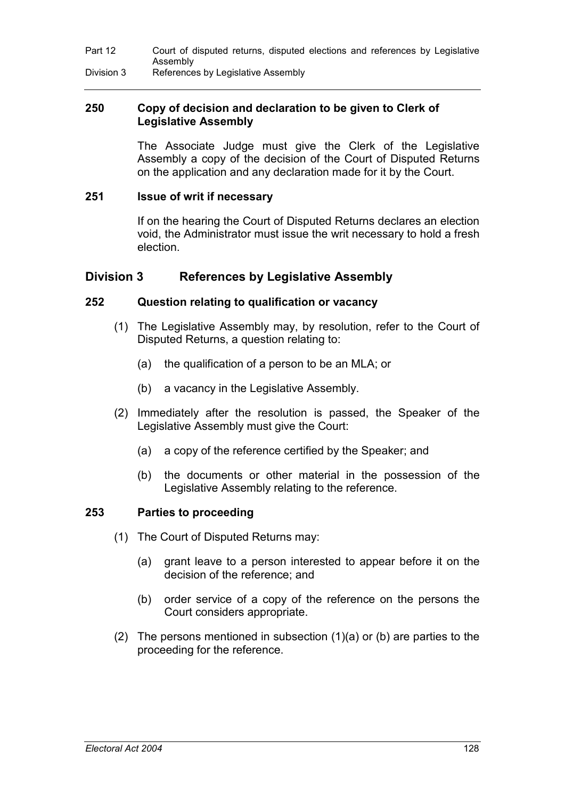## **250 Copy of decision and declaration to be given to Clerk of Legislative Assembly**

The Associate Judge must give the Clerk of the Legislative Assembly a copy of the decision of the Court of Disputed Returns on the application and any declaration made for it by the Court.

#### **251 Issue of writ if necessary**

If on the hearing the Court of Disputed Returns declares an election void, the Administrator must issue the writ necessary to hold a fresh election.

# **Division 3 References by Legislative Assembly**

#### **252 Question relating to qualification or vacancy**

- (1) The Legislative Assembly may, by resolution, refer to the Court of Disputed Returns, a question relating to:
	- (a) the qualification of a person to be an MLA; or
	- (b) a vacancy in the Legislative Assembly.
- (2) Immediately after the resolution is passed, the Speaker of the Legislative Assembly must give the Court:
	- (a) a copy of the reference certified by the Speaker; and
	- (b) the documents or other material in the possession of the Legislative Assembly relating to the reference.

### **253 Parties to proceeding**

- (1) The Court of Disputed Returns may:
	- (a) grant leave to a person interested to appear before it on the decision of the reference; and
	- (b) order service of a copy of the reference on the persons the Court considers appropriate.
- (2) The persons mentioned in subsection (1)(a) or (b) are parties to the proceeding for the reference.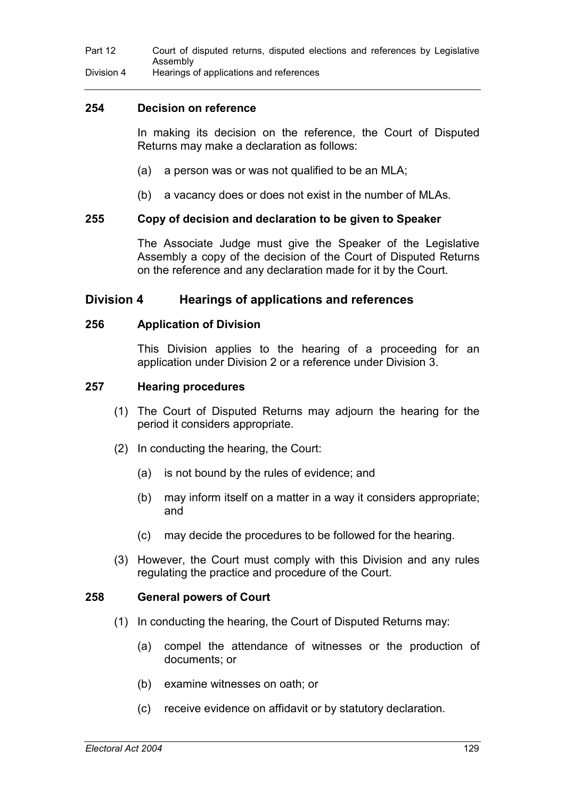### **254 Decision on reference**

In making its decision on the reference, the Court of Disputed Returns may make a declaration as follows:

- (a) a person was or was not qualified to be an MLA;
- (b) a vacancy does or does not exist in the number of MLAs.

### **255 Copy of decision and declaration to be given to Speaker**

The Associate Judge must give the Speaker of the Legislative Assembly a copy of the decision of the Court of Disputed Returns on the reference and any declaration made for it by the Court.

### **Division 4 Hearings of applications and references**

### **256 Application of Division**

This Division applies to the hearing of a proceeding for an application under Division 2 or a reference under Division 3.

#### **257 Hearing procedures**

- (1) The Court of Disputed Returns may adjourn the hearing for the period it considers appropriate.
- (2) In conducting the hearing, the Court:
	- (a) is not bound by the rules of evidence; and
	- (b) may inform itself on a matter in a way it considers appropriate; and
	- (c) may decide the procedures to be followed for the hearing.
- (3) However, the Court must comply with this Division and any rules regulating the practice and procedure of the Court.

#### **258 General powers of Court**

- (1) In conducting the hearing, the Court of Disputed Returns may:
	- (a) compel the attendance of witnesses or the production of documents; or
	- (b) examine witnesses on oath; or
	- (c) receive evidence on affidavit or by statutory declaration.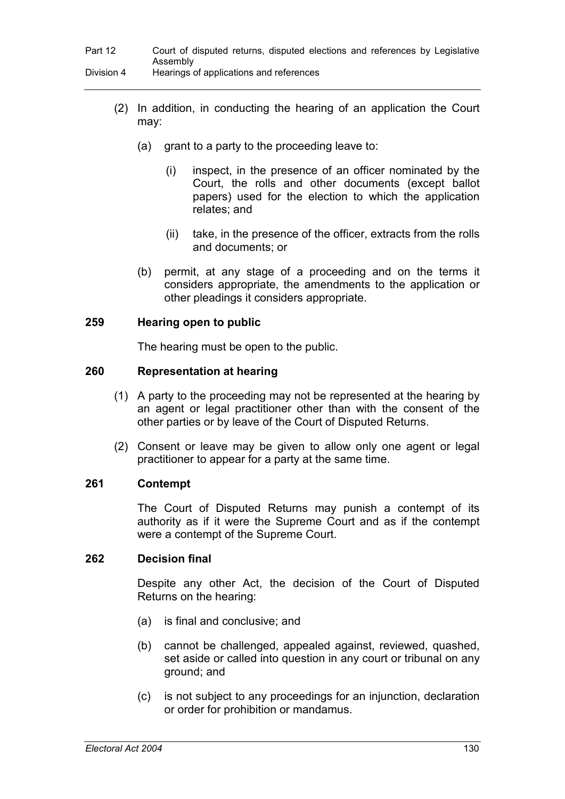- (2) In addition, in conducting the hearing of an application the Court may:
	- $(a)$  grant to a party to the proceeding leave to:
		- (i) inspect, in the presence of an officer nominated by the Court, the rolls and other documents (except ballot papers) used for the election to which the application relates; and
		- (ii) take, in the presence of the officer, extracts from the rolls and documents; or
	- (b) permit, at any stage of a proceeding and on the terms it considers appropriate, the amendments to the application or other pleadings it considers appropriate.

### **259 Hearing open to public**

The hearing must be open to the public.

### **260 Representation at hearing**

- (1) A party to the proceeding may not be represented at the hearing by an agent or legal practitioner other than with the consent of the other parties or by leave of the Court of Disputed Returns.
- (2) Consent or leave may be given to allow only one agent or legal practitioner to appear for a party at the same time.

### **261 Contempt**

The Court of Disputed Returns may punish a contempt of its authority as if it were the Supreme Court and as if the contempt were a contempt of the Supreme Court.

### **262 Decision final**

Despite any other Act, the decision of the Court of Disputed Returns on the hearing:

- (a) is final and conclusive; and
- (b) cannot be challenged, appealed against, reviewed, quashed, set aside or called into question in any court or tribunal on any ground; and
- (c) is not subject to any proceedings for an injunction, declaration or order for prohibition or mandamus.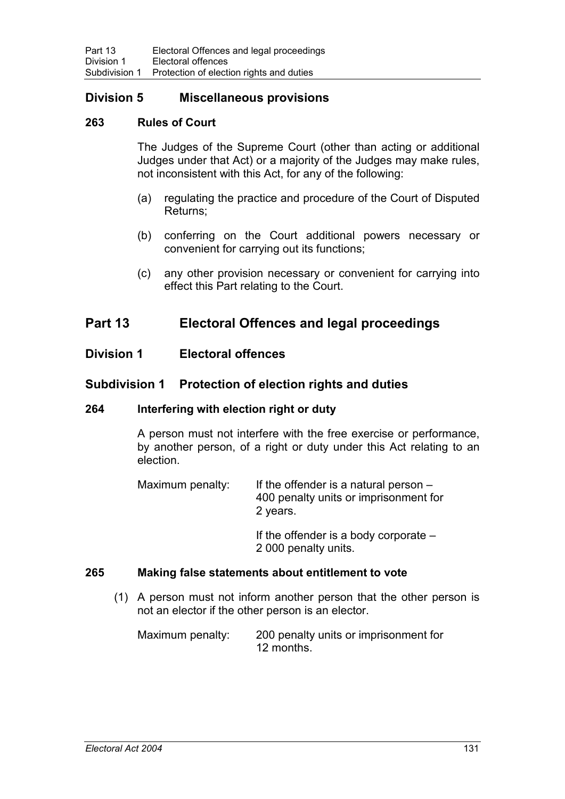## **Division 5 Miscellaneous provisions**

### **263 Rules of Court**

The Judges of the Supreme Court (other than acting or additional Judges under that Act) or a majority of the Judges may make rules, not inconsistent with this Act, for any of the following:

- (a) regulating the practice and procedure of the Court of Disputed Returns;
- (b) conferring on the Court additional powers necessary or convenient for carrying out its functions;
- (c) any other provision necessary or convenient for carrying into effect this Part relating to the Court.

## **Part 13 Electoral Offences and legal proceedings**

### **Division 1 Electoral offences**

### **Subdivision 1 Protection of election rights and duties**

#### **264 Interfering with election right or duty**

A person must not interfere with the free exercise or performance, by another person, of a right or duty under this Act relating to an election.

| Maximum penalty: | If the offender is a natural person $-$<br>400 penalty units or imprisonment for |
|------------------|----------------------------------------------------------------------------------|
|                  | 2 years.                                                                         |

If the offender is a body corporate – 2 000 penalty units.

### **265 Making false statements about entitlement to vote**

(1) A person must not inform another person that the other person is not an elector if the other person is an elector.

| Maximum penalty: | 200 penalty units or imprisonment for |
|------------------|---------------------------------------|
|                  | 12 months.                            |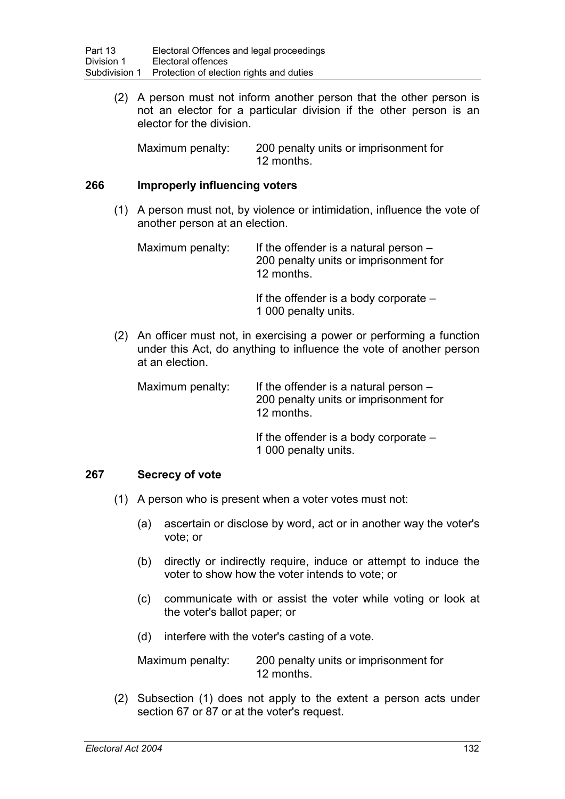(2) A person must not inform another person that the other person is not an elector for a particular division if the other person is an elector for the division.

Maximum penalty: 200 penalty units or imprisonment for 12 months.

### **266 Improperly influencing voters**

(1) A person must not, by violence or intimidation, influence the vote of another person at an election.

| Maximum penalty: | If the offender is a natural person $-$ |
|------------------|-----------------------------------------|
|                  | 200 penalty units or imprisonment for   |
|                  | 12 months.                              |
|                  |                                         |

If the offender is a body corporate – 1 000 penalty units.

(2) An officer must not, in exercising a power or performing a function under this Act, do anything to influence the vote of another person at an election.

Maximum penalty: If the offender is a natural person  $-$ 200 penalty units or imprisonment for 12 months.

> If the offender is a body corporate – 1 000 penalty units.

### **267 Secrecy of vote**

- (1) A person who is present when a voter votes must not:
	- (a) ascertain or disclose by word, act or in another way the voter's vote; or
	- (b) directly or indirectly require, induce or attempt to induce the voter to show how the voter intends to vote; or
	- (c) communicate with or assist the voter while voting or look at the voter's ballot paper; or
	- (d) interfere with the voter's casting of a vote.

Maximum penalty: 200 penalty units or imprisonment for 12 months.

(2) Subsection (1) does not apply to the extent a person acts under section 67 or 87 or at the voter's request.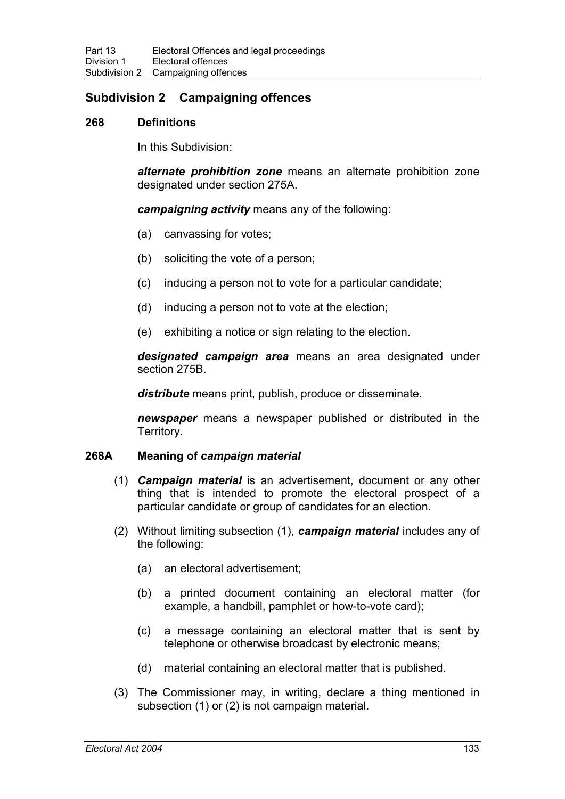## **Subdivision 2 Campaigning offences**

### **268 Definitions**

In this Subdivision:

*alternate prohibition zone* means an alternate prohibition zone designated under section 275A.

*campaigning activity* means any of the following:

- (a) canvassing for votes;
- (b) soliciting the vote of a person;
- (c) inducing a person not to vote for a particular candidate;
- (d) inducing a person not to vote at the election;
- (e) exhibiting a notice or sign relating to the election.

*designated campaign area* means an area designated under section 275B.

*distribute* means print, publish, produce or disseminate.

*newspaper* means a newspaper published or distributed in the Territory.

### **268A Meaning of** *campaign material*

- (1) *Campaign material* is an advertisement, document or any other thing that is intended to promote the electoral prospect of a particular candidate or group of candidates for an election.
- (2) Without limiting subsection (1), *campaign material* includes any of the following:
	- (a) an electoral advertisement;
	- (b) a printed document containing an electoral matter (for example, a handbill, pamphlet or how-to-vote card);
	- (c) a message containing an electoral matter that is sent by telephone or otherwise broadcast by electronic means;
	- (d) material containing an electoral matter that is published.
- (3) The Commissioner may, in writing, declare a thing mentioned in subsection (1) or (2) is not campaign material.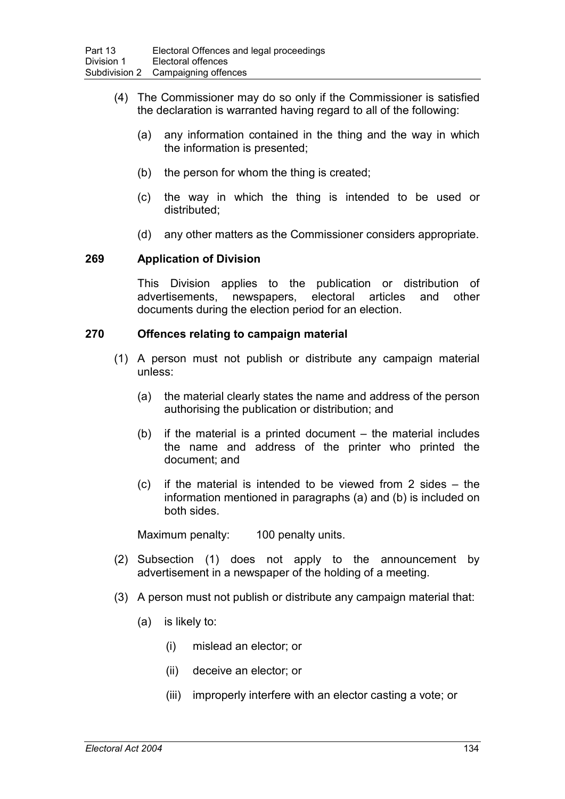- (4) The Commissioner may do so only if the Commissioner is satisfied the declaration is warranted having regard to all of the following:
	- (a) any information contained in the thing and the way in which the information is presented;
	- (b) the person for whom the thing is created;
	- (c) the way in which the thing is intended to be used or distributed;
	- (d) any other matters as the Commissioner considers appropriate.

### **269 Application of Division**

This Division applies to the publication or distribution of advertisements, newspapers, electoral articles and other documents during the election period for an election.

#### **270 Offences relating to campaign material**

- (1) A person must not publish or distribute any campaign material unless:
	- (a) the material clearly states the name and address of the person authorising the publication or distribution; and
	- (b) if the material is a printed document the material includes the name and address of the printer who printed the document; and
	- (c) if the material is intended to be viewed from 2 sides the information mentioned in paragraphs (a) and (b) is included on both sides.

Maximum penalty: 100 penalty units.

- (2) Subsection (1) does not apply to the announcement by advertisement in a newspaper of the holding of a meeting.
- (3) A person must not publish or distribute any campaign material that:
	- (a) is likely to:
		- (i) mislead an elector; or
		- (ii) deceive an elector; or
		- (iii) improperly interfere with an elector casting a vote; or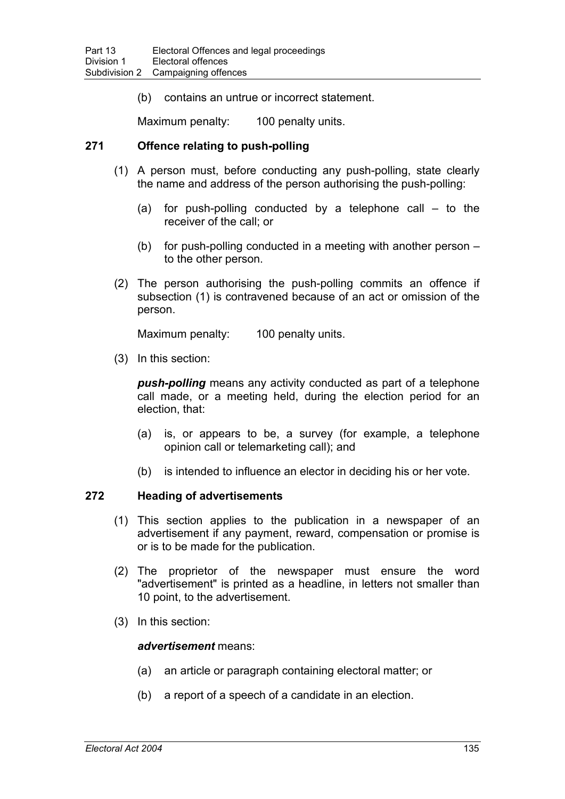(b) contains an untrue or incorrect statement.

Maximum penalty: 100 penalty units.

### **271 Offence relating to push-polling**

- (1) A person must, before conducting any push-polling, state clearly the name and address of the person authorising the push-polling:
	- (a) for push-polling conducted by a telephone call  $-$  to the receiver of the call; or
	- (b) for push-polling conducted in a meeting with another person to the other person.
- (2) The person authorising the push-polling commits an offence if subsection (1) is contravened because of an act or omission of the person.

Maximum penalty: 100 penalty units.

(3) In this section:

*push-polling* means any activity conducted as part of a telephone call made, or a meeting held, during the election period for an election, that:

- (a) is, or appears to be, a survey (for example, a telephone opinion call or telemarketing call); and
- (b) is intended to influence an elector in deciding his or her vote.

#### **272 Heading of advertisements**

- (1) This section applies to the publication in a newspaper of an advertisement if any payment, reward, compensation or promise is or is to be made for the publication.
- (2) The proprietor of the newspaper must ensure the word "advertisement" is printed as a headline, in letters not smaller than 10 point, to the advertisement.
- (3) In this section:

#### *advertisement* means:

- (a) an article or paragraph containing electoral matter; or
- (b) a report of a speech of a candidate in an election.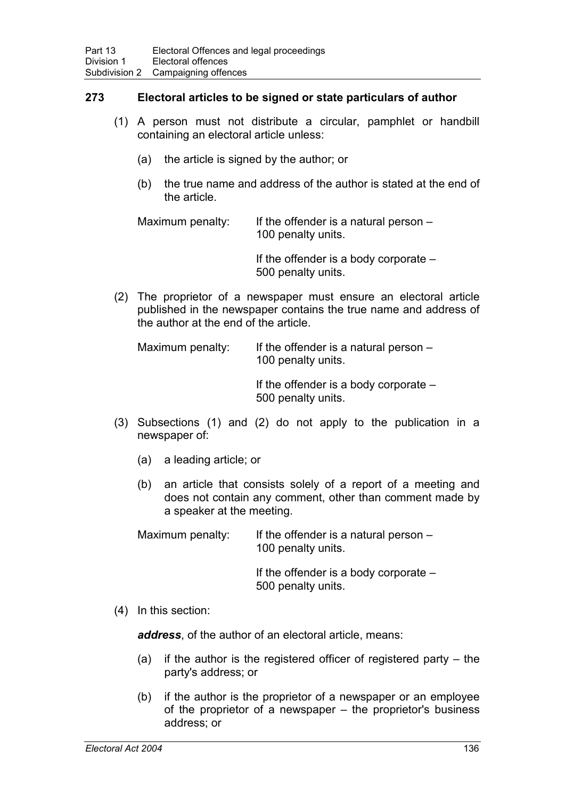### **273 Electoral articles to be signed or state particulars of author**

- (1) A person must not distribute a circular, pamphlet or handbill containing an electoral article unless:
	- (a) the article is signed by the author; or
	- (b) the true name and address of the author is stated at the end of the article.

Maximum penalty: If the offender is a natural person  $-$ 100 penalty units.

> If the offender is a body corporate – 500 penalty units.

(2) The proprietor of a newspaper must ensure an electoral article published in the newspaper contains the true name and address of the author at the end of the article.

Maximum penalty: If the offender is a natural person  $-$ 100 penalty units.

> If the offender is a body corporate – 500 penalty units.

- (3) Subsections (1) and (2) do not apply to the publication in a newspaper of:
	- (a) a leading article; or
	- (b) an article that consists solely of a report of a meeting and does not contain any comment, other than comment made by a speaker at the meeting.

Maximum penalty: If the offender is a natural person  $-$ 100 penalty units.

> If the offender is a body corporate – 500 penalty units.

### (4) In this section:

*address*, of the author of an electoral article, means:

- (a) if the author is the registered officer of registered party  $-$  the party's address; or
- (b) if the author is the proprietor of a newspaper or an employee of the proprietor of a newspaper – the proprietor's business address; or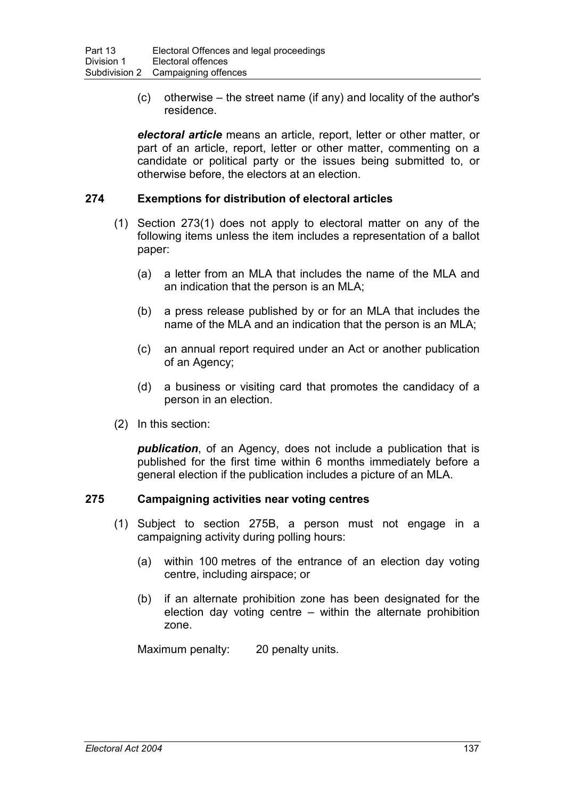(c) otherwise – the street name (if any) and locality of the author's residence.

*electoral article* means an article, report, letter or other matter, or part of an article, report, letter or other matter, commenting on a candidate or political party or the issues being submitted to, or otherwise before, the electors at an election.

### **274 Exemptions for distribution of electoral articles**

- (1) Section 273(1) does not apply to electoral matter on any of the following items unless the item includes a representation of a ballot paper:
	- (a) a letter from an MLA that includes the name of the MLA and an indication that the person is an MLA;
	- (b) a press release published by or for an MLA that includes the name of the MLA and an indication that the person is an MLA;
	- (c) an annual report required under an Act or another publication of an Agency;
	- (d) a business or visiting card that promotes the candidacy of a person in an election.
- (2) In this section:

*publication*, of an Agency, does not include a publication that is published for the first time within 6 months immediately before a general election if the publication includes a picture of an MLA.

### **275 Campaigning activities near voting centres**

- (1) Subject to section 275B, a person must not engage in a campaigning activity during polling hours:
	- (a) within 100 metres of the entrance of an election day voting centre, including airspace; or
	- (b) if an alternate prohibition zone has been designated for the election day voting centre – within the alternate prohibition zone.

Maximum penalty: 20 penalty units.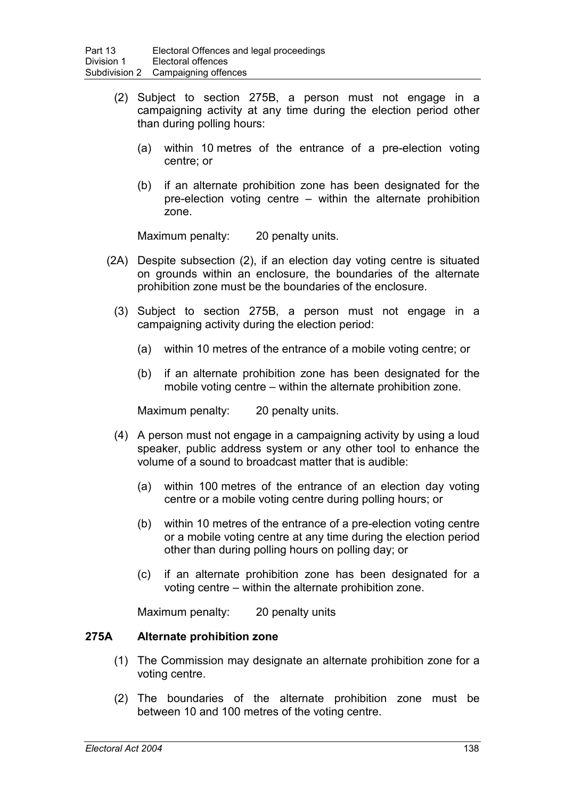- (2) Subject to section 275B, a person must not engage in a campaigning activity at any time during the election period other than during polling hours:
	- (a) within 10 metres of the entrance of a pre-election voting centre; or
	- (b) if an alternate prohibition zone has been designated for the pre-election voting centre – within the alternate prohibition zone.

Maximum penalty: 20 penalty units.

- (2A) Despite subsection (2), if an election day voting centre is situated on grounds within an enclosure, the boundaries of the alternate prohibition zone must be the boundaries of the enclosure.
	- (3) Subject to section 275B, a person must not engage in a campaigning activity during the election period:
		- (a) within 10 metres of the entrance of a mobile voting centre; or
		- (b) if an alternate prohibition zone has been designated for the mobile voting centre – within the alternate prohibition zone.

Maximum penalty: 20 penalty units.

- (4) A person must not engage in a campaigning activity by using a loud speaker, public address system or any other tool to enhance the volume of a sound to broadcast matter that is audible:
	- (a) within 100 metres of the entrance of an election day voting centre or a mobile voting centre during polling hours; or
	- (b) within 10 metres of the entrance of a pre-election voting centre or a mobile voting centre at any time during the election period other than during polling hours on polling day; or
	- (c) if an alternate prohibition zone has been designated for a voting centre – within the alternate prohibition zone.

Maximum penalty: 20 penalty units

### **275A Alternate prohibition zone**

- (1) The Commission may designate an alternate prohibition zone for a voting centre.
- (2) The boundaries of the alternate prohibition zone must be between 10 and 100 metres of the voting centre.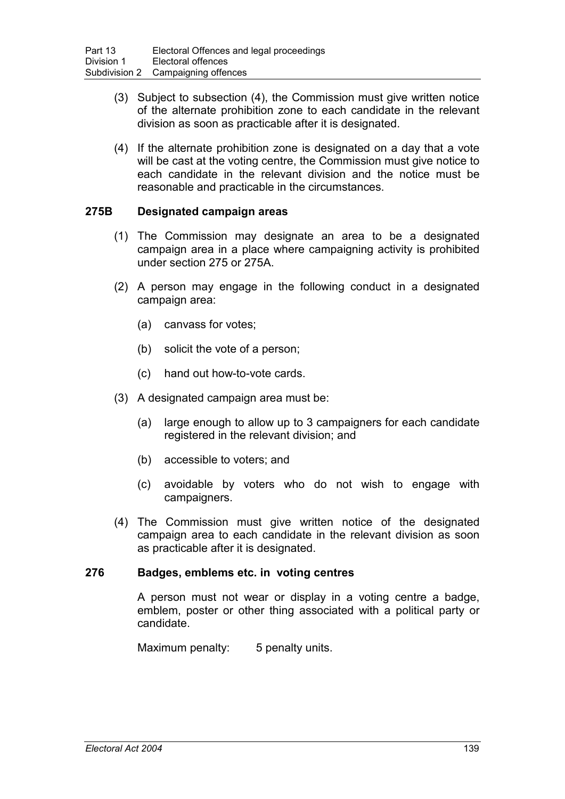- (3) Subject to subsection (4), the Commission must give written notice of the alternate prohibition zone to each candidate in the relevant division as soon as practicable after it is designated.
- (4) If the alternate prohibition zone is designated on a day that a vote will be cast at the voting centre, the Commission must give notice to each candidate in the relevant division and the notice must be reasonable and practicable in the circumstances.

### **275B Designated campaign areas**

- (1) The Commission may designate an area to be a designated campaign area in a place where campaigning activity is prohibited under section 275 or 275A.
- (2) A person may engage in the following conduct in a designated campaign area:
	- (a) canvass for votes;
	- (b) solicit the vote of a person;
	- (c) hand out how-to-vote cards.
- (3) A designated campaign area must be:
	- (a) large enough to allow up to 3 campaigners for each candidate registered in the relevant division; and
	- (b) accessible to voters; and
	- (c) avoidable by voters who do not wish to engage with campaigners.
- (4) The Commission must give written notice of the designated campaign area to each candidate in the relevant division as soon as practicable after it is designated.

### **276 Badges, emblems etc. in voting centres**

A person must not wear or display in a voting centre a badge, emblem, poster or other thing associated with a political party or candidate.

Maximum penalty: 5 penalty units.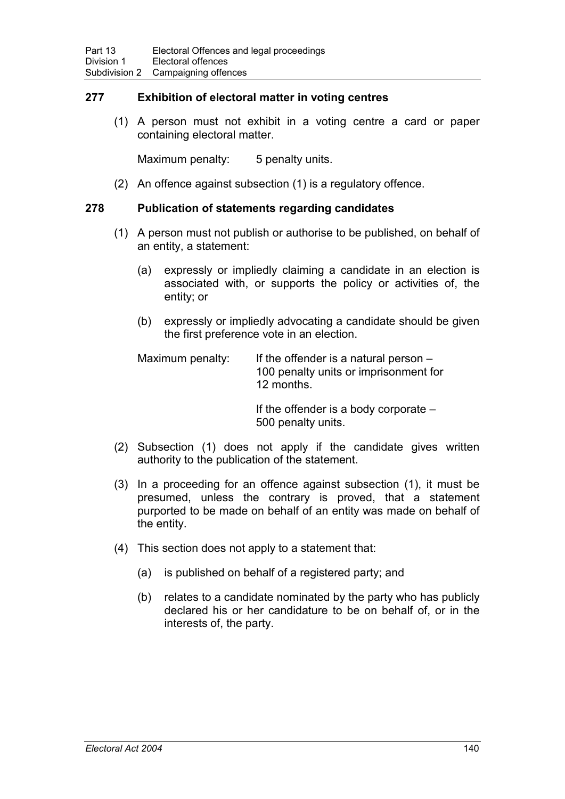### **277 Exhibition of electoral matter in voting centres**

(1) A person must not exhibit in a voting centre a card or paper containing electoral matter.

Maximum penalty: 5 penalty units.

(2) An offence against subsection (1) is a regulatory offence.

### **278 Publication of statements regarding candidates**

- (1) A person must not publish or authorise to be published, on behalf of an entity, a statement:
	- (a) expressly or impliedly claiming a candidate in an election is associated with, or supports the policy or activities of, the entity; or
	- (b) expressly or impliedly advocating a candidate should be given the first preference vote in an election.

| Maximum penalty: | If the offender is a natural person $-$ |
|------------------|-----------------------------------------|
|                  | 100 penalty units or imprisonment for   |
|                  | 12 months.                              |

If the offender is a body corporate – 500 penalty units.

- (2) Subsection (1) does not apply if the candidate gives written authority to the publication of the statement.
- (3) In a proceeding for an offence against subsection (1), it must be presumed, unless the contrary is proved, that a statement purported to be made on behalf of an entity was made on behalf of the entity.
- (4) This section does not apply to a statement that:
	- (a) is published on behalf of a registered party; and
	- (b) relates to a candidate nominated by the party who has publicly declared his or her candidature to be on behalf of, or in the interests of, the party.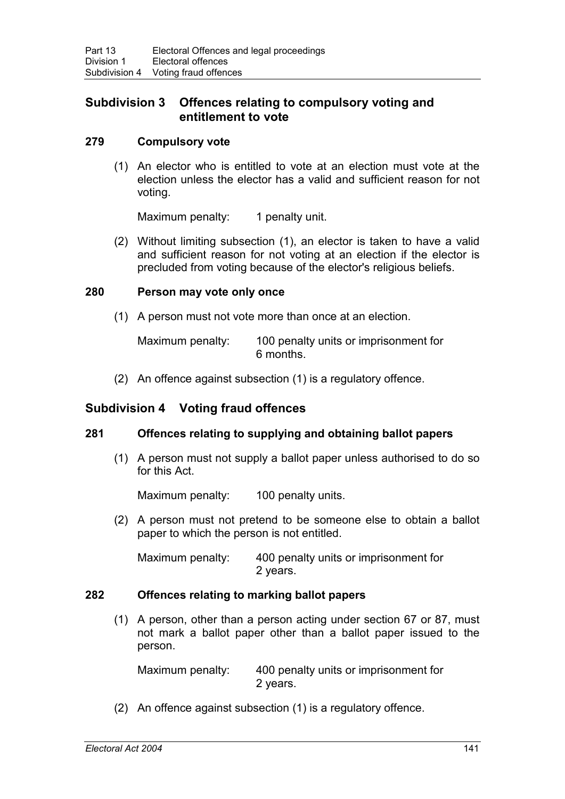## **Subdivision 3 Offences relating to compulsory voting and entitlement to vote**

### **279 Compulsory vote**

(1) An elector who is entitled to vote at an election must vote at the election unless the elector has a valid and sufficient reason for not voting.

Maximum penalty: 1 penalty unit.

(2) Without limiting subsection (1), an elector is taken to have a valid and sufficient reason for not voting at an election if the elector is precluded from voting because of the elector's religious beliefs.

### **280 Person may vote only once**

(1) A person must not vote more than once at an election.

Maximum penalty: 100 penalty units or imprisonment for 6 months.

(2) An offence against subsection (1) is a regulatory offence.

## **Subdivision 4 Voting fraud offences**

### **281 Offences relating to supplying and obtaining ballot papers**

(1) A person must not supply a ballot paper unless authorised to do so for this Act.

Maximum penalty: 100 penalty units.

(2) A person must not pretend to be someone else to obtain a ballot paper to which the person is not entitled.

Maximum penalty: 400 penalty units or imprisonment for 2 years.

### **282 Offences relating to marking ballot papers**

(1) A person, other than a person acting under section 67 or 87, must not mark a ballot paper other than a ballot paper issued to the person.

Maximum penalty: 400 penalty units or imprisonment for 2 years.

(2) An offence against subsection (1) is a regulatory offence.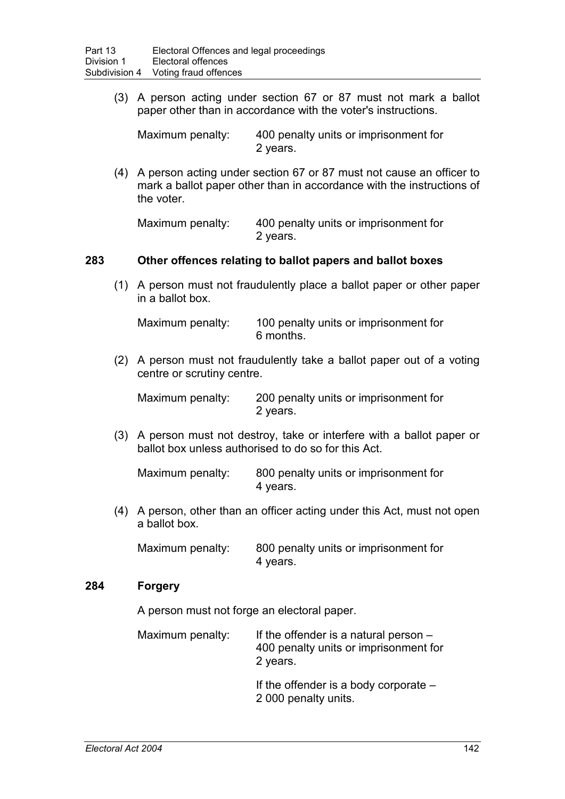(3) A person acting under section 67 or 87 must not mark a ballot paper other than in accordance with the voter's instructions.

Maximum penalty: 400 penalty units or imprisonment for 2 years.

(4) A person acting under section 67 or 87 must not cause an officer to mark a ballot paper other than in accordance with the instructions of the voter.

Maximum penalty: 400 penalty units or imprisonment for 2 years.

### **283 Other offences relating to ballot papers and ballot boxes**

(1) A person must not fraudulently place a ballot paper or other paper in a ballot box.

Maximum penalty: 100 penalty units or imprisonment for 6 months.

(2) A person must not fraudulently take a ballot paper out of a voting centre or scrutiny centre.

Maximum penalty: 200 penalty units or imprisonment for 2 years.

(3) A person must not destroy, take or interfere with a ballot paper or ballot box unless authorised to do so for this Act.

Maximum penalty: 800 penalty units or imprisonment for 4 years.

(4) A person, other than an officer acting under this Act, must not open a ballot box.

Maximum penalty: 800 penalty units or imprisonment for 4 years.

### **284 Forgery**

A person must not forge an electoral paper.

| Maximum penalty: | If the offender is a natural person $-$ |
|------------------|-----------------------------------------|
|                  | 400 penalty units or imprisonment for   |
|                  | 2 years.                                |

If the offender is a body corporate – 2 000 penalty units.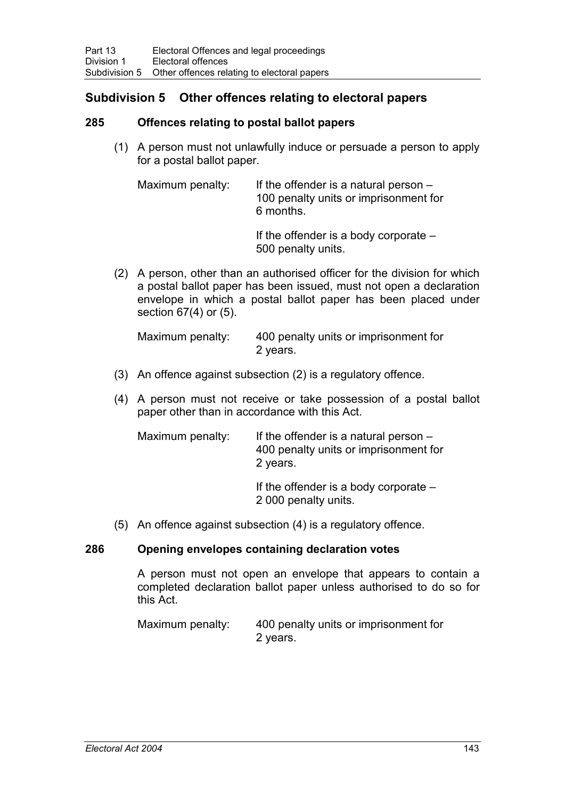## **Subdivision 5 Other offences relating to electoral papers**

### **285 Offences relating to postal ballot papers**

(1) A person must not unlawfully induce or persuade a person to apply for a postal ballot paper.

Maximum penalty: If the offender is a natural person  $-$ 100 penalty units or imprisonment for 6 months.

> If the offender is a body corporate – 500 penalty units.

(2) A person, other than an authorised officer for the division for which a postal ballot paper has been issued, must not open a declaration envelope in which a postal ballot paper has been placed under section 67(4) or (5).

Maximum penalty: 400 penalty units or imprisonment for 2 years.

- (3) An offence against subsection (2) is a regulatory offence.
- (4) A person must not receive or take possession of a postal ballot paper other than in accordance with this Act.

| Maximum penalty: | If the offender is a natural person $-$<br>400 penalty units or imprisonment for<br>2 years. |
|------------------|----------------------------------------------------------------------------------------------|
|                  | If the offender is a body corporate $-$<br>2 000 penalty units.                              |

(5) An offence against subsection (4) is a regulatory offence.

### **286 Opening envelopes containing declaration votes**

A person must not open an envelope that appears to contain a completed declaration ballot paper unless authorised to do so for this Act.

Maximum penalty: 400 penalty units or imprisonment for 2 years.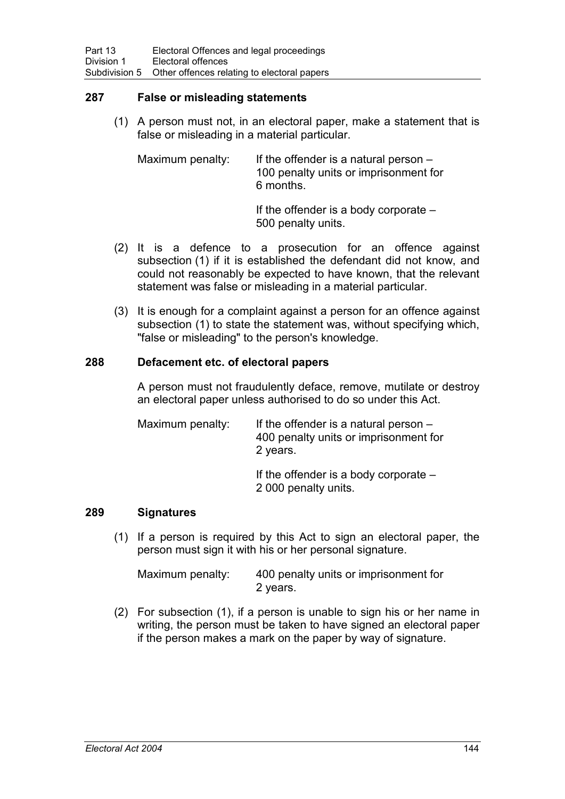### **287 False or misleading statements**

(1) A person must not, in an electoral paper, make a statement that is false or misleading in a material particular.

Maximum penalty: If the offender is a natural person – 100 penalty units or imprisonment for 6 months.

If the offender is a body corporate – 500 penalty units.

- (2) It is a defence to a prosecution for an offence against subsection (1) if it is established the defendant did not know, and could not reasonably be expected to have known, that the relevant statement was false or misleading in a material particular.
- (3) It is enough for a complaint against a person for an offence against subsection (1) to state the statement was, without specifying which, "false or misleading" to the person's knowledge.

### **288 Defacement etc. of electoral papers**

A person must not fraudulently deface, remove, mutilate or destroy an electoral paper unless authorised to do so under this Act.

| Maximum penalty: | If the offender is a natural person $-$<br>400 penalty units or imprisonment for<br>2 years. |
|------------------|----------------------------------------------------------------------------------------------|
|                  | If the offender is a body corporate $-$<br>2 000 penalty units.                              |

### **289 Signatures**

(1) If a person is required by this Act to sign an electoral paper, the person must sign it with his or her personal signature.

| Maximum penalty: | 400 penalty units or imprisonment for |
|------------------|---------------------------------------|
|                  | 2 years.                              |

(2) For subsection (1), if a person is unable to sign his or her name in writing, the person must be taken to have signed an electoral paper if the person makes a mark on the paper by way of signature.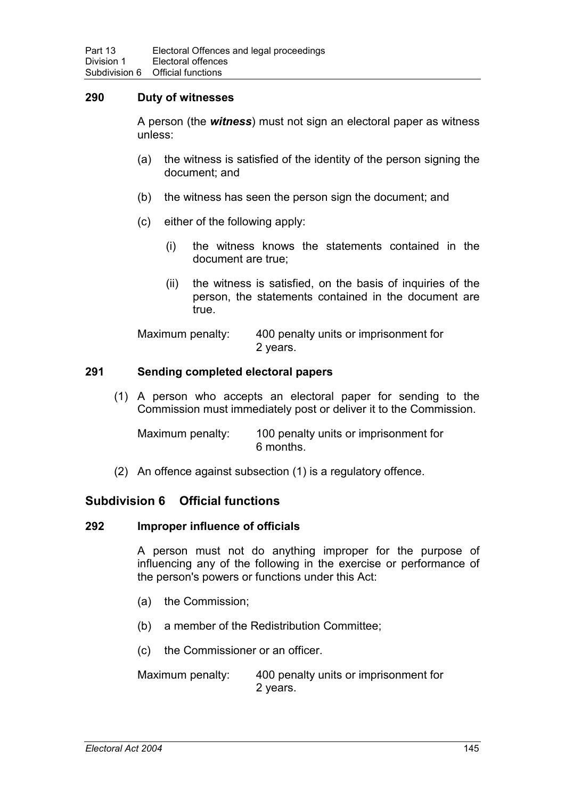### **290 Duty of witnesses**

A person (the *witness*) must not sign an electoral paper as witness unless:

- (a) the witness is satisfied of the identity of the person signing the document; and
- (b) the witness has seen the person sign the document; and
- (c) either of the following apply:
	- (i) the witness knows the statements contained in the document are true;
	- (ii) the witness is satisfied, on the basis of inquiries of the person, the statements contained in the document are true.

Maximum penalty: 400 penalty units or imprisonment for 2 years.

### **291 Sending completed electoral papers**

(1) A person who accepts an electoral paper for sending to the Commission must immediately post or deliver it to the Commission.

Maximum penalty: 100 penalty units or imprisonment for 6 months.

(2) An offence against subsection (1) is a regulatory offence.

### **Subdivision 6 Official functions**

#### **292 Improper influence of officials**

A person must not do anything improper for the purpose of influencing any of the following in the exercise or performance of the person's powers or functions under this Act:

- (a) the Commission;
- (b) a member of the Redistribution Committee;
- (c) the Commissioner or an officer.

Maximum penalty: 400 penalty units or imprisonment for 2 years.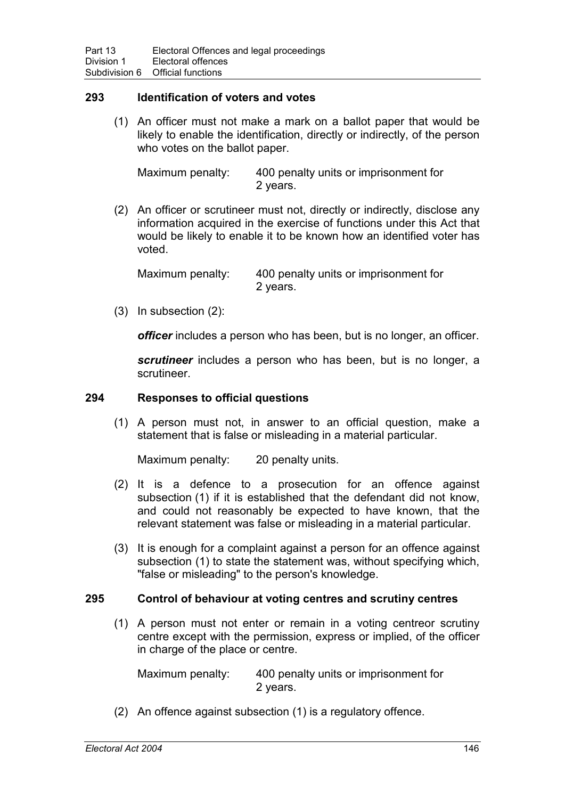### **293 Identification of voters and votes**

(1) An officer must not make a mark on a ballot paper that would be likely to enable the identification, directly or indirectly, of the person who votes on the ballot paper.

Maximum penalty: 400 penalty units or imprisonment for 2 years.

(2) An officer or scrutineer must not, directly or indirectly, disclose any information acquired in the exercise of functions under this Act that would be likely to enable it to be known how an identified voter has voted.

Maximum penalty: 400 penalty units or imprisonment for 2 years.

(3) In subsection (2):

*officer* includes a person who has been, but is no longer, an officer.

*scrutineer* includes a person who has been, but is no longer, a scrutineer.

### **294 Responses to official questions**

(1) A person must not, in answer to an official question, make a statement that is false or misleading in a material particular.

Maximum penalty: 20 penalty units.

- (2) It is a defence to a prosecution for an offence against subsection (1) if it is established that the defendant did not know, and could not reasonably be expected to have known, that the relevant statement was false or misleading in a material particular.
- (3) It is enough for a complaint against a person for an offence against subsection (1) to state the statement was, without specifying which, "false or misleading" to the person's knowledge.

### **295 Control of behaviour at voting centres and scrutiny centres**

(1) A person must not enter or remain in a voting centreor scrutiny centre except with the permission, express or implied, of the officer in charge of the place or centre.

Maximum penalty: 400 penalty units or imprisonment for 2 years.

(2) An offence against subsection (1) is a regulatory offence.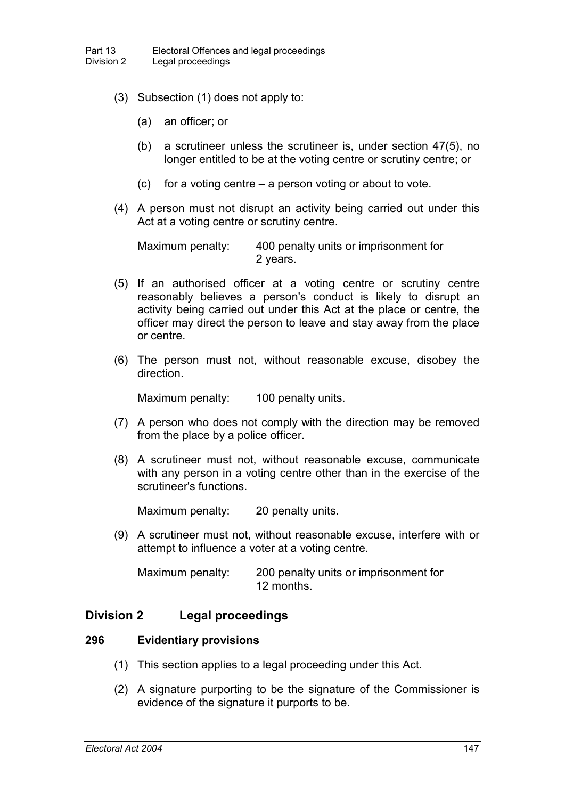- (3) Subsection (1) does not apply to:
	- (a) an officer; or
	- (b) a scrutineer unless the scrutineer is, under section 47(5), no longer entitled to be at the voting centre or scrutiny centre; or
	- $(c)$  for a voting centre a person voting or about to vote.
- (4) A person must not disrupt an activity being carried out under this Act at a voting centre or scrutiny centre.

Maximum penalty: 400 penalty units or imprisonment for 2 years.

- (5) If an authorised officer at a voting centre or scrutiny centre reasonably believes a person's conduct is likely to disrupt an activity being carried out under this Act at the place or centre, the officer may direct the person to leave and stay away from the place or centre.
- (6) The person must not, without reasonable excuse, disobey the direction.

Maximum penalty: 100 penalty units.

- (7) A person who does not comply with the direction may be removed from the place by a police officer.
- (8) A scrutineer must not, without reasonable excuse, communicate with any person in a voting centre other than in the exercise of the scrutineer's functions.

Maximum penalty: 20 penalty units.

(9) A scrutineer must not, without reasonable excuse, interfere with or attempt to influence a voter at a voting centre.

Maximum penalty: 200 penalty units or imprisonment for 12 months.

### **Division 2 Legal proceedings**

#### **296 Evidentiary provisions**

- (1) This section applies to a legal proceeding under this Act.
- (2) A signature purporting to be the signature of the Commissioner is evidence of the signature it purports to be.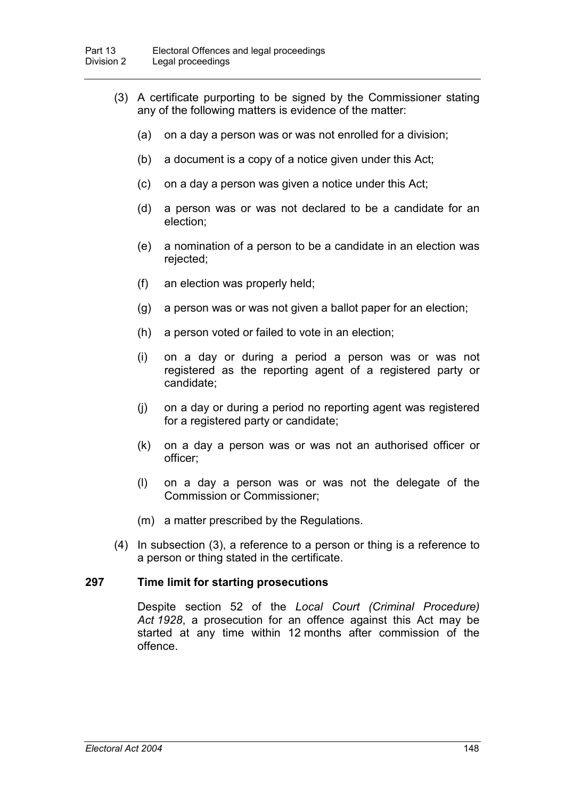- (3) A certificate purporting to be signed by the Commissioner stating any of the following matters is evidence of the matter:
	- (a) on a day a person was or was not enrolled for a division;
	- (b) a document is a copy of a notice given under this Act;
	- (c) on a day a person was given a notice under this Act;
	- (d) a person was or was not declared to be a candidate for an election;
	- (e) a nomination of a person to be a candidate in an election was rejected;
	- (f) an election was properly held;
	- (g) a person was or was not given a ballot paper for an election;
	- (h) a person voted or failed to vote in an election;
	- (i) on a day or during a period a person was or was not registered as the reporting agent of a registered party or candidate;
	- (j) on a day or during a period no reporting agent was registered for a registered party or candidate;
	- (k) on a day a person was or was not an authorised officer or officer;
	- (l) on a day a person was or was not the delegate of the Commission or Commissioner;
	- (m) a matter prescribed by the Regulations.
- (4) In subsection (3), a reference to a person or thing is a reference to a person or thing stated in the certificate.

#### **297 Time limit for starting prosecutions**

Despite section 52 of the *Local Court (Criminal Procedure) Act 1928*, a prosecution for an offence against this Act may be started at any time within 12 months after commission of the offence.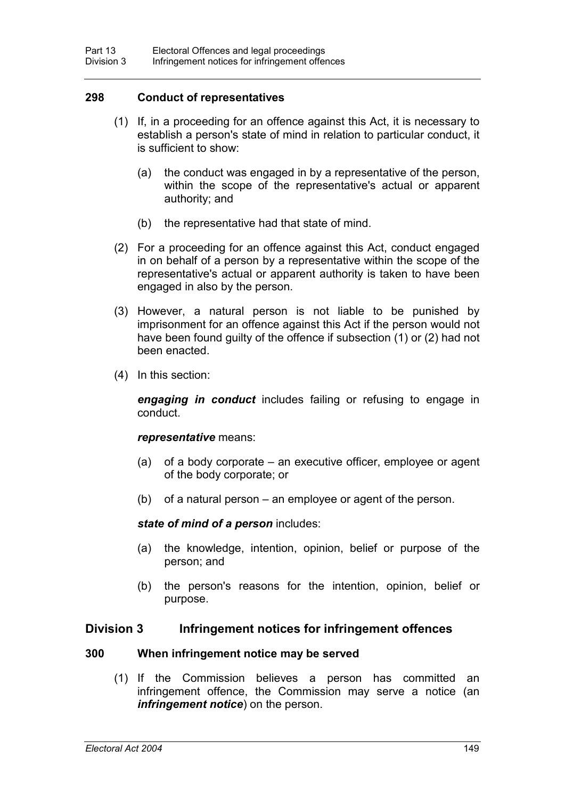### **298 Conduct of representatives**

- (1) If, in a proceeding for an offence against this Act, it is necessary to establish a person's state of mind in relation to particular conduct, it is sufficient to show:
	- (a) the conduct was engaged in by a representative of the person, within the scope of the representative's actual or apparent authority; and
	- (b) the representative had that state of mind.
- (2) For a proceeding for an offence against this Act, conduct engaged in on behalf of a person by a representative within the scope of the representative's actual or apparent authority is taken to have been engaged in also by the person.
- (3) However, a natural person is not liable to be punished by imprisonment for an offence against this Act if the person would not have been found guilty of the offence if subsection (1) or (2) had not been enacted.
- (4) In this section:

*engaging in conduct* includes failing or refusing to engage in conduct.

#### *representative* means:

- (a) of a body corporate an executive officer, employee or agent of the body corporate; or
- (b) of a natural person an employee or agent of the person.

#### *state of mind of a person* includes:

- (a) the knowledge, intention, opinion, belief or purpose of the person; and
- (b) the person's reasons for the intention, opinion, belief or purpose.

### **Division 3 Infringement notices for infringement offences**

#### **300 When infringement notice may be served**

(1) If the Commission believes a person has committed an infringement offence, the Commission may serve a notice (an *infringement notice*) on the person.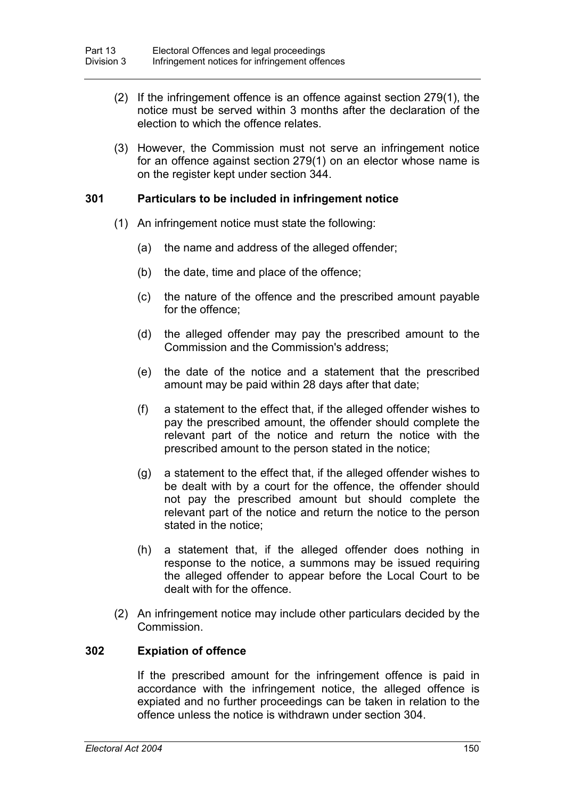- (2) If the infringement offence is an offence against section 279(1), the notice must be served within 3 months after the declaration of the election to which the offence relates.
- (3) However, the Commission must not serve an infringement notice for an offence against section 279(1) on an elector whose name is on the register kept under section 344.

### **301 Particulars to be included in infringement notice**

- (1) An infringement notice must state the following:
	- (a) the name and address of the alleged offender;
	- (b) the date, time and place of the offence;
	- (c) the nature of the offence and the prescribed amount payable for the offence;
	- (d) the alleged offender may pay the prescribed amount to the Commission and the Commission's address;
	- (e) the date of the notice and a statement that the prescribed amount may be paid within 28 days after that date;
	- (f) a statement to the effect that, if the alleged offender wishes to pay the prescribed amount, the offender should complete the relevant part of the notice and return the notice with the prescribed amount to the person stated in the notice;
	- (g) a statement to the effect that, if the alleged offender wishes to be dealt with by a court for the offence, the offender should not pay the prescribed amount but should complete the relevant part of the notice and return the notice to the person stated in the notice;
	- (h) a statement that, if the alleged offender does nothing in response to the notice, a summons may be issued requiring the alleged offender to appear before the Local Court to be dealt with for the offence.
- (2) An infringement notice may include other particulars decided by the Commission.

#### **302 Expiation of offence**

If the prescribed amount for the infringement offence is paid in accordance with the infringement notice, the alleged offence is expiated and no further proceedings can be taken in relation to the offence unless the notice is withdrawn under section 304.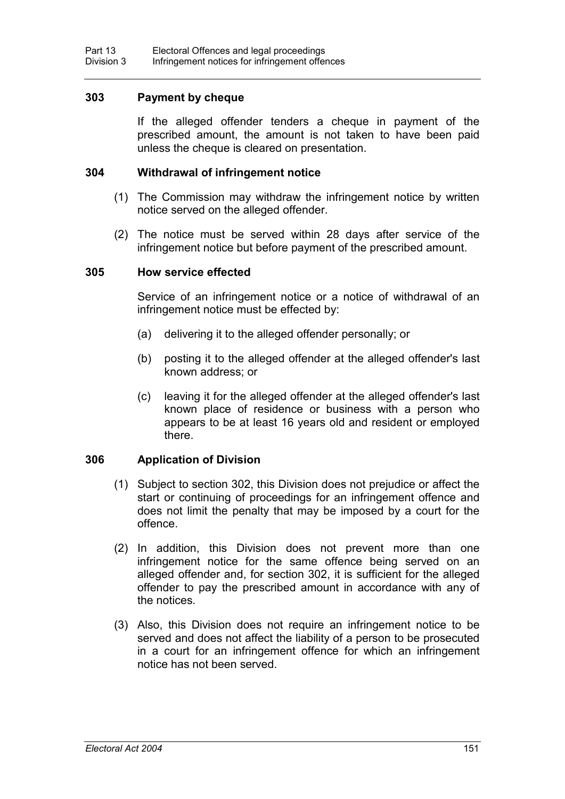### **303 Payment by cheque**

If the alleged offender tenders a cheque in payment of the prescribed amount, the amount is not taken to have been paid unless the cheque is cleared on presentation.

#### **304 Withdrawal of infringement notice**

- (1) The Commission may withdraw the infringement notice by written notice served on the alleged offender.
- (2) The notice must be served within 28 days after service of the infringement notice but before payment of the prescribed amount.

#### **305 How service effected**

Service of an infringement notice or a notice of withdrawal of an infringement notice must be effected by:

- (a) delivering it to the alleged offender personally; or
- (b) posting it to the alleged offender at the alleged offender's last known address; or
- (c) leaving it for the alleged offender at the alleged offender's last known place of residence or business with a person who appears to be at least 16 years old and resident or employed there.

### **306 Application of Division**

- (1) Subject to section 302, this Division does not prejudice or affect the start or continuing of proceedings for an infringement offence and does not limit the penalty that may be imposed by a court for the offence.
- (2) In addition, this Division does not prevent more than one infringement notice for the same offence being served on an alleged offender and, for section 302, it is sufficient for the alleged offender to pay the prescribed amount in accordance with any of the notices.
- (3) Also, this Division does not require an infringement notice to be served and does not affect the liability of a person to be prosecuted in a court for an infringement offence for which an infringement notice has not been served.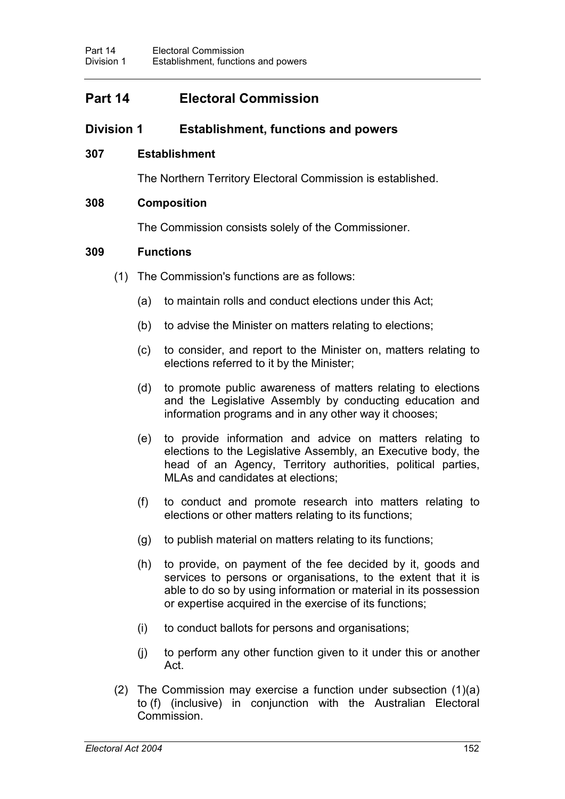# **Part 14 Electoral Commission**

## **Division 1 Establishment, functions and powers**

### **307 Establishment**

The Northern Territory Electoral Commission is established.

### **308 Composition**

The Commission consists solely of the Commissioner.

### **309 Functions**

- (1) The Commission's functions are as follows:
	- (a) to maintain rolls and conduct elections under this Act;
	- (b) to advise the Minister on matters relating to elections;
	- (c) to consider, and report to the Minister on, matters relating to elections referred to it by the Minister;
	- (d) to promote public awareness of matters relating to elections and the Legislative Assembly by conducting education and information programs and in any other way it chooses;
	- (e) to provide information and advice on matters relating to elections to the Legislative Assembly, an Executive body, the head of an Agency, Territory authorities, political parties, MLAs and candidates at elections;
	- (f) to conduct and promote research into matters relating to elections or other matters relating to its functions;
	- (g) to publish material on matters relating to its functions;
	- (h) to provide, on payment of the fee decided by it, goods and services to persons or organisations, to the extent that it is able to do so by using information or material in its possession or expertise acquired in the exercise of its functions;
	- (i) to conduct ballots for persons and organisations;
	- (j) to perform any other function given to it under this or another Act.
- (2) The Commission may exercise a function under subsection (1)(a) to (f) (inclusive) in conjunction with the Australian Electoral Commission.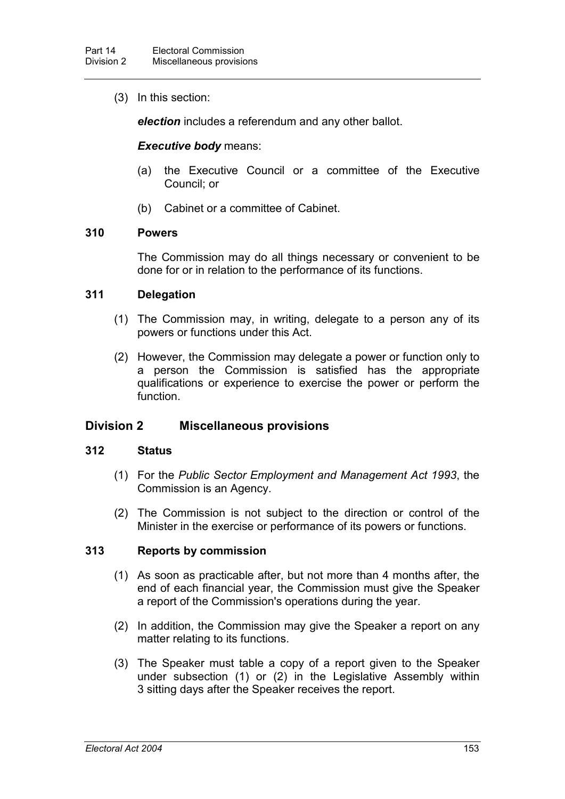(3) In this section:

*election* includes a referendum and any other ballot.

### *Executive body* means:

- (a) the Executive Council or a committee of the Executive Council; or
- (b) Cabinet or a committee of Cabinet.

### **310 Powers**

The Commission may do all things necessary or convenient to be done for or in relation to the performance of its functions.

### **311 Delegation**

- (1) The Commission may, in writing, delegate to a person any of its powers or functions under this Act.
- (2) However, the Commission may delegate a power or function only to a person the Commission is satisfied has the appropriate qualifications or experience to exercise the power or perform the function.

### **Division 2 Miscellaneous provisions**

#### **312 Status**

- (1) For the *Public Sector Employment and Management Act 1993*, the Commission is an Agency.
- (2) The Commission is not subject to the direction or control of the Minister in the exercise or performance of its powers or functions.

### **313 Reports by commission**

- (1) As soon as practicable after, but not more than 4 months after, the end of each financial year, the Commission must give the Speaker a report of the Commission's operations during the year.
- (2) In addition, the Commission may give the Speaker a report on any matter relating to its functions.
- (3) The Speaker must table a copy of a report given to the Speaker under subsection (1) or (2) in the Legislative Assembly within 3 sitting days after the Speaker receives the report.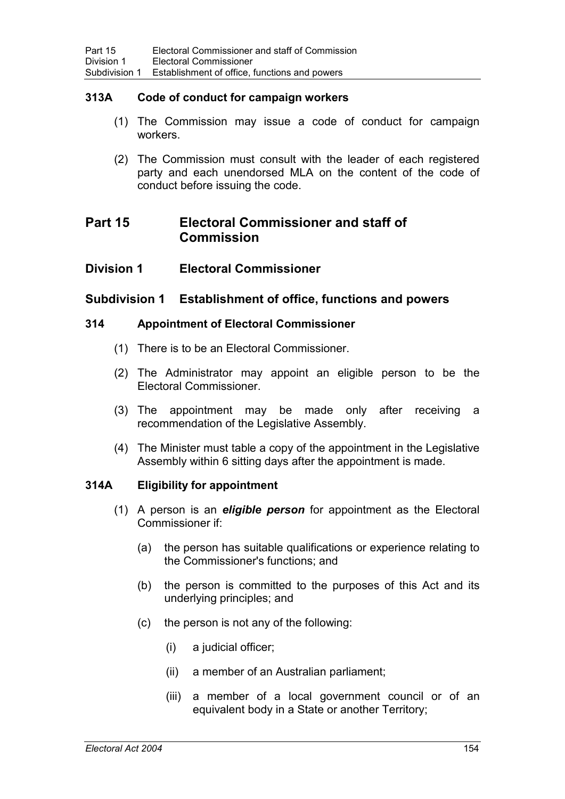### **313A Code of conduct for campaign workers**

- (1) The Commission may issue a code of conduct for campaign workers.
- (2) The Commission must consult with the leader of each registered party and each unendorsed MLA on the content of the code of conduct before issuing the code.

# **Part 15 Electoral Commissioner and staff of Commission**

**Division 1 Electoral Commissioner**

### **Subdivision 1 Establishment of office, functions and powers**

### **314 Appointment of Electoral Commissioner**

- (1) There is to be an Electoral Commissioner.
- (2) The Administrator may appoint an eligible person to be the Electoral Commissioner.
- (3) The appointment may be made only after receiving a recommendation of the Legislative Assembly.
- (4) The Minister must table a copy of the appointment in the Legislative Assembly within 6 sitting days after the appointment is made.

### **314A Eligibility for appointment**

- (1) A person is an *eligible person* for appointment as the Electoral Commissioner if:
	- (a) the person has suitable qualifications or experience relating to the Commissioner's functions; and
	- (b) the person is committed to the purposes of this Act and its underlying principles; and
	- (c) the person is not any of the following:
		- (i) a judicial officer;
		- (ii) a member of an Australian parliament;
		- (iii) a member of a local government council or of an equivalent body in a State or another Territory;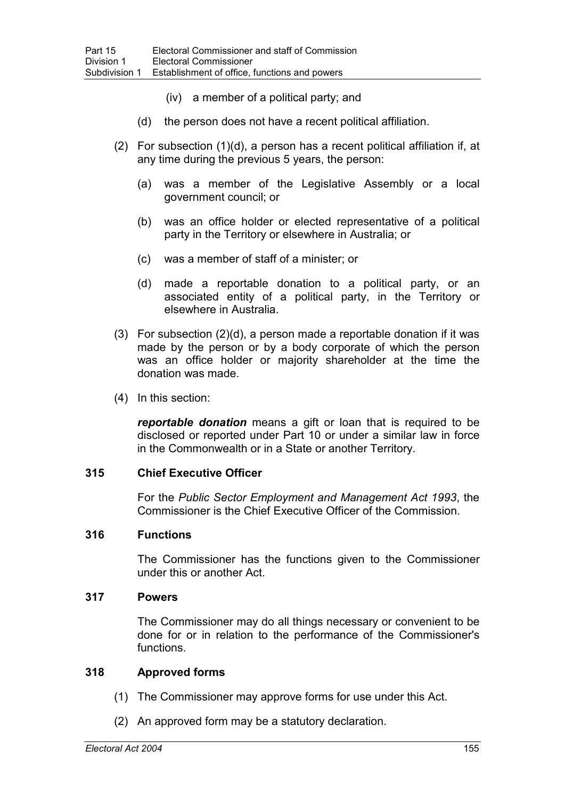- (iv) a member of a political party; and
- (d) the person does not have a recent political affiliation.
- (2) For subsection (1)(d), a person has a recent political affiliation if, at any time during the previous 5 years, the person:
	- (a) was a member of the Legislative Assembly or a local government council; or
	- (b) was an office holder or elected representative of a political party in the Territory or elsewhere in Australia; or
	- (c) was a member of staff of a minister; or
	- (d) made a reportable donation to a political party, or an associated entity of a political party, in the Territory or elsewhere in Australia.
- (3) For subsection (2)(d), a person made a reportable donation if it was made by the person or by a body corporate of which the person was an office holder or majority shareholder at the time the donation was made.
- (4) In this section:

*reportable donation* means a gift or loan that is required to be disclosed or reported under Part 10 or under a similar law in force in the Commonwealth or in a State or another Territory.

### **315 Chief Executive Officer**

For the *Public Sector Employment and Management Act 1993*, the Commissioner is the Chief Executive Officer of the Commission.

### **316 Functions**

The Commissioner has the functions given to the Commissioner under this or another Act.

### **317 Powers**

The Commissioner may do all things necessary or convenient to be done for or in relation to the performance of the Commissioner's functions.

#### **318 Approved forms**

- (1) The Commissioner may approve forms for use under this Act.
- (2) An approved form may be a statutory declaration.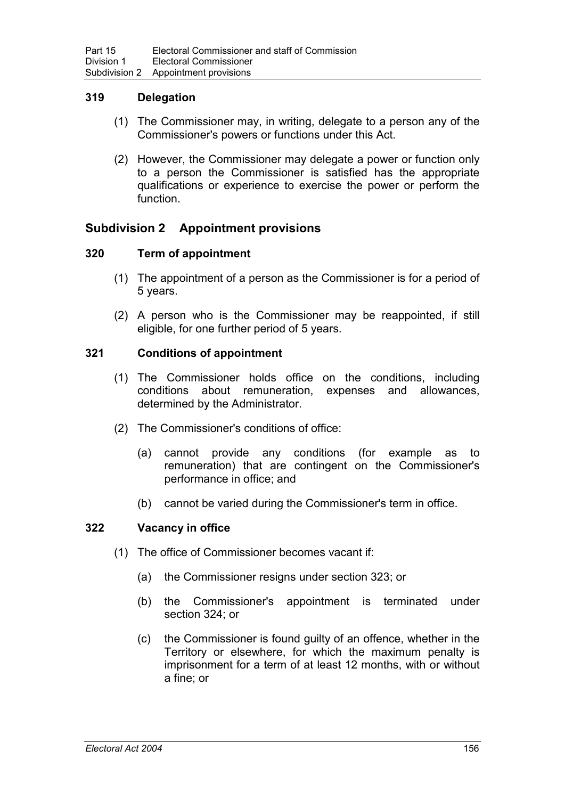### **319 Delegation**

- (1) The Commissioner may, in writing, delegate to a person any of the Commissioner's powers or functions under this Act.
- (2) However, the Commissioner may delegate a power or function only to a person the Commissioner is satisfied has the appropriate qualifications or experience to exercise the power or perform the function.

## **Subdivision 2 Appointment provisions**

### **320 Term of appointment**

- (1) The appointment of a person as the Commissioner is for a period of 5 years.
- (2) A person who is the Commissioner may be reappointed, if still eligible, for one further period of 5 years.

### **321 Conditions of appointment**

- (1) The Commissioner holds office on the conditions, including conditions about remuneration, expenses and allowances, determined by the Administrator.
- (2) The Commissioner's conditions of office:
	- (a) cannot provide any conditions (for example as to remuneration) that are contingent on the Commissioner's performance in office; and
	- (b) cannot be varied during the Commissioner's term in office.

### **322 Vacancy in office**

- (1) The office of Commissioner becomes vacant if:
	- (a) the Commissioner resigns under section 323; or
	- (b) the Commissioner's appointment is terminated under section 324; or
	- (c) the Commissioner is found guilty of an offence, whether in the Territory or elsewhere, for which the maximum penalty is imprisonment for a term of at least 12 months, with or without a fine; or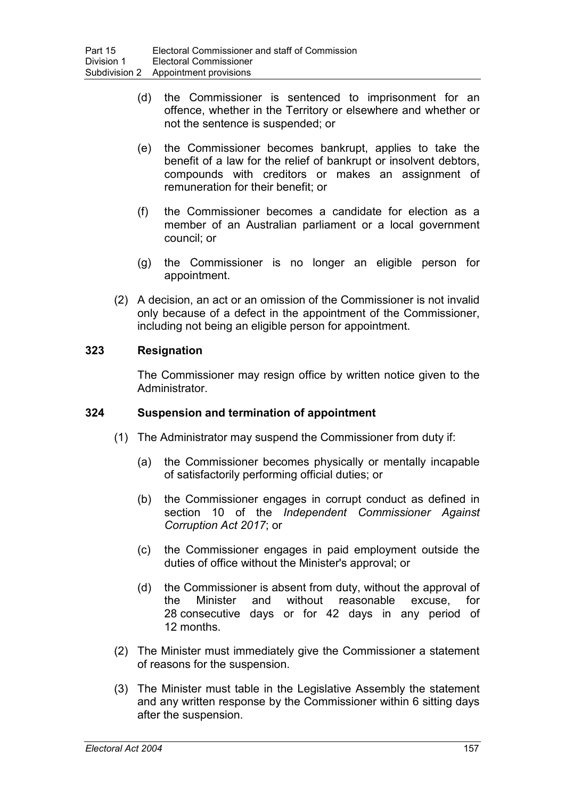- (d) the Commissioner is sentenced to imprisonment for an offence, whether in the Territory or elsewhere and whether or not the sentence is suspended; or
- (e) the Commissioner becomes bankrupt, applies to take the benefit of a law for the relief of bankrupt or insolvent debtors, compounds with creditors or makes an assignment of remuneration for their benefit; or
- (f) the Commissioner becomes a candidate for election as a member of an Australian parliament or a local government council; or
- (g) the Commissioner is no longer an eligible person for appointment.
- (2) A decision, an act or an omission of the Commissioner is not invalid only because of a defect in the appointment of the Commissioner, including not being an eligible person for appointment.

### **323 Resignation**

The Commissioner may resign office by written notice given to the Administrator.

### **324 Suspension and termination of appointment**

- (1) The Administrator may suspend the Commissioner from duty if:
	- (a) the Commissioner becomes physically or mentally incapable of satisfactorily performing official duties; or
	- (b) the Commissioner engages in corrupt conduct as defined in section 10 of the *Independent Commissioner Against Corruption Act 2017*; or
	- (c) the Commissioner engages in paid employment outside the duties of office without the Minister's approval; or
	- (d) the Commissioner is absent from duty, without the approval of the Minister and without reasonable excuse, for 28 consecutive days or for 42 days in any period of 12 months.
- (2) The Minister must immediately give the Commissioner a statement of reasons for the suspension.
- (3) The Minister must table in the Legislative Assembly the statement and any written response by the Commissioner within 6 sitting days after the suspension.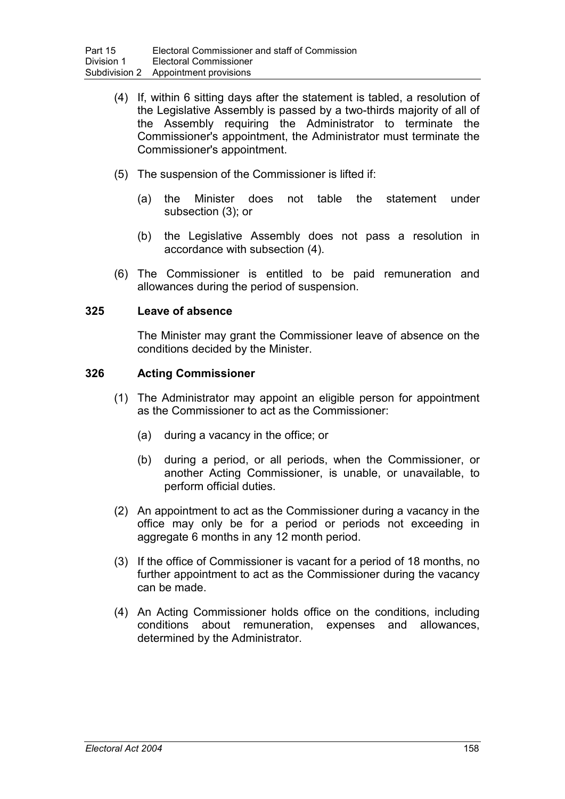- (4) If, within 6 sitting days after the statement is tabled, a resolution of the Legislative Assembly is passed by a two-thirds majority of all of the Assembly requiring the Administrator to terminate the Commissioner's appointment, the Administrator must terminate the Commissioner's appointment.
- (5) The suspension of the Commissioner is lifted if:
	- (a) the Minister does not table the statement under subsection (3); or
	- (b) the Legislative Assembly does not pass a resolution in accordance with subsection (4).
- (6) The Commissioner is entitled to be paid remuneration and allowances during the period of suspension.

### **325 Leave of absence**

The Minister may grant the Commissioner leave of absence on the conditions decided by the Minister.

### **326 Acting Commissioner**

- (1) The Administrator may appoint an eligible person for appointment as the Commissioner to act as the Commissioner:
	- (a) during a vacancy in the office; or
	- (b) during a period, or all periods, when the Commissioner, or another Acting Commissioner, is unable, or unavailable, to perform official duties.
- (2) An appointment to act as the Commissioner during a vacancy in the office may only be for a period or periods not exceeding in aggregate 6 months in any 12 month period.
- (3) If the office of Commissioner is vacant for a period of 18 months, no further appointment to act as the Commissioner during the vacancy can be made.
- (4) An Acting Commissioner holds office on the conditions, including conditions about remuneration, expenses and allowances, determined by the Administrator.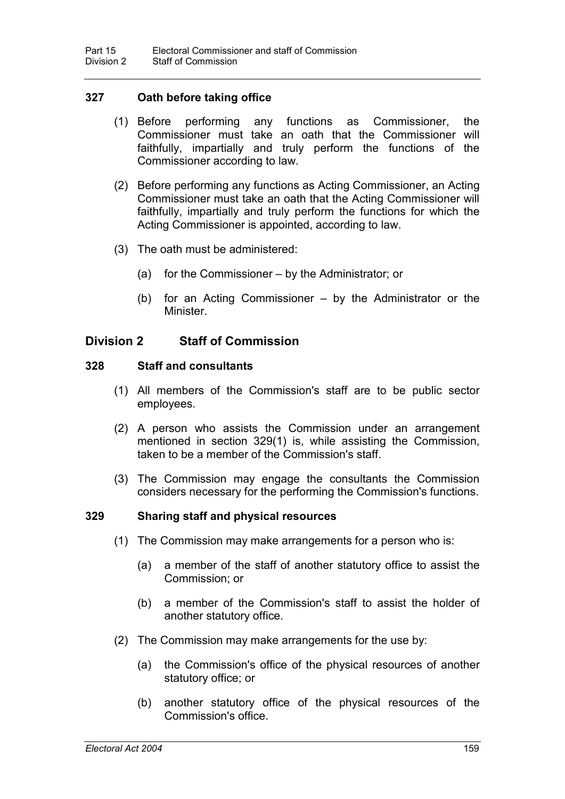### **327 Oath before taking office**

- (1) Before performing any functions as Commissioner, the Commissioner must take an oath that the Commissioner will faithfully, impartially and truly perform the functions of the Commissioner according to law.
- (2) Before performing any functions as Acting Commissioner, an Acting Commissioner must take an oath that the Acting Commissioner will faithfully, impartially and truly perform the functions for which the Acting Commissioner is appointed, according to law.
- (3) The oath must be administered:
	- (a) for the Commissioner by the Administrator; or
	- (b) for an Acting Commissioner by the Administrator or the Minister.

## **Division 2 Staff of Commission**

### **328 Staff and consultants**

- (1) All members of the Commission's staff are to be public sector employees.
- (2) A person who assists the Commission under an arrangement mentioned in section 329(1) is, while assisting the Commission, taken to be a member of the Commission's staff.
- (3) The Commission may engage the consultants the Commission considers necessary for the performing the Commission's functions.

### **329 Sharing staff and physical resources**

- (1) The Commission may make arrangements for a person who is:
	- (a) a member of the staff of another statutory office to assist the Commission; or
	- (b) a member of the Commission's staff to assist the holder of another statutory office.
- (2) The Commission may make arrangements for the use by:
	- (a) the Commission's office of the physical resources of another statutory office; or
	- (b) another statutory office of the physical resources of the Commission's office.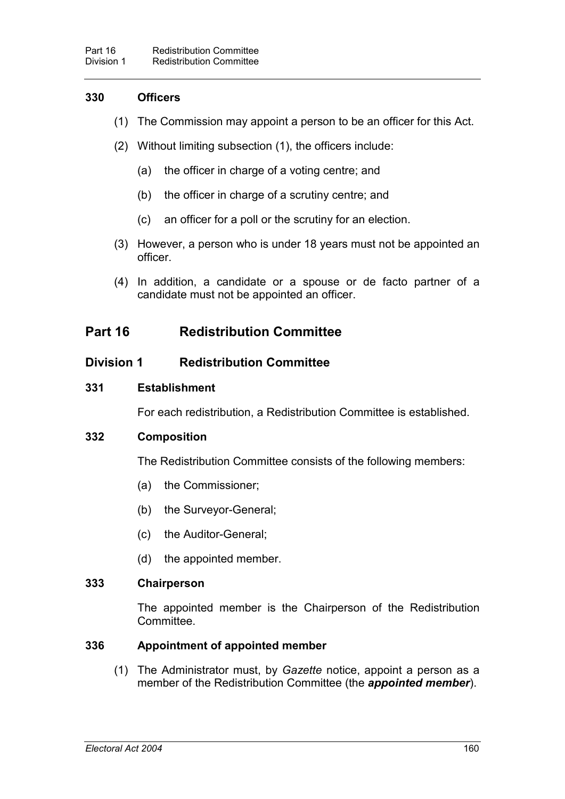### **330 Officers**

- (1) The Commission may appoint a person to be an officer for this Act.
- (2) Without limiting subsection (1), the officers include:
	- (a) the officer in charge of a voting centre; and
	- (b) the officer in charge of a scrutiny centre; and
	- (c) an officer for a poll or the scrutiny for an election.
- (3) However, a person who is under 18 years must not be appointed an officer.
- (4) In addition, a candidate or a spouse or de facto partner of a candidate must not be appointed an officer.

# **Part 16 Redistribution Committee**

## **Division 1 Redistribution Committee**

### **331 Establishment**

For each redistribution, a Redistribution Committee is established.

### **332 Composition**

The Redistribution Committee consists of the following members:

- (a) the Commissioner;
- (b) the Surveyor-General;
- (c) the Auditor-General;
- (d) the appointed member.

#### **333 Chairperson**

The appointed member is the Chairperson of the Redistribution **Committee** 

### **336 Appointment of appointed member**

(1) The Administrator must, by *Gazette* notice, appoint a person as a member of the Redistribution Committee (the *appointed member*).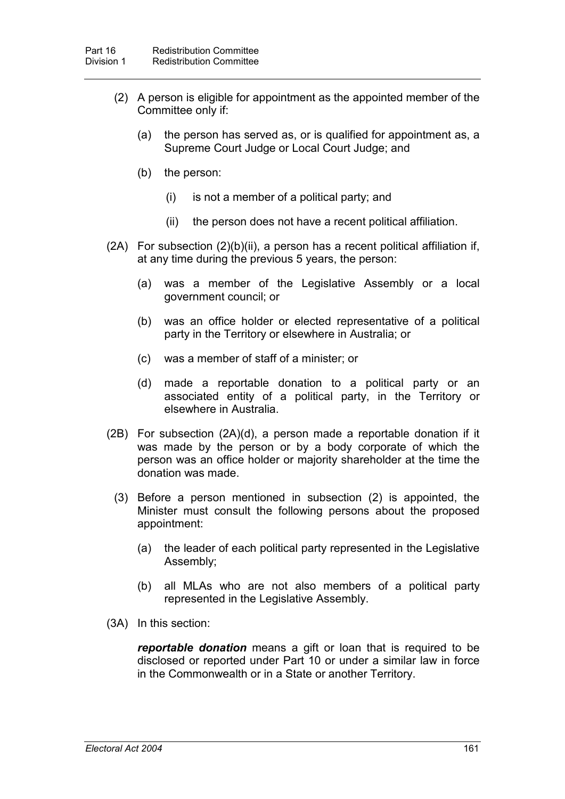- (2) A person is eligible for appointment as the appointed member of the Committee only if:
	- (a) the person has served as, or is qualified for appointment as, a Supreme Court Judge or Local Court Judge; and
	- (b) the person:
		- (i) is not a member of a political party; and
		- (ii) the person does not have a recent political affiliation.
- $(2A)$  For subsection  $(2)(b)(ii)$ , a person has a recent political affiliation if, at any time during the previous 5 years, the person:
	- (a) was a member of the Legislative Assembly or a local government council; or
	- (b) was an office holder or elected representative of a political party in the Territory or elsewhere in Australia; or
	- (c) was a member of staff of a minister; or
	- (d) made a reportable donation to a political party or an associated entity of a political party, in the Territory or elsewhere in Australia.
- (2B) For subsection (2A)(d), a person made a reportable donation if it was made by the person or by a body corporate of which the person was an office holder or majority shareholder at the time the donation was made.
	- (3) Before a person mentioned in subsection (2) is appointed, the Minister must consult the following persons about the proposed appointment:
		- (a) the leader of each political party represented in the Legislative Assembly;
		- (b) all MLAs who are not also members of a political party represented in the Legislative Assembly.
- (3A) In this section:

*reportable donation* means a gift or loan that is required to be disclosed or reported under Part 10 or under a similar law in force in the Commonwealth or in a State or another Territory.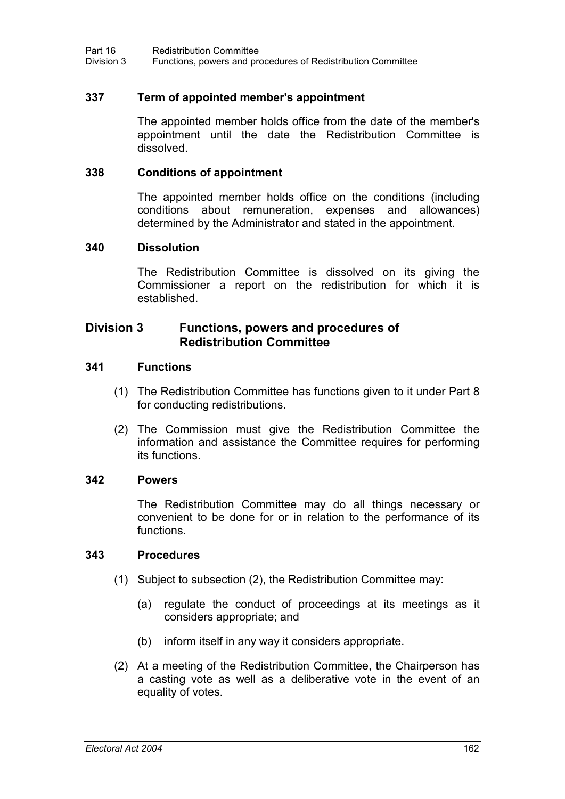### **337 Term of appointed member's appointment**

The appointed member holds office from the date of the member's appointment until the date the Redistribution Committee is dissolved.

#### **338 Conditions of appointment**

The appointed member holds office on the conditions (including conditions about remuneration, expenses and allowances) determined by the Administrator and stated in the appointment.

#### **340 Dissolution**

The Redistribution Committee is dissolved on its giving the Commissioner a report on the redistribution for which it is established.

### **Division 3 Functions, powers and procedures of Redistribution Committee**

#### **341 Functions**

- (1) The Redistribution Committee has functions given to it under Part 8 for conducting redistributions.
- (2) The Commission must give the Redistribution Committee the information and assistance the Committee requires for performing its functions.

#### **342 Powers**

The Redistribution Committee may do all things necessary or convenient to be done for or in relation to the performance of its functions.

#### **343 Procedures**

- (1) Subject to subsection (2), the Redistribution Committee may:
	- (a) regulate the conduct of proceedings at its meetings as it considers appropriate; and
	- (b) inform itself in any way it considers appropriate.
- (2) At a meeting of the Redistribution Committee, the Chairperson has a casting vote as well as a deliberative vote in the event of an equality of votes.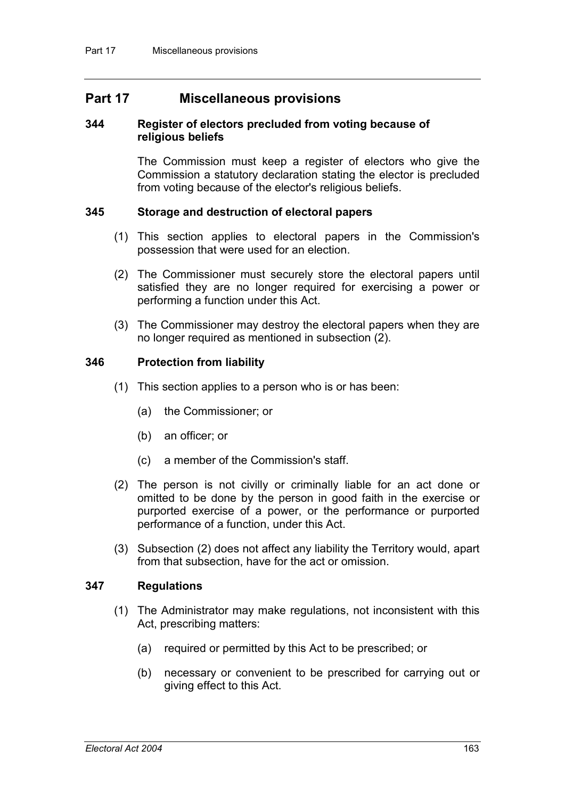## **Part 17 Miscellaneous provisions**

#### **344 Register of electors precluded from voting because of religious beliefs**

The Commission must keep a register of electors who give the Commission a statutory declaration stating the elector is precluded from voting because of the elector's religious beliefs.

### **345 Storage and destruction of electoral papers**

- (1) This section applies to electoral papers in the Commission's possession that were used for an election.
- (2) The Commissioner must securely store the electoral papers until satisfied they are no longer required for exercising a power or performing a function under this Act.
- (3) The Commissioner may destroy the electoral papers when they are no longer required as mentioned in subsection (2).

### **346 Protection from liability**

- (1) This section applies to a person who is or has been:
	- (a) the Commissioner; or
	- (b) an officer; or
	- (c) a member of the Commission's staff.
- (2) The person is not civilly or criminally liable for an act done or omitted to be done by the person in good faith in the exercise or purported exercise of a power, or the performance or purported performance of a function, under this Act.
- (3) Subsection (2) does not affect any liability the Territory would, apart from that subsection, have for the act or omission.

#### **347 Regulations**

- (1) The Administrator may make regulations, not inconsistent with this Act, prescribing matters:
	- (a) required or permitted by this Act to be prescribed; or
	- (b) necessary or convenient to be prescribed for carrying out or giving effect to this Act.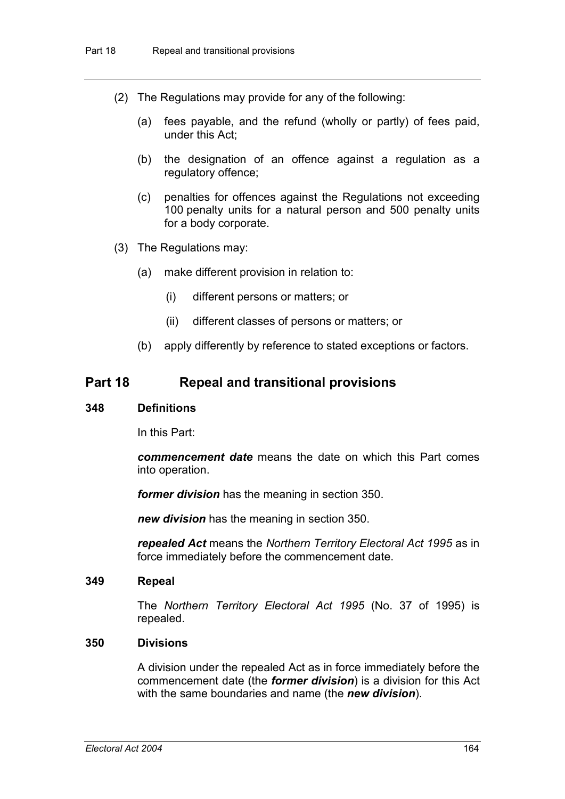- (2) The Regulations may provide for any of the following:
	- (a) fees payable, and the refund (wholly or partly) of fees paid, under this Act;
	- (b) the designation of an offence against a regulation as a regulatory offence;
	- (c) penalties for offences against the Regulations not exceeding 100 penalty units for a natural person and 500 penalty units for a body corporate.
- (3) The Regulations may:
	- (a) make different provision in relation to:
		- (i) different persons or matters; or
		- (ii) different classes of persons or matters; or
	- (b) apply differently by reference to stated exceptions or factors.

## **Part 18 Repeal and transitional provisions**

#### **348 Definitions**

In this Part:

*commencement date* means the date on which this Part comes into operation.

*former division* has the meaning in section 350.

*new division* has the meaning in section 350.

*repealed Act* means the *Northern Territory Electoral Act 1995* as in force immediately before the commencement date.

#### **349 Repeal**

The *Northern Territory Electoral Act 1995* (No. 37 of 1995) is repealed.

#### **350 Divisions**

A division under the repealed Act as in force immediately before the commencement date (the *former division*) is a division for this Act with the same boundaries and name (the *new division*).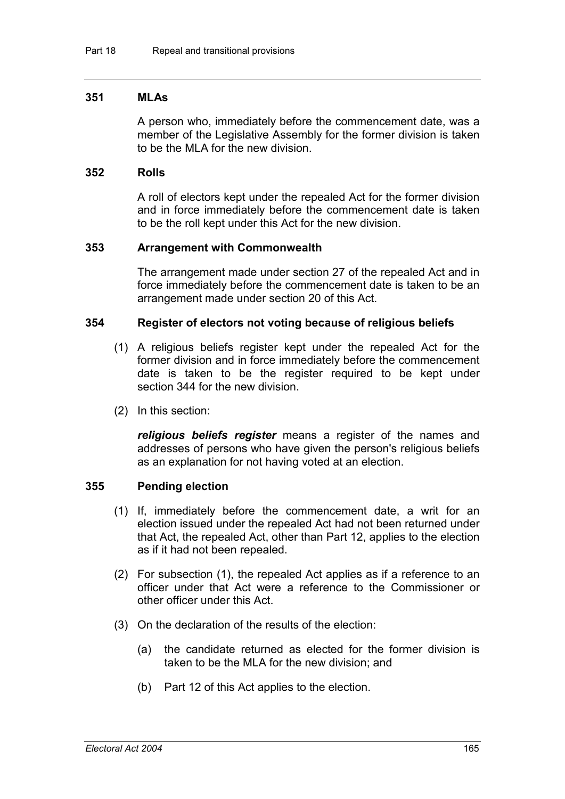#### **351 MLAs**

A person who, immediately before the commencement date, was a member of the Legislative Assembly for the former division is taken to be the MLA for the new division.

#### **352 Rolls**

A roll of electors kept under the repealed Act for the former division and in force immediately before the commencement date is taken to be the roll kept under this Act for the new division.

#### **353 Arrangement with Commonwealth**

The arrangement made under section 27 of the repealed Act and in force immediately before the commencement date is taken to be an arrangement made under section 20 of this Act.

#### **354 Register of electors not voting because of religious beliefs**

- (1) A religious beliefs register kept under the repealed Act for the former division and in force immediately before the commencement date is taken to be the register required to be kept under section 344 for the new division.
- (2) In this section:

*religious beliefs register* means a register of the names and addresses of persons who have given the person's religious beliefs as an explanation for not having voted at an election.

#### **355 Pending election**

- (1) If, immediately before the commencement date, a writ for an election issued under the repealed Act had not been returned under that Act, the repealed Act, other than Part 12, applies to the election as if it had not been repealed.
- (2) For subsection (1), the repealed Act applies as if a reference to an officer under that Act were a reference to the Commissioner or other officer under this Act.
- (3) On the declaration of the results of the election:
	- (a) the candidate returned as elected for the former division is taken to be the MLA for the new division; and
	- (b) Part 12 of this Act applies to the election.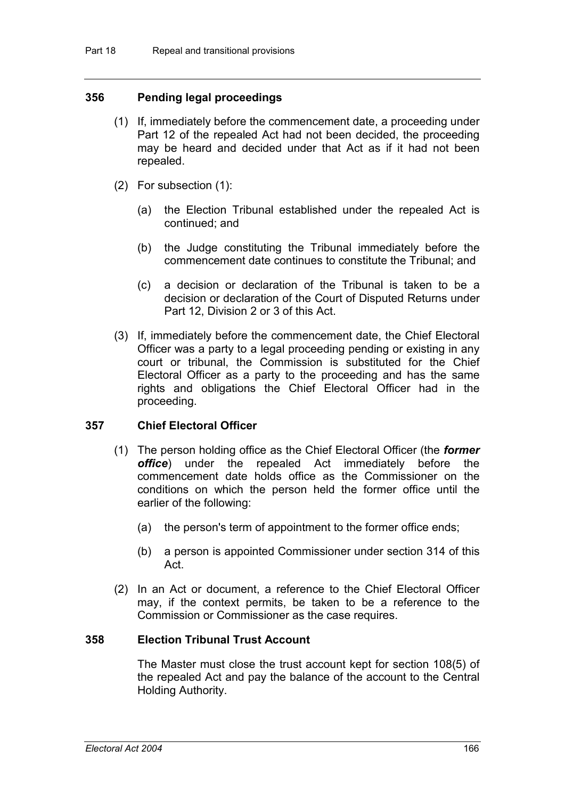#### **356 Pending legal proceedings**

- (1) If, immediately before the commencement date, a proceeding under Part 12 of the repealed Act had not been decided, the proceeding may be heard and decided under that Act as if it had not been repealed.
- (2) For subsection (1):
	- (a) the Election Tribunal established under the repealed Act is continued; and
	- (b) the Judge constituting the Tribunal immediately before the commencement date continues to constitute the Tribunal; and
	- (c) a decision or declaration of the Tribunal is taken to be a decision or declaration of the Court of Disputed Returns under Part 12, Division 2 or 3 of this Act.
- (3) If, immediately before the commencement date, the Chief Electoral Officer was a party to a legal proceeding pending or existing in any court or tribunal, the Commission is substituted for the Chief Electoral Officer as a party to the proceeding and has the same rights and obligations the Chief Electoral Officer had in the proceeding.

#### **357 Chief Electoral Officer**

- (1) The person holding office as the Chief Electoral Officer (the *former office*) under the repealed Act immediately before the commencement date holds office as the Commissioner on the conditions on which the person held the former office until the earlier of the following:
	- (a) the person's term of appointment to the former office ends;
	- (b) a person is appointed Commissioner under section 314 of this Act.
- (2) In an Act or document, a reference to the Chief Electoral Officer may, if the context permits, be taken to be a reference to the Commission or Commissioner as the case requires.

#### **358 Election Tribunal Trust Account**

The Master must close the trust account kept for section 108(5) of the repealed Act and pay the balance of the account to the Central Holding Authority.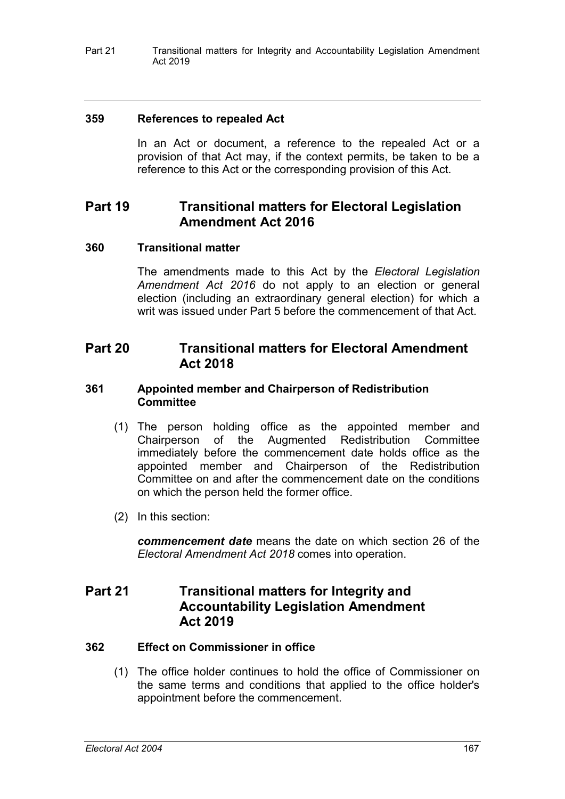Part 21 Transitional matters for Integrity and Accountability Legislation Amendment Act 2019

#### **359 References to repealed Act**

In an Act or document, a reference to the repealed Act or a provision of that Act may, if the context permits, be taken to be a reference to this Act or the corresponding provision of this Act.

## **Part 19 Transitional matters for Electoral Legislation Amendment Act 2016**

### **360 Transitional matter**

The amendments made to this Act by the *Electoral Legislation Amendment Act 2016* do not apply to an election or general election (including an extraordinary general election) for which a writ was issued under Part 5 before the commencement of that Act.

## **Part 20 Transitional matters for Electoral Amendment Act 2018**

#### **361 Appointed member and Chairperson of Redistribution Committee**

- (1) The person holding office as the appointed member and Chairperson of the Augmented Redistribution Committee immediately before the commencement date holds office as the appointed member and Chairperson of the Redistribution Committee on and after the commencement date on the conditions on which the person held the former office.
- (2) In this section:

*commencement date* means the date on which section 26 of the *Electoral Amendment Act 2018* comes into operation.

## **Part 21 Transitional matters for Integrity and Accountability Legislation Amendment Act 2019**

#### **362 Effect on Commissioner in office**

(1) The office holder continues to hold the office of Commissioner on the same terms and conditions that applied to the office holder's appointment before the commencement.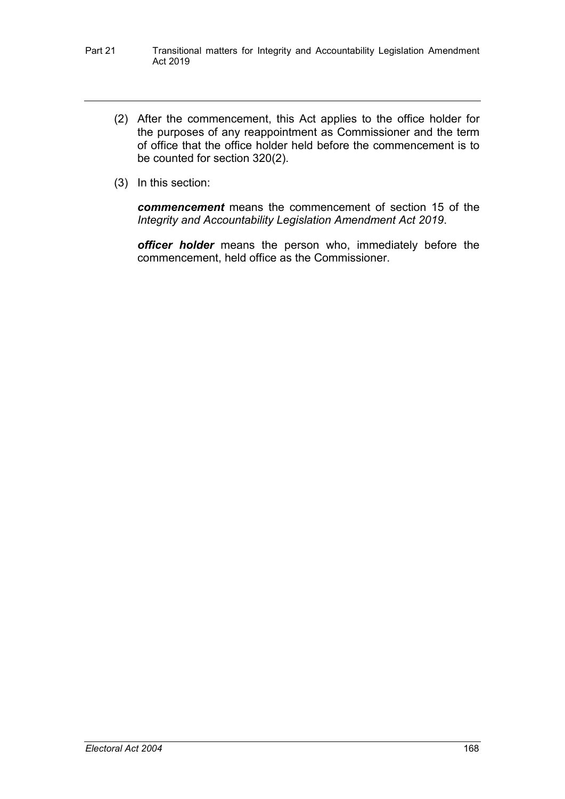- Part 21 Transitional matters for Integrity and Accountability Legislation Amendment Act 2019
	- (2) After the commencement, this Act applies to the office holder for the purposes of any reappointment as Commissioner and the term of office that the office holder held before the commencement is to be counted for section 320(2).
	- (3) In this section:

*commencement* means the commencement of section 15 of the *Integrity and Accountability Legislation Amendment Act 2019*.

*officer holder* means the person who, immediately before the commencement, held office as the Commissioner.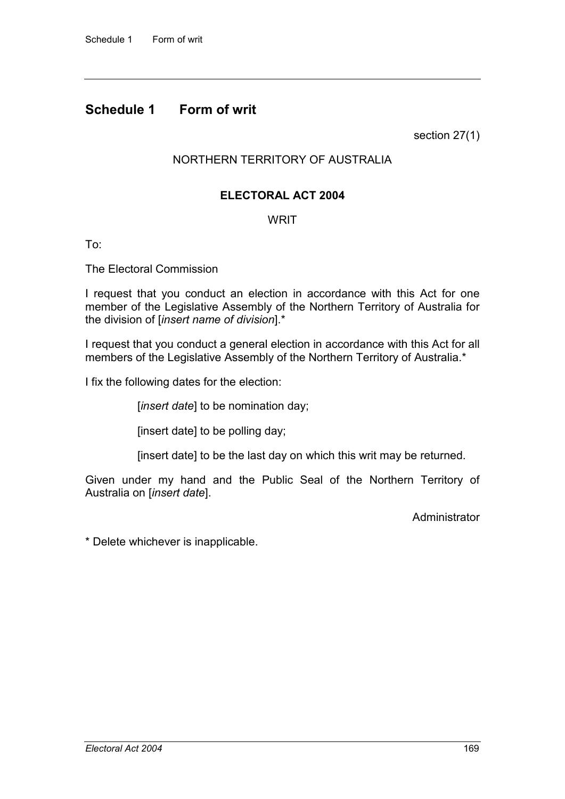## **Schedule 1 Form of writ**

section 27(1)

## NORTHERN TERRITORY OF AUSTRALIA

### **ELECTORAL ACT 2004**

### **WRIT**

To:

The Electoral Commission

I request that you conduct an election in accordance with this Act for one member of the Legislative Assembly of the Northern Territory of Australia for the division of [*insert name of division*].\*

I request that you conduct a general election in accordance with this Act for all members of the Legislative Assembly of the Northern Territory of Australia.\*

I fix the following dates for the election:

[*insert date*] to be nomination day;

[insert date] to be polling day;

[insert date] to be the last day on which this writ may be returned.

Given under my hand and the Public Seal of the Northern Territory of Australia on [*insert date*].

**Administrator** 

\* Delete whichever is inapplicable.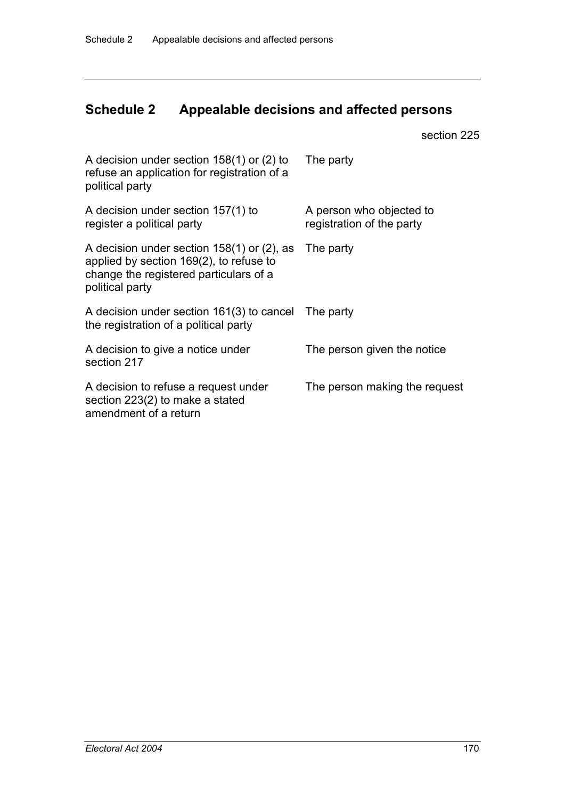## **Schedule 2 Appealable decisions and affected persons**

section 225

| A decision under section $158(1)$ or (2) to<br>refuse an application for registration of a<br>political party                                        | The party                                             |
|------------------------------------------------------------------------------------------------------------------------------------------------------|-------------------------------------------------------|
| A decision under section 157(1) to<br>register a political party                                                                                     | A person who objected to<br>registration of the party |
| A decision under section $158(1)$ or (2), as<br>applied by section 169(2), to refuse to<br>change the registered particulars of a<br>political party | The party                                             |
| A decision under section 161(3) to cancel<br>the registration of a political party                                                                   | The party                                             |
| A decision to give a notice under<br>section 217                                                                                                     | The person given the notice                           |
| A decision to refuse a request under<br>section 223(2) to make a stated<br>amendment of a return                                                     | The person making the request                         |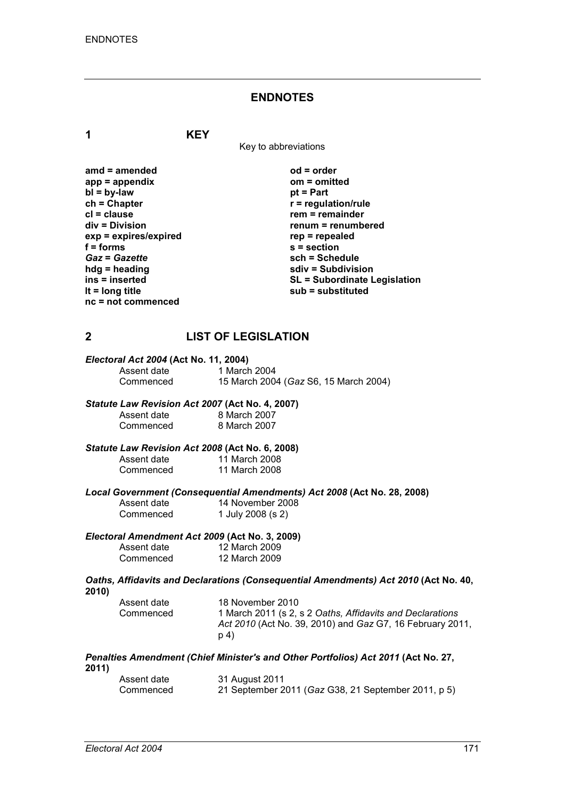#### **ENDNOTES**

**1 KEY**

Key to abbreviations

| amd = amended         |
|-----------------------|
| $app = appendix$      |
| $bl = by-law$         |
| $ch = Chapter$        |
| cl = clause           |
| div = Division        |
| exp = expires/expired |
| f = forms             |
| <b>Gaz = Gazette</b>  |
| hdg = heading         |
| ins = inserted        |
| It = $long$ title     |
| nc = not commenced    |
|                       |

**amd = amended od = order app = appendix om = omitted** *<u>pt</u>* **= Part**  $r$  = regulation/rule **cl = clause rem = remainder div = Division renum = renumbered exp = expires/expired rep = repealed f = forms s = section** *Gaz* **=** *Gazette* **sch = Schedule hdg = heading sdiv = Subdivision ins = inserted SL = Subordinate Legislation lt = long title sub = substituted**

## **2 LIST OF LEGISLATION**

| Electoral Act 2004 (Act No. 11, 2004) |                                       |  |
|---------------------------------------|---------------------------------------|--|
| Assent date                           | 1 March 2004                          |  |
| Commenced                             | 15 March 2004 (Gaz S6, 15 March 2004) |  |

#### *Statute Law Revision Act 2007* **(Act No. 4, 2007)** Assent date 8 March 2007<br>Commenced 8 March 2007 8 March 2007

#### *Statute Law Revision Act 2008* **(Act No. 6, 2008)**

| Assent date | 11 March 2008 |
|-------------|---------------|
| Commenced   | 11 March 2008 |

*Local Government (Consequential Amendments) Act 2008* **(Act No. 28, 2008)**

| Assent date | 14 November 2008  |
|-------------|-------------------|
| Commenced   | 1 July 2008 (s 2) |

# *Electoral Amendment Act 2009* **(Act No. 3, 2009)**

| Assent date | 12 March 2009 |
|-------------|---------------|
| Commenced   | 12 March 2009 |

*Oaths, Affidavits and Declarations (Consequential Amendments) Act 2010* **(Act No. 40, 2010)**

| Assent date | 18 November 2010                                          |
|-------------|-----------------------------------------------------------|
| Commenced   | 1 March 2011 (s 2, s 2 Oaths, Affidavits and Declarations |
|             | Act 2010 (Act No. 39, 2010) and Gaz G7, 16 February 2011, |
|             | p 4)                                                      |

*Penalties Amendment (Chief Minister's and Other Portfolios) Act 2011* **(Act No. 27, 2011)**

| Assent date | 31 August 2011                                      |
|-------------|-----------------------------------------------------|
| Commenced   | 21 September 2011 (Gaz G38, 21 September 2011, p 5) |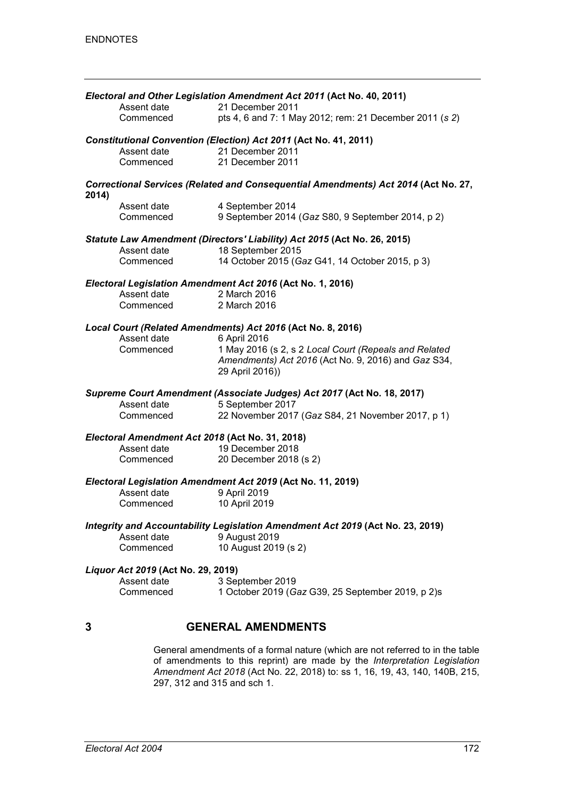|       |                                                 | Electoral and Other Legislation Amendment Act 2011 (Act No. 40, 2011)              |
|-------|-------------------------------------------------|------------------------------------------------------------------------------------|
|       | Assent date<br>Commenced                        | 21 December 2011<br>pts 4, 6 and 7: 1 May 2012; rem: 21 December 2011 (s 2)        |
|       |                                                 | Constitutional Convention (Election) Act 2011 (Act No. 41, 2011)                   |
|       | Assent date                                     | 21 December 2011                                                                   |
|       | Commenced                                       | 21 December 2011                                                                   |
|       |                                                 |                                                                                    |
| 2014) |                                                 | Correctional Services (Related and Consequential Amendments) Act 2014 (Act No. 27, |
|       | Assent date                                     | 4 September 2014                                                                   |
|       | Commenced                                       | 9 September 2014 (Gaz S80, 9 September 2014, p 2)                                  |
|       |                                                 | Statute Law Amendment (Directors' Liability) Act 2015 (Act No. 26, 2015)           |
|       | Assent date                                     | 18 September 2015                                                                  |
|       | Commenced                                       | 14 October 2015 (Gaz G41, 14 October 2015, p 3)                                    |
|       |                                                 | Electoral Legislation Amendment Act 2016 (Act No. 1, 2016)                         |
|       | Assent date                                     | 2 March 2016                                                                       |
|       | Commenced                                       | 2 March 2016                                                                       |
|       |                                                 | Local Court (Related Amendments) Act 2016 (Act No. 8, 2016)                        |
|       | Assent date                                     | 6 April 2016                                                                       |
|       | Commenced                                       | 1 May 2016 (s 2, s 2 Local Court (Repeals and Related                              |
|       |                                                 | Amendments) Act 2016 (Act No. 9, 2016) and Gaz S34,                                |
|       |                                                 | 29 April 2016))                                                                    |
|       |                                                 | Supreme Court Amendment (Associate Judges) Act 2017 (Act No. 18, 2017)             |
|       | Assent date                                     | 5 September 2017                                                                   |
|       | Commenced                                       | 22 November 2017 (Gaz S84, 21 November 2017, p 1)                                  |
|       | Electoral Amendment Act 2018 (Act No. 31, 2018) |                                                                                    |
|       | Assent date                                     | 19 December 2018                                                                   |
|       | Commenced                                       | 20 December 2018 (s 2)                                                             |
|       |                                                 | Electoral Legislation Amendment Act 2019 (Act No. 11, 2019)                        |
|       | Assent date                                     | 9 April 2019                                                                       |
|       | Commenced                                       | 10 April 2019                                                                      |
|       |                                                 | Integrity and Accountability Legislation Amendment Act 2019 (Act No. 23, 2019)     |
|       | Assent date                                     | 9 August 2019                                                                      |
|       | Commenced                                       | 10 August 2019 (s 2)                                                               |
|       | Liquor Act 2019 (Act No. 29, 2019)              |                                                                                    |
|       | Assent date                                     | 3 September 2019                                                                   |
|       | Commenced                                       | 1 October 2019 (Gaz G39, 25 September 2019, p 2)s                                  |
|       |                                                 |                                                                                    |
| 3     |                                                 | <b>GENERAL AMENDMENTS</b>                                                          |
|       |                                                 |                                                                                    |

General amendments of a formal nature (which are not referred to in the table of amendments to this reprint) are made by the *Interpretation Legislation Amendment Act 2018* (Act No. 22, 2018) to: ss 1, 16, 19, 43, 140, 140B, 215, 297, 312 and 315 and sch 1.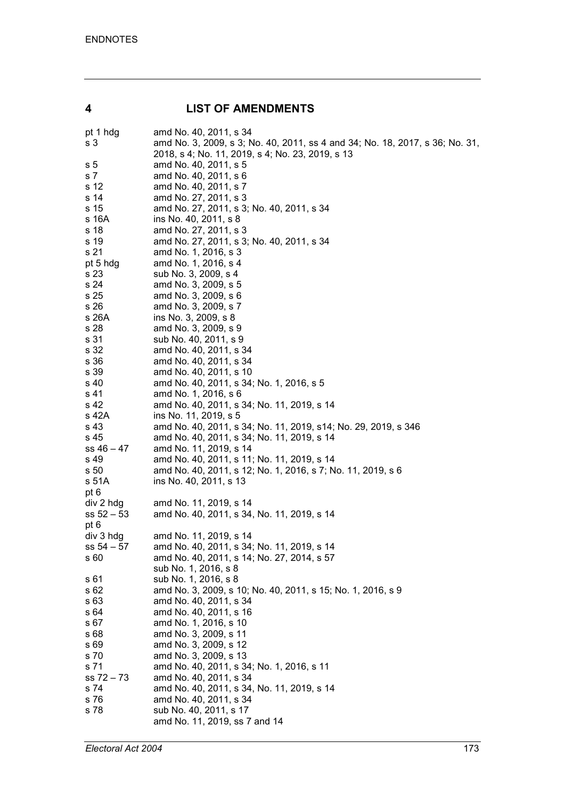## **4 LIST OF AMENDMENTS**

| amd No. 40, 2011, s 34                                                       |
|------------------------------------------------------------------------------|
| amd No. 3, 2009, s 3; No. 40, 2011, ss 4 and 34; No. 18, 2017, s 36; No. 31, |
| 2018, s 4; No. 11, 2019, s 4; No. 23, 2019, s 13                             |
| amd No. 40, 2011, s 5                                                        |
| amd No. 40, 2011, s 6                                                        |
|                                                                              |
| amd No. 40, 2011, s 7                                                        |
| amd No. 27, 2011, s 3                                                        |
| amd No. 27, 2011, s 3; No. 40, 2011, s 34                                    |
| ins No. 40, 2011, s 8                                                        |
| amd No. 27, 2011, s 3                                                        |
| amd No. 27, 2011, s 3; No. 40, 2011, s 34                                    |
| amd No. 1, 2016, s 3                                                         |
| amd No. 1, 2016, s 4                                                         |
| sub No. 3, 2009, s 4                                                         |
| amd No. 3, 2009, s 5                                                         |
|                                                                              |
| amd No. 3, 2009, s 6                                                         |
| amd No. 3, 2009, s 7                                                         |
| ins No. 3, 2009, s 8                                                         |
| amd No. 3, 2009, s 9                                                         |
| sub No. 40, 2011, s 9                                                        |
| amd No. 40, 2011, s 34                                                       |
| amd No. 40, 2011, s 34                                                       |
| amd No. 40, 2011, s 10                                                       |
| amd No. 40, 2011, s 34; No. 1, 2016, s 5                                     |
| amd No. 1, 2016, s 6                                                         |
| amd No. 40, 2011, s 34; No. 11, 2019, s 14                                   |
| ins No. 11, 2019, s 5                                                        |
| amd No. 40, 2011, s 34; No. 11, 2019, s 14; No. 29, 2019, s 346              |
| amd No. 40, 2011, s 34; No. 11, 2019, s 14                                   |
| amd No. 11, 2019, s 14                                                       |
|                                                                              |
| amd No. 40, 2011, s 11; No. 11, 2019, s 14                                   |
| amd No. 40, 2011, s 12; No. 1, 2016, s 7; No. 11, 2019, s 6                  |
| ins No. 40, 2011, s 13                                                       |
|                                                                              |
| amd No. 11, 2019, s 14                                                       |
| amd No. 40, 2011, s 34, No. 11, 2019, s 14                                   |
|                                                                              |
| amd No. 11, 2019, s 14                                                       |
| amd No. 40, 2011, s 34; No. 11, 2019, s 14                                   |
| amd No. 40, 2011, s 14; No. 27, 2014, s 57                                   |
| sub No. 1, 2016, s 8                                                         |
| sub No. 1, 2016, s 8                                                         |
| amd No. 3, 2009, s 10; No. 40, 2011, s 15; No. 1, 2016, s 9                  |
| amd No. 40, 2011, s 34                                                       |
|                                                                              |
| amd No. 40, 2011, s 16                                                       |
| amd No. 1, 2016, s 10                                                        |
| amd No. 3, 2009, s 11                                                        |
| amd No. 3, 2009, s 12                                                        |
| amd No. 3, 2009, s 13                                                        |
| amd No. 40, 2011, s 34; No. 1, 2016, s 11                                    |
| amd No. 40, 2011, s 34                                                       |
| amd No. 40, 2011, s 34, No. 11, 2019, s 14                                   |
| amd No. 40, 2011, s 34                                                       |
| sub No. 40, 2011, s 17                                                       |
| amd No. 11, 2019, ss 7 and 14                                                |
|                                                                              |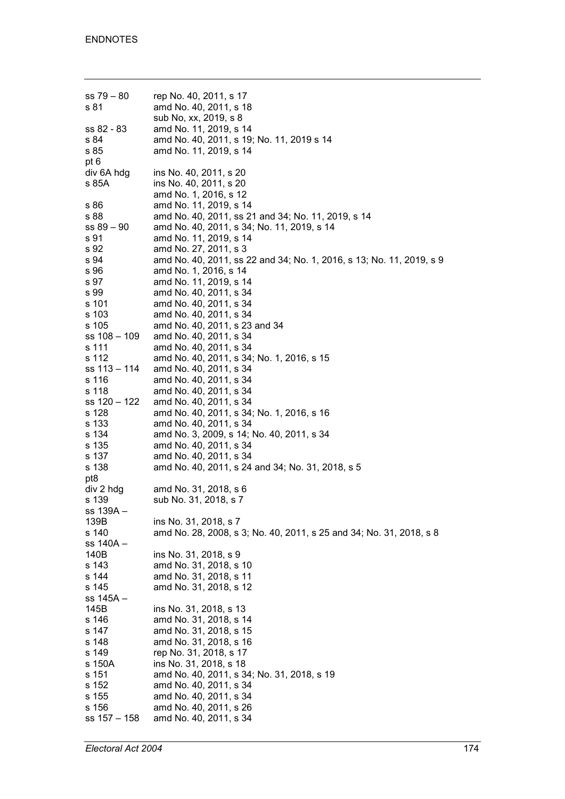| $ss 79 - 80$ | rep No. 40, 2011, s 17                                               |
|--------------|----------------------------------------------------------------------|
| s 81         | amd No. 40, 2011, s 18                                               |
|              | sub No, xx, 2019, s 8                                                |
| ss 82 - 83   | amd No. 11, 2019, s 14                                               |
| s 84         | amd No. 40, 2011, s 19; No. 11, 2019 s 14                            |
|              |                                                                      |
| s 85         | amd No. 11, 2019, s 14                                               |
| pt 6         |                                                                      |
| div 6A hdg   | ins No. 40, 2011, s 20                                               |
| s 85A        | ins No. 40, 2011, s 20                                               |
|              | amd No. 1, 2016, s 12                                                |
| s 86         | amd No. 11, 2019, s 14                                               |
| s 88         | amd No. 40, 2011, ss 21 and 34; No. 11, 2019, s 14                   |
|              |                                                                      |
| $ss 89 - 90$ | amd No. 40, 2011, s 34; No. 11, 2019, s 14                           |
| s 91         | amd No. 11, 2019, s 14                                               |
| s 92         | amd No. 27, 2011, s 3                                                |
| s 94         | amd No. 40, 2011, ss 22 and 34; No. 1, 2016, s 13; No. 11, 2019, s 9 |
| s 96         | amd No. 1, 2016, s 14                                                |
| s 97         | amd No. 11, 2019, s 14                                               |
| s 99         | amd No. 40, 2011, s 34                                               |
| s 101        | amd No. 40, 2011, s 34                                               |
|              |                                                                      |
| s 103        | amd No. 40, 2011, s 34                                               |
| s 105        | amd No. 40, 2011, s 23 and 34                                        |
| ss 108 - 109 | amd No. 40, 2011, s 34                                               |
| s 111        | amd No. 40, 2011, s 34                                               |
| s 112        | amd No. 40, 2011, s 34; No. 1, 2016, s 15                            |
| ss 113 – 114 | amd No. 40, 2011, s 34                                               |
| s 116        | amd No. 40, 2011, s 34                                               |
| s 118        | amd No. 40, 2011, s 34                                               |
| ss 120 – 122 | amd No. 40, 2011, s 34                                               |
| s 128        | amd No. 40, 2011, s 34; No. 1, 2016, s 16                            |
| s 133        | amd No. 40, 2011, s 34                                               |
| s 134        | amd No. 3, 2009, s 14; No. 40, 2011, s 34                            |
| s 135        |                                                                      |
|              | amd No. 40, 2011, s 34                                               |
| s 137        | amd No. 40, 2011, s 34                                               |
| s 138        | amd No. 40, 2011, s 24 and 34; No. 31, 2018, s 5                     |
| pt8          |                                                                      |
| div 2 hdg    | amd No. 31, 2018, s 6                                                |
| s 139        | sub No. 31, 2018, s 7                                                |
| ss 139A –    |                                                                      |
| 139B         | ins No. 31, 2018, s 7                                                |
| s 140        | amd No. 28, 2008, s 3; No. 40, 2011, s 25 and 34; No. 31, 2018, s 8  |
| ss 140A –    |                                                                      |
| 140B         | ins No. 31, 2018, s 9                                                |
|              |                                                                      |
| s 143        | amd No. 31, 2018, s 10                                               |
| s 144        | amd No. 31, 2018, s 11                                               |
| s 145        | amd No. 31, 2018, s 12                                               |
| ss 145A -    |                                                                      |
| 145B         | ins No. 31, 2018, s 13                                               |
| s 146        | amd No. 31, 2018, s 14                                               |
| s 147        | amd No. 31, 2018, s 15                                               |
| s 148        | amd No. 31, 2018, s 16                                               |
| s 149        | rep No. 31, 2018, s 17                                               |
| s 150A       | ins No. 31, 2018, s 18                                               |
| s 151        |                                                                      |
|              | amd No. 40, 2011, s 34; No. 31, 2018, s 19                           |
| s 152        | amd No. 40, 2011, s 34                                               |
| s 155        | amd No. 40, 2011, s 34                                               |
| s 156        | amd No. 40, 2011, s 26                                               |
| ss 157 - 158 | amd No. 40, 2011, s 34                                               |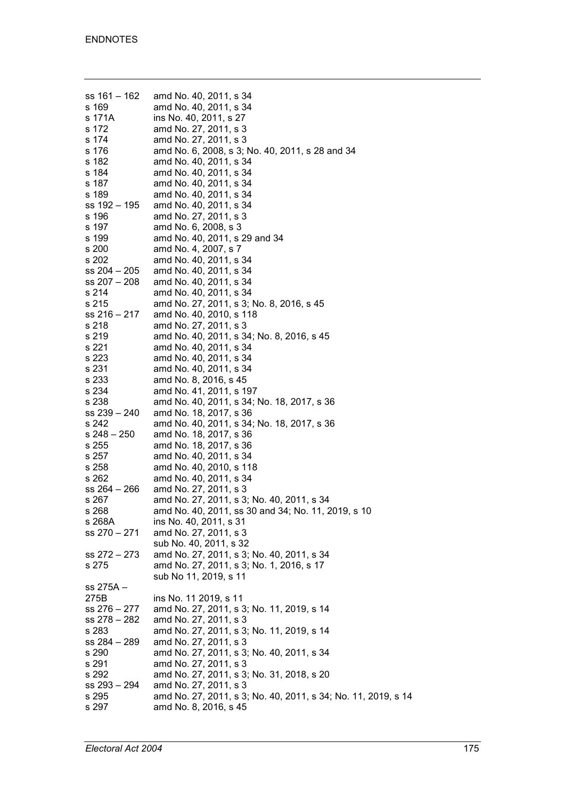| ss 161 – 162<br>s 169<br>s 171A<br>s 172<br>s 174 | amd No. 40, 2011, s 34<br>amd No. 40, 2011, s 34<br>ins No. 40, 2011, s 27<br>amd No. 27, 2011, s 3<br>amd No. 27, 2011, s 3 |
|---------------------------------------------------|------------------------------------------------------------------------------------------------------------------------------|
| s 176                                             | amd No. 6, 2008, s 3; No. 40, 2011, s 28 and 34                                                                              |
| s 182                                             | amd No. 40, 2011, s 34                                                                                                       |
| s 184                                             | amd No. 40, 2011, s 34                                                                                                       |
| s 187                                             | amd No. 40, 2011, s 34                                                                                                       |
| s 189                                             | amd No. 40, 2011, s 34                                                                                                       |
| ss 192 – 195                                      | amd No. 40, 2011, s 34                                                                                                       |
| s 196                                             | amd No. 27, 2011, s 3                                                                                                        |
| s 197                                             | amd No. 6, 2008, s 3                                                                                                         |
| s 199                                             | amd No. 40, 2011, s 29 and 34                                                                                                |
| s 200                                             | amd No. 4, 2007, s 7                                                                                                         |
| s 202                                             | amd No. 40, 2011, s 34                                                                                                       |
| ss 204 - 205                                      | amd No. 40, 2011, s 34                                                                                                       |
| ss 207 - 208                                      | amd No. 40, 2011, s 34                                                                                                       |
|                                                   | amd No. 40, 2011, s 34                                                                                                       |
| s 214                                             | amd No. 27, 2011, s 3; No. 8, 2016, s 45                                                                                     |
| s 215                                             |                                                                                                                              |
| ss 216 – 217                                      | amd No. 40, 2010, s 118                                                                                                      |
| s 218                                             | amd No. 27, 2011, s 3                                                                                                        |
| s 219                                             | amd No. 40, 2011, s 34; No. 8, 2016, s 45                                                                                    |
| s 221                                             | amd No. 40, 2011, s 34                                                                                                       |
| s 223                                             | amd No. 40, 2011, s 34                                                                                                       |
| s 231                                             | amd No. 40, 2011, s 34                                                                                                       |
| s 233                                             | amd No. 8, 2016, s 45                                                                                                        |
| s 234                                             | amd No. 41, 2011, s 197                                                                                                      |
| s 238                                             | amd No. 40, 2011, s 34; No. 18, 2017, s 36                                                                                   |
| ss 239 - 240                                      | amd No. 18, 2017, s 36                                                                                                       |
| s 242                                             | amd No. 40, 2011, s 34; No. 18, 2017, s 36                                                                                   |
| $s$ 248 - 250                                     | amd No. 18, 2017, s 36                                                                                                       |
| s 255                                             | amd No. 18, 2017, s 36                                                                                                       |
| s 257                                             | amd No. 40, 2011, s 34                                                                                                       |
| s 258                                             | amd No. 40, 2010, s 118                                                                                                      |
| s 262                                             | amd No. 40, 2011, s 34                                                                                                       |
| ss 264 – 266                                      | amd No. 27, 2011, s 3                                                                                                        |
| s 267                                             | amd No. 27, 2011, s 3; No. 40, 2011, s 34                                                                                    |
| s 268                                             | amd No. 40, 2011, ss 30 and 34; No. 11, 2019, s 10                                                                           |
| s 268A                                            | ins No. 40, 2011, s 31                                                                                                       |
| ss 270 - 271                                      | amd No. 27, 2011, s 3                                                                                                        |
|                                                   | sub No. 40, 2011, s 32                                                                                                       |
| ss 272 - 273                                      | amd No. 27, 2011, s 3; No. 40, 2011, s 34                                                                                    |
| s 275                                             | amd No. 27, 2011, s 3; No. 1, 2016, s 17                                                                                     |
|                                                   | sub No 11, 2019, s 11                                                                                                        |
| ss 275A –                                         |                                                                                                                              |
| 275B                                              | ins No. 11 2019, s 11                                                                                                        |
| ss 276 – 277                                      | amd No. 27, 2011, s 3; No. 11, 2019, s 14                                                                                    |
| ss 278 – 282                                      | amd No. 27, 2011, s 3                                                                                                        |
| s 283                                             | amd No. 27, 2011, s 3; No. 11, 2019, s 14                                                                                    |
| ss 284 – 289                                      | amd No. 27, 2011, s 3                                                                                                        |
| s 290                                             | amd No. 27, 2011, s 3; No. 40, 2011, s 34                                                                                    |
| s 291                                             | amd No. 27, 2011, s 3                                                                                                        |
| s 292                                             | amd No. 27, 2011, s 3; No. 31, 2018, s 20                                                                                    |
| ss 293 – 294                                      | amd No. 27, 2011, s 3                                                                                                        |
| s 295                                             | amd No. 27, 2011, s 3; No. 40, 2011, s 34; No. 11, 2019, s 14                                                                |
| s 297                                             | amd No. 8, 2016, s 45                                                                                                        |